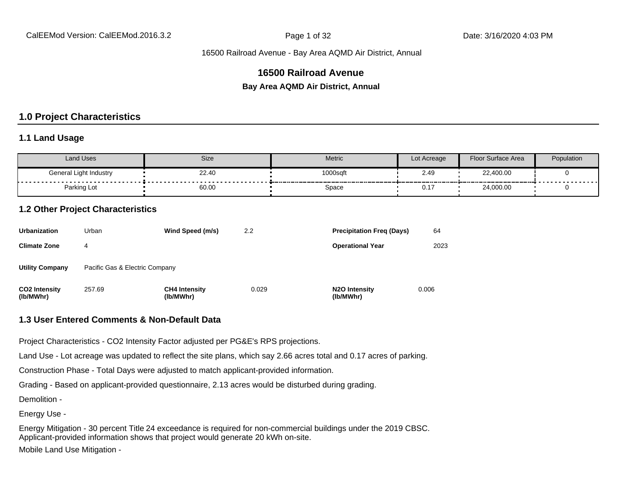# **16500 Railroad Avenue**

**Bay Area AQMD Air District, Annual**

# **1.0 Project Characteristics**

#### **1.1 Land Usage**

| Land Uses              | Size  | <b>Metric</b> | Lot Acreage | Floor Surface Area | Population |
|------------------------|-------|---------------|-------------|--------------------|------------|
| General Light Industry | 22.40 | 1000sqft      | 2.49        | 22,400.00          |            |
| Parking Lot            | 60.00 | Space         | . 11        | 24,000.00          | .          |

# **1.2 Other Project Characteristics**

| <b>Urbanization</b>               | Urban                          | Wind Speed (m/s)                  | 2.2   | <b>Precipitation Freg (Days)</b>        | 64    |
|-----------------------------------|--------------------------------|-----------------------------------|-------|-----------------------------------------|-------|
| <b>Climate Zone</b>               | 4                              |                                   |       | <b>Operational Year</b>                 | 2023  |
| <b>Utility Company</b>            | Pacific Gas & Electric Company |                                   |       |                                         |       |
| <b>CO2 Intensity</b><br>(lb/MWhr) | 257.69                         | <b>CH4 Intensity</b><br>(lb/MWhr) | 0.029 | N <sub>2</sub> O Intensity<br>(lb/MWhr) | 0.006 |

#### **1.3 User Entered Comments & Non-Default Data**

Project Characteristics - CO2 Intensity Factor adjusted per PG&E's RPS projections.

Land Use - Lot acreage was updated to reflect the site plans, which say 2.66 acres total and 0.17 acres of parking.

Construction Phase - Total Days were adjusted to match applicant-provided information.

Grading - Based on applicant-provided questionnaire, 2.13 acres would be disturbed during grading.

Demolition -

Energy Use -

Energy Mitigation - 30 percent Title 24 exceedance is required for non-commercial buildings under the 2019 CBSC. Applicant-provided information shows that project would generate 20 kWh on-site. Mobile Land Use Mitigation -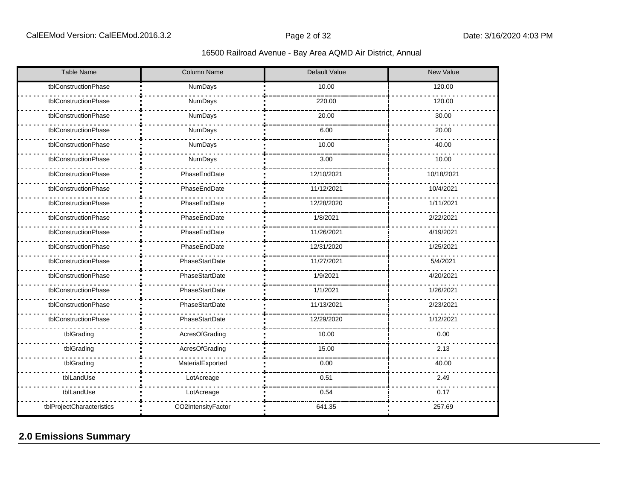| <b>Table Name</b>         | Column Name        | Default Value | <b>New Value</b> |
|---------------------------|--------------------|---------------|------------------|
| tblConstructionPhase      | NumDays            | 10.00         | 120.00           |
| tblConstructionPhase      | NumDays            | 220.00        | 120.00           |
| tblConstructionPhase      | NumDays            | 20.00         | 30.00            |
| tblConstructionPhase      | NumDays            | 6.00          | 20.00            |
| tblConstructionPhase      | NumDays            | 10.00         | 40.00            |
| tblConstructionPhase      | NumDays            | 3.00          | 10.00            |
| tblConstructionPhase      | PhaseEndDate       | 12/10/2021    | 10/18/2021       |
| tblConstructionPhase      | PhaseEndDate       | 11/12/2021    | 10/4/2021        |
| tblConstructionPhase      | PhaseEndDate       | 12/28/2020    | 1/11/2021        |
| tblConstructionPhase      | PhaseEndDate       | 1/8/2021      | 2/22/2021        |
| tblConstructionPhase      | PhaseEndDate       | 11/26/2021    | 4/19/2021        |
| tblConstructionPhase      | PhaseEndDate       | 12/31/2020    | 1/25/2021        |
| tblConstructionPhase      | PhaseStartDate     | 11/27/2021    | 5/4/2021         |
| tblConstructionPhase      | PhaseStartDate     | 1/9/2021      | 4/20/2021        |
| tblConstructionPhase      | PhaseStartDate     | 1/1/2021      | 1/26/2021        |
| tblConstructionPhase      | PhaseStartDate     | 11/13/2021    | 2/23/2021        |
| tblConstructionPhase      | PhaseStartDate     | 12/29/2020    | 1/12/2021        |
| tblGrading                | AcresOfGrading     | 10.00         | 0.00             |
| tblGrading                | AcresOfGrading     | 15.00         | 2.13             |
| tblGrading                | MaterialExported   | 0.00          | 40.00            |
| tblLandUse                | LotAcreage         | 0.51          | 2.49             |
| tblLandUse                | LotAcreage         | 0.54          | 0.17             |
| tblProjectCharacteristics | CO2IntensityFactor | 641.35        | 257.69           |

# **2.0 Emissions Summary**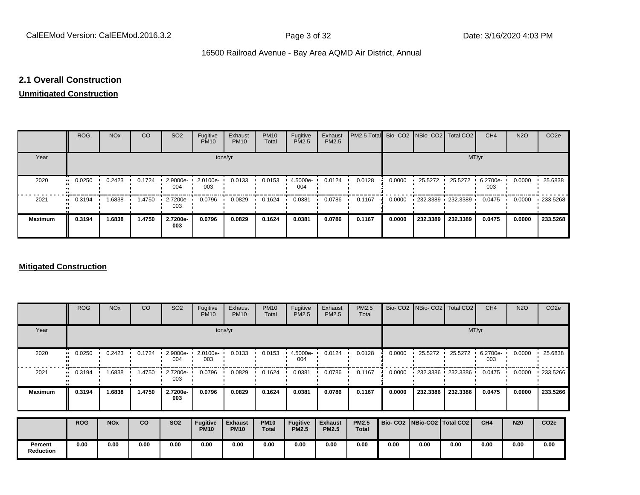# **2.1 Overall Construction**

# **Unmitigated Construction**

|                | <b>ROG</b>    | <b>NO<sub>x</sub></b> | <b>CO</b> | SO <sub>2</sub> | Fugitive<br><b>PM10</b> | Exhaust<br><b>PM10</b> | <b>PM10</b><br>Total | Fugitive<br>PM2.5 | Exhaust<br>PM2.5 | PM2.5 Total Bio- CO2 NBio- CO2 Total CO2 |        |                                   |          | CH <sub>4</sub> | <b>N2O</b> | CO <sub>2e</sub> |
|----------------|---------------|-----------------------|-----------|-----------------|-------------------------|------------------------|----------------------|-------------------|------------------|------------------------------------------|--------|-----------------------------------|----------|-----------------|------------|------------------|
| Year           |               |                       |           |                 | tons/yr                 |                        |                      |                   |                  |                                          |        |                                   | MT/yr    |                 |            |                  |
| 2020           | 0.0250        | 0.2423                | 0.1724    | 2.9000e-<br>004 | 2.0100e-<br>003         | 0.0133                 | 0.0153               | 4.5000e-<br>004   | 0.0124           | 0.0128                                   | 0.0000 | 25.5272 ·                         | 25.5272  | 6.2700e-<br>003 | 0.0000     | 25.6838          |
| 2021           | 0.3194<br>. . | 1.6838                | 1.4750    | 2.7200e-<br>003 | 0.0796                  | 0.0829                 | 0.1624               | 0.0381            | 0.0786           | 0.1167                                   | 0.0000 | $\cdot$ 232.3389 $\cdot$ 232.3389 |          | 0.0475          | 0.0000     | 233.5268         |
| <b>Maximum</b> | 0.3194        | 1.6838                | 1.4750    | 2.7200e-<br>003 | 0.0796                  | 0.0829                 | 0.1624               | 0.0381            | 0.0786           | 0.1167                                   | 0.0000 | 232.3389                          | 232.3389 | 0.0475          | 0.0000     | 233.5268         |

### **Mitigated Construction**

|                             | <b>ROG</b> | <b>NO<sub>x</sub></b> | CO     | SO <sub>2</sub> | Fugitive<br><b>PM10</b>        | Exhaust<br><b>PM10</b>        | <b>PM10</b><br>Total        | Fugitive<br>PM2.5               | Exhaust<br>PM2.5               | PM2.5<br>Total               | Bio-CO <sub>2</sub>             | NBio-CO <sub>2</sub> | Total CO <sub>2</sub>  | CH <sub>4</sub> | <b>N2O</b> | CO <sub>2e</sub> |
|-----------------------------|------------|-----------------------|--------|-----------------|--------------------------------|-------------------------------|-----------------------------|---------------------------------|--------------------------------|------------------------------|---------------------------------|----------------------|------------------------|-----------------|------------|------------------|
| Year                        |            |                       |        |                 |                                | tons/yr                       |                             |                                 |                                |                              |                                 |                      |                        | MT/yr           |            |                  |
| 2020                        | 0.0250     | 0.2423                | 0.1724 | 2.9000e-<br>004 | 2.0100e-<br>003                | 0.0133                        | 0.0153                      | 4.5000e-<br>004                 | 0.0124                         | 0.0128                       | 0.0000                          | 25.5272              | 25.5272                | 6.2700e-<br>003 | 0.0000     | 25.6838          |
| 2021                        | 0.3194     | 1.6838                | 1.4750 | 2.7200e-<br>003 | 0.0796                         | 0.0829                        | 0.1624                      | 0.0381                          | 0.0786                         | 0.1167                       | 0.0000                          |                      | $-232.3386 - 232.3386$ | 0.0475          | 0.0000     | 233.5266         |
| <b>Maximum</b>              | 0.3194     | 1.6838                | 1.4750 | 2.7200e-<br>003 | 0.0796                         | 0.0829                        | 0.1624                      | 0.0381                          | 0.0786                         | 0.1167                       | 0.0000                          | 232.3386             | 232.3386               | 0.0475          | 0.0000     | 233.5266         |
|                             | <b>ROG</b> | <b>NO<sub>x</sub></b> | co     | <b>SO2</b>      | <b>Fugitive</b><br><b>PM10</b> | <b>Exhaust</b><br><b>PM10</b> | <b>PM10</b><br><b>Total</b> | <b>Fugitive</b><br><b>PM2.5</b> | <b>Exhaust</b><br><b>PM2.5</b> | <b>PM2.5</b><br><b>Total</b> | Bio- CO2   NBio-CO2   Total CO2 |                      |                        | CH4             | <b>N20</b> | CO <sub>2e</sub> |
|                             |            |                       |        |                 |                                |                               |                             |                                 |                                |                              |                                 |                      |                        |                 |            |                  |
| Percent<br><b>Reduction</b> | 0.00       | 0.00                  | 0.00   | 0.00            | 0.00                           | 0.00                          | 0.00                        | 0.00                            | 0.00                           | 0.00                         | 0.00                            | 0.00                 | 0.00                   | 0.00            | 0.00       | 0.00             |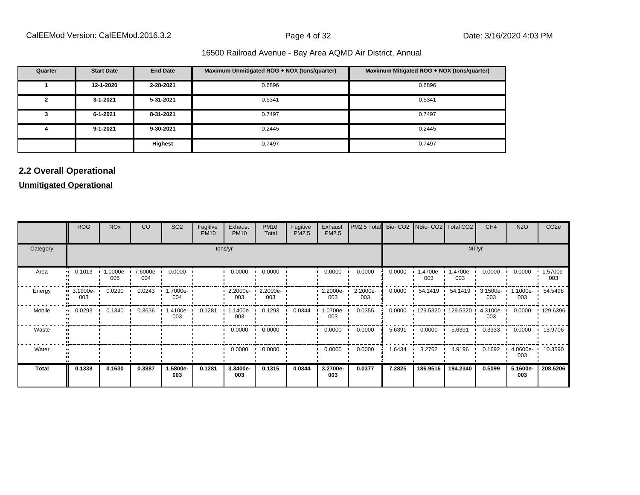| Quarter | <b>Start Date</b> | <b>End Date</b> | Maximum Unmitigated ROG + NOX (tons/quarter) | Maximum Mitigated ROG + NOX (tons/quarter) |
|---------|-------------------|-----------------|----------------------------------------------|--------------------------------------------|
|         | 12-1-2020         | 2-28-2021       | 0.6896                                       | 0.6896                                     |
| 2       | 3-1-2021          | 5-31-2021       | 0.5341                                       | 0.5341                                     |
| 3       | 6-1-2021          | 8-31-2021       | 0.7497                                       | 0.7497                                     |
|         | $9 - 1 - 2021$    | 9-30-2021       | 0.2445                                       | 0.2445                                     |
|         |                   | Highest         | 0.7497                                       | 0.7497                                     |

# **2.2 Overall Operational**

# **Unmitigated Operational**

|          | <b>ROG</b>                                   | <b>NO<sub>x</sub></b> | CO              | SO <sub>2</sub>  | Fugitive<br><b>PM10</b> | Exhaust<br><b>PM10</b> | <b>PM10</b><br>Total         | Fugitive<br><b>PM2.5</b> | Exhaust<br>PM2.5 | PM2.5 Total Bio- CO2 NBio- CO2 Total CO2 |        |                 |                            | CH <sub>4</sub>    | <b>N2O</b>      | CO <sub>2e</sub> |
|----------|----------------------------------------------|-----------------------|-----------------|------------------|-------------------------|------------------------|------------------------------|--------------------------|------------------|------------------------------------------|--------|-----------------|----------------------------|--------------------|-----------------|------------------|
| Category |                                              |                       |                 |                  |                         | tons/yr                |                              |                          |                  |                                          |        |                 | MT/yr                      |                    |                 |                  |
| Area     | 0.1013                                       | 1.0000e-<br>005       | 7.6000e-<br>004 | 0.0000           |                         | 0.0000                 | 0.0000                       |                          | 0.0000           | 0.0000                                   | 0.0000 | 1.4700e-<br>003 | .4700e-<br>003             | 0.0000             | 0.0000          | 1.5700e-<br>003  |
| Energy   | $\blacksquare$ 3.1900e $\blacksquare$<br>003 | 0.0290                | 0.0243          | .7000e-<br>004   |                         | 003                    | 2.2000e- 1 2.2000e- 1<br>003 |                          | 2.2000e-<br>003  | 2.2000e-<br>003                          | 0.0000 | 54.1419 •       | 54.1419 ·                  | $3.1500e -$<br>003 | 1.1000e-<br>003 | 54.5498          |
| Mobile   | 0.0293                                       | 0.1340                | 0.3636          | -4100e- ا<br>003 | 0.1281                  | $1.1400e -$<br>003     | 0.1293                       | 0.0344                   | .0700e-<br>003   | 0.0355                                   | 0.0000 |                 | 129.5320 129.5320 4.3100e- | 003                | 0.0000          | 129.6396         |
| Waste    |                                              |                       |                 |                  |                         | 0.0000                 | 0.0000                       |                          | 0.0000           | 0.0000                                   | 5.6391 | 0.0000          | 5.6391                     | 0.3333             | 0.0000          | 13.9706          |
| Water    |                                              |                       |                 |                  |                         | 0.0000                 | 0.0000                       |                          | 0.0000           | 0.0000                                   | 1.6434 | 3.2762          | 4.9196                     | 0.1692             | 4.0600e-<br>003 | 10.3590          |
| Total    | 0.1338                                       | 0.1630                | 0.3887          | 1.5800e-<br>003  | 0.1281                  | 3.3400e-<br>003        | 0.1315                       | 0.0344                   | 3.2700e-<br>003  | 0.0377                                   | 7.2825 | 186.9516        | 194.2340                   | 0.5099             | 5.1600e-<br>003 | 208.5206         |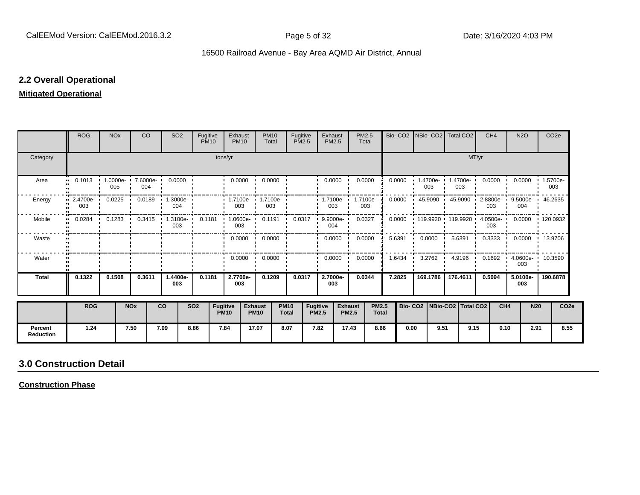# **2.2 Overall Operational**

# **Mitigated Operational**

|                             | <b>ROG</b>                 | <b>NO<sub>x</sub></b> | <b>CO</b>                           |      | SO <sub>2</sub>                                                   | Fugitive<br><b>PM10</b> |                                | Exhaust<br><b>PM10</b>                   | <b>PM10</b><br>Total          |                             | Fugitive<br><b>PM2.5</b> |                                 | Exhaust<br><b>PM2.5</b> | PM2.5<br>Total                 |                              | Bio-CO <sub>2</sub> |                                 | NBio- CO2   Total CO2                     |                 |                | CH <sub>4</sub>         |                 | <b>N2O</b>      | CO <sub>2e</sub>          |                  |
|-----------------------------|----------------------------|-----------------------|-------------------------------------|------|-------------------------------------------------------------------|-------------------------|--------------------------------|------------------------------------------|-------------------------------|-----------------------------|--------------------------|---------------------------------|-------------------------|--------------------------------|------------------------------|---------------------|---------------------------------|-------------------------------------------|-----------------|----------------|-------------------------|-----------------|-----------------|---------------------------|------------------|
| Category                    |                            |                       |                                     |      |                                                                   |                         | tons/yr                        |                                          |                               |                             |                          |                                 |                         |                                |                              |                     |                                 |                                           |                 | MT/yr          |                         |                 |                 |                           |                  |
| Area                        | 0.1013<br>$\bullet\bullet$ | 005                   | $1.0000e - 7.6000e - 0.0000$<br>004 |      |                                                                   |                         |                                | 0.0000                                   | 0.0000                        |                             |                          |                                 | 0.0000                  | 0.0000                         |                              | 0.0000              |                                 | $1.4700e -$<br>003                        | 1.4700e-<br>003 |                | $0.0000$ $\blacksquare$ |                 |                 | 0.0000 1.5700e-<br>003    |                  |
| Energy                      | 2.4700e- '<br>003          | 0.0225                | 0.0189                              |      | $1.3000e-$<br>004                                                 |                         |                                | $\cdot$ 1.7100e- $\cdot$ 1.7100e-<br>003 | 003                           |                             |                          |                                 | $1.7100e-$<br>003       | 1.7100e-<br>003                |                              | 0.0000              |                                 | 45.9090 ·                                 | 45.9090         | $\blacksquare$ | 2.8800e-<br>003         |                 | 004             | 9.5000e- 1 46.2635        |                  |
| Mobile                      | 0.0284<br>$\bullet$        |                       |                                     |      | $0.1283$ $0.3415$ $1.3100e$ 0.1181 $1.0600e$ 0.1191 0.0317<br>003 |                         |                                | 003                                      |                               |                             |                          | $\blacksquare$                  | 9.9000e-<br>004         | 0.0327                         |                              | 0.0000              |                                 | 119.9920 119.9920 4.0500e 0.0000 120.0932 |                 |                | 003                     |                 |                 |                           |                  |
| Waste                       |                            |                       |                                     |      |                                                                   |                         |                                |                                          | $0.0000 \cdot 0.0000$         |                             |                          |                                 | $0.0000$ $\blacksquare$ | 0.0000                         |                              | 5.6391              |                                 | 0.0000                                    | 5.6391          | $\blacksquare$ |                         |                 |                 | 0.3333   0.0000   13.9706 |                  |
| Water                       |                            |                       |                                     |      |                                                                   |                         |                                | $0.0000$ $\cdot$                         | 0.0000                        |                             |                          |                                 | 0.0000                  | 0.0000                         |                              | 1.6434              |                                 | 3.2762                                    | 4.9196          | - 11           | 0.1692                  |                 | 003             | $4.0600e - 10.3590$       |                  |
| <b>Total</b>                | 0.1322                     | 0.1508                | 0.3611                              |      | 1.4400e-<br>003                                                   | 0.1181                  |                                | 2.7700e-<br>003                          | 0.1209                        |                             | 0.0317                   |                                 | 2.7000e-<br>003         | 0.0344                         |                              | 7.2825              |                                 | 169.1786                                  | 176.4611        |                | 0.5094                  |                 | 5.0100e-<br>003 | 190.6878                  |                  |
|                             | <b>ROG</b>                 |                       | <b>NOx</b>                          | co   |                                                                   | <b>SO2</b>              | <b>Fugitive</b><br><b>PM10</b> |                                          | <b>Exhaust</b><br><b>PM10</b> | <b>PM10</b><br><b>Total</b> |                          | <b>Fugitive</b><br><b>PM2.5</b> |                         | <b>Exhaust</b><br><b>PM2.5</b> | <b>PM2.5</b><br><b>Total</b> |                     | Bio- CO2   NBio-CO2   Total CO2 |                                           |                 |                |                         | CH <sub>4</sub> | <b>N20</b>      |                           | CO <sub>2e</sub> |
| Percent<br><b>Reduction</b> | 1.24                       |                       | 7.50                                | 7.09 |                                                                   | 8.86                    | 7.84                           |                                          | 17.07                         | 8.07                        |                          | 7.82                            |                         | 17.43                          | 8.66                         |                     | 0.00                            | 9.51                                      |                 | 9.15           |                         | 0.10            | 2.91            |                           | 8.55             |

# **3.0 Construction Detail**

**Construction Phase**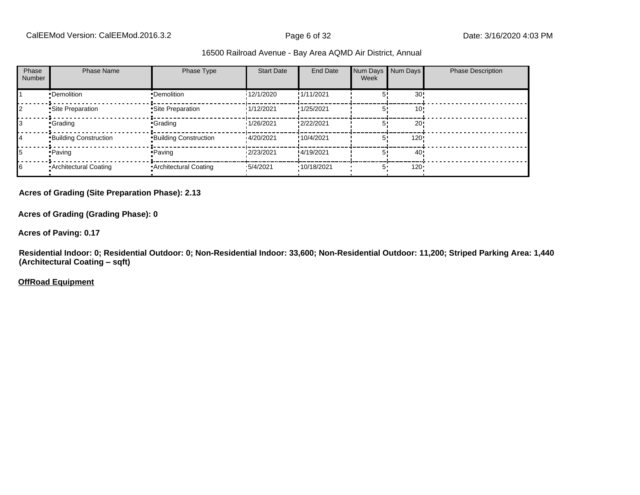| Phase<br>Number | <b>Phase Name</b>            | Phase Type                   | <b>Start Date</b> | End Date    | Week | Num Days Num Days | <b>Phase Description</b> |
|-----------------|------------------------------|------------------------------|-------------------|-------------|------|-------------------|--------------------------|
|                 | •Demolition                  | •Demolition                  | 12/1/2020         | !1/11/2021  |      | 30 <sub>1</sub>   |                          |
|                 | Site Preparation             | Site Preparation             | 1/12/2021         | !1/25/2021  |      | 10!               |                          |
| I3              | <b>Crading</b>               | •Grading                     | 1/26/2021         | !2/22/2021  |      | 20!               |                          |
| 14              | <b>Building Construction</b> | <b>Building Construction</b> | 14/20/2021        | !10/4/2021  |      | 120!              |                          |
| 15              | • Paving                     | • Paving                     | 2/23/2021         | !4/19/2021  |      | 40!               |                          |
| 16              | • Architectural Coating      | Architectural Coating        | .5/4/2021         | '10/18/2021 | 5.   | $120 -$           |                          |

**Acres of Grading (Site Preparation Phase): 2.13**

**Acres of Grading (Grading Phase): 0**

**Acres of Paving: 0.17**

**Residential Indoor: 0; Residential Outdoor: 0; Non-Residential Indoor: 33,600; Non-Residential Outdoor: 11,200; Striped Parking Area: 1,440 (Architectural Coating - sqft)** 

**OffRoad Equipment**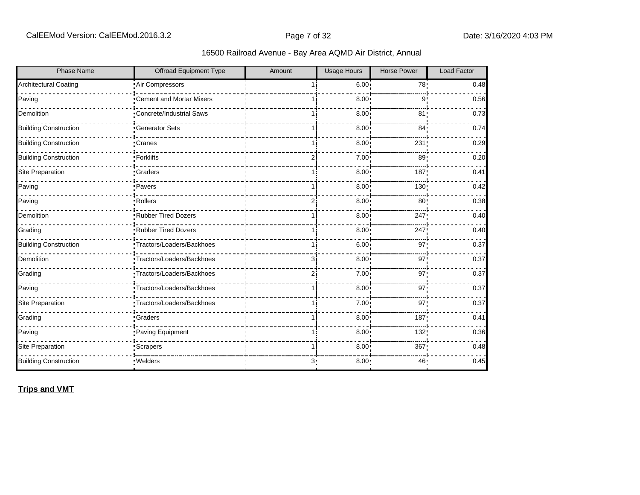| Phase Name                   | Offroad Equipment Type           | Amount         | <b>Usage Hours</b> | <b>Horse Power</b> | Load Factor |
|------------------------------|----------------------------------|----------------|--------------------|--------------------|-------------|
| <b>Architectural Coating</b> | Air Compressors                  |                | $6.00$ !           | 78!                | 0.48        |
| Paving                       | Cement and Mortar Mixers         |                | 8.00               | 9                  | 0.56        |
| Demolition                   | <b>•Concrete/Industrial Saws</b> |                | 8.00               | 81                 | 0.73        |
| <b>Building Construction</b> | <b>Generator Sets</b>            |                | 8.00 <sup>1</sup>  | 84 <sub>1</sub>    | 0.74        |
| <b>Building Construction</b> | •Cranes                          |                | 8.00               | 231                | 0.29        |
| <b>Building Construction</b> | -Forklifts                       | 2i             | 7.00               | 89 <sub>1</sub>    | 0.20        |
| Site Preparation             | <b>Graders</b>                   |                | 8.00               | 187                | 0.41        |
| Paving                       | ·Pavers                          | 11             | 8.00               | 130                | 0.42        |
| Paving                       | -Rollers                         | 2              | 8.00               | 80 <sub>1</sub>    | 0.38        |
| Demolition                   | Rubber Tired Dozers              |                | 8.00               | 247                | 0.40        |
| Grading                      | Rubber Tired Dozers              |                | 8.00               | 247                | 0.40        |
| <b>Building Construction</b> | ·Tractors/Loaders/Backhoes       | 1 i            | 6.00               | 97                 | 0.37        |
| Demolition                   | •Tractors/Loaders/Backhoes       | Зi             | 8.00 <sup>1</sup>  | 97                 | 0.37        |
| Grading                      | Tractors/Loaders/Backhoes        | 2 <sub>1</sub> | 7.00 <sub>1</sub>  | 97!                | 0.37        |
| Paving                       | Tractors/Loaders/Backhoes        | 1 i            | 8.00 <sub>1</sub>  | 97                 | 0.37        |
| Site Preparation             | Tractors/Loaders/Backhoes        | 1 i            | 7.00               | 97'                | 0.37        |
| Grading                      | <b>Graders</b>                   | 1 i            | 8.00               | 187                | 0.41        |
| Paving                       | Paving Equipment                 |                | 8.00               | 132                | 0.36        |
| Site Preparation             | Scrapers <sup>-</sup>            |                | 8.00               | 367                | 0.48        |
| <b>Building Construction</b> | ·Welders                         | 3 <sub>1</sub> | 8.00               | 46                 | 0.45        |

**Trips and VMT**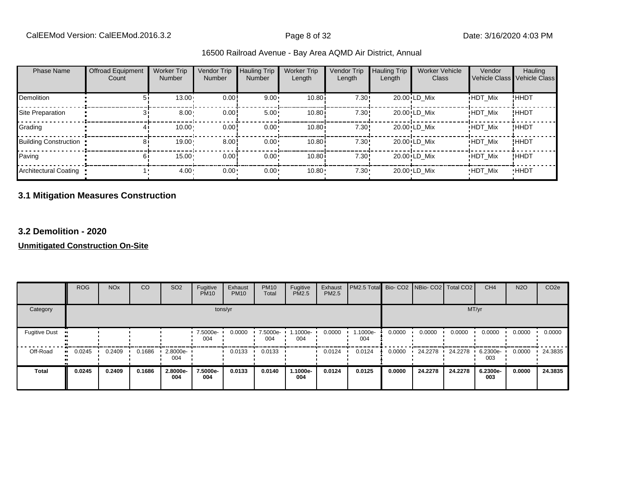|  | 16500 Railroad Avenue - Bay Area AQMD Air District, Annual |  |  |  |  |  |  |
|--|------------------------------------------------------------|--|--|--|--|--|--|
|--|------------------------------------------------------------|--|--|--|--|--|--|

| <b>Phase Name</b>            | <b>Offroad Equipment</b><br>Count | <b>Worker Trip</b><br><b>Number</b> | Vendor Trip<br>Number | Hauling Trip<br>Number | <b>Worker Trip</b><br>Length | <b>Vendor Trip</b><br>Length | <b>Hauling Trip</b><br>Length | <b>Worker Vehicle</b><br>Class | Vendor         | Hauling<br>Vehicle Class Vehicle Class |
|------------------------------|-----------------------------------|-------------------------------------|-----------------------|------------------------|------------------------------|------------------------------|-------------------------------|--------------------------------|----------------|----------------------------------------|
| Demolition                   | 51                                | 13.00                               | 0.00                  | $9.00 \cdot$           | 10.80i                       | 7.30!                        |                               | 20.00 LD Mix                   | <b>HDT Mix</b> | !HHDT                                  |
| Site Preparation             |                                   | $8.00 -$                            | 0.00                  | $5.00 \cdot$           | 10.80i                       | 7.30!                        |                               | 20.00 LD Mix                   | <b>HDT Mix</b> | !HHDT                                  |
| Grading                      |                                   | 10.00                               | 0.00                  | $0.00 \cdot$           | 10.80i                       | 7.30!                        |                               | 20.00 LD Mix                   | <b>HDT Mix</b> | <b>!HHDT</b>                           |
| <b>Building Construction</b> | 81                                | 19.00                               | 8.00                  | $0.00 \cdot$           | 10.80i                       | 7.30!                        |                               | 20.00 LD Mix                   | <b>HDT Mix</b> | <b>!HHDT</b>                           |
| Paving                       | 61                                | 15.00                               | 0.00                  | $0.00 \cdot$           | 10.80i                       | 7.30!                        |                               | 20.00 LD Mix                   | <b>HDT Mix</b> | !HHDT                                  |
| Architectural Coating        |                                   | $4.00 \cdot$                        | $0.00 -$              | 0.00                   | 10.80                        | $7.30 -$                     |                               | 20.00 LD Mix                   | <b>HDT Mix</b> | <b>HHDT</b>                            |

# **3.1 Mitigation Measures Construction**

# **3.2 Demolition - 2020**

# **Unmitigated Construction On-Site**

|                      | <b>ROG</b> | <b>NO<sub>x</sub></b> | CO     | SO <sub>2</sub> | Fugitive<br><b>PM10</b> | Exhaust<br><b>PM10</b> | <b>PM10</b><br>Total | Fugitive<br><b>PM2.5</b> | Exhaust<br>PM2.5 | PM2.5 Total Bio- CO2 NBio- CO2 Total CO2 |        |         |         | CH <sub>4</sub> | <b>N2O</b> | CO <sub>2e</sub> |
|----------------------|------------|-----------------------|--------|-----------------|-------------------------|------------------------|----------------------|--------------------------|------------------|------------------------------------------|--------|---------|---------|-----------------|------------|------------------|
| Category             |            |                       |        |                 |                         | tons/yr                |                      |                          |                  |                                          |        |         | MT/yr   |                 |            |                  |
| <b>Fugitive Dust</b> |            |                       |        |                 | 7.5000e-<br>004         | 0.0000                 | 7.5000e-<br>004      | 1.1000e-<br>004          | 0.0000           | 1.1000e-<br>004                          | 0.0000 | 0.0000  | 0.0000  | 0.0000          | 0.0000     | 0.0000           |
| Off-Road             | 0.0245<br> | 0.2409                | 0.1686 | 2.8000e-<br>004 |                         | 0.0133                 | 0.0133               |                          | 0.0124           | 0.0124                                   | 0.0000 | 24.2278 | 24.2278 | 6.2300e-<br>003 | 0.0000     | 24.3835          |
| <b>Total</b>         | 0.0245     | 0.2409                | 0.1686 | 2.8000e-<br>004 | 7.5000e-<br>004         | 0.0133                 | 0.0140               | 1.1000e-<br>004          | 0.0124           | 0.0125                                   | 0.0000 | 24.2278 | 24.2278 | 6.2300e-<br>003 | 0.0000     | 24.3835          |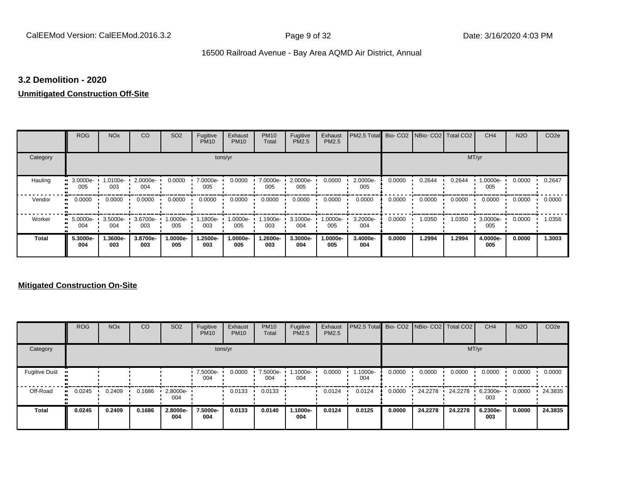# **3.2 Demolition - 2020**

# **Unmitigated Construction Off-Site**

|              | <b>ROG</b>             | <b>NO<sub>x</sub></b> | CO              | SO <sub>2</sub> | Fugitive<br><b>PM10</b> | Exhaust<br><b>PM10</b> | <b>PM10</b><br>Total | Fugitive<br>PM2.5 | Exhaust<br><b>PM2.5</b> | PM2.5 Total Bio- CO2 NBio- CO2 Total CO2 |        |        |        | CH <sub>4</sub> | <b>N2O</b> | CO <sub>2e</sub> |
|--------------|------------------------|-----------------------|-----------------|-----------------|-------------------------|------------------------|----------------------|-------------------|-------------------------|------------------------------------------|--------|--------|--------|-----------------|------------|------------------|
| Category     |                        |                       |                 |                 |                         | tons/yr                |                      |                   |                         |                                          |        |        | MT/yr  |                 |            |                  |
| Hauling      | 3.0000e-<br>005        | 1.0100e-<br>003       | 2.0000e-<br>004 | 0.0000          | 7.0000e-<br>005         | 0.0000                 | 7.0000e-<br>005      | 2.0000e-<br>005   | 0.0000                  | 2.0000e-<br>005                          | 0.0000 | 0.2644 | 0.2644 | 1.0000e-<br>005 | 0.0000     | 0.2647           |
| Vendor       | 0.0000<br>$\mathbf{u}$ | 0.0000                | 0.0000          | 0.0000          | 0.0000                  | 0.0000                 | 0.0000               | 0.0000            | 0.0000                  | 0.0000                                   | 0.0000 | 0.0000 | 0.0000 | 0.0000          | 0.0000     | 0.0000           |
| Worker       | 5.0000e-<br>m<br>004   | 3.5000e-<br>004       | 3.6700e-<br>003 | 1.0000e-<br>005 | 1800e-<br>003           | 1.0000e-<br>005        | .1900e-<br>003       | 3.1000e-<br>004   | -:0000e<br>005          | 3.2000e-<br>004                          | 0.0000 | 1.0350 | 1.0350 | 3.0000e-<br>005 | 0.0000     | 1.0356           |
| <b>Total</b> | 5.3000e-<br>004        | 1.3600e-<br>003       | 3.8700e-<br>003 | 1.0000e-<br>005 | 1.2500e-<br>003         | 1.0000e-<br>005        | 1.2600e-<br>003      | 3.3000e-<br>004   | 1.0000e-<br>005         | 3.4000e-<br>004                          | 0.0000 | 1.2994 | 1.2994 | 4.0000e-<br>005 | 0.0000     | 1.3003           |

# **Mitigated Construction On-Site**

|                      | <b>ROG</b> | <b>NO<sub>x</sub></b> | CO     | SO <sub>2</sub> | Fugitive<br><b>PM10</b> | Exhaust<br><b>PM10</b> | <b>PM10</b><br>Total | Fugitive<br><b>PM2.5</b> | Exhaust<br><b>PM2.5</b> | PM2.5 Total Bio- CO2 NBio- CO2 Total CO2 |        |         |         | CH <sub>4</sub> | <b>N2O</b> | CO <sub>2e</sub> |
|----------------------|------------|-----------------------|--------|-----------------|-------------------------|------------------------|----------------------|--------------------------|-------------------------|------------------------------------------|--------|---------|---------|-----------------|------------|------------------|
| Category             |            |                       |        |                 |                         | tons/yr                |                      |                          |                         |                                          |        |         |         | MT/yr           |            |                  |
| <b>Fugitive Dust</b> |            |                       |        |                 | 7.5000e-<br>004         | 0.0000                 | 7.5000e-<br>004      | -.1000e<br>004           | 0.0000                  | 1.1000e-<br>004                          | 0.0000 | 0.0000  | 0.0000  | 0.0000          | 0.0000     | 0.0000           |
| Off-Road             | 0.0245     | 0.2409                | 0.1686 | 2.8000e-<br>004 |                         | 0.0133                 | 0.0133               |                          | 0.0124                  | 0.0124                                   | 0.0000 | 24.2278 | 24.2278 | 6.2300e-<br>003 | 0.0000     | 24.3835          |
| <b>Total</b>         | 0.0245     | 0.2409                | 0.1686 | 2.8000e-<br>004 | 7.5000e-<br>004         | 0.0133                 | 0.0140               | 1.1000e-<br>004          | 0.0124                  | 0.0125                                   | 0.0000 | 24.2278 | 24.2278 | 6.2300e-<br>003 | 0.0000     | 24.3835          |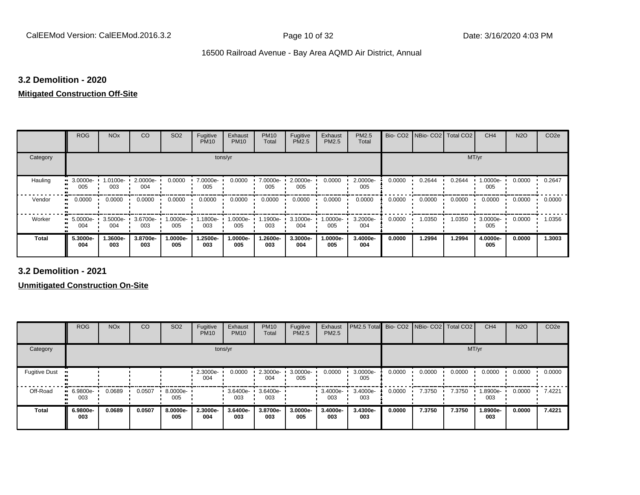# **3.2 Demolition - 2020**

### **Mitigated Construction Off-Site**

|                     | <b>ROG</b>      | <b>NO<sub>x</sub></b> | CO              | SO <sub>2</sub> | Fugitive<br><b>PM10</b> | Exhaust<br><b>PM10</b> | <b>PM10</b><br>Total | Fugitive<br>PM2.5 | Exhaust<br>PM2.5 | PM2.5<br>Total  |        | Bio- CO2   NBio- CO2   Total CO2 |        | CH <sub>4</sub> | <b>N2O</b> | CO <sub>2e</sub> |
|---------------------|-----------------|-----------------------|-----------------|-----------------|-------------------------|------------------------|----------------------|-------------------|------------------|-----------------|--------|----------------------------------|--------|-----------------|------------|------------------|
| Category            |                 |                       |                 |                 | tons/yr                 |                        |                      |                   |                  |                 |        |                                  | MT/yr  |                 |            |                  |
| Hauling             | 3.0000e-<br>005 | 1.0100e-<br>003       | 2.0000e-<br>004 | 0.0000          | 7.0000e-<br>005         | 0.0000                 | 7.0000e-<br>005      | 2.0000e-<br>005   | 0.0000           | 2.0000e-<br>005 | 0.0000 | 0.2644                           | 0.2644 | 1.0000e-<br>005 | 0.0000     | 0.2647           |
| Vendor<br>$\bullet$ | 0.0000          | 0.0000                | 0.0000          | 0.0000          | 0.0000                  | 0.0000                 | 0.0000               | 0.0000            | 0.0000           | 0.0000          | 0.0000 | 0.0000                           | 0.0000 | 0.0000          | 0.0000     | 0.0000           |
| Worker<br>$\bullet$ | 5.0000e-<br>004 | $3.5000e -$<br>004    | 3.6700e-<br>003 | 1.0000e-<br>005 | 1.1800e-<br>003         | 1.0000e-<br>005        | 1.1900e-<br>003      | 3.1000e-<br>004   | .0000e-<br>005   | 3.2000e-<br>004 | 0.0000 | 1.0350                           | 1.0350 | 3.0000e-<br>005 | 0.0000     | 1.0356           |
| <b>Total</b>        | 5.3000e-<br>004 | 1.3600e-<br>003       | 3.8700e-<br>003 | 1.0000e-<br>005 | -2500e.<br>003          | 1.0000e-<br>005        | 1.2600e-<br>003      | 3.3000e-<br>004   | .0000e-<br>005   | 3.4000e-<br>004 | 0.0000 | 1.2994                           | 1.2994 | 4.0000e-<br>005 | 0.0000     | 1.3003           |

**3.2 Demolition - 2021**

**Unmitigated Construction On-Site**

|                      | <b>ROG</b>         | <b>NO<sub>x</sub></b> | CO     | SO <sub>2</sub> | Fugitive<br><b>PM10</b> | Exhaust<br><b>PM10</b> | <b>PM10</b><br>Total | Fugitive<br>PM2.5 | Exhaust<br><b>PM2.5</b> | PM2.5 Total     |        | Bio- CO2 NBio- CO2 | Total CO <sub>2</sub> | CH <sub>4</sub> | <b>N2O</b> | CO <sub>2e</sub> |
|----------------------|--------------------|-----------------------|--------|-----------------|-------------------------|------------------------|----------------------|-------------------|-------------------------|-----------------|--------|--------------------|-----------------------|-----------------|------------|------------------|
| Category             |                    |                       |        |                 |                         | tons/yr                |                      |                   |                         |                 |        |                    |                       | MT/yr           |            |                  |
| <b>Fugitive Dust</b> |                    |                       |        |                 | 2.3000e-<br>004         | 0.0000                 | 2.3000e-<br>004      | 3.0000e-<br>005   | 0.0000                  | 3.0000e-<br>005 | 0.0000 | 0.0000             | 0.0000                | 0.0000          | 0.0000     | 0.0000           |
| Off-Road             | $-6.9800e-$<br>003 | 0.0689                | 0.0507 | 8.0000e-<br>005 |                         | 3.6400e-<br>003        | 3.6400e-<br>003      |                   | 3.4000e-<br>003         | 3.4000e-<br>003 | 0.0000 | 7.3750             | 7.3750                | 1.8900e-<br>003 | 0.0000     | 7.4221           |
| <b>Total</b>         | 6.9800e-<br>003    | 0.0689                | 0.0507 | 8.0000e-<br>005 | 2.3000e-<br>004         | 3.6400e-<br>003        | 3.8700e-<br>003      | 3.0000e-<br>005   | 3.4000e-<br>003         | 3.4300e-<br>003 | 0.0000 | 7.3750             | 7.3750                | 1.8900e-<br>003 | 0.0000     | 7.4221           |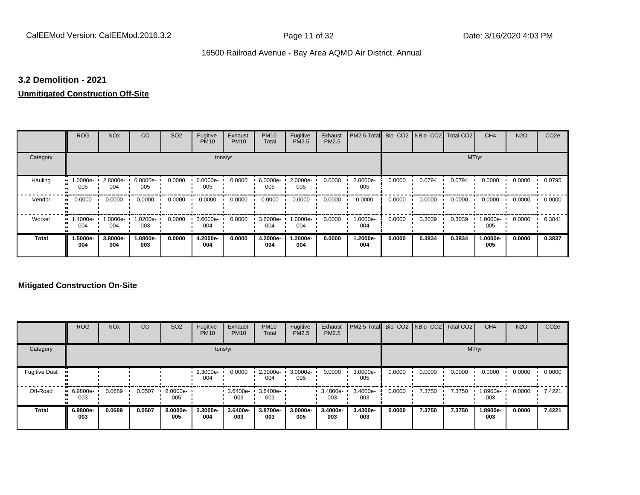# **3.2 Demolition - 2021**

# **Unmitigated Construction Off-Site**

|              | <b>ROG</b>          | <b>NO<sub>x</sub></b> | CO              | SO <sub>2</sub> | Fugitive<br><b>PM10</b> | Exhaust<br><b>PM10</b> | <b>PM10</b><br>Total | Fugitive<br>PM2.5 | Exhaust<br>PM2.5 | PM2.5 Total Bio- CO2 NBio- CO2 Total CO2 |        |        |        | CH <sub>4</sub> | <b>N2O</b> | CO <sub>2e</sub> |
|--------------|---------------------|-----------------------|-----------------|-----------------|-------------------------|------------------------|----------------------|-------------------|------------------|------------------------------------------|--------|--------|--------|-----------------|------------|------------------|
| Category     |                     |                       |                 |                 | tons/yr                 |                        |                      |                   |                  |                                          |        |        | MT/yr  |                 |            |                  |
| Hauling      | 1.0000e-<br>005     | 2.8000e-<br>004       | 6.0000e-<br>005 | 0.0000          | 6.0000e-<br>005         | 0.0000                 | 6.0000e-<br>005      | 2.0000e-<br>005   | 0.0000           | 2.0000e-<br>005                          | 0.0000 | 0.0794 | 0.0794 | 0.0000          | 0.0000     | 0.0795           |
| Vendor       | 0.0000<br>$\bullet$ | 0.0000                | 0.0000          | 0.0000          | 0.0000                  | 0.0000                 | 0.0000               | 0.0000            | 0.0000           | 0.0000                                   | 0.0000 | 0.0000 | 0.0000 | 0.0000          | 0.0000     | 0.0000           |
| Worker       | 1.4000e-<br>004     | 1.0000e-<br>004       | 1.0200e-<br>003 | 0.0000          | 3.6000e-<br>004         | 0.0000                 | 3.6000e-<br>004      | 1.0000e-<br>004   | 0.0000           | 1.0000e-<br>004                          | 0.0000 | 0.3039 | 0.3039 | 1.0000e-<br>005 | 0.0000     | 0.3041           |
| <b>Total</b> | 1.5000e-<br>004     | 3.8000e-<br>004       | 1.0800e-<br>003 | 0.0000          | 4.2000e-<br>004         | 0.0000                 | 4.2000e-<br>004      | 1.2000e-<br>004   | 0.0000           | 1.2000e-<br>004                          | 0.0000 | 0.3834 | 0.3834 | 1.0000e-<br>005 | 0.0000     | 0.3837           |

# **Mitigated Construction On-Site**

|                      | <b>ROG</b>             | <b>NO<sub>x</sub></b> | CO     | SO <sub>2</sub> | Fugitive<br><b>PM10</b> | Exhaust<br><b>PM10</b> | <b>PM10</b><br>Total | Fugitive<br>PM2.5 | Exhaust<br>PM2.5 | PM2.5 Total Bio- CO2 NBio- CO2 Total CO2 |        |        |        | CH <sub>4</sub> | <b>N2O</b> | CO <sub>2e</sub> |
|----------------------|------------------------|-----------------------|--------|-----------------|-------------------------|------------------------|----------------------|-------------------|------------------|------------------------------------------|--------|--------|--------|-----------------|------------|------------------|
| Category             |                        |                       |        |                 |                         | tons/yr                |                      |                   |                  |                                          |        |        | MT/yr  |                 |            |                  |
| <b>Fugitive Dust</b> |                        |                       |        |                 | 2.3000e-<br>004         | 0.0000                 | 2.3000e-<br>004      | 3.0000e-<br>005   | 0.0000           | 3.0000e-<br>005                          | 0.0000 | 0.0000 | 0.0000 | 0.0000          | 0.0000     | 0.0000           |
| Off-Road             | $-6.9800e-$<br><br>003 | 0.0689                | 0.0507 | 8.0000e-<br>005 |                         | 3.6400e-<br>003        | 3.6400e-<br>003      |                   | 3.4000e-<br>003  | 3.4000e-<br>003                          | 0.0000 | 7.3750 | 7.3750 | 1.8900e-<br>003 | 0.0000     | 7.4221           |
| <b>Total</b>         | 6.9800e-<br>003        | 0.0689                | 0.0507 | 8.0000e-<br>005 | 2.3000e-<br>004         | 3.6400e-<br>003        | 3.8700e-<br>003      | 3.0000e-<br>005   | 3.4000e-<br>003  | 3.4300e-<br>003                          | 0.0000 | 7.3750 | 7.3750 | 1.8900e-<br>003 | 0.0000     | 7.4221           |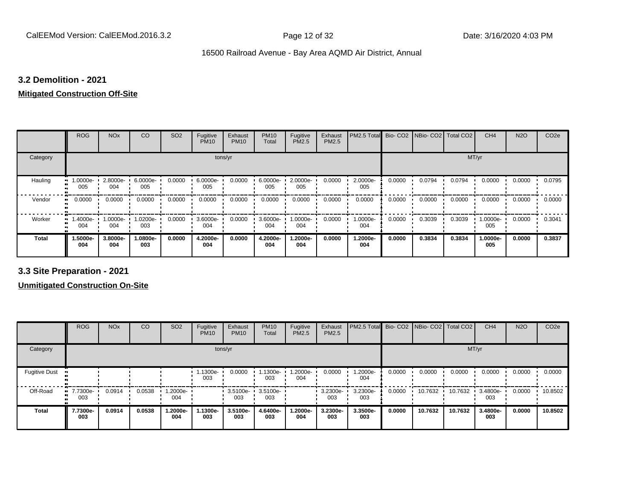# **3.2 Demolition - 2021**

# **Mitigated Construction Off-Site**

|                     | <b>ROG</b>      | <b>NO<sub>x</sub></b> | CO              | SO <sub>2</sub> | Fugitive<br><b>PM10</b> | Exhaust<br><b>PM10</b> | <b>PM10</b><br>Total | Fugitive<br>PM2.5 | Exhaust<br>PM2.5 | PM2.5 Total Bio- CO2 NBio- CO2 Total CO2 |        |        |        | CH <sub>4</sub> | <b>N2O</b> | CO <sub>2e</sub> |
|---------------------|-----------------|-----------------------|-----------------|-----------------|-------------------------|------------------------|----------------------|-------------------|------------------|------------------------------------------|--------|--------|--------|-----------------|------------|------------------|
| Category            |                 |                       |                 |                 | tons/yr                 |                        |                      |                   |                  |                                          |        |        | MT/yr  |                 |            |                  |
| Hauling             | -0000e-<br>005  | 2.8000e-<br>004       | 6.0000e-<br>005 | 0.0000          | $6.0000e-$<br>005       | 0.0000                 | 6.0000e-<br>005      | 2.0000e-<br>005   | 0.0000           | 2.0000e-<br>005                          | 0.0000 | 0.0794 | 0.0794 | 0.0000          | 0.0000     | 0.0795           |
| Vendor<br>$\bullet$ | 0.0000          | 0.0000                | 0.0000          | 0.0000          | 0.0000                  | 0.0000                 | 0.0000               | 0.0000            | 0.0000           | 0.0000                                   | 0.0000 | 0.0000 | 0.0000 | 0.0000          | 0.0000     | 0.0000           |
| Worker<br>$\bullet$ | 1.4000e-<br>004 | 1.0000e-<br>004       | 1.0200e-<br>003 | 0.0000          | 3.6000e-<br>004         | 0.0000                 | 3.6000e-<br>004      | 1.0000e-<br>004   | 0.0000           | 1.0000e-<br>004                          | 0.0000 | 0.3039 | 0.3039 | 1.0000e-<br>005 | 0.0000     | 0.3041           |
| <b>Total</b>        | -.5000e<br>004  | 3.8000e-<br>004       | 1.0800e-<br>003 | 0.0000          | 4.2000e-<br>004         | 0.0000                 | 4.2000e-<br>004      | 1.2000e-<br>004   | 0.0000           | 1.2000e-<br>004                          | 0.0000 | 0.3834 | 0.3834 | 1.0000e-<br>005 | 0.0000     | 0.3837           |

**3.3 Site Preparation - 2021**

**Unmitigated Construction On-Site**

|                      | <b>ROG</b>                     | <b>NO<sub>x</sub></b> | CO     | SO <sub>2</sub> | Fugitive<br><b>PM10</b> | Exhaust<br><b>PM10</b>   | <b>PM10</b><br>Total | Fugitive<br>PM2.5 | Exhaust<br><b>PM2.5</b> | PM2.5 Total Bio- CO2 NBio- CO2 Total CO2 |        |         |         | CH <sub>4</sub> | <b>N2O</b> | CO <sub>2e</sub> |
|----------------------|--------------------------------|-----------------------|--------|-----------------|-------------------------|--------------------------|----------------------|-------------------|-------------------------|------------------------------------------|--------|---------|---------|-----------------|------------|------------------|
| Category             |                                |                       |        |                 |                         | tons/yr                  |                      |                   |                         |                                          |        |         | MT/yr   |                 |            |                  |
| <b>Fugitive Dust</b> |                                |                       |        |                 | 1.1300e-<br>003         | 0.0000                   | 1.1300e-<br>003      | .2000e-<br>004    | 0.0000                  | 1.2000e-<br>004                          | 0.0000 | 0.0000  | 0.0000  | 0.0000          | 0.0000     | 0.0000           |
| Off-Road             | $\blacksquare$ 7.7300e-<br>003 | 0.0914                | 0.0538 | .2000e-<br>004  |                         | 3.5100e- 3.5100e-<br>003 | 003                  |                   | 3.2300e-<br>003         | 3.2300e-<br>003                          | 0.0000 | 10.7632 | 10.7632 | 3.4800e-<br>003 | 0.0000     | 10.8502          |
| <b>Total</b>         | 7.7300e-<br>003                | 0.0914                | 0.0538 | 1.2000e-<br>004 | 1.1300e-<br>003         | 3.5100e-<br>003          | 4.6400e-<br>003      | -.2000e<br>004    | 3.2300e-<br>003         | 3.3500e-<br>003                          | 0.0000 | 10.7632 | 10.7632 | 3.4800e-<br>003 | 0.0000     | 10.8502          |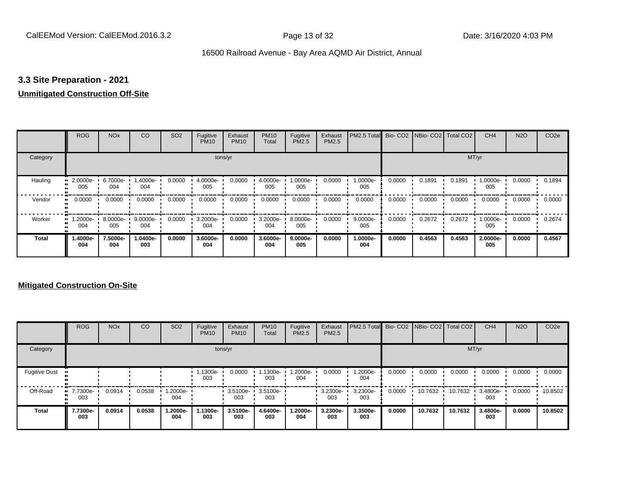# **3.3 Site Preparation - 2021**

# **Unmitigated Construction Off-Site**

|              | <b>ROG</b>          | <b>NO<sub>x</sub></b> | CO              | SO <sub>2</sub> | Fugitive<br><b>PM10</b> | Exhaust<br><b>PM10</b> | <b>PM10</b><br>Total | Fugitive<br>PM2.5 | Exhaust<br>PM2.5 | PM2.5 Total Bio- CO2 NBio- CO2 Total CO2 |        |        |        | CH <sub>4</sub> | <b>N2O</b> | CO <sub>2e</sub> |
|--------------|---------------------|-----------------------|-----------------|-----------------|-------------------------|------------------------|----------------------|-------------------|------------------|------------------------------------------|--------|--------|--------|-----------------|------------|------------------|
| Category     |                     |                       |                 |                 | tons/yr                 |                        |                      |                   |                  |                                          |        |        | MT/yr  |                 |            |                  |
| Hauling      | 2.0000e-<br>005     | 6.7000e<br>004        | -.4000e<br>004  | 0.0000          | 4.0000e-<br>005         | 0.0000                 | 4.0000e-<br>005      | 1.0000e-<br>005   | 0.0000           | 1.0000e-<br>005                          | 0.0000 | 0.1891 | 0.1891 | 1.0000e-<br>005 | 0.0000     | 0.1894           |
| Vendor       | 0.0000<br>$\bullet$ | 0.0000                | 0.0000          | 0.0000          | 0.0000                  | 0.0000                 | 0.0000               | 0.0000            | 0.0000           | 0.0000                                   | 0.0000 | 0.0000 | 0.0000 | 0.0000          | 0.0000     | 0.0000           |
| Worker<br>œ  | 1.2000e-<br>004     | 8.0000e-<br>005       | 9.0000e-<br>004 | 0.0000          | 3.2000e-<br>004         | 0.0000                 | 3.2000e-<br>004      | 8.0000e-<br>005   | 0.0000           | 9.0000e-<br>005                          | 0.0000 | 0.2672 | 0.2672 | 1.0000e-<br>005 | 0.0000     | 0.2674           |
| <b>Total</b> | -.4000e<br>004      | 7.5000e-<br>004       | 1.0400e-<br>003 | 0.0000          | 3.6000e-<br>004         | 0.0000                 | 3.6000e-<br>004      | 9.0000e-<br>005   | 0.0000           | 1.0000e-<br>004                          | 0.0000 | 0.4563 | 0.4563 | 2.0000e-<br>005 | 0.0000     | 0.4567           |

# **Mitigated Construction On-Site**

|                      | <b>ROG</b>                   | <b>NO<sub>x</sub></b> | CO     | SO <sub>2</sub>  | Fugitive<br><b>PM10</b> | Exhaust<br><b>PM10</b> | <b>PM10</b><br>Total | Fugitive<br><b>PM2.5</b> | Exhaust<br>PM2.5 | PM2.5 Total Bio- CO2 NBio- CO2 Total CO2 |        |         |         | CH <sub>4</sub> | <b>N2O</b> | CO <sub>2e</sub> |
|----------------------|------------------------------|-----------------------|--------|------------------|-------------------------|------------------------|----------------------|--------------------------|------------------|------------------------------------------|--------|---------|---------|-----------------|------------|------------------|
| Category             |                              |                       |        |                  |                         | tons/yr                |                      |                          |                  |                                          |        |         |         | MT/yr           |            |                  |
| <b>Fugitive Dust</b> |                              |                       |        |                  | 1.1300e-<br>003         | 0.0000                 | 1.1300e-<br>003      | .2000e-<br>004           | 0.0000           | 1.2000e-<br>004                          | 0.0000 | 0.0000  | 0.0000  | 0.0000          | 0.0000     | 0.0000           |
| Off-Road             | <b>u</b> 7.7300e-<br><br>003 | 0.0914                | 0.0538 | --2000e.l<br>004 |                         | $3.5100e -$<br>003     | 3.5100e-<br>003      |                          | 3.2300e-<br>003  | 3.2300e-<br>003                          | 0.0000 | 10.7632 | 10.7632 | 3.4800e-<br>003 | 0.0000     | 10.8502          |
| <b>Total</b>         | 7.7300e-<br>003              | 0.0914                | 0.0538 | 1.2000e-<br>004  | 1.1300e-<br>003         | 3.5100e-<br>003        | 4.6400e-<br>003      | 1.2000e-<br>004          | 3.2300e-<br>003  | 3.3500e-<br>003                          | 0.0000 | 10.7632 | 10.7632 | 3.4800e-<br>003 | 0.0000     | 10.8502          |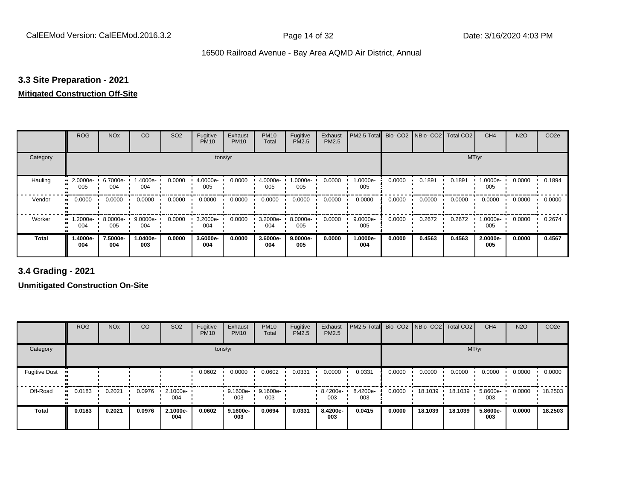# **3.3 Site Preparation - 2021**

# **Mitigated Construction Off-Site**

|              | <b>ROG</b>                 | <b>NO<sub>x</sub></b> | CO              | SO <sub>2</sub> | Fugitive<br><b>PM10</b> | Exhaust<br><b>PM10</b> | <b>PM10</b><br>Total | Fugitive<br>PM2.5 | Exhaust<br>PM2.5 | PM2.5 Total        |        | Bio- CO2   NBio- CO2   Total CO2 |        | CH <sub>4</sub> | <b>N2O</b> | CO <sub>2e</sub> |
|--------------|----------------------------|-----------------------|-----------------|-----------------|-------------------------|------------------------|----------------------|-------------------|------------------|--------------------|--------|----------------------------------|--------|-----------------|------------|------------------|
| Category     |                            |                       |                 |                 | tons/yr                 |                        |                      |                   |                  |                    |        |                                  | MT/yr  |                 |            |                  |
| Hauling      | 2.0000e-<br>005            | 6.7000e-<br>004       | 1.4000e-<br>004 | 0.0000          | 4.0000e-<br>005         | 0.0000                 | 4.0000e-<br>005      | 1.0000e-<br>005   | 0.0000           | 1.0000e-<br>005    | 0.0000 | 0.1891                           | 0.1891 | 1.0000e-<br>005 | 0.0000     | 0.1894           |
| Vendor       | 0.0000<br>$\bullet\bullet$ | 0.0000                | 0.0000          | 0.0000          | 0.0000                  | 0.0000                 | 0.0000               | 0.0000            | 0.0000           | 0.0000             | 0.0000 | 0.0000                           | 0.0000 | 0.0000          | 0.0000     | 0.0000           |
| Worker       | 1.2000e-<br>004            | 8.0000e-<br>005       | 9.0000e-<br>004 | 0.0000          | 3.2000e-<br>004         | 0.0000                 | 3.2000e-<br>004      | 8.0000e-<br>005   | 0.0000           | $9.0000e -$<br>005 | 0.0000 | 0.2672                           | 0.2672 | 1.0000e-<br>005 | 0.0000     | 0.2674           |
| <b>Total</b> | -.4000e<br>004             | 7.5000e-<br>004       | 1.0400e-<br>003 | 0.0000          | 3.6000e-<br>004         | 0.0000                 | 3.6000e-<br>004      | 9.0000e-<br>005   | 0.0000           | 1.0000e-<br>004    | 0.0000 | 0.4563                           | 0.4563 | 2.0000e-<br>005 | 0.0000     | 0.4567           |

**3.4 Grading - 2021**

**Unmitigated Construction On-Site**

|                      | <b>ROG</b> | <b>NO<sub>x</sub></b> | CO     | SO <sub>2</sub>    | Fugitive<br><b>PM10</b> | Exhaust<br><b>PM10</b> | <b>PM10</b><br>Total | Fugitive<br>PM2.5 | Exhaust<br><b>PM2.5</b> | PM2.5 Total     |        | Bio- CO2 NBio- CO2 | Total CO <sub>2</sub> | CH <sub>4</sub> | <b>N2O</b> | CO <sub>2e</sub> |
|----------------------|------------|-----------------------|--------|--------------------|-------------------------|------------------------|----------------------|-------------------|-------------------------|-----------------|--------|--------------------|-----------------------|-----------------|------------|------------------|
| Category             |            |                       |        |                    |                         | tons/yr                |                      |                   |                         |                 |        |                    | MT/yr                 |                 |            |                  |
| <b>Fugitive Dust</b> |            |                       |        |                    | 0.0602                  | 0.0000                 | 0.0602               | 0.0331            | 0.0000                  | 0.0331          | 0.0000 | 0.0000             | 0.0000                | 0.0000          | 0.0000     | 0.0000           |
| Off-Road             | 0.0183     | 0.2021                | 0.0976 | $2.1000e -$<br>004 |                         | 9.1600e-<br>003        | 9.1600e-<br>003      |                   | 8.4200e-<br>003         | 8.4200e-<br>003 | 0.0000 | 18.1039            | 18.1039               | 5.8600e-<br>003 | 0.0000     | 18.2503          |
| <b>Total</b>         | 0.0183     | 0.2021                | 0.0976 | 2.1000e-<br>004    | 0.0602                  | 9.1600e-<br>003        | 0.0694               | 0.0331            | 8.4200e-<br>003         | 0.0415          | 0.0000 | 18.1039            | 18.1039               | 5.8600e-<br>003 | 0.0000     | 18.2503          |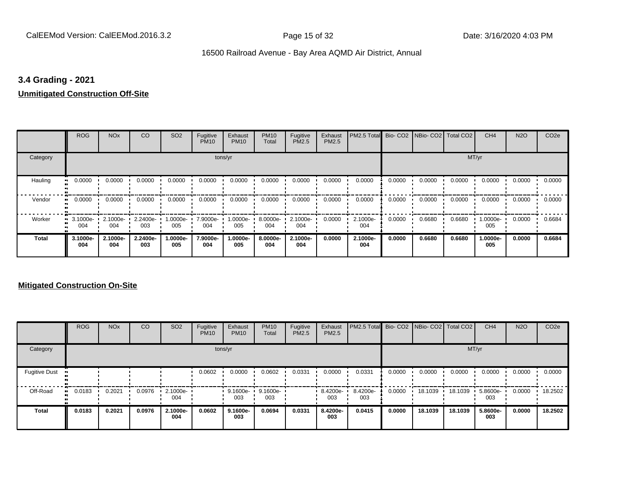# **3.4 Grading - 2021**

# **Unmitigated Construction Off-Site**

|              | <b>ROG</b>              | <b>NO<sub>x</sub></b> | CO              | SO <sub>2</sub> | Fugitive<br><b>PM10</b> | Exhaust<br><b>PM10</b> | <b>PM10</b><br>Total | Fugitive<br><b>PM2.5</b> | Exhaust<br>PM2.5 | PM2.5 Total Bio- CO2 NBio- CO2 Total CO2 |        |        |        | CH <sub>4</sub> | <b>N2O</b> | CO <sub>2e</sub> |
|--------------|-------------------------|-----------------------|-----------------|-----------------|-------------------------|------------------------|----------------------|--------------------------|------------------|------------------------------------------|--------|--------|--------|-----------------|------------|------------------|
| Category     |                         |                       |                 |                 | tons/yr                 |                        |                      |                          |                  |                                          |        |        | MT/yr  |                 |            |                  |
| Hauling<br>œ | 0.0000                  | 0.0000                | 0.0000          | 0.0000          | 0.0000                  | 0.0000                 | 0.0000               | 0.0000                   | 0.0000           | 0.0000                                   | 0.0000 | 0.0000 | 0.0000 | 0.0000          | 0.0000     | 0.0000           |
| Vendor       | 0.0000<br>$\bullet$     | 0.0000                | 0.0000          | 0.0000          | 0.0000                  | 0.0000                 | 0.0000               | 0.0000                   | 0.0000           | 0.0000                                   | 0.0000 | 0.0000 | 0.0000 | 0.0000          | 0.0000     | 0.0000           |
| Worker       | $\cdot$ 3.1000e-<br>004 | 2.1000e-<br>004       | 2.2400e-<br>003 | -:0000e<br>005  | 7.9000e-<br>004         | 1.0000e-<br>005        | 8.0000e-<br>004      | 2.1000e-<br>004          | 0.0000           | 2.1000e-<br>004                          | 0.0000 | 0.6680 | 0.6680 | 1.0000e-<br>005 | 0.0000     | 0.6684           |
| <b>Total</b> | 3.1000e-<br>004         | 2.1000e-<br>004       | 2.2400e-<br>003 | -.0000e<br>005  | 7.9000e-<br>004         | 1.0000e-<br>005        | 8.0000e-<br>004      | 2.1000e-<br>004          | 0.0000           | 2.1000e-<br>004                          | 0.0000 | 0.6680 | 0.6680 | 1.0000e-<br>005 | 0.0000     | 0.6684           |

# **Mitigated Construction On-Site**

|                      | <b>ROG</b>   | <b>NO<sub>x</sub></b> | CO     | SO <sub>2</sub> | Fugitive<br><b>PM10</b> | Exhaust<br><b>PM10</b> | <b>PM10</b><br>Total | Fugitive<br>PM2.5 | Exhaust<br>PM2.5 | PM2.5 Total Bio- CO2 NBio- CO2 Total CO2 |        |         |         | CH <sub>4</sub> | <b>N2O</b> | CO <sub>2e</sub> |
|----------------------|--------------|-----------------------|--------|-----------------|-------------------------|------------------------|----------------------|-------------------|------------------|------------------------------------------|--------|---------|---------|-----------------|------------|------------------|
| Category             |              |                       |        |                 |                         | tons/yr                |                      |                   |                  |                                          |        |         | MT/yr   |                 |            |                  |
| <b>Fugitive Dust</b> |              |                       |        |                 | 0.0602                  | 0.0000                 | 0.0602               | 0.0331            | 0.0000           | 0.0331                                   | 0.0000 | 0.0000  | 0.0000  | 0.0000          | 0.0000     | 0.0000           |
| Off-Road             | 0.0183<br>ш. | 0.2021                | 0.0976 | 2.1000e-<br>004 |                         | 9.1600e-<br>003        | 9.1600e-<br>003      |                   | 8.4200e-<br>003  | 8.4200e-<br>003                          | 0.0000 | 18.1039 | 18.1039 | 5.8600e-<br>003 | 0.0000     | 18.2502          |
| <b>Total</b>         | 0.0183       | 0.2021                | 0.0976 | 2.1000e-<br>004 | 0.0602                  | 9.1600e-<br>003        | 0.0694               | 0.0331            | 8.4200e-<br>003  | 0.0415                                   | 0.0000 | 18.1039 | 18.1039 | 5.8600e-<br>003 | 0.0000     | 18.2502          |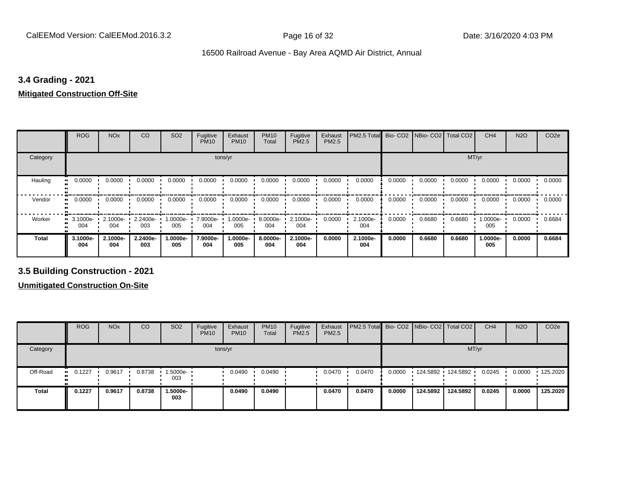# **3.4 Grading - 2021**

# **Mitigated Construction Off-Site**

|                          | <b>ROG</b>      | <b>NO<sub>x</sub></b>    | <b>CO</b>       | SO <sub>2</sub>   | Fugitive<br><b>PM10</b> | Exhaust<br><b>PM10</b> | <b>PM10</b><br>Total | Fugitive<br>PM2.5 | Exhaust<br>PM2.5 | PM2.5 Total     |        | Bio- CO2   NBio- CO2   Total CO2 |        | CH <sub>4</sub> | <b>N2O</b> | CO <sub>2e</sub> |
|--------------------------|-----------------|--------------------------|-----------------|-------------------|-------------------------|------------------------|----------------------|-------------------|------------------|-----------------|--------|----------------------------------|--------|-----------------|------------|------------------|
| Category                 |                 |                          |                 |                   | tons/yr                 |                        |                      |                   |                  |                 |        |                                  | MT/yr  |                 |            |                  |
| Hauling                  | 0.0000          | 0.0000                   | 0.0000          | 0.0000            | 0.0000                  | 0.0000                 | 0.0000               | 0.0000            | 0.0000           | 0.0000          | 0.0000 | 0.0000                           | 0.0000 | 0.0000          | 0.0000     | 0.0000           |
| Vendor<br>$\blacksquare$ | 0.0000          | 0.0000                   | 0.0000          | 0.0000            | 0.0000                  | 0.0000                 | 0.0000               | 0.0000            | 0.0000           | 0.0000          | 0.0000 | 0.0000                           | 0.0000 | 0.0000          | 0.0000     | 0.0000           |
| Worker                   | 004             | 3.1000e- 2.1000e-<br>004 | 2.2400e-<br>003 | 1.0000e- '<br>005 | 7.9000e-<br>004         | 1.0000e-<br>005        | 8.0000e-<br>004      | 2.1000e-<br>004   | 0.0000           | 2.1000e-<br>004 | 0.0000 | 0.6680                           | 0.6680 | 1.0000e-<br>005 | 0.0000     | 0.6684           |
| <b>Total</b>             | 3.1000e-<br>004 | 2.1000e-<br>004          | 2.2400e-<br>003 | -.0000e<br>005    | 7.9000e-<br>004         | 1.0000e-<br>005        | 8.0000e-<br>004      | 2.1000e-<br>004   | 0.0000           | 2.1000e-<br>004 | 0.0000 | 0.6680                           | 0.6680 | 1.0000e-<br>005 | 0.0000     | 0.6684           |

**3.5 Building Construction - 2021**

**Unmitigated Construction On-Site**

|              | <b>ROG</b>          | <b>NO<sub>x</sub></b> | CO     | SO <sub>2</sub> | Fugitive<br><b>PM10</b> | Exhaust<br><b>PM10</b> | <b>PM10</b><br>Total | Fugitive<br><b>PM2.5</b> | Exhaust<br>PM2.5 | <b>PM2.5 Total</b> Bio- CO2 NBio- CO2   Total CO2 |        |          |                     | CH <sub>4</sub> | <b>N2O</b> | CO <sub>2e</sub> |
|--------------|---------------------|-----------------------|--------|-----------------|-------------------------|------------------------|----------------------|--------------------------|------------------|---------------------------------------------------|--------|----------|---------------------|-----------------|------------|------------------|
| Category     |                     |                       |        |                 |                         | tons/yr                |                      |                          |                  |                                                   |        |          |                     | MT/yr           |            |                  |
| Off-Road     | 0.1227<br><b>BL</b> | 0.9617                | 0.8738 | 1.5000e-<br>003 |                         | 0.0490                 | 0.0490               |                          | 0.0470           | 0.0470                                            | 0.0000 |          | 124.5892 124.5892 1 | 0.0245          | 0.0000     | 125.2020         |
| <b>Total</b> | 0.1227              | 0.9617                | 0.8738 | 1.5000e-<br>003 |                         | 0.0490                 | 0.0490               |                          | 0.0470           | 0.0470                                            | 0.0000 | 124.5892 | 124.5892            | 0.0245          | 0.0000     | 125.2020         |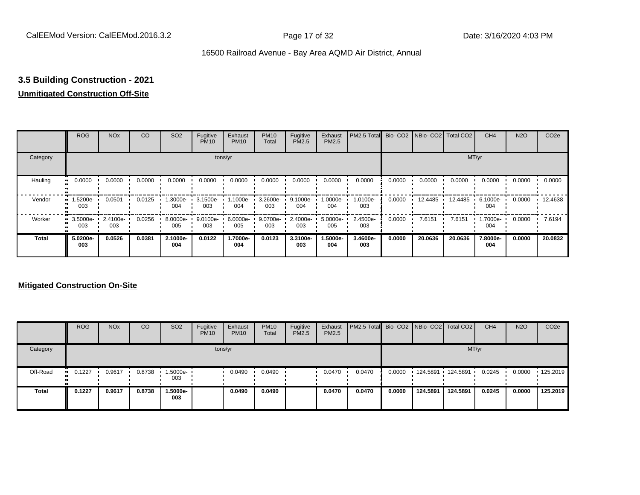# **3.5 Building Construction - 2021**

# **Unmitigated Construction Off-Site**

|          | <b>ROG</b>      | <b>NO<sub>x</sub></b> | CO     | SO <sub>2</sub>    | Fugitive<br><b>PM10</b> | Exhaust<br><b>PM10</b> | <b>PM10</b><br>Total | Fugitive<br><b>PM2.5</b> | Exhaust<br>PM2.5 | PM2.5 Total Bio- CO2 NBio- CO2 Total CO2 |        |         |         | CH <sub>4</sub> | <b>N2O</b> | CO <sub>2e</sub> |
|----------|-----------------|-----------------------|--------|--------------------|-------------------------|------------------------|----------------------|--------------------------|------------------|------------------------------------------|--------|---------|---------|-----------------|------------|------------------|
| Category |                 |                       |        |                    |                         | tons/yr                |                      |                          |                  |                                          |        |         |         | MT/yr           |            |                  |
| Hauling  | 0.0000          | 0.0000                | 0.0000 | 0.0000             | 0.0000                  | 0.0000                 | 0.0000               | 0.0000                   | 0.0000           | 0.0000                                   | 0.0000 | 0.0000  | 0.0000  | 0.0000          | 0.0000     | 0.0000           |
| Vendor   | 1.5200e-<br>003 | 0.0501                | 0.0125 | 1.3000e-<br>004    | $3.1500e -$<br>003      | 1.1000e-<br>004        | 3.2600e-<br>003      | 9.1000e-<br>004          | 1.0000e-<br>004  | 1.0100e-<br>003                          | 0.0000 | 12.4485 | 12.4485 | 6.1000e-<br>004 | 0.0000     | 12.4638          |
| Worker   | 3.5000e-<br>003 | 2.4100e-<br>003       | 0.0256 | $8.0000e -$<br>005 | 9.0100e-<br>003         | 6.0000e-<br>005        | 9.0700e-<br>003      | 2.4000e-<br>003          | 5.0000e-<br>005  | 2.4500e-<br>003                          | 0.0000 | 7.6151  | 7.6151  | 1.7000e-<br>004 | 0.0000     | 7.6194           |
| Total    | 5.0200e-<br>003 | 0.0526                | 0.0381 | 2.1000e-<br>004    | 0.0122                  | 1.7000e-<br>004        | 0.0123               | 3.3100e-<br>003          | 1.5000e-<br>004  | 3.4600e-<br>003                          | 0.0000 | 20.0636 | 20.0636 | 7.8000e-<br>004 | 0.0000     | 20.0832          |

# **Mitigated Construction On-Site**

|          | <b>ROG</b>            | <b>NO<sub>x</sub></b> | CO     | SO <sub>2</sub>    | Fugitive<br><b>PM10</b> | Exhaust<br><b>PM10</b> | <b>PM10</b><br><b>Total</b> | Fugitive<br>PM2.5 | Exhaust<br><b>PM2.5</b> | <b>PM2.5 Total</b> Bio- CO2 NBio- CO2 Total CO2 |        |                   |          | CH <sub>4</sub> | <b>N2O</b> | CO <sub>2e</sub> |
|----------|-----------------------|-----------------------|--------|--------------------|-------------------------|------------------------|-----------------------------|-------------------|-------------------------|-------------------------------------------------|--------|-------------------|----------|-----------------|------------|------------------|
| Category |                       |                       |        |                    |                         | tons/yr                |                             |                   |                         |                                                 |        |                   |          | MT/yr           |            |                  |
| Off-Road | $\blacksquare$ 0.1227 | 0.9617                | 0.8738 | $1.5000e -$<br>003 |                         | 0.0490                 | 0.0490                      |                   | 0.0470                  | 0.0470                                          | 0.0000 | 124.5891 124.5891 |          | 0.0245          | 0.0000     | $\cdot$ 125.2019 |
| Total    | 0.1227                | 0.9617                | 0.8738 | -.5000e<br>003     |                         | 0.0490                 | 0.0490                      |                   | 0.0470                  | 0.0470                                          | 0.0000 | 124.5891          | 124.5891 | 0.0245          | 0.0000     | 125.2019         |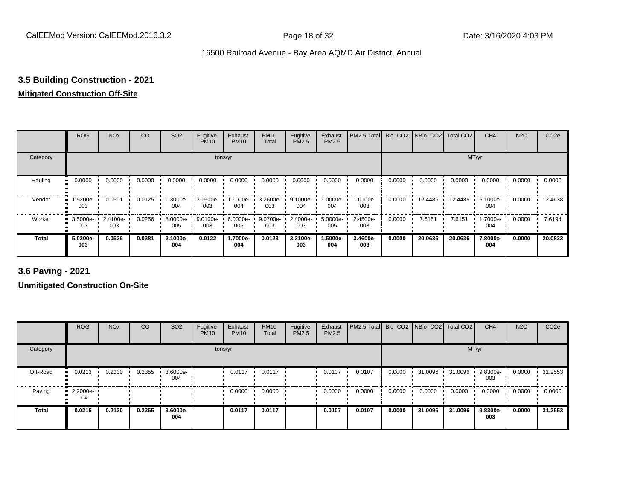# **3.5 Building Construction - 2021**

# **Mitigated Construction Off-Site**

|              | <b>ROG</b>                   | <b>NO<sub>x</sub></b> | CO     | SO <sub>2</sub> | Fugitive<br><b>PM10</b> | Exhaust<br><b>PM10</b> | <b>PM10</b><br>Total | Fugitive<br>PM2.5 | Exhaust<br>PM2.5 | PM2.5 Total     | Bio-CO <sub>2</sub> | NBio-CO2 Total CO2 |         | CH <sub>4</sub> | <b>N2O</b> | CO <sub>2e</sub> |
|--------------|------------------------------|-----------------------|--------|-----------------|-------------------------|------------------------|----------------------|-------------------|------------------|-----------------|---------------------|--------------------|---------|-----------------|------------|------------------|
| Category     |                              |                       |        |                 | tons/yr                 |                        |                      |                   |                  |                 |                     |                    | MT/yr   |                 |            |                  |
| Hauling      | 0.0000<br>$\blacksquare$     | 0.0000                | 0.0000 | 0.0000          | 0.0000                  | 0.0000                 | 0.0000               | 0.0000            | 0.0000           | 0.0000          | 0.0000              | 0.0000             | 0.0000  | 0.0000          | 0.0000     | 0.0000           |
| Vendor       | 1.5200e-<br>$\bullet$<br>003 | 0.0501                | 0.0125 | .3000e-<br>004  | 3.1500e-<br>003         | 1.1000e-<br>004        | 3.2600e-<br>003      | 9.1000e-<br>004   | .0000e-<br>004   | 1.0100e-<br>003 | 0.0000              | 12.4485            | 12.4485 | 6.1000e-<br>004 | 0.0000     | 12.4638          |
| Worker       | 3.5000e-<br>ш.<br>003        | 2.4100e-<br>003       | 0.0256 | 8.0000e-<br>005 | 9.0100e-<br>003         | $6.0000e-$<br>005      | 9.0700e-<br>003      | 2.4000e-<br>003   | 5.0000e-<br>005  | 2.4500e-<br>003 | 0.0000              | 7.6151             | 7.6151  | 1.7000e-<br>004 | 0.0000     | 7.6194           |
| <b>Total</b> | 5.0200e-<br>003              | 0.0526                | 0.0381 | 2.1000e-<br>004 | 0.0122                  | 1.7000e-<br>004        | 0.0123               | 3.3100e-<br>003   | -.5000e<br>004   | 3.4600e-<br>003 | 0.0000              | 20.0636            | 20.0636 | 7.8000e-<br>004 | 0.0000     | 20.0832          |

**3.6 Paving - 2021**

**Unmitigated Construction On-Site**

|              | <b>ROG</b>              | <b>NO<sub>x</sub></b> | <b>CO</b> | SO <sub>2</sub> | Fugitive<br><b>PM10</b> | Exhaust<br><b>PM10</b> | <b>PM10</b><br>Total | Fugitive<br><b>PM2.5</b> | Exhaust<br>PM2.5 | <b>PM2.5 Total</b> Bio- CO2 NBio- CO2 Total CO2 |        |         |         | CH <sub>4</sub> | <b>N2O</b> | CO <sub>2e</sub> |
|--------------|-------------------------|-----------------------|-----------|-----------------|-------------------------|------------------------|----------------------|--------------------------|------------------|-------------------------------------------------|--------|---------|---------|-----------------|------------|------------------|
| Category     |                         |                       |           |                 | tons/yr                 |                        |                      |                          |                  |                                                 |        |         |         | MT/yr           |            |                  |
| Off-Road     | 0.0213<br>              | 0.2130                | 0.2355    | 3.6000e-<br>004 |                         | 0.0117                 | 0.0117               |                          | 0.0107           | 0.0107                                          | 0.0000 | 31.0096 | 31.0096 | 9.8300e-<br>003 | 0.0000     | 31.2553          |
| Paving       | $\cdot$ 2.2000e-<br>004 |                       |           |                 |                         | 0.0000                 | 0.0000               |                          | 0.0000           | 0.0000                                          | 0.0000 | 0.0000  | 0.0000  | 0.0000          | 0.0000     | 0.0000           |
| <b>Total</b> | 0.0215                  | 0.2130                | 0.2355    | 3.6000e-<br>004 |                         | 0.0117                 | 0.0117               |                          | 0.0107           | 0.0107                                          | 0.0000 | 31.0096 | 31.0096 | 9.8300e-<br>003 | 0.0000     | 31.2553          |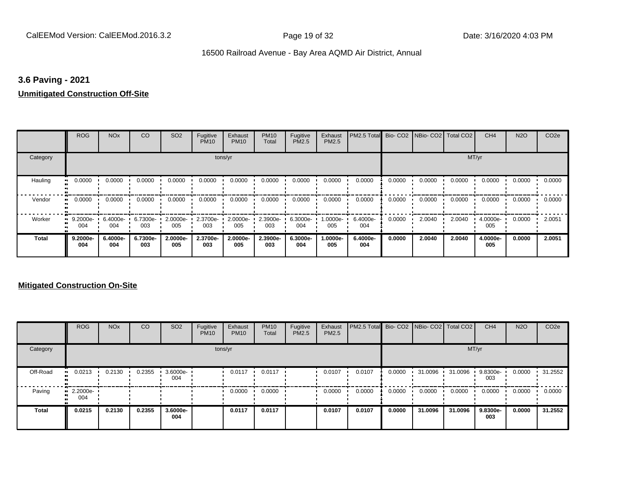# **3.6 Paving - 2021**

# **Unmitigated Construction Off-Site**

|              | <b>ROG</b>                   | <b>NO<sub>x</sub></b> | CO              | SO <sub>2</sub> | Fugitive<br><b>PM10</b> | Exhaust<br><b>PM10</b> | <b>PM10</b><br>Total | Fugitive<br><b>PM2.5</b> | Exhaust<br>PM2.5 | PM2.5 Total Bio- CO2 NBio- CO2 Total CO2 |        |        |        | CH <sub>4</sub> | <b>N2O</b> | CO <sub>2e</sub> |
|--------------|------------------------------|-----------------------|-----------------|-----------------|-------------------------|------------------------|----------------------|--------------------------|------------------|------------------------------------------|--------|--------|--------|-----------------|------------|------------------|
| Category     |                              |                       |                 |                 | tons/yr                 |                        |                      |                          |                  |                                          |        |        | MT/yr  |                 |            |                  |
| Hauling      | 0.0000<br>ш                  | 0.0000                | 0.0000          | 0.0000          | 0.0000                  | 0.0000                 | 0.0000               | 0.0000                   | 0.0000           | 0.0000                                   | 0.0000 | 0.0000 | 0.0000 | 0.0000          | 0.0000     | 0.0000           |
| Vendor       | 0.0000<br>$\bullet$          | 0.0000                | 0.0000          | 0.0000          | 0.0000                  | 0.0000                 | 0.0000               | 0.0000                   | 0.0000           | 0.0000                                   | 0.0000 | 0.0000 | 0.0000 | 0.0000          | 0.0000     | 0.0000           |
| Worker       | 9.2000e-<br>$\bullet$<br>004 | 6.4000e-<br>004       | 6.7300e-<br>003 | 2.0000e-<br>005 | 2.3700e-<br>003         | 2.0000e-<br>005        | 2.3900e-<br>003      | 6.3000e-<br>004          | 1.0000e-<br>005  | 6.4000e-<br>004                          | 0.0000 | 2.0040 | 2.0040 | 4.0000e-<br>005 | 0.0000     | 2.0051           |
| <b>Total</b> | 9.2000e-<br>004              | 6.4000e-<br>004       | 6.7300e-<br>003 | 2.0000e-<br>005 | 2.3700e-<br>003         | 2.0000e-<br>005        | 2.3900e-<br>003      | 6.3000e-<br>004          | -.0000e<br>005   | 6.4000e-<br>004                          | 0.0000 | 2.0040 | 2.0040 | 4.0000e-<br>005 | 0.0000     | 2.0051           |

# **Mitigated Construction On-Site**

|              | <b>ROG</b>                     | <b>NO<sub>x</sub></b> | CO     | SO <sub>2</sub>    | Fugitive<br><b>PM10</b> | Exhaust<br><b>PM10</b> | <b>PM10</b><br>Total | Fugitive<br>PM2.5 | Exhaust<br>PM2.5 | PM2.5 Total Bio- CO2 NBio- CO2 Total CO2 |        |         |         | CH <sub>4</sub> | <b>N2O</b> | CO <sub>2e</sub> |
|--------------|--------------------------------|-----------------------|--------|--------------------|-------------------------|------------------------|----------------------|-------------------|------------------|------------------------------------------|--------|---------|---------|-----------------|------------|------------------|
| Category     |                                |                       |        |                    | tons/yr                 |                        |                      |                   |                  |                                          |        |         | MT/yr   |                 |            |                  |
| Off-Road     | 0.0213<br>                     | 0.2130                | 0.2355 | $3.6000e -$<br>004 |                         | 0.0117                 | 0.0117               |                   | 0.0107           | 0.0107                                   | 0.0000 | 31.0096 | 31.0096 | 9.8300e-<br>003 | 0.0000     | 31.2552          |
| Paving       | $\blacksquare$ 2.2000e-<br>004 |                       |        |                    |                         | 0.0000                 | 0.0000               |                   | 0.0000           | 0.0000                                   | 0.0000 | 0.0000  | 0.0000  | 0.0000          | 0.0000     | 0.0000           |
| <b>Total</b> | 0.0215                         | 0.2130                | 0.2355 | 3.6000e-<br>004    |                         | 0.0117                 | 0.0117               |                   | 0.0107           | 0.0107                                   | 0.0000 | 31.0096 | 31.0096 | 9.8300e-<br>003 | 0.0000     | 31.2552          |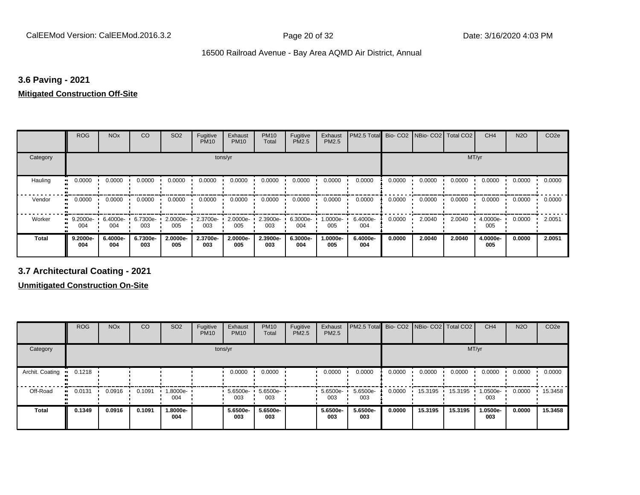# **3.6 Paving - 2021**

# **Mitigated Construction Off-Site**

|                     | <b>ROG</b>      | <b>NO<sub>x</sub></b> | CO              | SO <sub>2</sub> | Fugitive<br><b>PM10</b> | Exhaust<br><b>PM10</b> | <b>PM10</b><br>Total | Fugitive<br>PM2.5 | Exhaust<br>PM2.5 | PM2.5 Total     |        | Bio- CO2   NBio- CO2   Total CO2 |        | CH <sub>4</sub> | <b>N2O</b> | CO <sub>2e</sub> |
|---------------------|-----------------|-----------------------|-----------------|-----------------|-------------------------|------------------------|----------------------|-------------------|------------------|-----------------|--------|----------------------------------|--------|-----------------|------------|------------------|
| Category            |                 |                       |                 |                 | tons/yr                 |                        |                      |                   |                  |                 |        |                                  | MT/yr  |                 |            |                  |
| Hauling<br>81       | 0.0000          | 0.0000                | 0.0000          | 0.0000          | 0.0000                  | 0.0000                 | 0.0000               | 0.0000            | 0.0000           | 0.0000          | 0.0000 | 0.0000                           | 0.0000 | 0.0000          | 0.0000     | 0.0000           |
| Vendor<br>$\bullet$ | 0.0000          | 0.0000                | 0.0000          | 0.0000          | 0.0000                  | 0.0000                 | 0.0000               | 0.0000            | 0.0000           | 0.0000          | 0.0000 | 0.0000                           | 0.0000 | 0.0000          | 0.0000     | 0.0000           |
| Worker<br>$\bullet$ | 9.2000e-<br>004 | $6.4000e -$<br>004    | 6.7300e-<br>003 | 2.0000e-<br>005 | 2.3700e-<br>003         | 2.0000e-<br>005        | 2.3900e-<br>003      | 6.3000e-<br>004   | .0000e-<br>005   | 6.4000e-<br>004 | 0.0000 | 2.0040                           | 2.0040 | 4.0000e-<br>005 | 0.0000     | 2.0051           |
| <b>Total</b>        | 9.2000e-<br>004 | 6.4000e-<br>004       | 6.7300e-<br>003 | 2.0000e-<br>005 | 2.3700e-<br>003         | 2.0000e-<br>005        | 2.3900e-<br>003      | 6.3000e-<br>004   | .0000e-<br>005   | 6.4000e-<br>004 | 0.0000 | 2.0040                           | 2.0040 | 4.0000e-<br>005 | 0.0000     | 2.0051           |

**3.7 Architectural Coating - 2021**

**Unmitigated Construction On-Site**

|                 | <b>ROG</b> | <b>NO<sub>x</sub></b> | CO     | SO <sub>2</sub> | Fugitive<br><b>PM10</b> | Exhaust<br><b>PM10</b> | <b>PM10</b><br>Total | Fugitive<br><b>PM2.5</b> | Exhaust<br><b>PM2.5</b> | PM2.5 Total Bio- CO2 NBio- CO2 Total CO2 |        |         |         | CH <sub>4</sub> | <b>N2O</b> | CO <sub>2e</sub> |
|-----------------|------------|-----------------------|--------|-----------------|-------------------------|------------------------|----------------------|--------------------------|-------------------------|------------------------------------------|--------|---------|---------|-----------------|------------|------------------|
| Category        |            |                       |        |                 |                         | tons/yr                |                      |                          |                         |                                          |        |         | MT/yr   |                 |            |                  |
| Archit. Coating | 0.1218     |                       |        |                 |                         | 0.0000                 | 0.0000               |                          | 0.0000                  | 0.0000                                   | 0.0000 | 0.0000  | 0.0000  | 0.0000          | 0.0000     | 0.0000           |
| Off-Road        | 0.0131     | 0.0916                | 0.1091 | 1.8000e-<br>004 |                         | 5.6500e-<br>003        | 5.6500e-<br>003      |                          | 5.6500e-<br>003         | 5.6500e-<br>003                          | 0.0000 | 15.3195 | 15.3195 | 1.0500e-<br>003 | 0.0000     | 15.3458          |
| <b>Total</b>    | 0.1349     | 0.0916                | 0.1091 | 1.8000e-<br>004 |                         | 5.6500e-<br>003        | 5.6500e-<br>003      |                          | 5.6500e-<br>003         | 5.6500e-<br>003                          | 0.0000 | 15.3195 | 15.3195 | 1.0500e-<br>003 | 0.0000     | 15.3458          |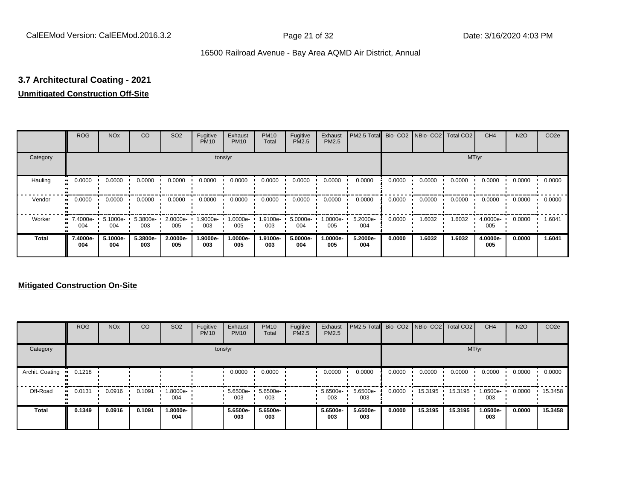# **3.7 Architectural Coating - 2021**

# **Unmitigated Construction Off-Site**

|               | <b>ROG</b>          | <b>NO<sub>x</sub></b> | CO              | SO <sub>2</sub> | Fugitive<br><b>PM10</b> | Exhaust<br><b>PM10</b> | <b>PM10</b><br>Total | Fugitive<br><b>PM2.5</b> | Exhaust<br>PM2.5 | PM2.5 Total Bio- CO2 NBio- CO2 Total CO2 |        |        |        | CH <sub>4</sub> | <b>N2O</b> | CO <sub>2e</sub> |
|---------------|---------------------|-----------------------|-----------------|-----------------|-------------------------|------------------------|----------------------|--------------------------|------------------|------------------------------------------|--------|--------|--------|-----------------|------------|------------------|
| Category      |                     |                       |                 |                 | tons/yr                 |                        |                      |                          |                  |                                          |        |        | MT/yr  |                 |            |                  |
| Hauling<br>81 | 0.0000              | 0.0000                | 0.0000          | 0.0000          | 0.0000                  | 0.0000                 | 0.0000               | 0.0000                   | 0.0000           | 0.0000                                   | 0.0000 | 0.0000 | 0.0000 | 0.0000          | 0.0000     | 0.0000           |
| Vendor        | 0.0000<br>$\bullet$ | 0.0000                | 0.0000          | 0.0000          | 0.0000                  | 0.0000                 | 0.0000               | 0.0000                   | 0.0000           | 0.0000                                   | 0.0000 | 0.0000 | 0.0000 | 0.0000          | 0.0000     | 0.0000           |
| Worker        | $-7.4000e-$<br>004  | 5.1000e-<br>004       | 5.3800e-<br>003 | 2.0000e-<br>005 | 1.9000e-<br>003         | 1.0000e-<br>005        | 1.9100e-<br>003      | 5.0000e-<br>004          | 1.0000e-<br>005  | 5.2000e-<br>004                          | 0.0000 | 1.6032 | 1.6032 | 4.0000e-<br>005 | 0.0000     | 1.6041           |
| <b>Total</b>  | 7.4000e-<br>004     | 5.1000e-<br>004       | 5.3800e-<br>003 | 2.0000e-<br>005 | 1.9000e-<br>003         | 1.0000e-<br>005        | 1.9100e-<br>003      | 5.0000e-<br>004          | -.0000e<br>005   | 5.2000e-<br>004                          | 0.0000 | 1.6032 | 1.6032 | 4.0000e-<br>005 | 0.0000     | 1.6041           |

# **Mitigated Construction On-Site**

|                 | <b>ROG</b> | <b>NO<sub>x</sub></b> | CO     | SO <sub>2</sub> | Fugitive<br><b>PM10</b> | Exhaust<br><b>PM10</b> | <b>PM10</b><br>Total | Fugitive<br>PM2.5 | Exhaust<br><b>PM2.5</b> | PM2.5 Total Bio- CO2 NBio- CO2 Total CO2 |        |         |         | CH <sub>4</sub> | <b>N2O</b> | CO <sub>2e</sub> |
|-----------------|------------|-----------------------|--------|-----------------|-------------------------|------------------------|----------------------|-------------------|-------------------------|------------------------------------------|--------|---------|---------|-----------------|------------|------------------|
| Category        |            |                       |        |                 |                         | tons/yr                |                      |                   |                         |                                          |        |         | MT/yr   |                 |            |                  |
| Archit. Coating | 0.1218     |                       |        |                 |                         | 0.0000                 | 0.0000               |                   | 0.0000                  | 0.0000                                   | 0.0000 | 0.0000  | 0.0000  | 0.0000          | 0.0000     | 0.0000           |
| Off-Road        | 0.0131<br> | 0.0916                | 0.1091 | 1.8000e-<br>004 |                         | 5.6500e-<br>003        | 5.6500e-<br>003      |                   | 5.6500e-<br>003         | 5.6500e-<br>003                          | 0.0000 | 15.3195 | 15.3195 | 1.0500e-<br>003 | 0.0000     | 15.3458          |
| <b>Total</b>    | 0.1349     | 0.0916                | 0.1091 | -.8000e<br>004  |                         | 5.6500e-<br>003        | 5.6500e-<br>003      |                   | 5.6500e-<br>003         | 5.6500e-<br>003                          | 0.0000 | 15.3195 | 15.3195 | 1.0500e-<br>003 | 0.0000     | 15.3458          |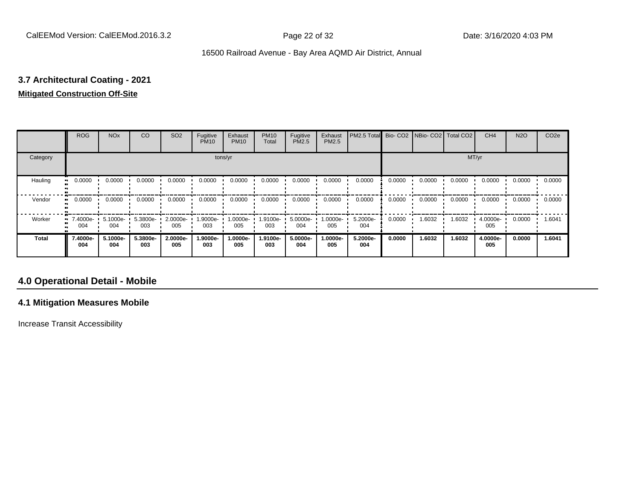# **3.7 Architectural Coating - 2021**

# **Mitigated Construction Off-Site**

|              | <b>ROG</b>      | <b>NO<sub>x</sub></b> | CO              | SO <sub>2</sub> | Fugitive<br><b>PM10</b> | Exhaust<br><b>PM10</b> | <b>PM10</b><br>Total | Fugitive<br>PM2.5 | Exhaust<br>PM2.5 | PM2.5 Total     |        | Bio- CO2   NBio- CO2   Total CO2 |        | CH <sub>4</sub> | <b>N2O</b> | CO <sub>2e</sub> |
|--------------|-----------------|-----------------------|-----------------|-----------------|-------------------------|------------------------|----------------------|-------------------|------------------|-----------------|--------|----------------------------------|--------|-----------------|------------|------------------|
| Category     |                 |                       |                 |                 |                         | tons/yr                |                      |                   |                  |                 |        |                                  | MT/yr  |                 |            |                  |
| Hauling      | 0.0000          | 0.0000                | 0.0000          | 0.0000          | 0.0000                  | 0.0000                 | 0.0000               | 0.0000            | 0.0000           | 0.0000          | 0.0000 | 0.0000                           | 0.0000 | 0.0000          | 0.0000     | 0.0000           |
| Vendor       | 0.0000          | 0.0000                | 0.0000          | 0.0000          | 0.0000                  | 0.0000                 | 0.0000               | 0.0000            | 0.0000           | 0.0000          | 0.0000 | 0.0000                           | 0.0000 | 0.0000          | 0.0000     | 0.0000           |
| Worker       | 7.4000e-<br>004 | 5.1000e-<br>004       | 5.3800e-<br>003 | 2.0000e-<br>005 | 1.9000e-<br>003         | 1.0000e-<br>005        | 1.9100e-<br>003      | 5.0000e-<br>004   | $.0000e-$<br>005 | 5.2000e-<br>004 | 0.0000 | 1.6032                           | 1.6032 | 4.0000e-<br>005 | 0.0000     | 1.6041           |
| <b>Total</b> | 7.4000e-<br>004 | 5.1000e-<br>004       | 5.3800e-<br>003 | 2.0000e-<br>005 | 1.9000e-<br>003         | 1.0000e-<br>005        | 1.9100e-<br>003      | 5.0000e-<br>004   | .0000e-<br>005   | 5.2000e-<br>004 | 0.0000 | 1.6032                           | 1.6032 | 4.0000e-<br>005 | 0.0000     | 1.6041           |

# **4.0 Operational Detail - Mobile**

# **4.1 Mitigation Measures Mobile**

Increase Transit Accessibility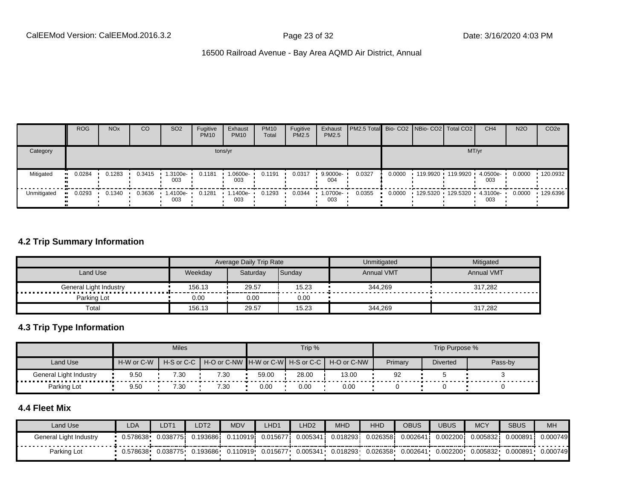|                        | <b>ROG</b> | <b>NO<sub>x</sub></b> | CO               | SO <sub>2</sub>    | Fugitive<br><b>PM10</b> | Exhaust<br><b>PM10</b> | <b>PM10</b><br>Total | Fugitive<br>PM2.5 | Exhaust<br>PM2.5 | <b>PM2.5 Total</b> Bio- CO2 NBio- CO2 Total CO2 |        |                              | CH <sub>4</sub> | <b>N2O</b> | CO <sub>2</sub> e |
|------------------------|------------|-----------------------|------------------|--------------------|-------------------------|------------------------|----------------------|-------------------|------------------|-------------------------------------------------|--------|------------------------------|-----------------|------------|-------------------|
| Category               |            |                       |                  |                    |                         | tons/yr                |                      |                   |                  |                                                 |        | MT/yr                        |                 |            |                   |
| Mitigated<br>$\bullet$ | 0.0284     | 0.1283                | $0.3415$ $\cdot$ | 1.3100e-<br>003    | 0.1181                  | 1.0600e-<br>003        | 0.1191               | 0.0317            | 9.9000e-<br>004  | 0.0327                                          | 0.0000 | 119.9920 119.9920            | 4.0500e-<br>003 | 0.0000     | $-120.0932$       |
| Unmitigated            | 0.0293     | 0.1340                | 0.3636           | $1.4100e -$<br>003 | 0.1281                  | 1.1400e-<br>003        | 0.1293               | 0.0344            | 1.0700e-<br>003  | 0.0355                                          | 0.0000 | 129.5320  129.5320  4.3100e- | 003             | 0.0000     | $-129.6396$       |

# **4.2 Trip Summary Information**

|                                      |         | <b>Average Daily Trip Rate</b> |        | Unmitigated       | Mitigated         |
|--------------------------------------|---------|--------------------------------|--------|-------------------|-------------------|
| Land Use                             | Weekday | Saturdav                       | Sunday | <b>Annual VMT</b> | <b>Annual VMT</b> |
| <b>\</b> General Light Industry<br>. | 156.13  | 29.57                          | 15.23  | 344.269           | 317,282           |
| Parking Lot                          | 0.00    | 0.00                           | 0.00   |                   |                   |
| Total                                | 156.13  | 29.57                          | 15.23  | 344,269           | 317.282           |

# **4.3 Trip Type Information**

|                               |            | <b>Miles</b> |      |       | Trip % |                                               |         | Trip Purpose %  |         |
|-------------------------------|------------|--------------|------|-------|--------|-----------------------------------------------|---------|-----------------|---------|
| Land Use                      | H-W or C-W | H-S or C-C I |      |       |        | H-O or C-NW H-W or C-W H-S or C-C H-O or C-NW | Primary | <b>Diverted</b> | Pass-by |
| <b>General Light Industry</b> | 9.50       | 7.30         | 7.30 | 59.00 | 28.00  | 13.00                                         | 92      |                 |         |
| Parking Lot                   | 9.50       | 7.30         | 7.30 | 0.00  | 0.00   | 0.00                                          |         |                 |         |

# **4.4 Fleet Mix**

| Land Use               | LDA      | LDT1     | LDT2    | <b>MDV</b>        | LHD1      | LHD <sub>2</sub> | <b>MHD</b> | <b>HHD</b> | <b>OBUS</b> | <b>UBUS</b> | <b>MCY</b> | <b>SBUS</b> | <b>MH</b> |
|------------------------|----------|----------|---------|-------------------|-----------|------------------|------------|------------|-------------|-------------|------------|-------------|-----------|
| General Light Industry | 0.578638 | 0.038775 | .193686 | 0.110919 <b>i</b> | 0.015677i | 0.005341         | 0.018293   | 0.026358   | 0.00264'    | 0.002200    | 0.005832   | 0.000891    | 0.000749  |
| Parking Lot            | 0.578638 | 0.038775 | .193686 | 0.110919          | 0.015677  | 0.005341         | 0.018293   | 0.026358   | 0.002641    | 0.002200    | 0.005832   | 0.000891    | 0.000749  |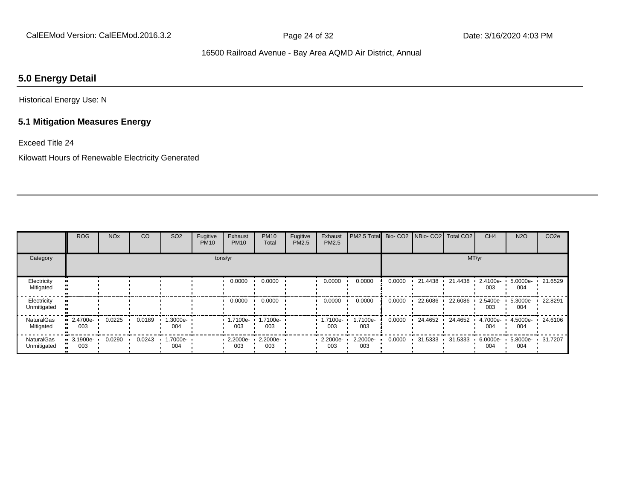# **5.0 Energy Detail**

Historical Energy Use: N

# **5.1 Mitigation Measures Energy**

Exceed Title 24

Kilowatt Hours of Renewable Electricity Generated

|                                  | <b>ROG</b>                     | <b>NO<sub>x</sub></b> | CO     | <b>SO2</b>     | Fugitive<br><b>PM10</b> | Exhaust<br><b>PM10</b> | <b>PM10</b><br>Total | Fugitive<br>PM2.5 | Exhaust<br>PM2.5 | PM2.5 Total Bio- CO2 NBio- CO2 Total CO2 |        |         |         | CH <sub>4</sub> | <b>N2O</b>      | CO <sub>2e</sub> |
|----------------------------------|--------------------------------|-----------------------|--------|----------------|-------------------------|------------------------|----------------------|-------------------|------------------|------------------------------------------|--------|---------|---------|-----------------|-----------------|------------------|
| Category                         |                                |                       |        |                |                         | tons/yr                |                      |                   |                  |                                          |        |         |         | MT/yr           |                 |                  |
| Electricity<br>Mitigated         |                                |                       |        |                |                         | 0.0000                 | 0.0000               |                   | 0.0000           | 0.0000                                   | 0.0000 | 21.4438 | 21.4438 | 2.4100e-<br>003 | 5.0000e-<br>004 | 21.6529          |
| Electricity<br>Unmitigated       |                                |                       |        |                |                         | 0.0000                 | 0.0000               |                   | 0.0000           | 0.0000                                   | 0.0000 | 22.6086 | 22.6086 | 2.5400e-<br>003 | 5.3000e-<br>004 | 22.8291          |
| <b>NaturalGas</b><br>Mitigated   | $\blacksquare$ 2.4700e-<br>003 | 0.0225                | 0.0189 | --3000e<br>004 |                         | 1.7100e-<br>003        | 1.7100e-<br>003      |                   | 1.7100e-<br>003  | 1.7100e-<br>003                          | 0.0000 | 24.4652 | 24.4652 | 4.7000e-<br>004 | 4.5000e-<br>004 | 24.6106          |
| <b>NaturalGas</b><br>Unmitigated | $\blacksquare$ 3.1900e-<br>003 | 0.0290                | 0.0243 | -.7000e<br>004 |                         | 2.2000e-<br>003        | 2.2000e-<br>003      |                   | 2.2000e-<br>003  | 2.2000e-<br>003                          | 0.0000 | 31.5333 | 31.5333 | 6.0000e-<br>004 | 5.8000e-<br>004 | 31.7207          |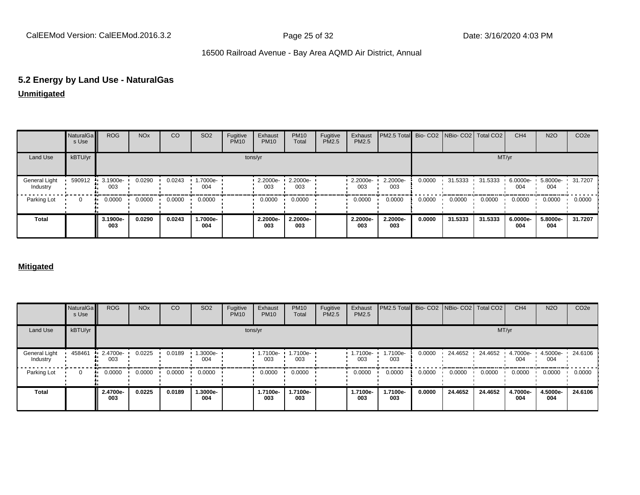# **5.2 Energy by Land Use - NaturalGas**

**Unmitigated**

|                           | NaturalGa<br>s Use | <b>ROG</b>      | <b>NO<sub>x</sub></b> | <sub>CO</sub> | SO <sub>2</sub> | Fugitive<br><b>PM10</b> | Exhaust<br><b>PM10</b> | <b>PM10</b><br>Total | Fugitive<br>PM2.5 | Exhaust<br>PM2.5 | PM2.5 Total Bio- CO2 NBio- CO2 Total CO2 |        |                 |         | CH <sub>4</sub>    | <b>N2O</b>                | CO <sub>2</sub> e |
|---------------------------|--------------------|-----------------|-----------------------|---------------|-----------------|-------------------------|------------------------|----------------------|-------------------|------------------|------------------------------------------|--------|-----------------|---------|--------------------|---------------------------|-------------------|
| Land Use                  | kBTU/yr            |                 |                       |               |                 |                         | tons/yr                |                      |                   |                  |                                          |        |                 |         | MT/yr              |                           |                   |
| General Light<br>Industry | 590912             | 3.1900e-<br>003 | 0.0290                | 0.0243        | 1.7000e-<br>004 |                         | 2.2000e-<br>003        | 2.2000e-<br>003      |                   | 2.2000e-<br>003  | 2.2000e-<br>003                          | 0.0000 | 31.5333 31.5333 |         | $6.0000e -$<br>004 | 5.8000e- 1 31.7207<br>004 |                   |
| Parking Lot               | $\Omega$           | 0.0000          | 0.0000                | 0.0000        | 0.0000          |                         | 0.0000                 | 0.0000               |                   | 0.0000           | 0.0000                                   | 0.0000 | 0.0000          | 0.0000  | 0.0000             | 0.0000                    | 0.0000            |
| <b>Total</b>              |                    | 3.1900e-<br>003 | 0.0290                | 0.0243        | 1.7000e-<br>004 |                         | 2.2000e-<br>003        | 2.2000e-<br>003      |                   | 2.2000e-<br>003  | 2.2000e-<br>003                          | 0.0000 | 31.5333         | 31.5333 | 6.0000e-<br>004    | 5.8000e-<br>004           | 31.7207           |

## **Mitigated**

|                           | NaturalGa<br>s Use | <b>ROG</b>              | <b>NO<sub>x</sub></b> | CO     | SO <sub>2</sub> | Fugitive<br><b>PM10</b> | Exhaust<br><b>PM10</b> | <b>PM10</b><br>Total | Fugitive<br><b>PM2.5</b> | Exhaust<br>PM2.5        | PM2.5 Total Bio- CO2 NBio- CO2 Total CO2 |        |         |         | CH <sub>4</sub> | <b>N2O</b>      | CO <sub>2</sub> e |
|---------------------------|--------------------|-------------------------|-----------------------|--------|-----------------|-------------------------|------------------------|----------------------|--------------------------|-------------------------|------------------------------------------|--------|---------|---------|-----------------|-----------------|-------------------|
| Land Use                  | kBTU/yr            |                         |                       |        |                 |                         | tons/yr                |                      |                          |                         |                                          |        |         | MT/yr   |                 |                 |                   |
| General Light<br>Industry | 458461             | $\cdot$ 2.4700e-<br>003 | 0.0225                | 0.0189 | 1.3000e-<br>004 |                         | 1.7100e-<br>003        | 1.7100e-<br>003      |                          | $\cdot$ 1.7100e-<br>003 | 1.7100e-<br>003                          | 0.0000 | 24.4652 | 24.4652 | 4.7000e-<br>004 | 4.5000e-<br>004 | 24.6106           |
| Parking Lot               | $\Omega$           | 0.0000                  | 0.0000                | 0.0000 | 0.0000          |                         | 0.0000                 | 0.0000               |                          | 0.0000                  | 0.0000                                   | 0.0000 | 0.0000  | 0.0000  | 0.0000          | 0.0000          | 0.0000            |
| <b>Total</b>              |                    | 2.4700e-<br>003         | 0.0225                | 0.0189 | 1.3000e-<br>004 |                         | 1.7100e-<br>003        | 1.7100e-<br>003      |                          | 1.7100e-<br>003         | 1.7100e-<br>003                          | 0.0000 | 24.4652 | 24.4652 | 4.7000e-<br>004 | 4.5000e-<br>004 | 24.6106           |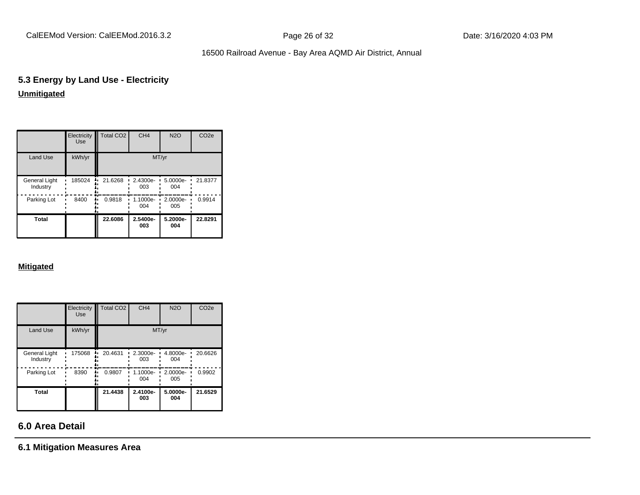CalEEMod Version: CalEEMod.2016.3.2 **Page 26 of 32** Page 26 of 32 Date: 3/16/2020 4:03 PM

# 16500 Railroad Avenue - Bay Area AQMD Air District, Annual

# **5.3 Energy by Land Use - Electricity Unmitigated**

|                                  | Electricity<br><b>Use</b> | <b>Total CO2</b> | CH <sub>4</sub>   | <b>N2O</b>      | CO <sub>2e</sub> |
|----------------------------------|---------------------------|------------------|-------------------|-----------------|------------------|
| Land Use                         | kWh/yr                    |                  | MT/yr             |                 |                  |
| <b>General Light</b><br>Industry | 185024                    | 21.6268          | 2.4300e-<br>003   | 5.0000e-<br>004 | 21.8377          |
| Parking Lot                      | 8400                      | 0.9818           | $1.1000e-$<br>004 | 2.0000e-<br>005 | 0.9914           |
| Total                            |                           | 22.6086          | 2.5400e-<br>003   | 5.2000e-<br>004 | 22.8291          |

## **Mitigated**

|                                  | Electricity<br><b>Use</b> | Total CO <sub>2</sub> | CH <sub>4</sub> | <b>N2O</b>      | CO <sub>2e</sub> |
|----------------------------------|---------------------------|-----------------------|-----------------|-----------------|------------------|
| Land Use                         | kWh/yr                    |                       |                 | MT/yr           |                  |
| <b>General Light</b><br>Industry | 175068                    | 20.4631               | 2.3000e-<br>003 | 4.8000e-<br>004 | 20.6626          |
| Parking Lot                      | 8390                      | 0.9807                | 1.1000e-<br>004 | 2.0000e-<br>005 | 0.9902           |
| Total                            |                           | 21.4438               | 2.4100e-<br>003 | 5.0000e-<br>004 | 21.6529          |

# **6.0 Area Detail**

**6.1 Mitigation Measures Area**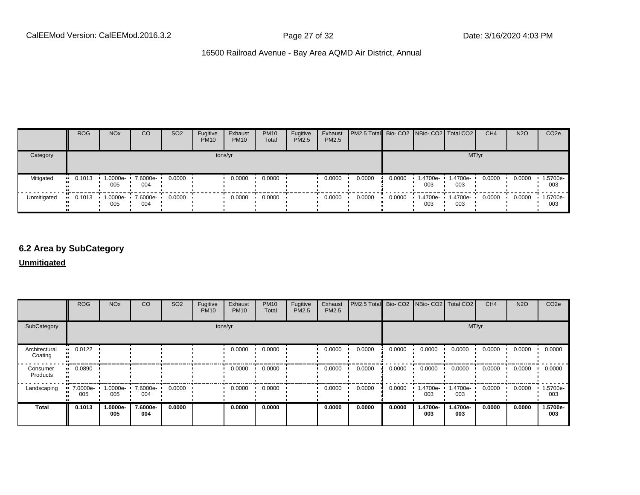|             | <b>ROG</b>   | <b>NO<sub>x</sub></b> | CO                       | SO <sub>2</sub> | Fugitive<br><b>PM10</b> | Exhaust<br><b>PM10</b> | <b>PM10</b><br>Total | Fugitive<br><b>PM2.5</b> | Exhaust<br>PM2.5 | <b>PM2.5 Total Bio- CO2 NBio- CO2   Total CO2  </b> |        |                |                 | CH <sub>4</sub> | <b>N2O</b> | CO <sub>2</sub> e |
|-------------|--------------|-----------------------|--------------------------|-----------------|-------------------------|------------------------|----------------------|--------------------------|------------------|-----------------------------------------------------|--------|----------------|-----------------|-----------------|------------|-------------------|
| Category    |              |                       |                          |                 | tons/yr                 |                        |                      |                          |                  |                                                     |        |                | MT/yr           |                 |            |                   |
| Mitigated   | 0.1013<br>   | 005                   | 1.0000e- 7.6000e-<br>004 | 0.0000          |                         | 0.0000                 | 0.0000               |                          | 0.0000           | 0.0000                                              | 0.0000 | -4700e-<br>003 | 1.4700e-<br>003 | 0.0000          | 0.0000     | 1.5700e-<br>003   |
| Unmitigated | 0.1013<br>п. | 005                   | 1.0000e- 7.6000e-<br>004 | 0.0000          |                         | 0.0000                 | 0.0000               |                          | 0.0000           | 0.0000                                              | 0.0000 | -4700e-<br>003 | 1.4700e-<br>003 | 0.0000          | 0.0000     | 1.5700e-<br>003   |

# **6.2 Area by SubCategory**

**Unmitigated**

|                          | <b>ROG</b>      | <b>NO<sub>x</sub></b> | CO              | SO <sub>2</sub> | Fugitive<br><b>PM10</b> | Exhaust<br><b>PM10</b> | <b>PM10</b><br>Total | Fugitive<br>PM2.5 | Exhaust<br>PM2.5 | PM2.5 Total Bio- CO2 NBio- CO2 Total CO2 |        |                 |                 | CH <sub>4</sub> | <b>N2O</b> | CO <sub>2</sub> e |
|--------------------------|-----------------|-----------------------|-----------------|-----------------|-------------------------|------------------------|----------------------|-------------------|------------------|------------------------------------------|--------|-----------------|-----------------|-----------------|------------|-------------------|
| SubCategory              |                 | tons/yr               |                 |                 |                         |                        |                      |                   |                  |                                          | MT/yr  |                 |                 |                 |            |                   |
| Architectural<br>Coating | 0.0122          |                       |                 |                 |                         | 0.0000                 | 0.0000               |                   | 0.0000           | 0.0000                                   | 0.0000 | 0.0000          | 0.0000          | 0.0000          | 0.0000     | 0.0000            |
| Consumer<br>Products     | 0.0890<br>      |                       |                 |                 |                         | 0.0000                 | 0.0000               |                   | 0.0000           | 0.0000                                   | 0.0000 | 0.0000          | 0.0000          | 0.0000          | 0.0000     | 0.0000            |
| Landscaping              | 7.0000e-<br>005 | 1.0000e-<br>005       | 7.6000e-<br>004 | 0.0000          |                         | 0.0000                 | 0.0000               |                   | 0.0000           | 0.0000                                   | 0.0000 | 1.4700e-<br>003 | 1.4700e-<br>003 | 0.0000          | 0.0000     | 1.5700e-<br>003   |
| <b>Total</b>             | 0.1013          | 1.0000e-<br>005       | 7.6000e-<br>004 | 0.0000          |                         | 0.0000                 | 0.0000               |                   | 0.0000           | 0.0000                                   | 0.0000 | 1.4700e-<br>003 | 1.4700e-<br>003 | 0.0000          | 0.0000     | 1.5700e-<br>003   |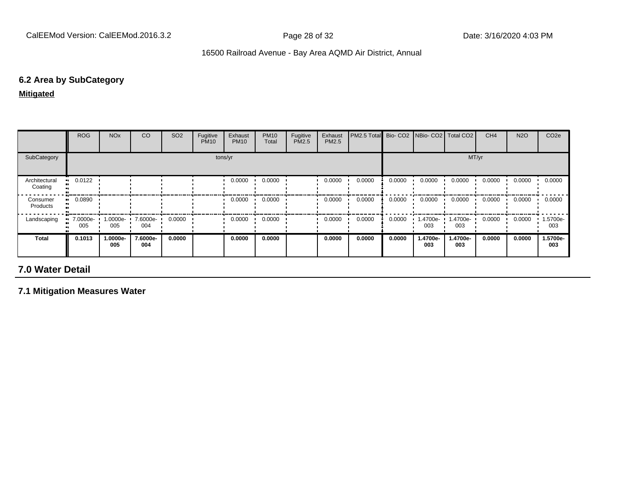# **6.2 Area by SubCategory**

**Mitigated**

|                          | <b>ROG</b>                     | <b>NO<sub>x</sub></b> | CO              | SO <sub>2</sub> | Fugitive<br><b>PM10</b> | Exhaust<br><b>PM10</b> | <b>PM10</b><br>Total | Fugitive<br>PM2.5 | Exhaust<br><b>PM2.5</b> | PM2.5 Total |        |                      | Bio- CO2   NBio- CO2   Total CO2 | CH <sub>4</sub> | <b>N2O</b> | CO <sub>2e</sub> |
|--------------------------|--------------------------------|-----------------------|-----------------|-----------------|-------------------------|------------------------|----------------------|-------------------|-------------------------|-------------|--------|----------------------|----------------------------------|-----------------|------------|------------------|
| SubCategory              |                                | tons/yr               |                 |                 |                         |                        |                      |                   |                         |             | MT/yr  |                      |                                  |                 |            |                  |
| Architectural<br>Coating | $\blacksquare$ 0.0122          |                       |                 |                 |                         | 0.0000                 | 0.0000               |                   | 0.0000                  | 0.0000      | 0.0000 | 0.0000               | 0.0000                           | 0.0000          | 0.0000     | 0.0000           |
| Consumer<br>Products     | $\blacksquare$ 0.0890          |                       |                 |                 |                         | 0.0000                 | 0.0000               |                   | 0.0000                  | 0.0000      | 0.0000 | 0.0000               | 0.0000                           | 0.0000          | 0.0000     | 0.0000           |
| Landscaping              | $\blacksquare$ 7.0000e-<br>005 | 1.0000e-<br>005       | 7.6000e-<br>004 | 0.0000          |                         | 0.0000                 | 0.0000               |                   | 0.0000                  | 0.0000      | 0.0000 | $1.4700e - 1$<br>003 | 1.4700e-<br>003                  | 0.0000          | 0.0000     | 1.5700e-<br>003  |
| <b>Total</b>             | 0.1013                         | 1.0000e-<br>005       | 7.6000e-<br>004 | 0.0000          |                         | 0.0000                 | 0.0000               |                   | 0.0000                  | 0.0000      | 0.0000 | 1.4700e-<br>003      | 1.4700e-<br>003                  | 0.0000          | 0.0000     | 1.5700e-<br>003  |

# **7.0 Water Detail**

**7.1 Mitigation Measures Water**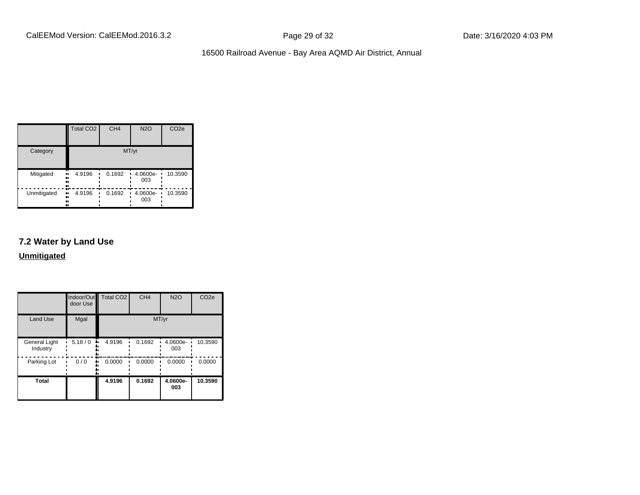|             | <b>Total CO2</b>          | CH <sub>4</sub> | <b>N2O</b>      | CO <sub>2e</sub> |
|-------------|---------------------------|-----------------|-----------------|------------------|
| Category    |                           |                 | MT/yr           |                  |
| Mitigated   | 4.9196<br>ш.<br><br><br>  | 0.1692          | 4.0600e-<br>003 | 10.3590          |
| Unmitigated | 4.9196<br>.,<br><br><br>ш | 0.1692          | 4.0600e-<br>003 | 10.3590          |

# **7.2 Water by Land Use**

**Unmitigated**

|                                  | Indoor/Out<br>door Use | <b>Total CO2</b> | CH <sub>4</sub> | <b>N2O</b>      | CO <sub>2e</sub> |
|----------------------------------|------------------------|------------------|-----------------|-----------------|------------------|
| <b>Land Use</b>                  | Mgal                   |                  |                 | MT/yr           |                  |
| <b>General Light</b><br>Industry | 5.18/0                 | 4.9196           | 0.1692          | 4.0600e-<br>003 | 10.3590          |
| Parking Lot                      | 0/0                    | 0.0000           | 0.0000          | 0.0000          | 0.0000           |
| <b>Total</b>                     |                        | 4.9196           | 0.1692          | 4.0600e-<br>003 | 10.3590          |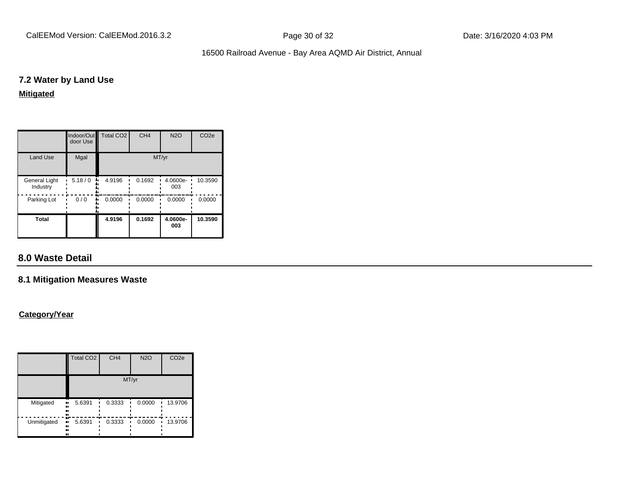CalEEMod Version: CalEEMod.2016.3.2 **Page 30 of 32** Page 30 of 32 Date: 3/16/2020 4:03 PM

# 16500 Railroad Avenue - Bay Area AQMD Air District, Annual

# **7.2 Water by Land Use**

# **Mitigated**

|                                  | Indoor/Out<br>door Use | Total CO <sub>2</sub> | CH <sub>4</sub> | <b>N2O</b>      | CO <sub>2e</sub> |
|----------------------------------|------------------------|-----------------------|-----------------|-----------------|------------------|
| <b>Land Use</b>                  | Mgal                   |                       |                 | MT/yr           |                  |
| <b>General Light</b><br>Industry | 5.18/0                 | 4.9196                | 0.1692          | 4.0600e-<br>003 | 10.3590          |
| Parking Lot                      | 0/0                    | 0.0000                | 0.0000          | 0.0000          | 0.0000           |
| <b>Total</b>                     |                        | 4.9196                | 0.1692          | 4.0600e-<br>003 | 10.3590          |

# **8.0 Waste Detail**

# **8.1 Mitigation Measures Waste**

# **Category/Year**

|             | <b>Total CO2</b>                     | CH <sub>4</sub> | <b>N2O</b> | CO <sub>2e</sub> |
|-------------|--------------------------------------|-----------------|------------|------------------|
|             |                                      | MT/yr           |            |                  |
| Mitigated   | 5.6391<br><br><br><br>               | 0.3333          | 0.0000     | 13.9706          |
| Unmitigated | m<br>5.6391<br>$\bullet$<br><br><br> | 0.3333          | 0.0000     | 13.9706          |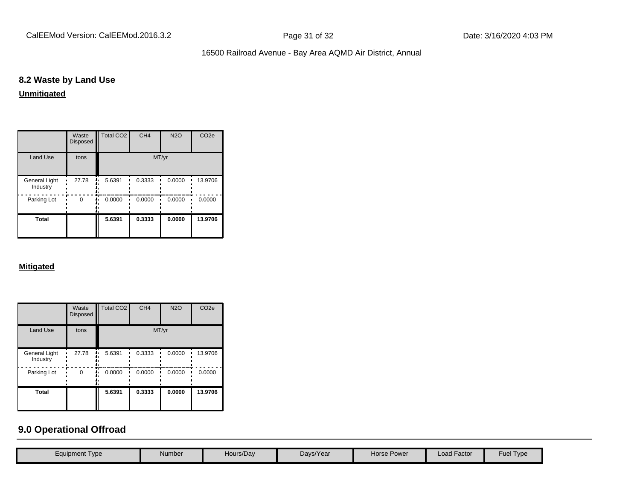CalEEMod Version: CalEEMod.2016.3.2 **Page 31 of 32** Page 31 of 32 Date: 3/16/2020 4:03 PM

# 16500 Railroad Avenue - Bay Area AQMD Air District, Annual

# **8.2 Waste by Land Use**

# **Unmitigated**

|                           | Waste<br><b>Disposed</b> | <b>Total CO2</b> | CH <sub>4</sub> | <b>N2O</b> | CO <sub>2e</sub> |
|---------------------------|--------------------------|------------------|-----------------|------------|------------------|
| <b>Land Use</b>           | tons                     |                  | MT/yr           |            |                  |
| General Light<br>Industry | 27.78                    | 5.6391           | 0.3333          | 0.0000     | 13.9706          |
| Parking Lot               | $\Omega$                 | 0.0000           | 0.0000          | 0.0000     | 0.0000           |
| Total                     |                          | 5.6391           | 0.3333          | 0.0000     | 13.9706          |

## **Mitigated**

|                           | Waste<br><b>Disposed</b> | Total CO <sub>2</sub> | CH <sub>4</sub> | <b>N2O</b> | CO <sub>2e</sub> |
|---------------------------|--------------------------|-----------------------|-----------------|------------|------------------|
| <b>Land Use</b>           | tons                     |                       |                 | MT/yr      |                  |
| General Light<br>Industry | 27.78                    | 5.6391                | 0.3333          | 0.0000     | 13.9706          |
| Parking Lot               | 0                        | 0.0000                | 0.0000          | 0.0000     | 0.0000           |
| <b>Total</b>              |                          | 5.6391                | 0.3333          | 0.0000     | 13.9706          |

# **9.0 Operational Offroad**

| Equipment Type | Number | Hours/Day | Days/Year | Horse Power | Load Factor | <b>Fuel Type</b> |
|----------------|--------|-----------|-----------|-------------|-------------|------------------|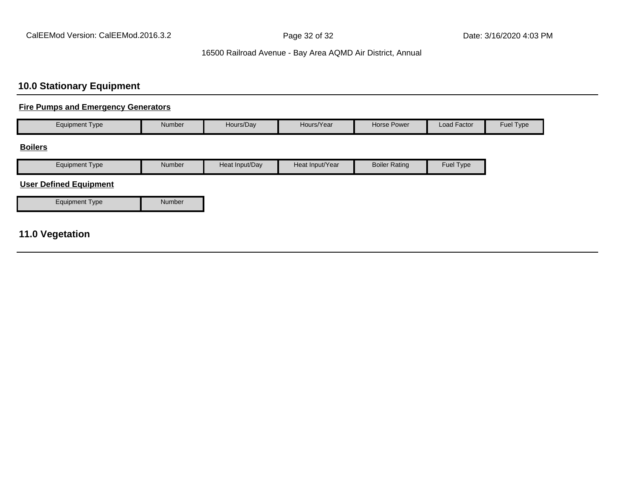# **10.0 Stationary Equipment**

# **Fire Pumps and Emergency Generators**

| <b>Equipment Type</b>      | <b>Number</b> | Hours/Day      | Hours/Year      | Horse Power          | Load Factor | Fuel Type |
|----------------------------|---------------|----------------|-----------------|----------------------|-------------|-----------|
| <b>Boilers</b>             |               |                |                 |                      |             |           |
| <b>Equipment Type</b>      | <b>Number</b> | Heat Input/Day | Heat Input/Year | <b>Boiler Rating</b> | Fuel Type   |           |
| $\cdots$ $\cdots$ $\cdots$ |               |                |                 |                      |             |           |

#### **User Defined Equipment**

# **11.0 Vegetation**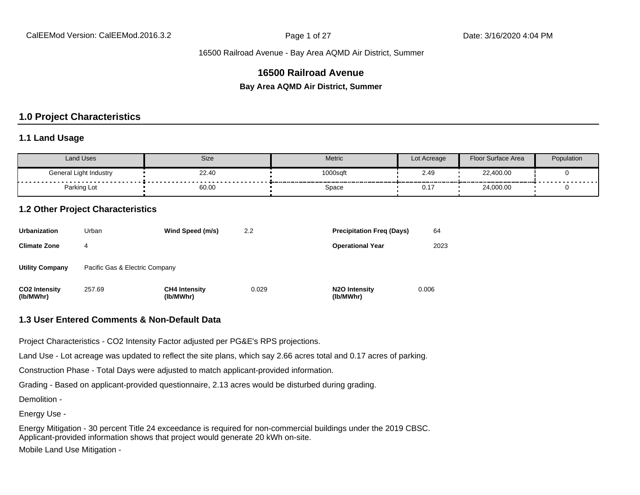# **16500 Railroad Avenue**

**Bay Area AQMD Air District, Summer**

# **1.0 Project Characteristics**

#### **1.1 Land Usage**

| <b>Land Uses</b>       | Size  | Metric   | Lot Acreage | Floor Surface Area | Population |  |
|------------------------|-------|----------|-------------|--------------------|------------|--|
| General Light Industry | 22.40 | 1000sqft | 2.49        | 22,400.00          | .          |  |
| Parking Lot            | 60.00 | Space    | ົ່<br>U.1   | 24,000.00          |            |  |

# **1.2 Other Project Characteristics**

| <b>Urbanization</b>               | Urban                          | Wind Speed (m/s)                  | 2.2   | <b>Precipitation Freg (Days)</b>        | 64    |
|-----------------------------------|--------------------------------|-----------------------------------|-------|-----------------------------------------|-------|
| <b>Climate Zone</b>               | 4                              |                                   |       | <b>Operational Year</b>                 | 2023  |
| <b>Utility Company</b>            | Pacific Gas & Electric Company |                                   |       |                                         |       |
| <b>CO2 Intensity</b><br>(lb/MWhr) | 257.69                         | <b>CH4 Intensity</b><br>(lb/MWhr) | 0.029 | N <sub>2</sub> O Intensity<br>(lb/MWhr) | 0.006 |

#### **1.3 User Entered Comments & Non-Default Data**

Project Characteristics - CO2 Intensity Factor adjusted per PG&E's RPS projections.

Land Use - Lot acreage was updated to reflect the site plans, which say 2.66 acres total and 0.17 acres of parking.

Construction Phase - Total Days were adjusted to match applicant-provided information.

Grading - Based on applicant-provided questionnaire, 2.13 acres would be disturbed during grading.

Demolition -

Energy Use -

Energy Mitigation - 30 percent Title 24 exceedance is required for non-commercial buildings under the 2019 CBSC. Applicant-provided information shows that project would generate 20 kWh on-site. Mobile Land Use Mitigation -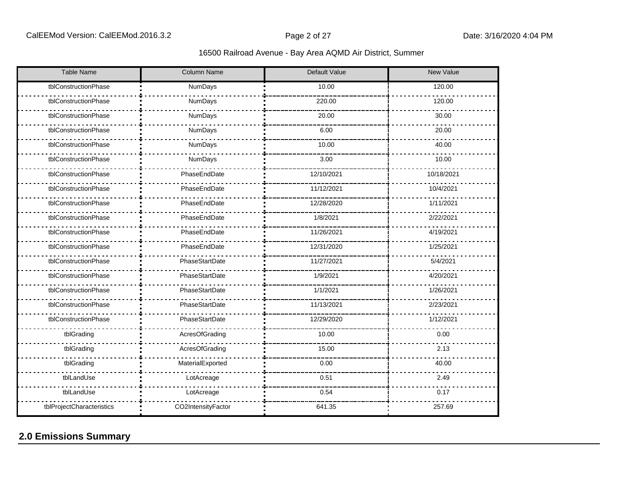| <b>Table Name</b>         | Column Name        | Default Value | New Value  |
|---------------------------|--------------------|---------------|------------|
| tblConstructionPhase      | NumDays            | 10.00         | 120.00     |
| tblConstructionPhase      | NumDays            | 220.00        | 120.00     |
| tblConstructionPhase      | NumDays            | 20.00         | 30.00      |
| tblConstructionPhase      | NumDays            | 6.00          | 20.00      |
| tblConstructionPhase      | NumDays            | 10.00         | 40.00      |
| tblConstructionPhase      | NumDays            | 3.00          | 10.00      |
| tblConstructionPhase      | PhaseEndDate       | 12/10/2021    | 10/18/2021 |
| tblConstructionPhase      | PhaseEndDate       | 11/12/2021    | 10/4/2021  |
| tblConstructionPhase      | PhaseEndDate       | 12/28/2020    | 1/11/2021  |
| tblConstructionPhase      | PhaseEndDate       | 1/8/2021      | 2/22/2021  |
| tblConstructionPhase      | PhaseEndDate       | 11/26/2021    | 4/19/2021  |
| tblConstructionPhase      | PhaseEndDate       | 12/31/2020    | 1/25/2021  |
| tblConstructionPhase      | PhaseStartDate     | 11/27/2021    | 5/4/2021   |
| tblConstructionPhase      | PhaseStartDate     | 1/9/2021      | 4/20/2021  |
| tblConstructionPhase      | PhaseStartDate     | 1/1/2021      | 1/26/2021  |
| tblConstructionPhase      | PhaseStartDate     | 11/13/2021    | 2/23/2021  |
| tblConstructionPhase      | PhaseStartDate     | 12/29/2020    | 1/12/2021  |
| tblGrading                | AcresOfGrading     | 10.00         | 0.00       |
| tblGrading                | AcresOfGrading     | 15.00         | 2.13       |
| tblGrading                | MaterialExported   | 0.00          | 40.00      |
| tblLandUse                | LotAcreage         | 0.51          | 2.49       |
| tblLandUse                | LotAcreage         | 0.54          | 0.17       |
| tblProjectCharacteristics | CO2IntensityFactor | 641.35        | 257.69     |

# **2.0 Emissions Summary**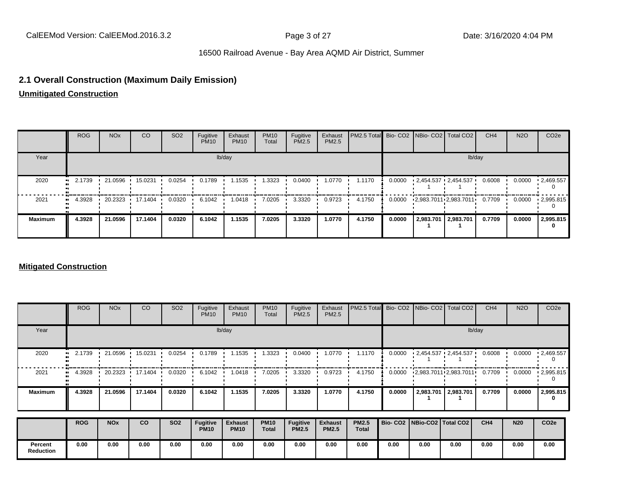# **2.1 Overall Construction (Maximum Daily Emission)**

**Unmitigated Construction**

|                | <b>ROG</b>    | <b>NO<sub>x</sub></b> | CO                                      | SO <sub>2</sub> | Fugitive<br><b>PM10</b> | Exhaust<br><b>PM10</b> | <b>PM10</b><br>Total | Fugitive<br><b>PM2.5</b> | Exhaust<br>PM2.5 | PM2.5 Total Bio- CO2 NBio- CO2   Total CO2 |        |                       |                          | CH <sub>4</sub> | <b>N2O</b> | CO <sub>2</sub> e |
|----------------|---------------|-----------------------|-----------------------------------------|-----------------|-------------------------|------------------------|----------------------|--------------------------|------------------|--------------------------------------------|--------|-----------------------|--------------------------|-----------------|------------|-------------------|
| Year           | lb/day        |                       |                                         |                 |                         |                        |                      |                          |                  |                                            | lb/day |                       |                          |                 |            |                   |
| 2020           | 2.1739<br>    | 21.0596               | 15.0231                                 | 0.0254          | 0.1789                  | 1.1535                 | 1.3323               | 0.0400                   | 1.0770           | 1.1170                                     | 0.0000 |                       | $-2,454.537 - 2,454.537$ | 0.6008          | 0.0000     | $\cdot$ 2,469.557 |
| 2021           | 4.3928<br>. . |                       | $\cdot$ 20.2323 $\cdot$ 17.1404 $\cdot$ | 0.0320          | 6.1042                  | 1.0418                 | 7.0205               | 3.3320                   | 0.9723           | 4.1750                                     | 0.0000 |                       | 12,983.7011 2,983.7011   | 0.7709          | 0.0000     | $\cdot$ 2,995.815 |
| <b>Maximum</b> | 4.3928        | 21.0596               | 17.1404                                 | 0.0320          | 6.1042                  | 1.1535                 | 7.0205               | 3.3320                   | 1.0770           | 4.1750                                     | 0.0000 | 2,983.701   2,983.701 |                          | 0.7709          | 0.0000     | 2,995.815         |

#### **Mitigated Construction**

|                             | <b>ROG</b> | <b>NO<sub>x</sub></b> | CO      | SO <sub>2</sub> | Fugitive<br><b>PM10</b>        | Exhaust<br><b>PM10</b>        | <b>PM10</b><br>Total        | Fugitive<br>PM2.5        | Exhaust<br><b>PM2.5</b>        | PM2.5 Total                  |        |                                 | Bio- CO2 NBio- CO2 Total CO2 | CH <sub>4</sub> | <b>N2O</b> | CO <sub>2e</sub> |
|-----------------------------|------------|-----------------------|---------|-----------------|--------------------------------|-------------------------------|-----------------------------|--------------------------|--------------------------------|------------------------------|--------|---------------------------------|------------------------------|-----------------|------------|------------------|
| Year                        | lb/day     |                       |         |                 |                                |                               |                             |                          |                                |                              | lb/day |                                 |                              |                 |            |                  |
| 2020                        | 2.1739     | 21.0596               | 15.0231 | 0.0254          | 0.1789                         | 1.1535                        | 1.3323                      | 0.0400                   | 1.0770                         | 1.1170                       | 0.0000 |                                 | $-2,454.537 - 2,454.537$     | 0.6008          | 0.0000     | $-2,469.557$     |
| 2021                        | 4.3928     | 20.2323               | 17.1404 | 0.0320          | 6.1042                         | 1.0418                        | 7.0205                      | 3.3320                   | 0.9723                         | 4.1750                       | 0.0000 |                                 | 2,983.7011 2,983.7011        | 0.7709          | 0.0000     | 12,995.815       |
| <b>Maximum</b>              | 4.3928     | 21.0596               | 17.1404 | 0.0320          | 6.1042                         | 1.1535                        | 7.0205                      | 3.3320                   | 1.0770                         | 4.1750                       | 0.0000 | 2,983.701                       | 2,983.701                    | 0.7709          | 0.0000     | 2,995.815<br>0   |
|                             | <b>ROG</b> | <b>NO<sub>x</sub></b> | co      | <b>SO2</b>      | <b>Fugitive</b><br><b>PM10</b> | <b>Exhaust</b><br><b>PM10</b> | <b>PM10</b><br><b>Total</b> | Fugitive<br><b>PM2.5</b> | <b>Exhaust</b><br><b>PM2.5</b> | <b>PM2.5</b><br><b>Total</b> |        | Bio- CO2   NBio-CO2   Total CO2 |                              | CH4             | <b>N20</b> | CO <sub>2e</sub> |
| Percent<br><b>Reduction</b> | 0.00       | 0.00                  | 0.00    | 0.00            | 0.00                           | 0.00                          | 0.00                        | 0.00                     | 0.00                           | 0.00                         | 0.00   | 0.00                            | 0.00                         | 0.00            | 0.00       | 0.00             |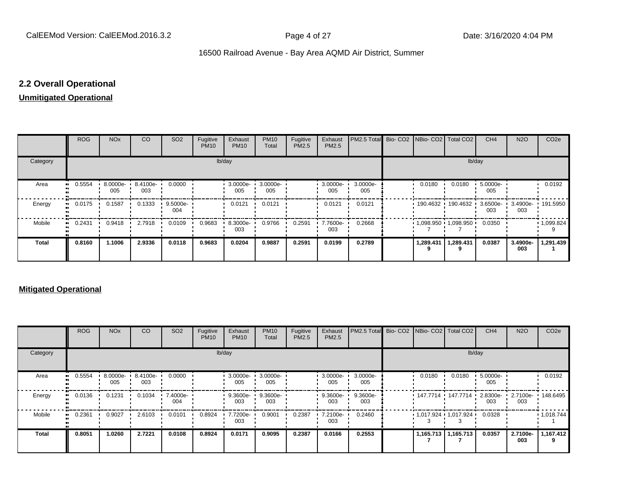# **2.2 Overall Operational**

# **Unmitigated Operational**

|          | ROG        | <b>NO<sub>x</sub></b> | CO                | SO <sub>2</sub>   | Fugitive<br><b>PM10</b> | Exhaust<br><b>PM10</b> | <b>PM10</b><br>Total | Fugitive<br>PM2.5 | Exhaust<br>PM2.5 | PM2.5 Total Bio- CO2 NBio- CO2 Total CO2 |        |           |                                             | CH <sub>4</sub> | <b>N2O</b>                        | CO <sub>2e</sub>  |
|----------|------------|-----------------------|-------------------|-------------------|-------------------------|------------------------|----------------------|-------------------|------------------|------------------------------------------|--------|-----------|---------------------------------------------|-----------------|-----------------------------------|-------------------|
| Category | lb/day     |                       |                   |                   |                         |                        |                      |                   |                  |                                          | lb/day |           |                                             |                 |                                   |                   |
| Area     | 0.5554<br> | 8.0000e-<br>005       | 8.4100e- L<br>003 | 0.0000            |                         | 3.0000e-<br>005        | 3.0000e-<br>005      |                   | 3.0000e-<br>005  | 3.0000e-<br>005                          |        | 0.0180    | 0.0180                                      | 5.0000e-<br>005 |                                   | 0.0192            |
| Energy   | 0.0175<br> | 0.1587                | 0.1333            | $9.5000e-$<br>004 |                         | 0.0121                 | 0.0121               |                   | 0.0121           | 0.0121                                   |        |           | 190.4632 190.4632 1                         | 003             | 3.6500e- 3.4900e- 191.5950<br>003 |                   |
| Mobile   | 0.2431<br> | 0.9418                | 2.7918            | 0.0109            | 0.9683                  | 8.3000e-<br>003        | 0.9766               | 0.2591            | 7.7600e-<br>003  | 0.2668                                   |        |           | $\cdot$ 1,098.950 $\cdot$ 1,098.950 $\cdot$ | 0.0350          |                                   | $\cdot$ 1,099.824 |
| Total    | 0.8160     | 1.1006                | 2.9336            | 0.0118            | 0.9683                  | 0.0204                 | 0.9887               | 0.2591            | 0.0199           | 0.2789                                   |        | 1,289.431 | 1,289.431                                   | 0.0387          | 3.4900e-<br>003                   | 1,291.439         |

### **Mitigated Operational**

|          | <b>ROG</b> | <b>NO<sub>x</sub></b> | CO                       | SO <sub>2</sub> | Fugitive<br><b>PM10</b> | Exhaust<br><b>PM10</b> | <b>PM10</b><br>Total | Fugitive<br>PM2.5 | Exhaust<br>PM2.5 | PM2.5 Total Bio- CO2 NBio- CO2   Total CO2 |        |                                             | CH <sub>4</sub> | <b>N2O</b>      | CO <sub>2e</sub> |
|----------|------------|-----------------------|--------------------------|-----------------|-------------------------|------------------------|----------------------|-------------------|------------------|--------------------------------------------|--------|---------------------------------------------|-----------------|-----------------|------------------|
| Category | lb/day     |                       |                          |                 |                         |                        |                      |                   |                  |                                            |        | lb/day                                      |                 |                 |                  |
| Area     | 0.5554     | 005                   | 8.0000e- 8.4100e-<br>003 | 0.0000          |                         | 3.0000e-<br>005        | 3.0000e-<br>005      |                   | 005              | 3.0000e- 3.0000e-<br>005                   | 0.0180 | 0.0180                                      | 5.0000e-<br>005 |                 | 0.0192           |
| Energy   | 0.0136     | 0.1231                | 0.1034                   | 7.4000e-<br>004 |                         | 9.3600e-<br>003        | 9.3600e-<br>003      |                   | 9.3600e-<br>003  | 9.3600e-<br>003                            |        | 147.7714 • 147.7714 •                       | 2.8300e-<br>003 | 2.7100e-<br>003 | 148.6495         |
| Mobile   | 0.2361     | 0.9027                | 2.6103                   | 0.0101          | 0.8924                  | 7.7200e-<br>003        | 0.9001               | 0.2387            | 7.2100e-<br>003  | 0.2460                                     |        | $\cdot$ 1,017.924 $\cdot$ 1,017.924 $\cdot$ | 0.0328          |                 | 1,018.744        |
| Total    | 0.8051     | 1.0260                | 2.7221                   | 0.0108          | 0.8924                  | 0.0171                 | 0.9095               | 0.2387            | 0.0166           | 0.2553                                     |        | 1,165.713   1,165.713                       | 0.0357          | 2.7100e-<br>003 | 1,167.412        |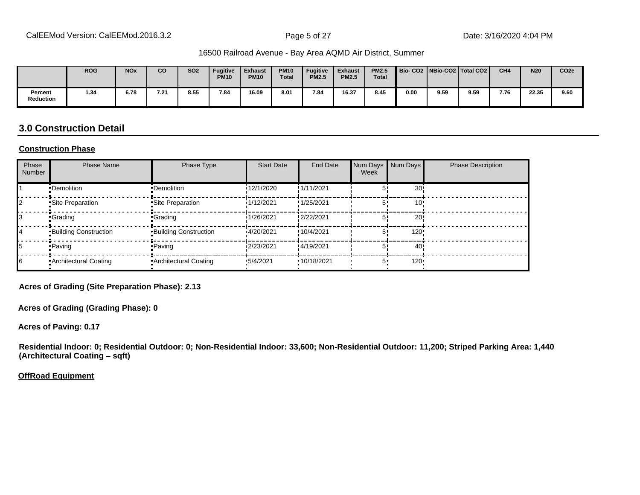|                      | <b>ROG</b> | <b>NO<sub>x</sub></b> | <b>CO</b> | <b>SO2</b> | Fugitive<br><b>PM10</b> | <b>Exhaust</b><br><b>PM10</b> | <b>PM10</b><br><b>Total</b> | <b>Fugitive</b><br><b>PM2.5</b> | <b>Exhaust</b><br><b>PM2.5</b> | <b>PM2.5</b><br><b>Total</b> |      |      | Bio-CO2   NBio-CO2   Total CO2 | CH <sub>4</sub> | <b>N20</b> | CO <sub>2e</sub> |
|----------------------|------------|-----------------------|-----------|------------|-------------------------|-------------------------------|-----------------------------|---------------------------------|--------------------------------|------------------------------|------|------|--------------------------------|-----------------|------------|------------------|
| Percent<br>Reduction | 1.34       | 6.78                  | 7.21      | 8.55       | 7.84                    | 16.09                         | 8.01                        | 7.84                            | 16.37                          | 8.45                         | 0.00 | 9.59 | 9.59                           | 7.76            | 22.35      | 9.60             |

## **3.0 Construction Detail**

#### **Construction Phase**

| Phase<br><b>Number</b> | <b>Phase Name</b>            | Phase Type                   | <b>Start Date</b> | End Date   | Num Days<br>Week | Num Days        | <b>Phase Description</b> |
|------------------------|------------------------------|------------------------------|-------------------|------------|------------------|-----------------|--------------------------|
|                        | •Demolition                  | •Demolition                  | 12/1/2020         | !1/11/2021 |                  | 30 <sup>1</sup> |                          |
|                        | Site Preparation             | Site Preparation             | 1/12/2021         | !1/25/2021 |                  | 10              |                          |
|                        | •Grading                     | •Grading                     | 1/26/2021         | !2/22/2021 |                  | 20 <sub>1</sub> |                          |
| 14                     | <b>Building Construction</b> | <b>Building Construction</b> | 14/20/2021        | !10/4/2021 |                  | 120!            |                          |
| 15                     | • Paving                     | • Paving                     | 12/23/2021        | !4/19/2021 |                  | 40              |                          |
| 16                     | • Architectural Coating      | • Architectural Coating      | 15/4/2021         | 10/18/2021 | 5.               | $120 -$         |                          |

**Acres of Grading (Site Preparation Phase): 2.13**

**Acres of Grading (Grading Phase): 0**

**Acres of Paving: 0.17**

**Residential Indoor: 0; Residential Outdoor: 0; Non-Residential Indoor: 33,600; Non-Residential Outdoor: 11,200; Striped Parking Area: 1,440 (Architectural Coating - sqft)** 

**OffRoad Equipment**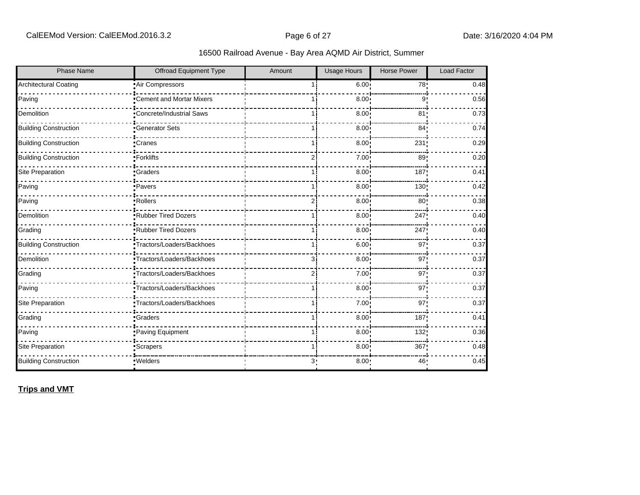| <b>Phase Name</b>            | <b>Offroad Equipment Type</b>    | Amount | <b>Usage Hours</b> | <b>Horse Power</b> | Load Factor |
|------------------------------|----------------------------------|--------|--------------------|--------------------|-------------|
| <b>Architectural Coating</b> | Air Compressors                  |        | 6.00:              | 78!                | 0.48        |
| Paving                       | Cement and Mortar Mixers         |        | 8.00               | 9                  | 0.56        |
| Demolition                   | <b>*Concrete/Industrial Saws</b> |        | 8.00               | 81 <sub>1</sub>    | 0.73        |
| <b>Building Construction</b> | <b>Generator Sets</b>            |        | 8.00 <sub>1</sub>  | 84 <sub>1</sub>    | 0.74        |
| <b>Building Construction</b> | <b>Cranes</b>                    |        | 8.00               | 231                | 0.29        |
| <b>Building Construction</b> | •Forklifts                       | 2i     | 7.00               | 89                 | 0.20        |
| Site Preparation             | •Graders                         |        | 8.00               | 187                | 0.41        |
| Paving                       | ·Pavers                          |        | 8.00               | 130                | 0.42        |
| Paving                       | Rollers                          |        | 8.00               | 80                 | 0.38        |
| Demolition                   | Rubber Tired Dozers              |        | 8.00               | 247                | 0.40        |
| Grading                      | Rubber Tired Dozers              |        | 8.00               | 247                | 0.40        |
| <b>Building Construction</b> | •Tractors/Loaders/Backhoes       | 1 i    | 6.00 <sub>1</sub>  | 97                 | 0.37        |
| Demolition                   | •Tractors/Loaders/Backhoes       | 3i     | 8.00 <sub>1</sub>  | 97                 | 0.37        |
| Grading                      | Tractors/Loaders/Backhoes        |        | 7.00 <sub>1</sub>  | 97!                | 0.37        |
| Paving                       | Tractors/Loaders/Backhoes        | 11     | 8.00 <sub>1</sub>  | 97 <sub>1</sub>    | 0.37        |
| Site Preparation             | Tractors/Loaders/Backhoes        |        | 7.00               | 97 <sub>1</sub>    | 0.37        |
| Grading                      | <b>Graders</b>                   |        | 8.00               | 187                | 0.41        |
| Paving                       | Paving Equipment                 |        | 8.00               | 132                | 0.36        |
| Site Preparation             | Scrapers <sup>-</sup>            |        | 8.00               | 367                | 0.48        |
| <b>Building Construction</b> | ·Welders                         | З.     | 8.00               | 46                 | 0.45        |

**Trips and VMT**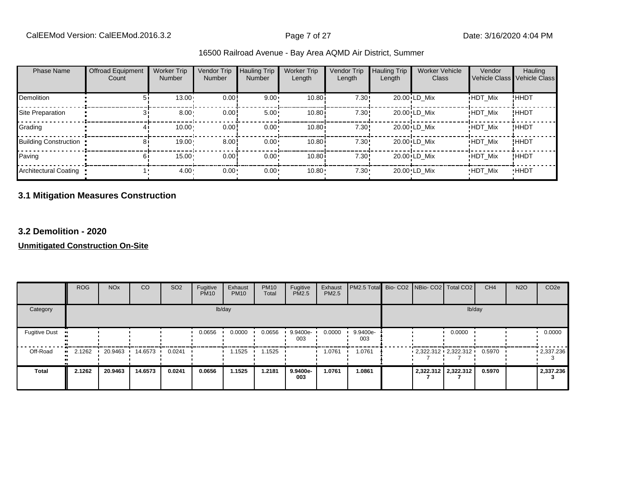| 16500 Railroad Avenue - Bay Area AQMD Air District, Summer |  |  |  |  |  |  |  |  |  |
|------------------------------------------------------------|--|--|--|--|--|--|--|--|--|
|------------------------------------------------------------|--|--|--|--|--|--|--|--|--|

| <b>Phase Name</b>            | <b>Offroad Equipment</b><br>Count | <b>Worker Trip</b><br><b>Number</b> | <b>Vendor Trip</b><br>Number | <b>Hauling Trip</b><br><b>Number</b> | <b>Worker Trip</b><br>Length | Vendor Trip<br>Length | <b>Hauling Trip</b><br>Length | <b>Worker Vehicle</b><br>Class | Vendor         | Hauling<br>Vehicle Class Vehicle Class |
|------------------------------|-----------------------------------|-------------------------------------|------------------------------|--------------------------------------|------------------------------|-----------------------|-------------------------------|--------------------------------|----------------|----------------------------------------|
| <b>Demolition</b>            |                                   | $13.00 -$                           | 0.00!                        | $9.00 \cdot$                         | 10.80i                       | 7.30!                 |                               | 20.00 LD Mix                   | <b>HDT Mix</b> | !HHDT                                  |
| Site Preparation             |                                   | $8.00 -$                            | 0.00                         | $5.00 \cdot$                         | 10.80                        | 7.30!                 |                               | 20.00 LD Mix                   | <b>HDT Mix</b> | !HHDT                                  |
| Grading                      |                                   | $10.00 \cdot$                       | 0.00                         | $0.00 \cdot$                         | 10.80i                       | 7.30!                 |                               | 20.00 LD Mix                   | <b>HDT Mix</b> | ! ННDТ                                 |
| <b>Building Construction</b> |                                   | 19.00                               | 8.00                         | $0.00 \cdot$                         | 10.80i                       | 7.30!                 |                               | 20.00 LD Mix                   | <b>HDT Mix</b> | <b>!HHDT</b>                           |
| Paving                       |                                   | 15.00                               | 0.00                         | $0.00 \cdot$                         | 10.80                        | 7.30!                 |                               | 20.00 LD Mix                   | <b>HDT Mix</b> | <b>!HHDT</b>                           |
| Architectural Coating        |                                   | $4.00 -$                            | $0.00 \cdot$                 | $0.00 \cdot$                         | $10.80 -$                    | $7.30 -$              |                               | 20.00 LD Mix                   | <b>HDT Mix</b> | <b>HHDT</b>                            |

# **3.1 Mitigation Measures Construction**

#### **3.2 Demolition - 2020**

|                      | <b>ROG</b> | <b>NO<sub>x</sub></b> | CO        | SO <sub>2</sub> | Fugitive<br><b>PM10</b> | Exhaust<br><b>PM10</b> | <b>PM10</b><br>Total | Fugitive<br><b>PM2.5</b> | Exhaust<br>PM2.5 | PM2.5 Total Bio- CO2 NBio- CO2 Total CO2 |  |                          | CH <sub>4</sub> | <b>N2O</b> | CO <sub>2e</sub>  |
|----------------------|------------|-----------------------|-----------|-----------------|-------------------------|------------------------|----------------------|--------------------------|------------------|------------------------------------------|--|--------------------------|-----------------|------------|-------------------|
| Category             |            |                       |           |                 |                         | lb/day                 |                      |                          |                  |                                          |  | lb/day                   |                 |            |                   |
| <b>Fugitive Dust</b> |            |                       |           |                 | 0.0656                  | 0.0000                 | 0.0656               | 9.9400e-<br>003          | 0.0000           | 9.9400e-<br>003                          |  | 0.0000                   |                 |            | 0.0000            |
| Off-Road             | 2.1262     | 20.9463               | 14.6573 • | 0.0241          |                         | l.1525                 | 1525ء                |                          | 1.0761           | 1.0761                                   |  | $-2,322.312 - 2,322.312$ | 0.5970          |            | $\cdot$ 2,337.236 |
| <b>Total</b>         | 2.1262     | 20.9463               | 14.6573   | 0.0241          | 0.0656                  | 1.1525                 | 1.2181               | 9.9400e-<br>003          | 1.0761           | 1.0861                                   |  | 2,322.312 2,322.312      | 0.5970          |            | 2,337.236         |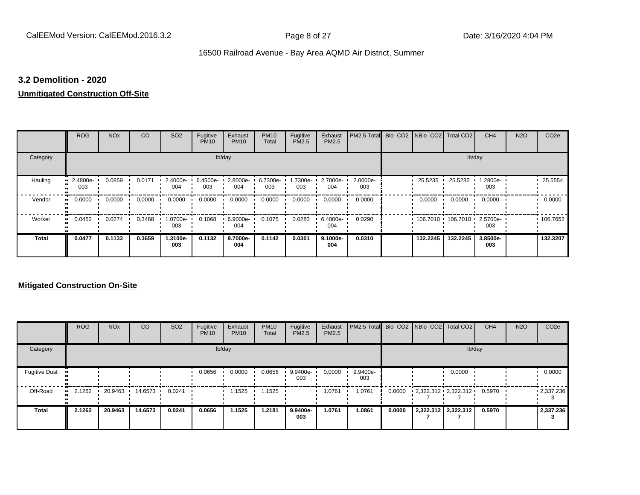#### **3.2 Demolition - 2020**

#### **Unmitigated Construction Off-Site**

|                            | <b>ROG</b>      | <b>NO<sub>x</sub></b> | CO     | SO <sub>2</sub> | Fugitive<br><b>PM10</b> | Exhaust<br><b>PM10</b> | <b>PM10</b><br>Total | Fugitive<br><b>PM2.5</b> | Exhaust<br>PM2.5 | PM2.5 Total Bio- CO2 NBio- CO2 Total CO2 |          |                   | CH <sub>4</sub> | <b>N2O</b> | CO <sub>2e</sub> |
|----------------------------|-----------------|-----------------------|--------|-----------------|-------------------------|------------------------|----------------------|--------------------------|------------------|------------------------------------------|----------|-------------------|-----------------|------------|------------------|
| Category                   |                 |                       |        |                 |                         | lb/day                 |                      |                          |                  |                                          |          | lb/day            |                 |            |                  |
| Hauling                    | 2.4800e-<br>003 | 0.0859                | 0.0171 | 2.4000e-<br>004 | 6.4500e-<br>003         | 2.8000e-<br>004        | 6.7300e-<br>003      | 1.7300e-<br>003          | 2.7000e-<br>004  | 2.0000e-<br>003                          | 25.5235  | 25.5235           | -2800e-<br>003  |            | 25.5554          |
| Vendor<br>$\bullet$        | 0.0000          | 0.0000                | 0.0000 | 0.0000          | 0.0000                  | 0.0000                 | 0.0000               | 0.0000                   | 0.0000           | 0.0000                                   | 0.0000   | 0.0000            | 0.0000          |            | 0.0000           |
| Worker<br>$\bullet\bullet$ | 0.0452          | 0.0274                | 0.3488 | -0700e-<br>003  | 0.1068                  | 6.9000e-<br>004        | 0.1075               | 0.0283                   | 6.4000e-<br>004  | 0.0290                                   |          | 106.7010 106.7010 | 2.5700e-<br>003 |            | 106.7652         |
| <b>Total</b>               | 0.0477          | 0.1133                | 0.3659 | 1.3100e-<br>003 | 0.1132                  | 9.7000e-<br>004        | 0.1142               | 0.0301                   | 9.1000e-<br>004  | 0.0310                                   | 132.2245 | 132.2245          | 3.8500e-<br>003 |            | 132.3207         |

|                      | <b>ROG</b>   | <b>NO<sub>x</sub></b> | CO      | SO <sub>2</sub> | Fugitive<br><b>PM10</b> | Exhaust<br><b>PM10</b> | <b>PM10</b><br>Total | Fugitive<br><b>PM2.5</b> | Exhaust<br><b>PM2.5</b> | PM2.5 Total Bio- CO2 NBio- CO2   Total CO2 |        |                          | CH <sub>4</sub> | <b>N2O</b> | CO <sub>2e</sub>  |
|----------------------|--------------|-----------------------|---------|-----------------|-------------------------|------------------------|----------------------|--------------------------|-------------------------|--------------------------------------------|--------|--------------------------|-----------------|------------|-------------------|
| Category             |              |                       |         |                 |                         | lb/day                 |                      |                          |                         |                                            |        |                          | lb/day          |            |                   |
| <b>Fugitive Dust</b> |              |                       |         |                 | 0.0656                  | 0.0000                 | 0.0656               | 9.9400e-<br>003          | 0.0000                  | 9.9400e-<br>003                            |        | 0.0000                   |                 |            | 0.0000            |
| Off-Road             | 2.1262<br>ш. | 20.9463               | 14.6573 | 0.0241          |                         | 1.1525                 | .1525                |                          | 1.0761                  | 1.0761                                     | 0.0000 | $-2,322.312 - 2,322.312$ | 0.5970          |            | $\cdot$ 2,337.236 |
| <b>Total</b>         | 2.1262       | 20.9463               | 14.6573 | 0.0241          | 0.0656                  | 1.1525                 | 1.2181               | 9.9400e-<br>003          | 1.0761                  | 1.0861                                     | 0.0000 | 2,322.312 2,322.312      | 0.5970          |            | 2,337.236         |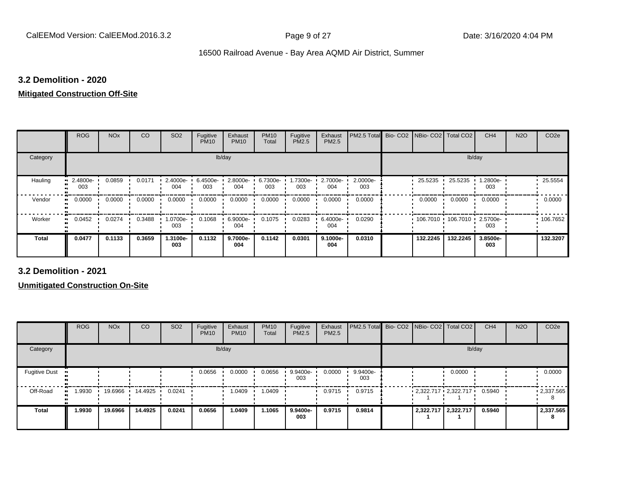#### **3.2 Demolition - 2020**

#### **Mitigated Construction Off-Site**

|              | <b>ROG</b>          | <b>NO<sub>x</sub></b> | <b>CO</b> | SO <sub>2</sub> | Fugitive<br><b>PM10</b> | Exhaust<br><b>PM10</b> | <b>PM10</b><br>Total | Fugitive<br>PM2.5 | Exhaust<br>PM2.5 | PM2.5 Total     | Bio-CO <sub>2</sub> | NBio- CO2   Total CO2 |                     | CH <sub>4</sub> | <b>N2O</b> | CO <sub>2e</sub> |
|--------------|---------------------|-----------------------|-----------|-----------------|-------------------------|------------------------|----------------------|-------------------|------------------|-----------------|---------------------|-----------------------|---------------------|-----------------|------------|------------------|
| Category     |                     |                       |           |                 | lb/day                  |                        |                      |                   |                  |                 |                     |                       | lb/day              |                 |            |                  |
| Hauling      | 2.4800e-<br>003     | 0.0859                | 0.0171    | 2.4000e-<br>004 | 6.4500e-<br>003         | 2.8000e-<br>004        | 6.7300e-<br>003      | 1.7300e-<br>003   | 2.7000e-<br>004  | 2.0000e-<br>003 |                     | 25.5235               | 25.5235             | 1.2800e-<br>003 |            | 25.5554          |
| Vendor       | 0.0000<br>$\bullet$ | 0.0000                | 0.0000    | 0.0000          | 0.0000                  | 0.0000                 | 0.0000               | 0.0000            | 0.0000           | 0.0000          |                     | 0.0000                | 0.0000              | 0.0000          |            | 0.0000           |
| Worker       | 0.0452              | 0.0274                | 0.3488    | 1.0700e-<br>003 | 0.1068                  | 6.9000e-<br>004        | 0.1075               | 0.0283            | 6.4000e-<br>004  | 0.0290          |                     |                       | 106.7010 106.7010 ' | 2.5700e-<br>003 |            | .106.7652        |
| <b>Total</b> | 0.0477              | 0.1133                | 0.3659    | 1.3100e-<br>003 | 0.1132                  | 9.7000e-<br>004        | 0.1142               | 0.0301            | 9.1000e-<br>004  | 0.0310          |                     | 132.2245              | 132.2245            | 3.8500e-<br>003 |            | 132.3207         |

**3.2 Demolition - 2021**

|                      | <b>ROG</b> | <b>NO<sub>x</sub></b> | CO      | SO <sub>2</sub> | Fugitive<br><b>PM10</b> | Exhaust<br><b>PM10</b> | <b>PM10</b><br>Total | Fugitive<br><b>PM2.5</b> | Exhaust<br>PM2.5 | PM2.5 Total Bio- CO2 NBio- CO2 Total CO2 |  |                                 | CH <sub>4</sub> | <b>N2O</b> | CO <sub>2e</sub> |
|----------------------|------------|-----------------------|---------|-----------------|-------------------------|------------------------|----------------------|--------------------------|------------------|------------------------------------------|--|---------------------------------|-----------------|------------|------------------|
| Category             |            |                       |         |                 |                         | lb/day                 |                      |                          |                  |                                          |  | lb/day                          |                 |            |                  |
| <b>Fugitive Dust</b> |            |                       |         |                 | 0.0656                  | 0.0000                 | 0.0656               | 9.9400e-<br>003          | 0.0000           | 9.9400e-<br>003                          |  | 0.0000                          |                 |            | 0.0000           |
| Off-Road             | .9930      | 19.6966               | 14.4925 | 0.0241          |                         | .0409                  | 1.0409               |                          | 0.9715           | 0.9715                                   |  | $2,322.717$ $2,322.717$ $\cdot$ | 0.5940          |            | .2,337.565       |
| <b>Total</b>         | 1.9930     | 19.6966               | 14.4925 | 0.0241          | 0.0656                  | 1.0409                 | 1.1065               | 9.9400e-<br>003          | 0.9715           | 0.9814                                   |  | 2,322.717 2,322.717             | 0.5940          |            | 2,337.565<br>8   |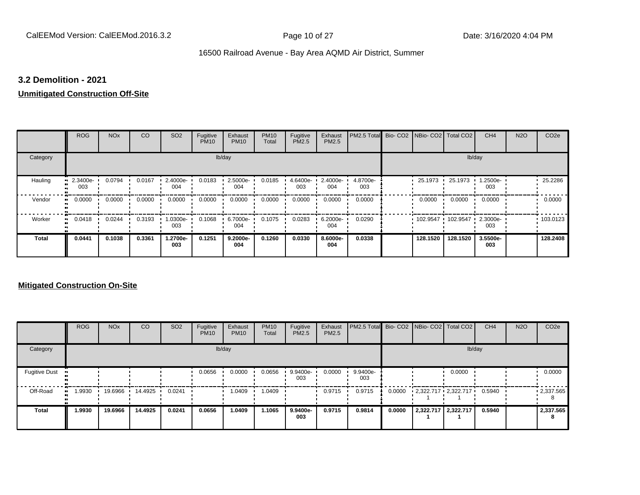#### **3.2 Demolition - 2021**

#### **Unmitigated Construction Off-Site**

|                            | <b>ROG</b>      | <b>NO<sub>x</sub></b> | CO     | SO <sub>2</sub>  | Fugitive<br><b>PM10</b> | Exhaust<br><b>PM10</b> | <b>PM10</b><br>Total | Fugitive<br><b>PM2.5</b> | Exhaust<br>PM2.5 | PM2.5 Total Bio- CO2 NBio- CO2 Total CO2 |          |          | CH <sub>4</sub> | <b>N2O</b> | CO <sub>2e</sub> |
|----------------------------|-----------------|-----------------------|--------|------------------|-------------------------|------------------------|----------------------|--------------------------|------------------|------------------------------------------|----------|----------|-----------------|------------|------------------|
| Category                   |                 |                       |        |                  |                         | lb/day                 |                      |                          |                  |                                          |          | lb/day   |                 |            |                  |
| Hauling                    | 2.3400e-<br>003 | 0.0794                | 0.0167 | 2.4000e-<br>004  | 0.0183                  | 2.5000e-<br>004        | 0.0185               | 4.6400e-<br>003          | 2.4000e-<br>004  | 4.8700e-<br>003                          | 25.1973  | 25.1973  | -2500e-<br>003  |            | 25.2286          |
| Vendor<br>$\bullet\bullet$ | 0.0000          | 0.0000                | 0.0000 | 0.0000           | 0.0000                  | 0.0000                 | 0.0000               | 0.0000                   | 0.0000           | 0.0000                                   | 0.0000   | 0.0000   | 0.0000          |            | 0.0000           |
| Worker<br>$\bullet\bullet$ | 0.0418          | 0.0244                | 0.3193 | $.0300e-$<br>003 | 0.1068                  | 6.7000e-<br>004        | 0.1075               | 0.0283                   | 6.2000e-<br>004  | 0.0290                                   | 102.9547 | 102.9547 | 2.3000e-<br>003 |            | 103.0123         |
| <b>Total</b>               | 0.0441          | 0.1038                | 0.3361 | 1.2700e-<br>003  | 0.1251                  | 9.2000e-<br>004        | 0.1260               | 0.0330                   | 8.6000e-<br>004  | 0.0338                                   | 128.1520 | 128.1520 | 3.5500e-<br>003 |            | 128,2408         |

|                      | <b>ROG</b>  | <b>NO<sub>x</sub></b> | <b>CO</b> | SO <sub>2</sub> | Fugitive<br><b>PM10</b> | Exhaust<br><b>PM10</b> | <b>PM10</b><br>Total | Fugitive<br><b>PM2.5</b> | Exhaust<br><b>PM2.5</b> | PM2.5 Total Bio- CO2 NBio- CO2 Total CO2 |        |                         | CH <sub>4</sub> | <b>N2O</b> | CO <sub>2e</sub>  |
|----------------------|-------------|-----------------------|-----------|-----------------|-------------------------|------------------------|----------------------|--------------------------|-------------------------|------------------------------------------|--------|-------------------------|-----------------|------------|-------------------|
| Category             |             |                       |           |                 |                         | lb/day                 |                      |                          |                         |                                          |        |                         | lb/day          |            |                   |
| <b>Fugitive Dust</b> |             |                       |           |                 | 0.0656                  | 0.0000                 | 0.0656               | 9.9400e-<br>003          | 0.0000                  | 9.9400e-<br>003                          |        | 0.0000                  |                 |            | 0.0000            |
| Off-Road             | .9930<br>ш. | 19.6966               | 14.4925   | 0.0241          |                         | 1.0409                 | 1.0409               |                          | 0.9715                  | 0.9715                                   | 0.0000 | $2,322.717$ $2,322.717$ | 0.5940          |            | $\cdot$ 2,337.565 |
| Total                | 1.9930      | 19.6966               | 14.4925   | 0.0241          | 0.0656                  | 1.0409                 | 1.1065               | 9.9400e-<br>003          | 0.9715                  | 0.9814                                   | 0.0000 | 2,322.717 2,322.717     | 0.5940          |            | 2,337.565<br>8    |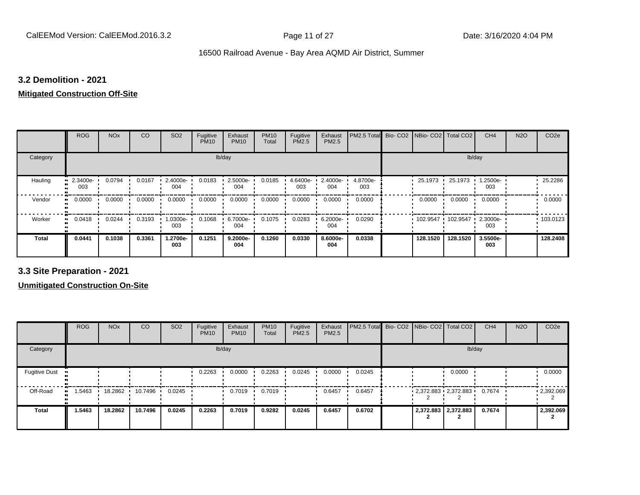#### **3.2 Demolition - 2021**

## **Mitigated Construction Off-Site**

|                     | <b>ROG</b>          | <b>NO<sub>x</sub></b> | CO     | SO <sub>2</sub> | Fugitive<br><b>PM10</b> | Exhaust<br><b>PM10</b> | <b>PM10</b><br>Total | Fugitive<br>PM2.5 | Exhaust<br>PM2.5 | PM2.5 Total     | Bio-CO <sub>2</sub> | NBio- CO2   Total CO2 |          | CH <sub>4</sub> | <b>N2O</b> | CO <sub>2e</sub> |
|---------------------|---------------------|-----------------------|--------|-----------------|-------------------------|------------------------|----------------------|-------------------|------------------|-----------------|---------------------|-----------------------|----------|-----------------|------------|------------------|
| Category            |                     |                       |        |                 | lb/day                  |                        |                      |                   |                  |                 |                     |                       | lb/day   |                 |            |                  |
| Hauling             | 2.3400e-<br>003     | 0.0794                | 0.0167 | 2.4000e-<br>004 | 0.0183                  | 2.5000e-<br>004        | 0.0185               | 4.6400e-<br>003   | 2.4000e-<br>004  | 4.8700e-<br>003 |                     | 25.1973 ·             | 25.1973  | 1.2500e-<br>003 |            | 25.2286          |
| Vendor              | 0.0000<br>$\bullet$ | 0.0000                | 0.0000 | 0.0000          | 0.0000                  | 0.0000                 | 0.0000               | 0.0000            | 0.0000           | 0.0000          |                     | 0.0000                | 0.0000   | 0.0000          |            | 0.0000           |
| Worker<br>$\bullet$ | 0.0418              | 0.0244                | 0.3193 | 1.0300e-<br>003 | 0.1068                  | 6.7000e-<br>004        | 0.1075               | 0.0283            | 6.2000e-<br>004  | 0.0290          |                     | 102.9547              | 102.9547 | 2.3000e-<br>003 |            | .103.0123        |
| <b>Total</b>        | 0.0441              | 0.1038                | 0.3361 | 1.2700e-<br>003 | 0.1251                  | 9.2000e-<br>004        | 0.1260               | 0.0330            | 8.6000e-<br>004  | 0.0338          |                     | 128.1520              | 128.1520 | 3.5500e-<br>003 |            | 128,2408         |

**3.3 Site Preparation - 2021**

|                      | <b>ROG</b> | <b>NO<sub>x</sub></b> | CO                | SO <sub>2</sub> | Fugitive<br><b>PM10</b> | Exhaust<br><b>PM10</b> | <b>PM10</b><br>Total | Fugitive<br><b>PM2.5</b> | Exhaust<br>PM2.5 | PM2.5 Total Bio- CO2 NBio- CO2 Total CO2 |                         |        | CH <sub>4</sub> | <b>N2O</b> | CO <sub>2e</sub>  |
|----------------------|------------|-----------------------|-------------------|-----------------|-------------------------|------------------------|----------------------|--------------------------|------------------|------------------------------------------|-------------------------|--------|-----------------|------------|-------------------|
| Category             |            |                       |                   |                 |                         | lb/day                 |                      |                          |                  |                                          |                         | lb/day |                 |            |                   |
| <b>Fugitive Dust</b> |            |                       |                   |                 | 0.2263                  | 0.0000                 | 0.2263               | 0.0245                   | 0.0000           | 0.0245                                   |                         | 0.0000 |                 |            | 0.0000            |
| Off-Road             | 1.5463     | 18.2862               | $10.7496$ $\cdot$ | 0.0245          |                         | 0.7019                 | 0.7019               |                          | 0.6457           | 0.6457                                   | $2,372.883$ $2,372.883$ |        | 0.7674          |            | $\cdot$ 2,392.069 |
| <b>Total</b>         | 1.5463     | 18.2862               | 10.7496           | 0.0245          | 0.2263                  | 0.7019                 | 0.9282               | 0.0245                   | 0.6457           | 0.6702                                   | 2,372.883 2,372.883     |        | 0.7674          |            | 2,392.069         |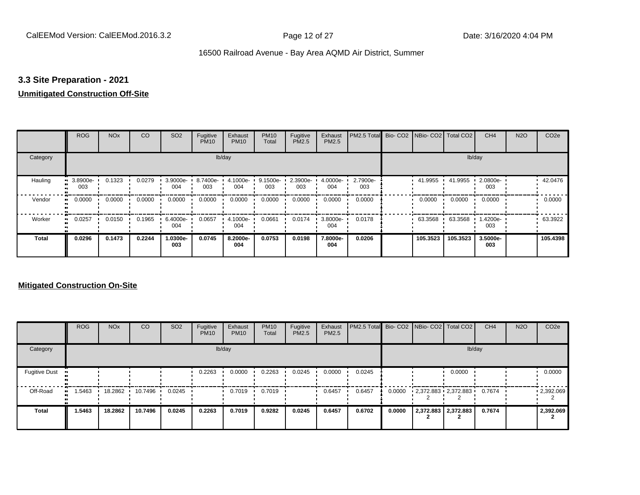## **3.3 Site Preparation - 2021**

## **Unmitigated Construction Off-Site**

|                     | <b>ROG</b>      | <b>NO<sub>x</sub></b> | CO     | SO <sub>2</sub> | Fugitive<br><b>PM10</b> | Exhaust<br><b>PM10</b> | <b>PM10</b><br>Total | Fugitive<br>PM2.5 | Exhaust<br>PM2.5 | PM2.5 Total     | Bio-CO2 NBio-CO2 Total CO2 |          | CH <sub>4</sub> | <b>N2O</b> | CO <sub>2e</sub> |
|---------------------|-----------------|-----------------------|--------|-----------------|-------------------------|------------------------|----------------------|-------------------|------------------|-----------------|----------------------------|----------|-----------------|------------|------------------|
| Category            |                 |                       |        |                 |                         | lb/day                 |                      |                   |                  |                 |                            |          | lb/day          |            |                  |
| Hauling             | 3.8900e-<br>003 | 0.1323                | 0.0279 | 3.9000e-<br>004 | 8.7400e-<br>003         | 4.1000e-<br>004        | 9.1500e-<br>003      | 2.3900e-<br>003   | 4.0000e-<br>004  | 2.7900e-<br>003 | 41.9955                    | 41.9955  | 2.0800e-<br>003 |            | 42.0476          |
| Vendor<br>$\bullet$ | 0.0000          | 0.0000                | 0.0000 | 0.0000          | 0.0000                  | 0.0000                 | 0.0000               | 0.0000            | 0.0000           | 0.0000          | 0.0000                     | 0.0000   | 0.0000          |            | 0.0000           |
| Worker<br>$\bullet$ | 0.0257          | 0.0150                | 0.1965 | 6.4000e-<br>004 | 0.0657                  | 4.1000e-<br>004        | 0.0661               | 0.0174            | 3.8000e-<br>004  | 0.0178          | 63.3568                    | 63.3568  | 1.4200e-<br>003 |            | 63.3922          |
| <b>Total</b>        | 0.0296          | 0.1473                | 0.2244 | 1.0300e-<br>003 | 0.0745                  | 8.2000e-<br>004        | 0.0753               | 0.0198            | 7.8000e-<br>004  | 0.0206          | 105.3523                   | 105.3523 | 3.5000e-<br>003 |            | 105.4398         |

|                      | <b>ROG</b> | <b>NO<sub>x</sub></b> | CO      | SO <sub>2</sub> | Fugitive<br><b>PM10</b> | Exhaust<br><b>PM10</b> | <b>PM10</b><br>Total | Fugitive<br><b>PM2.5</b> | Exhaust<br><b>PM2.5</b> | PM2.5 Total Bio- CO2 NBio- CO2   Total CO2 |        |                         | CH <sub>4</sub> | <b>N2O</b> | CO <sub>2e</sub>  |
|----------------------|------------|-----------------------|---------|-----------------|-------------------------|------------------------|----------------------|--------------------------|-------------------------|--------------------------------------------|--------|-------------------------|-----------------|------------|-------------------|
| Category             |            |                       |         |                 |                         | lb/day                 |                      |                          |                         |                                            |        |                         | lb/day          |            |                   |
| <b>Fugitive Dust</b> |            |                       |         |                 | 0.2263                  | 0.0000                 | 0.2263               | 0.0245                   | 0.0000                  | 0.0245                                     |        | 0.0000                  |                 |            | 0.0000            |
| Off-Road             | .5463      | 18.2862               | 10.7496 | 0.0245          |                         | 0.7019                 | 0.7019               |                          | 0.6457                  | 0.6457                                     | 0.0000 | $2,372.883$ $2,372.883$ | 0.7674          |            | $\cdot$ 2,392.069 |
| <b>Total</b>         | 1.5463     | 18.2862               | 10.7496 | 0.0245          | 0.2263                  | 0.7019                 | 0.9282               | 0.0245                   | 0.6457                  | 0.6702                                     | 0.0000 | 2,372.883 2,372.883     | 0.7674          |            | 2,392.069         |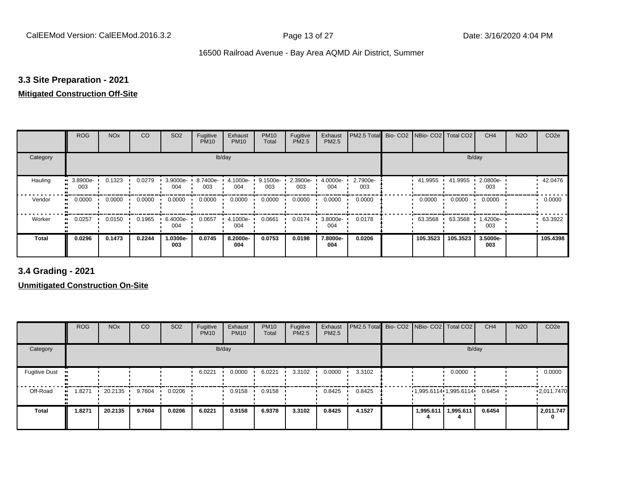## **3.3 Site Preparation - 2021**

## **Mitigated Construction Off-Site**

|                     | <b>ROG</b>      | <b>NO<sub>x</sub></b> | <b>CO</b> | SO <sub>2</sub> | Fugitive<br><b>PM10</b> | Exhaust<br><b>PM10</b> | <b>PM10</b><br>Total | Fugitive<br>PM2.5 | Exhaust<br>PM2.5   | PM2.5 Total     | Bio-CO <sub>2</sub> | NBio- CO2   Total CO2 |          | CH <sub>4</sub> | <b>N2O</b> | CO <sub>2e</sub> |
|---------------------|-----------------|-----------------------|-----------|-----------------|-------------------------|------------------------|----------------------|-------------------|--------------------|-----------------|---------------------|-----------------------|----------|-----------------|------------|------------------|
| Category            |                 |                       |           |                 | lb/day                  |                        |                      |                   |                    |                 |                     |                       | lb/day   |                 |            |                  |
| Hauling             | 3.8900e-<br>003 | 0.1323                | 0.0279    | 3.9000e-<br>004 | 8.7400e-<br>003         | 4.1000e-<br>004        | 9.1500e-<br>003      | 2.3900e-<br>003   | $4.0000e -$<br>004 | 2.7900e-<br>003 |                     | 41.9955 ·             | 41.9955  | 2.0800e-<br>003 |            | 42.0476          |
| Vendor<br>$\bullet$ | 0.0000          | 0.0000                | 0.0000    | 0.0000          | 0.0000                  | 0.0000                 | 0.0000               | 0.0000            | 0.0000             | 0.0000          |                     | 0.0000                | 0.0000   | 0.0000          |            | 0.0000           |
| Worker<br>$\bullet$ | 0.0257          | 0.0150                | 0.1965    | 6.4000e-<br>004 | 0.0657                  | 4.1000e-<br>004        | 0.0661               | 0.0174            | 3.8000e-<br>004    | 0.0178          |                     | 63.3568               | 63.3568  | 1.4200e-<br>003 |            | 63.3922          |
| <b>Total</b>        | 0.0296          | 0.1473                | 0.2244    | 1.0300e-<br>003 | 0.0745                  | 8.2000e-<br>004        | 0.0753               | 0.0198            | 7.8000e-<br>004    | 0.0206          |                     | 105.3523              | 105.3523 | 3.5000e-<br>003 |            | 105.4398         |

**3.4 Grading - 2021**

|                      | <b>ROG</b> | <b>NO<sub>x</sub></b> | CO     | SO <sub>2</sub> | Fugitive<br><b>PM10</b> | Exhaust<br><b>PM10</b> | <b>PM10</b><br>Total | Fugitive<br><b>PM2.5</b> | Exhaust<br>PM2.5 | PM2.5 Total Bio- CO2 NBio- CO2 Total CO2 |           |                                | CH <sub>4</sub> | <b>N2O</b> | CO <sub>2e</sub> |
|----------------------|------------|-----------------------|--------|-----------------|-------------------------|------------------------|----------------------|--------------------------|------------------|------------------------------------------|-----------|--------------------------------|-----------------|------------|------------------|
| Category             |            |                       |        |                 |                         | lb/day                 |                      |                          |                  |                                          |           | lb/day                         |                 |            |                  |
| <b>Fugitive Dust</b> |            |                       |        |                 | 6.0221                  | 0.0000                 | 6.0221               | 3.3102                   | 0.0000           | 3.3102                                   |           | 0.0000                         |                 |            | 0.0000           |
| Off-Road             | .8271      | 20.2135               | 9.7604 | 0.0206          |                         | 0.9158                 | 0.9158               |                          | 0.8425           | 0.8425                                   |           | $1,995.6114$ 1,995.6114 0.6454 |                 |            | 12,011.7470      |
| <b>Total</b>         | 1.8271     | 20.2135               | 9.7604 | 0.0206          | 6.0221                  | 0.9158                 | 6.9378               | 3.3102                   | 0.8425           | 4.1527                                   | 1,995.611 | 1,995.611                      | 0.6454          |            | 2,011.747        |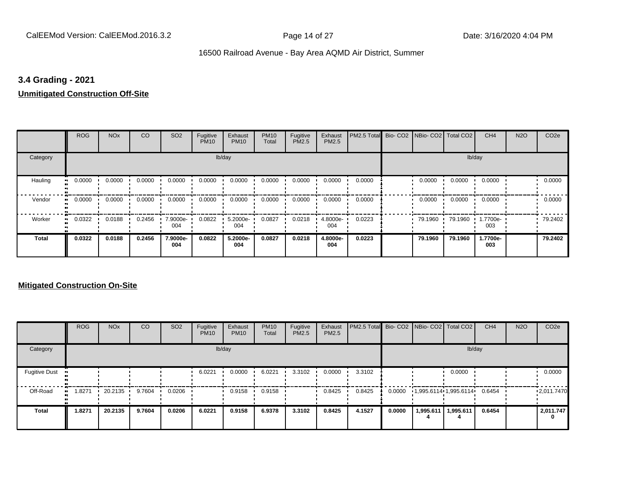## **3.4 Grading - 2021**

## **Unmitigated Construction Off-Site**

|                            | <b>ROG</b>                 | <b>NO<sub>x</sub></b> | CO     | SO <sub>2</sub> | Fugitive<br><b>PM10</b> | Exhaust<br><b>PM10</b> | <b>PM10</b><br>Total | Fugitive<br>PM2.5 | Exhaust<br>PM2.5 | PM2.5 Total | Bio- CO2   NBio- CO2   Total CO2 |         | CH <sub>4</sub> | <b>N2O</b> | CO <sub>2e</sub> |
|----------------------------|----------------------------|-----------------------|--------|-----------------|-------------------------|------------------------|----------------------|-------------------|------------------|-------------|----------------------------------|---------|-----------------|------------|------------------|
| Category                   |                            |                       |        |                 |                         | lb/day                 |                      |                   |                  |             |                                  |         | lb/day          |            |                  |
| Hauling<br>$\bullet$       | 0.0000                     | 0.0000                | 0.0000 | 0.0000          | 0.0000                  | 0.0000                 | 0.0000               | 0.0000            | 0.0000           | 0.0000      | 0.0000                           | 0.0000  | 0.0000          |            | 0.0000           |
| Vendor                     | 0.0000<br>$\bullet\bullet$ | 0.0000                | 0.0000 | 0.0000          | 0.0000                  | 0.0000                 | 0.0000               | 0.0000            | 0.0000           | 0.0000      | 0.0000                           | 0.0000  | 0.0000          |            | 0.0000           |
| Worker<br>$\bullet\bullet$ | 0.0322                     | 0.0188                | 0.2456 | 7.9000e-<br>004 | 0.0822                  | 5.2000e-<br>004        | 0.0827               | 0.0218            | 4.8000e-<br>004  | 0.0223      | 79.1960                          | 79.1960 | 1.7700e-<br>003 |            | 79.2402          |
| <b>Total</b>               | 0.0322                     | 0.0188                | 0.2456 | 7.9000e-<br>004 | 0.0822                  | 5.2000e-<br>004        | 0.0827               | 0.0218            | 4.8000e-<br>004  | 0.0223      | 79.1960                          | 79.1960 | 1.7700e-<br>003 |            | 79.2402          |

|                      | <b>ROG</b>  | <b>NO<sub>x</sub></b> | <b>CO</b> | SO <sub>2</sub> | Fugitive<br><b>PM10</b> | Exhaust<br><b>PM10</b> | <b>PM10</b><br>Total | Fugitive<br><b>PM2.5</b> | Exhaust<br><b>PM2.5</b> | PM2.5 Total Bio- CO2 NBio- CO2 Total CO2 |        |                               |           | CH <sub>4</sub> | <b>N2O</b> | CO <sub>2e</sub> |
|----------------------|-------------|-----------------------|-----------|-----------------|-------------------------|------------------------|----------------------|--------------------------|-------------------------|------------------------------------------|--------|-------------------------------|-----------|-----------------|------------|------------------|
| Category             |             |                       |           |                 |                         | lb/day                 |                      |                          |                         |                                          |        |                               | lb/day    |                 |            |                  |
| <b>Fugitive Dust</b> |             |                       |           |                 | 6.0221                  | 0.0000                 | 6.0221               | 3.3102                   | 0.0000                  | 3.3102                                   |        |                               | 0.0000    |                 |            | 0.0000           |
| Off-Road             | .8271<br>ш. | 20.2135               | 9.7604    | 0.0206          |                         | 0.9158                 | 0.9158               |                          | 0.8425                  | 0.8425                                   | 0.0000 | $1,995.6114 \cdot 1,995.6114$ |           | 0.6454          |            | 12,011.7470      |
| <b>Total</b>         | 1.8271      | 20.2135               | 9.7604    | 0.0206          | 6.0221                  | 0.9158                 | 6.9378               | 3.3102                   | 0.8425                  | 4.1527                                   | 0.0000 | 1,995.611                     | 1,995.611 | 0.6454          |            | 2,011.747<br>0   |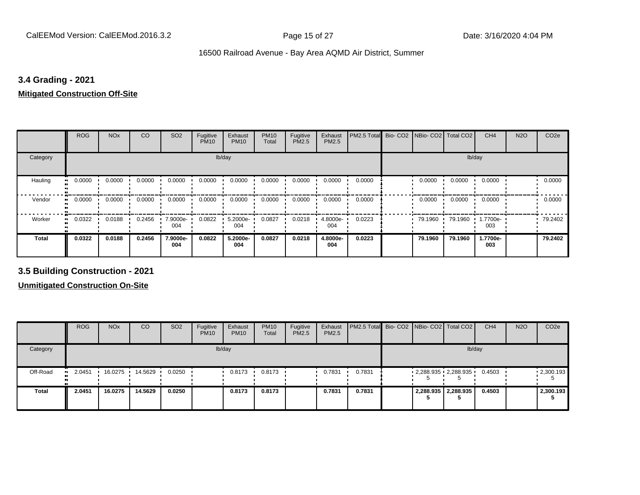## **3.4 Grading - 2021**

## **Mitigated Construction Off-Site**

|                           | <b>ROG</b> | <b>NO<sub>x</sub></b> | CO     | SO <sub>2</sub> | Fugitive<br><b>PM10</b> | Exhaust<br><b>PM10</b> | <b>PM10</b><br>Total | Fugitive<br>PM2.5 | Exhaust<br>PM2.5 | PM2.5 Total | Bio- CO2   NBio- CO2   Total CO2 |         | CH <sub>4</sub> | <b>N2O</b> | CO <sub>2e</sub> |
|---------------------------|------------|-----------------------|--------|-----------------|-------------------------|------------------------|----------------------|-------------------|------------------|-------------|----------------------------------|---------|-----------------|------------|------------------|
| Category                  |            |                       |        |                 | lb/day                  |                        |                      |                   |                  |             |                                  | lb/day  |                 |            |                  |
| Hauling<br>$\blacksquare$ | 0.0000     | 0.0000                | 0.0000 | 0.0000          | 0.0000                  | 0.0000                 | 0.0000               | 0.0000            | 0.0000           | 0.0000      | 0.0000                           | 0.0000  | 0.0000          |            | 0.0000           |
| Vendor<br>$\bullet$       | 0.0000     | 0.0000                | 0.0000 | 0.0000          | 0.0000                  | 0.0000                 | 0.0000               | 0.0000            | 0.0000           | 0.0000      | 0.0000                           | 0.0000  | 0.0000          |            | 0.0000           |
| Worker                    | 0.0322     | 0.0188                | 0.2456 | 7.9000e-<br>004 | 0.0822                  | 5.2000e-<br>004        | 0.0827               | 0.0218            | 4.8000e-<br>004  | 0.0223      | 79.1960                          | 79.1960 | 1.7700e-<br>003 |            | 79.2402          |
| <b>Total</b>              | 0.0322     | 0.0188                | 0.2456 | 7.9000e-<br>004 | 0.0822                  | 5.2000e-<br>004        | 0.0827               | 0.0218            | 4.8000e-<br>004  | 0.0223      | 79.1960                          | 79.1960 | 1.7700e-<br>003 |            | 79.2402          |

**3.5 Building Construction - 2021**

|              | <b>ROG</b>   | <b>NO<sub>x</sub></b> | CO      | SO <sub>2</sub> | Fugitive<br><b>PM10</b> | Exhaust<br><b>PM10</b> | <b>PM10</b><br>Total | Fugitive<br><b>PM2.5</b> | Exhaust<br>PM2.5 | <b>PM2.5 Total</b> Bio- CO2 NBio- CO2   Total CO2 |                              |                     | CH <sub>4</sub> | <b>N2O</b> | CO <sub>2e</sub>  |
|--------------|--------------|-----------------------|---------|-----------------|-------------------------|------------------------|----------------------|--------------------------|------------------|---------------------------------------------------|------------------------------|---------------------|-----------------|------------|-------------------|
| Category     |              |                       |         |                 |                         | lb/day                 |                      |                          |                  |                                                   |                              |                     | lb/day          |            |                   |
| Off-Road     | 2.0451<br>ш. | 16.0275               | 14.5629 | 0.0250          |                         | 0.8173                 | 0.8173               |                          | 0.7831           | 0.7831                                            | $2,288.935$ $2,288.935$<br>Ð |                     | 0.4503          |            | $\cdot$ 2,300.193 |
| <b>Total</b> | 2.0451       | 16.0275               | 14.5629 | 0.0250          |                         | 0.8173                 | 0.8173               |                          | 0.7831           | 0.7831                                            |                              | 2,288.935 2,288.935 | 0.4503          |            | 2,300.193         |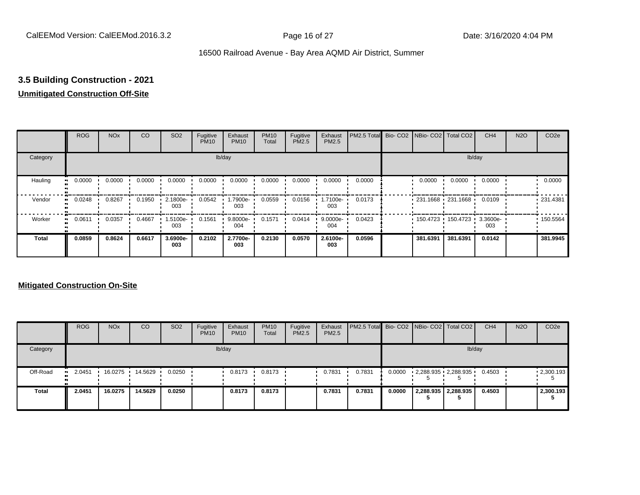## **3.5 Building Construction - 2021**

## **Unmitigated Construction Off-Site**

|                     | <b>ROG</b> | <b>NO<sub>x</sub></b> | CO     | SO <sub>2</sub> | Fugitive<br><b>PM10</b> | Exhaust<br><b>PM10</b> | <b>PM10</b><br>Total | Fugitive<br>PM2.5 | Exhaust<br>PM2.5   | PM2.5 Total Bio- CO2 NBio- CO2 Total CO2 |                            |          | CH <sub>4</sub> | <b>N2O</b> | CO <sub>2e</sub> |
|---------------------|------------|-----------------------|--------|-----------------|-------------------------|------------------------|----------------------|-------------------|--------------------|------------------------------------------|----------------------------|----------|-----------------|------------|------------------|
| Category            |            |                       |        |                 |                         | lb/day                 |                      |                   |                    |                                          |                            |          | lb/day          |            |                  |
| Hauling<br>œ        | 0.0000     | 0.0000                | 0.0000 | 0.0000          | 0.0000                  | 0.0000                 | 0.0000               | 0.0000            | 0.0000             | 0.0000                                   | 0.0000                     | 0.0000   | 0.0000          |            | 0.0000           |
| Vendor<br>œ         | 0.0248     | 0.8267                | 0.1950 | 2.1800e-<br>003 | 0.0542                  | --900e.l<br>003        | 0.0559               | 0.0156            | -.7100e<br>003     | 0.0173                                   | $-231.1668 - 231.1668$     |          | 0.0109          |            | .231.4381        |
| Worker<br>$\bullet$ | 0.0611     | 0.0357                | 0.4667 | 1.5100e-<br>003 | 0.1561                  | 9.8000e-<br>004        | 0.1571               | 0.0414            | $9.0000e -$<br>004 | 0.0423                                   | 150.4723 150.4723 3.3600e- |          | 003             |            | .150.5564        |
| <b>Total</b>        | 0.0859     | 0.8624                | 0.6617 | 3.6900e-<br>003 | 0.2102                  | 2.7700e-<br>003        | 0.2130               | 0.0570            | 2.6100e-<br>003    | 0.0596                                   | 381.6391                   | 381.6391 | 0.0142          |            | 381.9945         |

|              | <b>ROG</b>          | <b>NO<sub>x</sub></b> | CO      | SO <sub>2</sub> | Fugitive<br><b>PM10</b> | Exhaust<br><b>PM10</b> | <b>PM10</b><br>Total | Fugitive<br><b>PM2.5</b> | Exhaust<br><b>PM2.5</b> | PM2.5 Total Bio- CO2   NBio- CO2   Total CO2 |        |                         | CH <sub>4</sub> | <b>N2O</b> | CO <sub>2e</sub>  |
|--------------|---------------------|-----------------------|---------|-----------------|-------------------------|------------------------|----------------------|--------------------------|-------------------------|----------------------------------------------|--------|-------------------------|-----------------|------------|-------------------|
| Category     |                     |                       |         |                 |                         | lb/day                 |                      |                          |                         |                                              |        | lb/day                  |                 |            |                   |
| Off-Road     | 2.0451<br>$\bullet$ | 16.0275               | 14.5629 | 0.0250          |                         | 0.8173                 | 0.8173               |                          | 0.7831                  | 0.7831                                       | 0.0000 | $2,288.935$ $2,288.935$ | 0.4503          |            | $\cdot$ 2,300.193 |
| <b>Total</b> | 2.0451              | 16.0275               | 14.5629 | 0.0250          |                         | 0.8173                 | 0.8173               |                          | 0.7831                  | 0.7831                                       | 0.0000 | 2,288.935 2,288.935     | 0.4503          |            | 2,300.193         |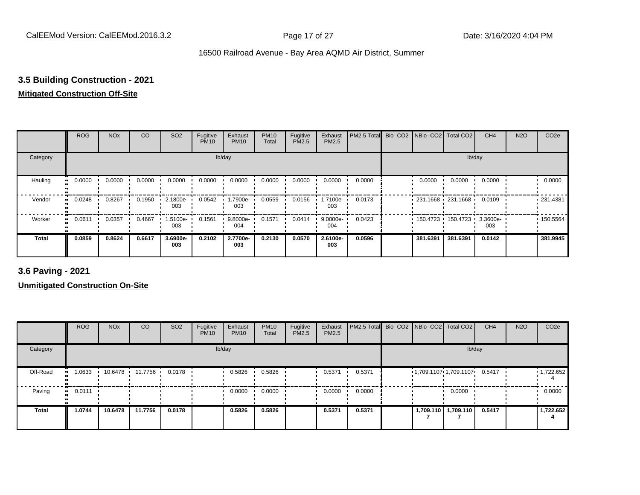## **3.5 Building Construction - 2021**

## **Mitigated Construction Off-Site**

|                      | <b>ROG</b>                 | <b>NO<sub>x</sub></b> | CO     | SO <sub>2</sub> | Fugitive<br><b>PM10</b> | Exhaust<br><b>PM10</b> | <b>PM10</b><br>Total | Fugitive<br>PM2.5 | Exhaust<br>PM2.5 | PM2.5 Total | Bio- CO2   NBio- CO2   Total CO2 |                     | CH <sub>4</sub> | <b>N2O</b> | CO <sub>2e</sub> |
|----------------------|----------------------------|-----------------------|--------|-----------------|-------------------------|------------------------|----------------------|-------------------|------------------|-------------|----------------------------------|---------------------|-----------------|------------|------------------|
| Category             |                            |                       |        |                 |                         | lb/day                 |                      |                   |                  |             |                                  | lb/day              |                 |            |                  |
| Hauling<br>$\bullet$ | 0.0000                     | 0.0000                | 0.0000 | 0.0000          | 0.0000                  | 0.0000                 | 0.0000               | 0.0000            | 0.0000           | 0.0000      | 0.0000                           | 0.0000              | 0.0000          |            | 0.0000           |
| Vendor               | 0.0248<br>$\bullet\bullet$ | 0.8267                | 0.1950 | 2.1800e-<br>003 | 0.0542                  | 1.7900e-<br>003        | 0.0559               | 0.0156            | .7100e-<br>003   | 0.0173      | $-231.1668 - 231.1668$           |                     | 0.0109          |            | .231.4381        |
| Worker<br>$\bullet$  | 0.0611                     | 0.0357                | 0.4667 | 1.5100e-<br>003 | 0.1561                  | 9.8000e-<br>004        | 0.1571               | 0.0414            | 9.0000e-<br>004  | 0.0423      |                                  | 150.4723 150.4723 ' | 3.3600e-<br>003 |            | .150.5564        |
| <b>Total</b>         | 0.0859                     | 0.8624                | 0.6617 | 3.6900e-<br>003 | 0.2102                  | 2.7700e-<br>003        | 0.2130               | 0.0570            | 2.6100e-<br>003  | 0.0596      | 381.6391                         | 381.6391            | 0.0142          |            | 381.9945         |

**3.6 Paving - 2021**

|              | <b>ROG</b> | <b>NO<sub>x</sub></b> | CO              | SO <sub>2</sub> | Fugitive<br><b>PM10</b> | Exhaust<br><b>PM10</b> | <b>PM10</b><br>Total | Fugitive<br><b>PM2.5</b> | Exhaust<br>PM2.5 | PM2.5 Total Bio- CO2 NBio- CO2   Total CO2 |  |                                            | CH <sub>4</sub> | <b>N2O</b> | CO <sub>2e</sub> |
|--------------|------------|-----------------------|-----------------|-----------------|-------------------------|------------------------|----------------------|--------------------------|------------------|--------------------------------------------|--|--------------------------------------------|-----------------|------------|------------------|
| Category     |            |                       |                 |                 |                         | lb/day                 |                      |                          |                  |                                            |  | lb/day                                     |                 |            |                  |
| Off-Road     | 1.0633     |                       | 10.6478 11.7756 | 0.0178          |                         | 0.5826                 | 0.5826               |                          | 0.5371           | 0.5371                                     |  | $1,709.1107 \cdot 1,709.1107 \cdot 0.5417$ |                 |            | 1,722.652        |
| Paving       | 0.0111     |                       |                 |                 |                         | 0.0000                 | 0.0000               |                          | 0.0000           | 0.0000                                     |  | 0.0000                                     |                 |            | 0.0000           |
| <b>Total</b> | 1.0744     | 10.6478               | 11.7756         | 0.0178          |                         | 0.5826                 | 0.5826               |                          | 0.5371           | 0.5371                                     |  | 1,709.110   1,709.110                      | 0.5417          |            | 1,722.652        |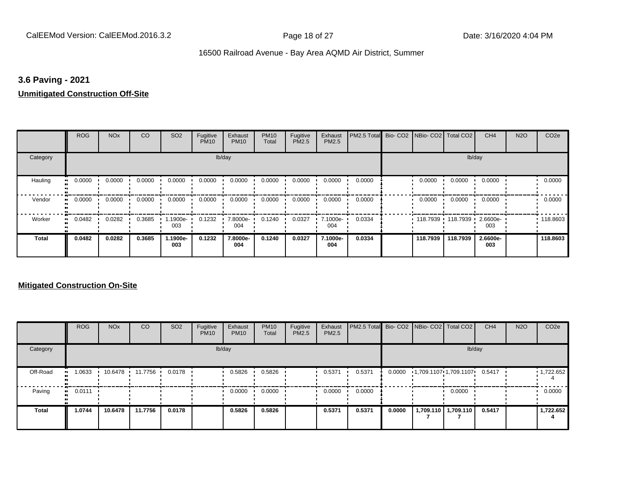## **3.6 Paving - 2021**

## **Unmitigated Construction Off-Site**

|                     | <b>ROG</b> | <b>NO<sub>x</sub></b> | CO     | SO <sub>2</sub> | Fugitive<br><b>PM10</b> | Exhaust<br><b>PM10</b> | <b>PM10</b><br>Total | Fugitive<br>PM2.5 | Exhaust<br>PM2.5 | PM2.5 Total Bio- CO2 NBio- CO2 Total CO2 |          |          | CH <sub>4</sub> | <b>N2O</b> | CO <sub>2e</sub> |
|---------------------|------------|-----------------------|--------|-----------------|-------------------------|------------------------|----------------------|-------------------|------------------|------------------------------------------|----------|----------|-----------------|------------|------------------|
| Category            |            |                       |        |                 |                         | lb/day                 |                      |                   |                  |                                          |          | lb/day   |                 |            |                  |
| Hauling             | 0.0000     | 0.0000                | 0.0000 | 0.0000          | 0.0000                  | 0.0000                 | 0.0000               | 0.0000            | 0.0000           | 0.0000                                   | 0.0000   | 0.0000   | 0.0000          |            | 0.0000           |
| Vendor<br>$\bullet$ | 0.0000     | 0.0000                | 0.0000 | 0.0000          | 0.0000                  | 0.0000                 | 0.0000               | 0.0000            | 0.0000           | 0.0000                                   | 0.0000   | 0.0000   | 0.0000          |            | 0.0000           |
| Worker<br>$\bullet$ | 0.0482     | 0.0282                | 0.3685 | .1900e-<br>003  | 0.1232                  | 7.8000e-<br>004        | 0.1240               | 0.0327            | 7.1000e-<br>004  | 0.0334                                   | 118.7939 | 118.7939 | 2.6600e-<br>003 |            | 118.8603         |
| <b>Total</b>        | 0.0482     | 0.0282                | 0.3685 | 1.1900e-<br>003 | 0.1232                  | 7.8000e-<br>004        | 0.1240               | 0.0327            | 7.1000e-<br>004  | 0.0334                                   | 118.7939 | 118.7939 | 2.6600e-<br>003 |            | 118.8603         |

|          | <b>ROG</b>   | <b>NO<sub>x</sub></b> | <b>CO</b>       | SO <sub>2</sub> | Fugitive<br><b>PM10</b> | Exhaust<br><b>PM10</b> | <b>PM10</b><br>Total | Fugitive<br><b>PM2.5</b> | Exhaust<br><b>PM2.5</b> | <b>PM2.5 Total</b> Bio- CO2 NBio- CO2 Total CO2 |        |                              |                     | CH <sub>4</sub> | <b>N2O</b> | CO <sub>2e</sub>  |
|----------|--------------|-----------------------|-----------------|-----------------|-------------------------|------------------------|----------------------|--------------------------|-------------------------|-------------------------------------------------|--------|------------------------------|---------------------|-----------------|------------|-------------------|
| Category |              |                       |                 |                 |                         | lb/day                 |                      |                          |                         |                                                 |        |                              | lb/day              |                 |            |                   |
| Off-Road | 1.0633<br>   |                       | 10.6478 11.7756 | 0.0178          |                         | 0.5826                 | 0.5826               |                          | 0.5371                  | 0.5371                                          | 0.0000 | 1,709.1107 1,709.1107 0.5417 |                     |                 |            | $\cdot$ 1,722.652 |
| Paving   | 0.0111<br>ш. |                       |                 |                 |                         | 0.0000                 | 0.0000               |                          | 0.0000                  | 0.0000                                          |        |                              | 0.0000              |                 |            | 0.0000            |
| Total    | 1.0744       | 10.6478               | 11.7756         | 0.0178          |                         | 0.5826                 | 0.5826               |                          | 0.5371                  | 0.5371                                          | 0.0000 |                              | 1,709.110 1,709.110 | 0.5417          |            | 1,722.652         |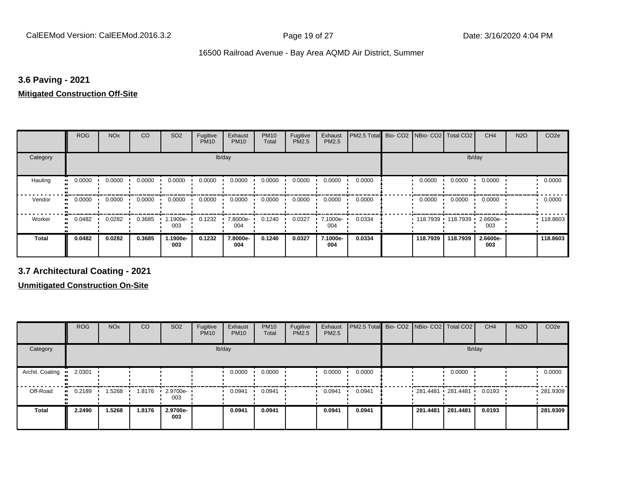## **3.6 Paving - 2021**

#### **Mitigated Construction Off-Site**

|                     | <b>ROG</b> | <b>NO<sub>x</sub></b> | CO     | SO <sub>2</sub> | Fugitive<br><b>PM10</b> | Exhaust<br><b>PM10</b> | <b>PM10</b><br>Total | Fugitive<br>PM2.5 | Exhaust<br>PM2.5 | PM2.5 Total | Bio- CO2   NBio- CO2   Total CO2 |                   | CH <sub>4</sub> | <b>N2O</b> | CO <sub>2e</sub> |
|---------------------|------------|-----------------------|--------|-----------------|-------------------------|------------------------|----------------------|-------------------|------------------|-------------|----------------------------------|-------------------|-----------------|------------|------------------|
| Category            |            |                       |        |                 | lb/day                  |                        |                      |                   |                  |             |                                  | lb/day            |                 |            |                  |
| Hauling             | 0.0000     | 0.0000                | 0.0000 | 0.0000          | 0.0000                  | 0.0000                 | 0.0000               | 0.0000            | 0.0000           | 0.0000      | 0.0000                           | 0.0000            | 0.0000          |            | 0.0000           |
| Vendor<br>$\bullet$ | 0.0000     | 0.0000                | 0.0000 | 0.0000          | 0.0000                  | 0.0000                 | 0.0000               | 0.0000            | 0.0000           | 0.0000      | 0.0000                           | 0.0000            | 0.0000          |            | 0.0000           |
| Worker<br>$\bullet$ | 0.0482     | 0.0282                | 0.3685 | .1900e-<br>003  | 0.1232                  | 7.8000e-<br>004        | 0.1240               | 0.0327            | 7.1000e-<br>004  | 0.0334      |                                  | 118.7939 118.7939 | 2.6600e-<br>003 |            | .118.8603        |
| <b>Total</b>        | 0.0482     | 0.0282                | 0.3685 | -.1900e<br>003  | 0.1232                  | 7.8000e-<br>004        | 0.1240               | 0.0327            | 7.1000e-<br>004  | 0.0334      | 118.7939                         | 118.7939          | 2.6600e-<br>003 |            | 118,8603         |

**3.7 Architectural Coating - 2021**

|                 | <b>ROG</b>          | <b>NO<sub>x</sub></b> | CO     | SO <sub>2</sub>    | Fugitive<br><b>PM10</b> | Exhaust<br><b>PM10</b> | <b>PM10</b><br>Total | Fugitive<br><b>PM2.5</b> | Exhaust<br><b>PM2.5</b> | PM2.5 Total Bio- CO2 NBio- CO2 Total CO2 |          |                     | CH <sub>4</sub> | <b>N2O</b> | CO <sub>2e</sub> |
|-----------------|---------------------|-----------------------|--------|--------------------|-------------------------|------------------------|----------------------|--------------------------|-------------------------|------------------------------------------|----------|---------------------|-----------------|------------|------------------|
| Category        |                     |                       |        |                    |                         | lb/day                 |                      |                          |                         |                                          |          |                     | lb/day          |            |                  |
| Archit. Coating | 2.0301              |                       |        |                    |                         | 0.0000                 | 0.0000               |                          | 0.0000                  | 0.0000                                   |          | 0.0000              |                 |            | 0.0000           |
| Off-Road        | 0.2189<br>$\bullet$ | .5268                 | 1.8176 | $-2.9700e-$<br>003 |                         | 0.0941                 | 0.0941               |                          | 0.0941                  | 0.0941                                   |          | 281.4481 281.4481 ' | 0.0193          |            | .281.9309        |
| <b>Total</b>    | 2.2490              | 1.5268                | 1.8176 | 2.9700e-<br>003    |                         | 0.0941                 | 0.0941               |                          | 0.0941                  | 0.0941                                   | 281.4481 | 281.4481            | 0.0193          |            | 281.9309         |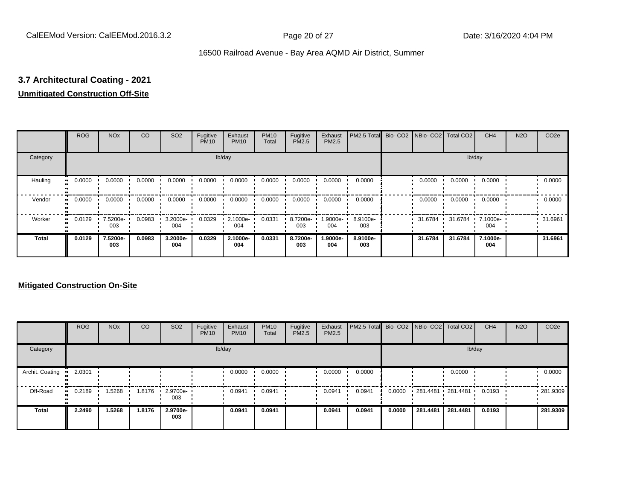# **3.7 Architectural Coating - 2021**

## **Unmitigated Construction Off-Site**

|                     | <b>ROG</b> | <b>NO<sub>x</sub></b> | CO     | SO <sub>2</sub> | Fugitive<br><b>PM10</b> | Exhaust<br><b>PM10</b> | <b>PM10</b><br>Total | Fugitive<br><b>PM2.5</b> | Exhaust<br>PM2.5 | PM2.5 Total Bio- CO2 NBio- CO2 Total CO2 |         |         | CH <sub>4</sub> | <b>N2O</b> | CO <sub>2e</sub> |
|---------------------|------------|-----------------------|--------|-----------------|-------------------------|------------------------|----------------------|--------------------------|------------------|------------------------------------------|---------|---------|-----------------|------------|------------------|
| Category            |            |                       |        |                 |                         | lb/day                 |                      |                          |                  |                                          |         |         | lb/day          |            |                  |
| Hauling<br>œ        | 0.0000     | 0.0000                | 0.0000 | 0.0000          | 0.0000                  | 0.0000                 | 0.0000               | 0.0000                   | 0.0000           | 0.0000                                   | 0.0000  | 0.0000  | 0.0000          |            | 0.0000           |
| Vendor<br>œ         | 0.0000     | 0.0000                | 0.0000 | 0.0000          | 0.0000                  | 0.0000                 | 0.0000               | 0.0000                   | 0.0000           | 0.0000                                   | 0.0000  | 0.0000  | 0.0000          |            | 0.0000           |
| Worker<br>$\bullet$ | 0.0129     | 7.5200e-<br>003       | 0.0983 | 3.2000e-<br>004 | 0.0329                  | 2.1000e-<br>004        | 0.0331               | 8.7200e-<br>003          | -9000e.<br>004   | 8.9100e-<br>003                          | 31.6784 | 31.6784 | 7.1000e-<br>004 |            | 31.6961          |
| <b>Total</b>        | 0.0129     | 7.5200e-<br>003       | 0.0983 | 3.2000e-<br>004 | 0.0329                  | 2.1000e-<br>004        | 0.0331               | 8.7200e-<br>003          | 1.9000e-<br>004  | 8.9100e-<br>003                          | 31.6784 | 31.6784 | 7.1000e-<br>004 |            | 31.6961          |

|                 | <b>ROG</b>   | <b>NO<sub>x</sub></b> | CO     | SO <sub>2</sub> | Fugitive<br><b>PM10</b> | Exhaust<br><b>PM10</b> | <b>PM10</b><br>Total | Fugitive<br><b>PM2.5</b> | Exhaust<br><b>PM2.5</b> | PM2.5 Total Bio- CO2 NBio- CO2   Total CO2 |        |                   |          | CH <sub>4</sub> | <b>N2O</b> | CO <sub>2e</sub> |
|-----------------|--------------|-----------------------|--------|-----------------|-------------------------|------------------------|----------------------|--------------------------|-------------------------|--------------------------------------------|--------|-------------------|----------|-----------------|------------|------------------|
| Category        |              |                       |        |                 |                         | lb/day                 |                      |                          |                         |                                            |        |                   |          | lb/day          |            |                  |
| Archit. Coating | 2.0301       |                       |        |                 |                         | 0.0000                 | 0.0000               |                          | 0.0000                  | 0.0000                                     |        |                   | 0.0000   |                 |            | 0.0000           |
| Off-Road        | 0.2189<br>ш. | 1.5268                | 1.8176 | 2.9700e-<br>003 |                         | 0.0941                 | 0.0941               |                          | 0.0941                  | 0.0941                                     | 0.0000 | 281.4481 281.4481 |          | 0.0193          |            | .281.9309        |
| Total           | 2.2490       | 1.5268                | 1.8176 | 2.9700e-<br>003 |                         | 0.0941                 | 0.0941               |                          | 0.0941                  | 0.0941                                     | 0.0000 | 281.4481          | 281.4481 | 0.0193          |            | 281.9309         |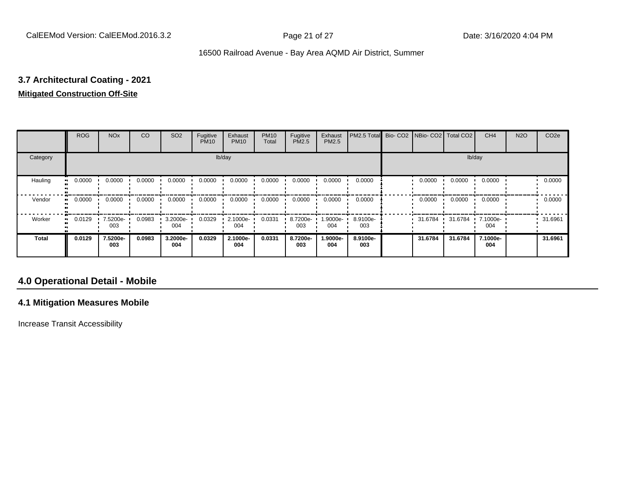# **3.7 Architectural Coating - 2021**

## **Mitigated Construction Off-Site**

|              | <b>ROG</b> | <b>NO<sub>x</sub></b> | CO     | SO <sub>2</sub> | Fugitive<br><b>PM10</b> | Exhaust<br><b>PM10</b> | <b>PM10</b><br>Total | Fugitive<br>PM2.5 | Exhaust<br>PM2.5 | PM2.5 Total     | Bio- CO2   NBio- CO2   Total CO2 |         | CH <sub>4</sub> | <b>N2O</b> | CO <sub>2e</sub> |
|--------------|------------|-----------------------|--------|-----------------|-------------------------|------------------------|----------------------|-------------------|------------------|-----------------|----------------------------------|---------|-----------------|------------|------------------|
| Category     |            |                       |        |                 |                         | lb/day                 |                      |                   |                  |                 |                                  | lb/day  |                 |            |                  |
| Hauling      | 0.0000     | 0.0000                | 0.0000 | 0.0000          | 0.0000                  | 0.0000                 | 0.0000               | 0.0000            | 0.0000           | 0.0000          | 0.0000                           | 0.0000  | 0.0000          |            | 0.0000           |
| Vendor       | 0.0000     | 0.0000                | 0.0000 | 0.0000          | 0.0000                  | 0.0000                 | 0.0000               | 0.0000            | 0.0000           | 0.0000          | 0.0000                           | 0.0000  | 0.0000          |            | 0.0000           |
| Worker       | 0.0129     | 7.5200e-<br>003       | 0.0983 | 3.2000e-<br>004 | 0.0329                  | 2.1000e-<br>004        | 0.0331               | 8.7200e-<br>003   | .9000e-<br>004   | 8.9100e-<br>003 | 31.6784                          | 31.6784 | 7.1000e-<br>004 |            | 31.6961          |
| <b>Total</b> | 0.0129     | 7.5200e-<br>003       | 0.0983 | 3.2000e-<br>004 | 0.0329                  | 2.1000e-<br>004        | 0.0331               | 8.7200e-<br>003   | -9000e.<br>004   | 8.9100e-<br>003 | 31.6784                          | 31.6784 | 7.1000e-<br>004 |            | 31.6961          |

## **4.0 Operational Detail - Mobile**

## **4.1 Mitigation Measures Mobile**

Increase Transit Accessibility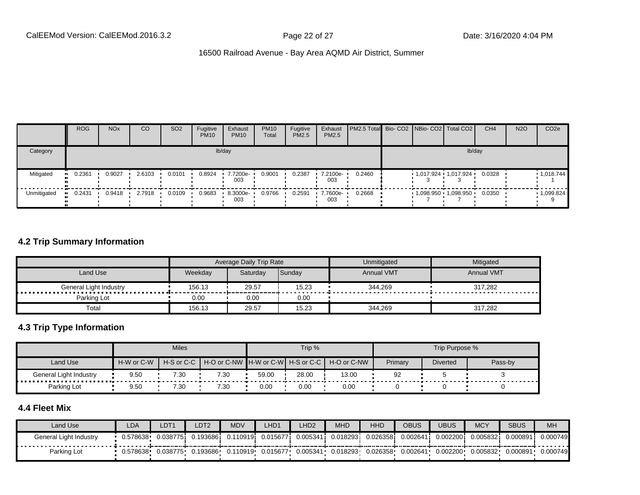|             | <b>ROG</b> | <b>NO<sub>x</sub></b> | CO     | SO <sub>2</sub> | Fugitive<br><b>PM10</b> | Exhaust<br><b>PM10</b> | <b>PM10</b><br>Total | Fugitive<br><b>PM2.5</b> | Exhaust<br>PM2.5 | <b>PM2.5 Total</b> Bio- CO2 NBio- CO2 Total CO2 |  |                           | CH <sub>4</sub> | <b>N2O</b> | CO <sub>2e</sub> |
|-------------|------------|-----------------------|--------|-----------------|-------------------------|------------------------|----------------------|--------------------------|------------------|-------------------------------------------------|--|---------------------------|-----------------|------------|------------------|
| Category    |            |                       |        |                 |                         | lb/day                 |                      |                          |                  |                                                 |  | lb/day                    |                 |            |                  |
| Mitigated   | 0.2361     | 0.9027                | 2.6103 | 0.0101          | 0.8924                  | 7.7200e-<br>003        | 0.9001               | 0.2387                   | 7.2100e-<br>003  | 0.2460                                          |  | $1,017.924$ $1,017.924$ . | 0.0328          |            | 1,018.744        |
| Unmitigated | 0.2431     | 0.9418                | 2.7918 | 0.0109          | 0.9683                  | 8.3000e-<br>003        | 0.9766               | 0.2591                   | 7.7600e-<br>003  | 0.2668                                          |  | 1,098.950 1,098.950       | 0.0350          |            | .1,099.824       |

## **4.2 Trip Summary Information**

|                             |         | Average Daily Trip Rate |        | Unmitigated | <b>Mitigated</b>  |
|-----------------------------|---------|-------------------------|--------|-------------|-------------------|
| Land Use                    | Weekdav | Saturdav                | Sunday | Annual VMT  | <b>Annual VMT</b> |
| General Light Industry<br>. | 156.13  | 29.57                   | 15.23  | 344,269     | 317,282           |
| Parking Lot                 | 0.00    | 0.00                    | 0.00   |             |                   |
| Total                       | 156.13  | 29.57                   | 15.23  | 344,269     | 317,282           |

## **4.3 Trip Type Information**

|                               |                            | <b>Miles</b> |      |       | Trip % |                                               |         | Trip Purpose %  |         |
|-------------------------------|----------------------------|--------------|------|-------|--------|-----------------------------------------------|---------|-----------------|---------|
| Land Use                      | H-W or C-W<br>H-S or C-C I |              |      |       |        | H-O or C-NW H-W or C-W H-S or C-C H-O or C-NW | Primary | <b>Diverted</b> | Pass-by |
| <b>General Light Industry</b> | 9.50                       | 7.30         | 7.30 | 59.00 | 28.00  | 13.00                                         | 92      |                 |         |
| Parking Lot                   | 9.50                       | 7.30         | 7.30 | 0.00  | 0.00   | 0.00                                          |         |                 |         |

## **4.4 Fleet Mix**

| Land Use               | LDA      | DT1       | LDT <sub>2</sub> | <b>MDV</b> | LHD <sub>1</sub> | LHD <sub>2</sub> | <b>MHD</b> | <b>HHD</b> | OBUS     | JBUS     | <b>MCY</b> | <b>SBUS</b> | <b>MH</b> |
|------------------------|----------|-----------|------------------|------------|------------------|------------------|------------|------------|----------|----------|------------|-------------|-----------|
| General Light Industry | 0.578638 | 0.0387751 | .193686          | 0.110919i  | 0.015677         | 0.005341         | 0.018293   | 0.026358   | 0.00264  | 0.002200 | 0.005832   | 0.000891    | 0.000749  |
| Parking Lot            | 0.578638 | 0.038775  | .193686          | 0.110919   | 0.015677         | 0.005341         | 0.018293   | 0.026358   | 0.002641 | 0.002200 | 0.005832   | 0.000891    | 0.000749  |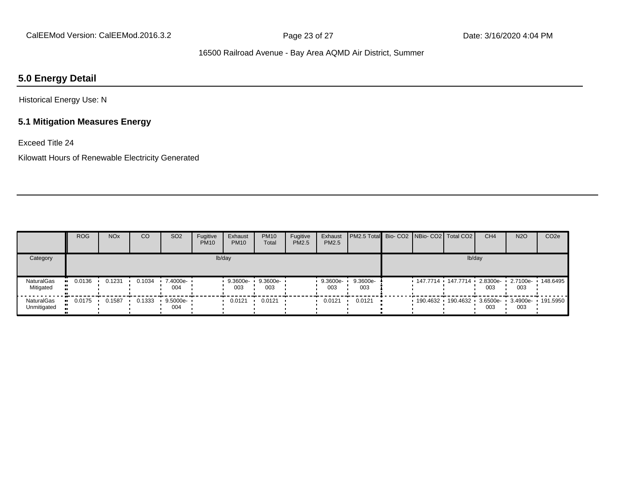## **5.0 Energy Detail**

Historical Energy Use: N

## **5.1 Mitigation Measures Energy**

Exceed Title 24

Kilowatt Hours of Renewable Electricity Generated

|                           | <b>ROG</b> | <b>NO<sub>x</sub></b> | CO     | SO <sub>2</sub>    | Fugitive<br><b>PM10</b> | Exhaust<br><b>PM10</b> | <b>PM10</b><br>Total | Fugitive<br>PM2.5 | Exhaust<br>PM2.5  | <b>PM2.5 Total Bio-CO2 NBio-CO2 Total CO2</b> |  |                         | CH <sub>4</sub> | <b>N2O</b>                          | CO <sub>2e</sub> |
|---------------------------|------------|-----------------------|--------|--------------------|-------------------------|------------------------|----------------------|-------------------|-------------------|-----------------------------------------------|--|-------------------------|-----------------|-------------------------------------|------------------|
| Category                  |            |                       |        |                    |                         | lb/day                 |                      |                   |                   |                                               |  | lb/day                  |                 |                                     |                  |
| NaturalGas<br>Mitigated   | 0.0136     | 0.1231                | 0.1034 | 7.4000e- •<br>004  |                         | 9.3600e-<br>003        | 9.3600e-<br>003      |                   | $9.3600e-$<br>003 | 9.3600e-<br>003                               |  | - 147.7714 - 147.7714 - | 003             | 2.8300e- 1 2.7100e- 148.6495<br>003 |                  |
| NaturalGas<br>Unmitigated | 0.0175     | 0.1587                | 0.1333 | $9.5000e -$<br>004 |                         | 0.0121                 | 0.0121               |                   | 0.0121            | 0.0121                                        |  | $190.4632$ 190.4632     | 003             | 3.6500e- 3.4900e- 191.5950<br>003   |                  |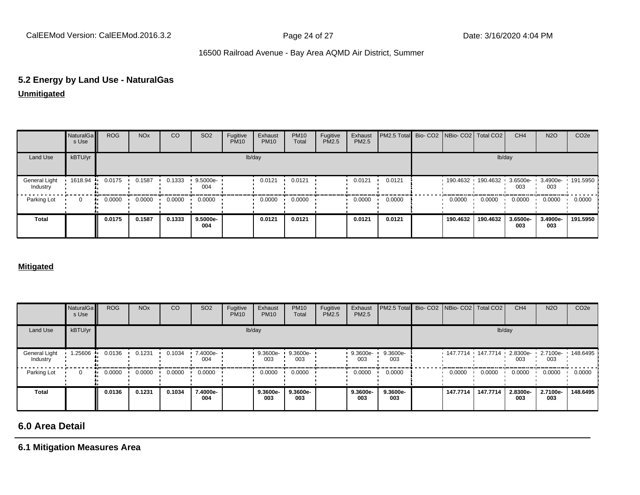# **5.2 Energy by Land Use - NaturalGas**

**Unmitigated**

|                           | NaturalGa<br>s Use | <b>ROG</b> | <b>NO<sub>x</sub></b> | CO     | SO <sub>2</sub> | Fugitive<br><b>PM10</b> | Exhaust<br><b>PM10</b> | <b>PM10</b><br>Total | Fugitive<br>PM2.5 | Exhaust<br>PM2.5 | PM2.5 Total Bio- CO2 NBio- CO2 Total CO2 |                                              |          | CH <sub>4</sub> | <b>N2O</b>      | CO <sub>2e</sub> |
|---------------------------|--------------------|------------|-----------------------|--------|-----------------|-------------------------|------------------------|----------------------|-------------------|------------------|------------------------------------------|----------------------------------------------|----------|-----------------|-----------------|------------------|
| Land Use                  | kBTU/yr            |            |                       |        |                 |                         | lb/day                 |                      |                   |                  |                                          |                                              |          | lb/day          |                 |                  |
| General Light<br>Industry | 1618.94            | 0.0175     | 0.1587                | 0.1333 | 9.5000e-<br>004 |                         | 0.0121                 | 0.0121               |                   | 0.0121           | 0.0121                                   | 190.4632 190.4632 3.6500e- 3.4900e- 191.5950 |          | 003             | 003             |                  |
| Parking Lot               | 0                  | 0.0000     | 0.0000                | 0.0000 | 0.0000          |                         | 0.0000                 | 0.0000               |                   | 0.0000           | 0.0000                                   | 0.0000                                       | 0.0000   | 0.0000          | 0.0000          | 0.0000           |
| <b>Total</b>              |                    | 0.0175     | 0.1587                | 0.1333 | 9.5000e-<br>004 |                         | 0.0121                 | 0.0121               |                   | 0.0121           | 0.0121                                   | 190.4632                                     | 190.4632 | 3.6500e-<br>003 | 3.4900e-<br>003 | 191.5950         |

#### **Mitigated**

|                           | NaturalGa<br>s Use | <b>ROG</b>   | <b>NO<sub>x</sub></b> | CO     | SO <sub>2</sub> | Fugitive<br><b>PM10</b> | Exhaust<br><b>PM10</b> | <b>PM10</b><br>Total | Fugitive<br>PM2.5 | Exhaust<br>PM2.5 | PM2.5 Total Bio- CO2 NBio- CO2 Total CO2 |          |                                                       | CH <sub>4</sub> | <b>N2O</b>      | CO <sub>2e</sub> |
|---------------------------|--------------------|--------------|-----------------------|--------|-----------------|-------------------------|------------------------|----------------------|-------------------|------------------|------------------------------------------|----------|-------------------------------------------------------|-----------------|-----------------|------------------|
| Land Use                  | kBTU/yr            |              |                       |        |                 |                         | lb/day                 |                      |                   |                  |                                          |          | lb/day                                                |                 |                 |                  |
| General Light<br>Industry | 1.25606            | 0.0136       | 0.1231                | 0.1034 | 7.4000e-<br>004 |                         | 9.3600e-<br>003        | 9.3600e-<br>003      |                   | 9.3600e-<br>003  | 9.3600e-<br>003                          |          | $147.7714$ $147.7714$ $2.8300e$ $12.7100e$ $148.6495$ | 003             | 003             |                  |
| Parking Lot               | 0                  | 0.0000<br>ш. | 0.0000                | 0.0000 | 0.0000          |                         | 0.0000                 | 0.0000               |                   | 0.0000           | 0.0000                                   | 0.0000   | 0.0000                                                | 0.0000          | 0.0000          | 0.0000           |
| <b>Total</b>              |                    | 0.0136       | 0.1231                | 0.1034 | 7.4000e-<br>004 |                         | 9.3600e-<br>003        | 9.3600e-<br>003      |                   | 9.3600e-<br>003  | 9.3600e-<br>003                          | 147.7714 | 147.7714                                              | 2.8300e-<br>003 | 2.7100e-<br>003 | 148.6495         |

## **6.0 Area Detail**

**6.1 Mitigation Measures Area**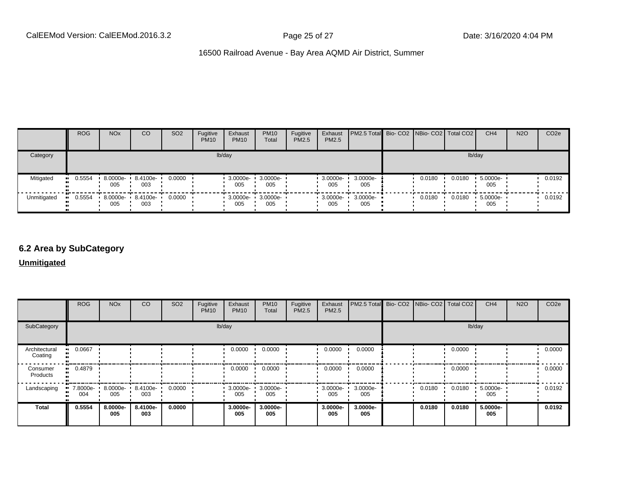|             | <b>ROG</b>   | <b>NO<sub>x</sub></b>    | <b>CO</b>       | SO <sub>2</sub> | Fugitive<br><b>PM10</b> | Exhaust<br><b>PM10</b>          | <b>PM10</b><br>Total | Fugitive<br><b>PM2.5</b> | Exhaust<br>PM2.5 | <b>PM2.5 Total</b> Bio- CO2 NBio- CO2 Total CO2 |        |        | CH <sub>4</sub> | <b>N2O</b> | CO <sub>2e</sub> |
|-------------|--------------|--------------------------|-----------------|-----------------|-------------------------|---------------------------------|----------------------|--------------------------|------------------|-------------------------------------------------|--------|--------|-----------------|------------|------------------|
| Category    |              |                          |                 |                 |                         | lb/day                          |                      |                          |                  |                                                 |        | lb/day |                 |            |                  |
| Mitigated   | 0.5554<br>ш. | 8.0000e-<br>005          | 8.4100e-<br>003 | 0.0000          |                         | $3.0000e -$<br>005              | 3.0000e-<br>005      |                          | 3.0000e-<br>005  | 3.0000e-<br>005                                 | 0.0180 | 0.0180 | 5.0000e-<br>005 |            | 0.0192           |
| Unmitigated | 0.5554       | 8.0000e- 8.4100e-<br>005 | 003             | 0.0000          |                         | $\cdot$ 3.0000e- $\cdot$<br>005 | 3.0000e-<br>005      |                          | 3.0000e-<br>005  | 3.0000e-<br>005                                 | 0.0180 | 0.0180 | 5.0000e-<br>005 |            | 0.0192           |

## **6.2 Area by SubCategory**

**Unmitigated**

|                          | <b>ROG</b>      | <b>NO<sub>x</sub></b>    | CO              | SO <sub>2</sub> | Fugitive<br><b>PM10</b> | Exhaust<br><b>PM10</b> | <b>PM10</b><br>Total | Fugitive<br>PM2.5 | Exhaust<br>PM2.5 | PM2.5 Total Bio- CO2 NBio- CO2 Total CO2 |        |        | CH <sub>4</sub> | <b>N2O</b> | CO <sub>2e</sub> |
|--------------------------|-----------------|--------------------------|-----------------|-----------------|-------------------------|------------------------|----------------------|-------------------|------------------|------------------------------------------|--------|--------|-----------------|------------|------------------|
| SubCategory              |                 |                          |                 |                 | lb/day                  |                        |                      |                   |                  |                                          |        | lb/day |                 |            |                  |
| Architectural<br>Coating | 0.0667          |                          |                 |                 |                         | 0.0000                 | 0.0000               |                   | 0.0000           | 0.0000                                   |        | 0.0000 |                 |            | 0.0000           |
| Consumer<br>Products     | 0.4879          |                          |                 |                 |                         | 0.0000                 | 0.0000               |                   | 0.0000           | 0.0000                                   |        | 0.0000 |                 |            | 0.0000           |
| Landscaping              | 7.8000e-<br>004 | 8.0000e- 8.4100e-<br>005 | 003             | 0.0000          |                         | 3.0000e-<br>005        | 3.0000e-<br>005      |                   | 3.0000e-<br>005  | 3.0000e-<br>005                          | 0.0180 | 0.0180 | 5.0000e-<br>005 |            | 0.0192           |
| <b>Total</b>             | 0.5554          | 8.0000e-<br>005          | 8.4100e-<br>003 | 0.0000          |                         | 3.0000e-<br>005        | 3.0000e-<br>005      |                   | 3.0000e-<br>005  | 3.0000e-<br>005                          | 0.0180 | 0.0180 | 5.0000e-<br>005 |            | 0.0192           |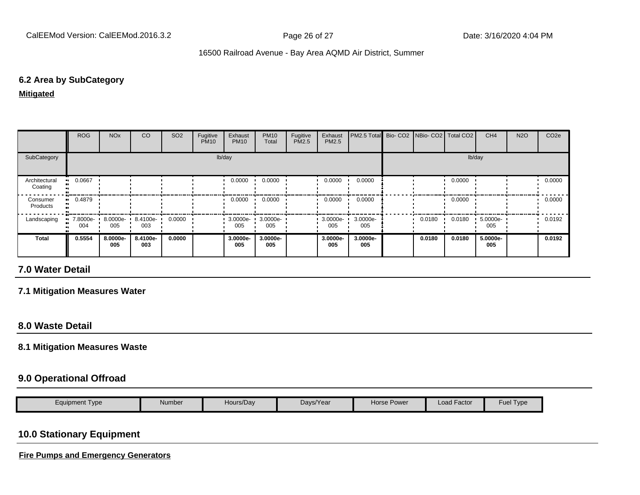## **6.2 Area by SubCategory**

**Mitigated**

|                          | <b>ROG</b>                     | <b>NO<sub>x</sub></b> | CO              | SO <sub>2</sub> | Fugitive<br><b>PM10</b> | Exhaust<br><b>PM10</b> | <b>PM10</b><br>Total | Fugitive<br>PM2.5 | Exhaust<br><b>PM2.5</b> | PM2.5 Total Bio- CO2 NBio- CO2   Total CO2 |        |        | CH <sub>4</sub> | <b>N2O</b> | CO <sub>2e</sub> |
|--------------------------|--------------------------------|-----------------------|-----------------|-----------------|-------------------------|------------------------|----------------------|-------------------|-------------------------|--------------------------------------------|--------|--------|-----------------|------------|------------------|
| SubCategory              |                                |                       |                 |                 |                         | lb/day                 |                      |                   |                         |                                            |        |        | lb/day          |            |                  |
| Architectural<br>Coating | $-0.0667$                      |                       |                 |                 |                         | 0.0000                 | 0.0000               |                   | 0.0000                  | 0.0000                                     |        | 0.0000 |                 |            | 0.0000           |
| Consumer<br>Products     | $-0.4879$                      |                       |                 |                 |                         | 0.0000                 | 0.0000               |                   | 0.0000                  | 0.0000                                     |        | 0.0000 |                 |            | 0.0000           |
| Landscaping              | $\blacksquare$ 7.8000e-<br>004 | 8.0000e-<br>005       | 8.4100e-<br>003 | 0.0000          |                         | $3.0000e -$<br>005     | 3.0000e-<br>005      |                   | 3.0000e-<br>005         | 3.0000e-<br>005                            | 0.0180 | 0.0180 | 5.0000e-<br>005 |            | 0.0192           |
| <b>Total</b>             | 0.5554                         | 8.0000e-<br>005       | 8.4100e-<br>003 | 0.0000          |                         | 3.0000e-<br>005        | 3.0000e-<br>005      |                   | 3.0000e-<br>005         | 3.0000e-<br>005                            | 0.0180 | 0.0180 | 5.0000e-<br>005 |            | 0.0192           |

## **7.0 Water Detail**

## **7.1 Mitigation Measures Water**

## **8.0 Waste Detail**

#### **8.1 Mitigation Measures Waste**

## **9.0 Operational Offroad**

| -<br>Load F<br>$\overline{\phantom{a}}$<br>Hours/Day<br>Days/Year<br>Factor<br>Number<br>Horse Power<br>Equipment Type<br><b>Fue</b><br>I ype |
|-----------------------------------------------------------------------------------------------------------------------------------------------|
|-----------------------------------------------------------------------------------------------------------------------------------------------|

## **10.0 Stationary Equipment**

**Fire Pumps and Emergency Generators**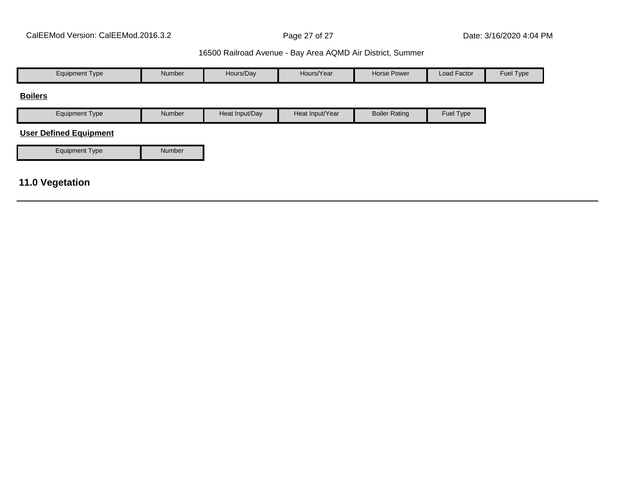| <b>Equipment Type</b>         | Number | Hours/Day      | Hours/Year      | Horse Power          | Load Factor | Fuel Type |
|-------------------------------|--------|----------------|-----------------|----------------------|-------------|-----------|
| <b>Boilers</b>                |        |                |                 |                      |             |           |
| <b>Equipment Type</b>         | Number | Heat Input/Day | Heat Input/Year | <b>Boiler Rating</b> | Fuel Type   |           |
| <b>User Defined Equipment</b> |        |                |                 |                      |             |           |
| <b>Equipment Type</b>         | Number |                |                 |                      |             |           |
|                               |        |                |                 |                      |             |           |
| <b>11.0 Vegetation</b>        |        |                |                 |                      |             |           |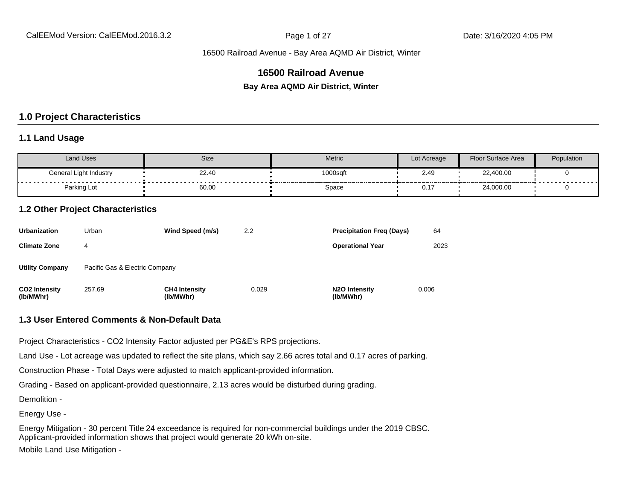## **16500 Railroad Avenue**

**Bay Area AQMD Air District, Winter**

#### **1.0 Project Characteristics**

#### **1.1 Land Usage**

| <b>Land Uses</b>       | Size  | Metric   | Lot Acreage | Floor Surface Area | Population |
|------------------------|-------|----------|-------------|--------------------|------------|
| General Light Industry | 22.40 | 1000sqft | 2.49        | 22,400.00          | .          |
| Parking Lot            | 60.00 | Space    | ົ່<br>U.1   | 24,000.00          |            |

#### **1.2 Other Project Characteristics**

| <b>Urbanization</b>               | Urban                          | Wind Speed (m/s)                  | 2.2   | <b>Precipitation Freg (Days)</b>        | 64    |
|-----------------------------------|--------------------------------|-----------------------------------|-------|-----------------------------------------|-------|
| <b>Climate Zone</b>               | 4                              |                                   |       | <b>Operational Year</b>                 | 2023  |
| <b>Utility Company</b>            | Pacific Gas & Electric Company |                                   |       |                                         |       |
| <b>CO2 Intensity</b><br>(lb/MWhr) | 257.69                         | <b>CH4 Intensity</b><br>(lb/MWhr) | 0.029 | N <sub>2</sub> O Intensity<br>(lb/MWhr) | 0.006 |

#### **1.3 User Entered Comments & Non-Default Data**

Project Characteristics - CO2 Intensity Factor adjusted per PG&E's RPS projections.

Land Use - Lot acreage was updated to reflect the site plans, which say 2.66 acres total and 0.17 acres of parking.

Construction Phase - Total Days were adjusted to match applicant-provided information.

Grading - Based on applicant-provided questionnaire, 2.13 acres would be disturbed during grading.

Demolition -

Energy Use -

Energy Mitigation - 30 percent Title 24 exceedance is required for non-commercial buildings under the 2019 CBSC. Applicant-provided information shows that project would generate 20 kWh on-site. Mobile Land Use Mitigation -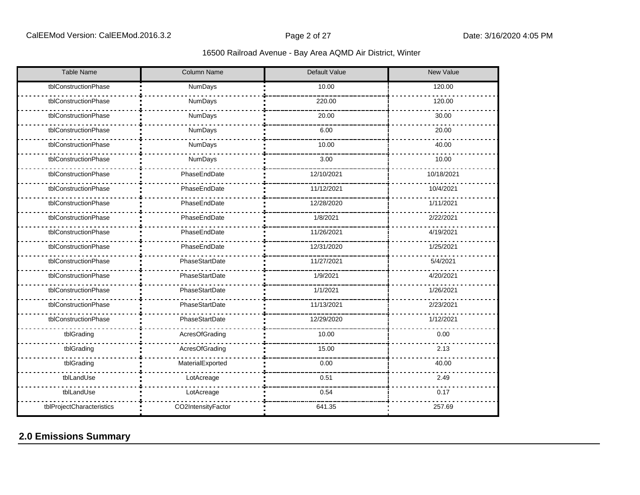| <b>Table Name</b>         | Column Name        | Default Value | <b>New Value</b> |
|---------------------------|--------------------|---------------|------------------|
| tblConstructionPhase      | NumDays            | 10.00         | 120.00           |
| tblConstructionPhase      | NumDays            | 220.00        | 120.00           |
| tblConstructionPhase      | NumDays            | 20.00         | 30.00            |
| tblConstructionPhase      | NumDays            | 6.00          | 20.00            |
| tblConstructionPhase      | NumDays            | 10.00         | 40.00            |
| tblConstructionPhase      | NumDays            | 3.00          | 10.00            |
| tblConstructionPhase      | PhaseEndDate       | 12/10/2021    | 10/18/2021       |
| tblConstructionPhase      | PhaseEndDate       | 11/12/2021    | 10/4/2021        |
| tblConstructionPhase      | PhaseEndDate       | 12/28/2020    | 1/11/2021        |
| tblConstructionPhase      | PhaseEndDate       | 1/8/2021      | 2/22/2021        |
| tblConstructionPhase      | PhaseEndDate       | 11/26/2021    | 4/19/2021        |
| tblConstructionPhase      | PhaseEndDate       | 12/31/2020    | 1/25/2021        |
| tblConstructionPhase      | PhaseStartDate     | 11/27/2021    | 5/4/2021         |
| tblConstructionPhase      | PhaseStartDate     | 1/9/2021      | 4/20/2021        |
| tblConstructionPhase      | PhaseStartDate     | 1/1/2021      | 1/26/2021        |
| tblConstructionPhase      | PhaseStartDate     | 11/13/2021    | 2/23/2021        |
| tblConstructionPhase      | PhaseStartDate     | 12/29/2020    | 1/12/2021        |
| tblGrading                | AcresOfGrading     | 10.00         | 0.00             |
| tblGrading                | AcresOfGrading     | 15.00         | 2.13             |
| tblGrading                | MaterialExported   | 0.00          | 40.00            |
| tblLandUse                | LotAcreage         | 0.51          | 2.49             |
| tblLandUse                | LotAcreage         | 0.54          | 0.17             |
| tblProjectCharacteristics | CO2IntensityFactor | 641.35        | 257.69           |

# **2.0 Emissions Summary**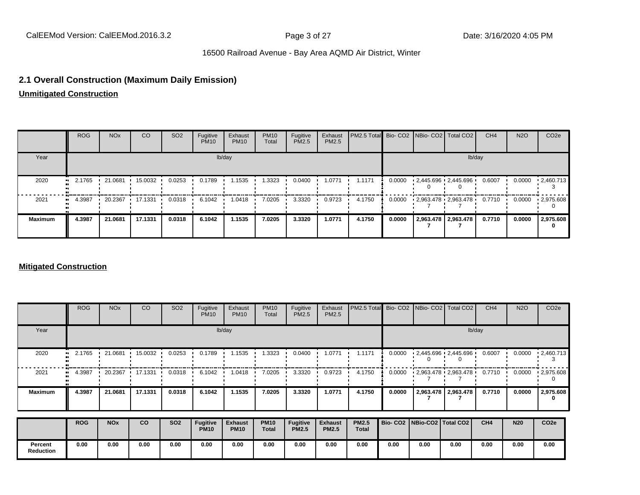## **2.1 Overall Construction (Maximum Daily Emission)**

**Unmitigated Construction**

|                | <b>ROG</b> | NO <sub>x</sub> | CO                              | SO <sub>2</sub> | Fugitive<br><b>PM10</b> | Exhaust<br><b>PM10</b> | <b>PM10</b><br>Total | Fugitive<br>PM2.5 | Exhaust<br>PM2.5 | <b>PM2.5 Total</b> Bio- CO2 NBio- CO2   Total CO2 |        |                          |                     | CH <sub>4</sub> | <b>N2O</b> | CO <sub>2e</sub>  |
|----------------|------------|-----------------|---------------------------------|-----------------|-------------------------|------------------------|----------------------|-------------------|------------------|---------------------------------------------------|--------|--------------------------|---------------------|-----------------|------------|-------------------|
| Year           |            |                 |                                 |                 |                         | lb/day                 |                      |                   |                  |                                                   |        |                          |                     | lb/day          |            |                   |
| 2020           | $-2.1765$  | $\cdot$ 21.0681 | 15.0032                         | 0.0253          | 0.1789                  | 1.1535                 | .3323                | 0.0400            | 1.0771           | 1.1171                                            | 0.0000 | $-2,445.696 - 2,445.696$ |                     | 0.6007          | 0.0000     | $\cdot$ 2.460.713 |
| 2021           | 4.3987<br> |                 | $\cdot$ 20.2367 $\cdot$ 17.1331 | 0.0318          | 6.1042                  | 1.0418<br>$\mathbf{r}$ | 7.0205               | 3.3320            | 0.9723           | 4.1750                                            | 0.0000 | $-2,963.478 - 2,963.478$ |                     | 0.7710          | 0.0000     | $\cdot$ 2,975.608 |
| <b>Maximum</b> | 4.3987     | 21.0681         | 17.1331                         | 0.0318          | 6.1042                  | 1.1535                 | 7.0205               | 3.3320            | 1.0771           | 4.1750                                            | 0.0000 |                          | 2,963.478 2,963.478 | 0.7710          | 0.0000     | 2,975.608         |

#### **Mitigated Construction**

|                             | <b>ROG</b> | <b>NO<sub>x</sub></b> | CO      | SO <sub>2</sub> | Fugitive<br><b>PM10</b>        | Exhaust<br><b>PM10</b>        | <b>PM10</b><br>Total        | Fugitive<br>PM2.5        | Exhaust<br>PM2.5               | PM2.5 Total                  |        | Bio- CO2   NBio- CO2   Total CO2 |                           | CH <sub>4</sub> | <b>N2O</b> | CO <sub>2e</sub> |
|-----------------------------|------------|-----------------------|---------|-----------------|--------------------------------|-------------------------------|-----------------------------|--------------------------|--------------------------------|------------------------------|--------|----------------------------------|---------------------------|-----------------|------------|------------------|
| Year                        |            |                       |         |                 |                                | lb/day                        |                             |                          |                                |                              |        |                                  |                           | lb/day          |            |                  |
| 2020                        | 2.1765     | 21.0681               | 15.0032 | 0.0253          | 0.1789                         | 1.1535                        | 1.3323                      | 0.0400                   | 1.0771                         | 1.1171                       | 0.0000 |                                  | $12,445.696$ $12,445.696$ | 0.6007          | 0.0000     | .2,460.713       |
| 2021                        | 4.3987     | 20.2367               | 17.1331 | 0.0318<br>. .   | 6.1042                         | 1.0418                        | 7.0205                      | 3.3320                   | 0.9723                         | 4.1750                       | 0.0000 | $-2,963.478 - 2,963.478$         |                           | 0.7710          | 0.0000     | .2,975.608       |
| <b>Maximum</b>              | 4.3987     | 21.0681               | 17.1331 | 0.0318          | 6.1042                         | 1.1535                        | 7.0205                      | 3.3320                   | 1.0771                         | 4.1750                       | 0.0000 |                                  | 2,963.478 2,963.478       | 0.7710          | 0.0000     | 2,975.608<br>0   |
|                             | <b>ROG</b> | <b>NO<sub>x</sub></b> | co      | <b>SO2</b>      | <b>Fugitive</b><br><b>PM10</b> | <b>Exhaust</b><br><b>PM10</b> | <b>PM10</b><br><b>Total</b> | Fugitive<br><b>PM2.5</b> | <b>Exhaust</b><br><b>PM2.5</b> | <b>PM2.5</b><br><b>Total</b> |        | Bio- CO2   NBio-CO2   Total CO2  |                           | CH <sub>4</sub> | <b>N20</b> | CO <sub>2e</sub> |
| Percent<br><b>Reduction</b> | 0.00       | 0.00                  | 0.00    | 0.00            | 0.00                           | 0.00                          | 0.00                        | 0.00                     | 0.00                           | 0.00                         | 0.00   | 0.00                             | 0.00                      | 0.00            | 0.00       | 0.00             |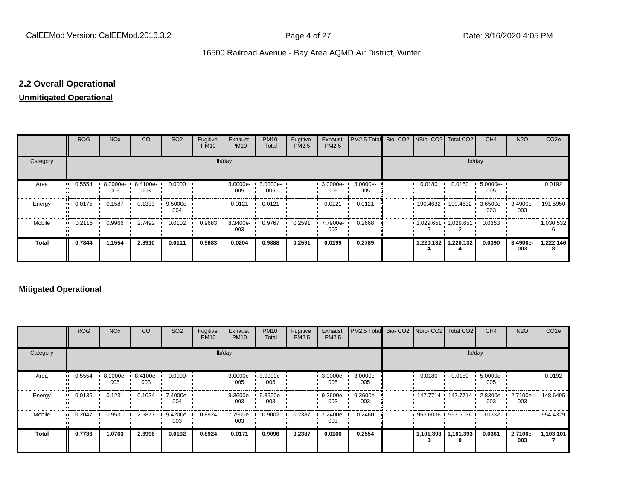## **2.2 Overall Operational**

#### **Unmitigated Operational**

|              | ROG        | <b>NO<sub>x</sub></b> | CO                       | SO <sub>2</sub>    | Fugitive<br><b>PM10</b> | Exhaust<br><b>PM10</b> | <b>PM10</b><br>Total | Fugitive<br>PM2.5 | Exhaust<br>PM2.5 | PM2.5 Total Bio- CO2 NBio- CO2 Total CO2 |           |                                             | CH <sub>4</sub> | <b>N2O</b>                        | CO <sub>2e</sub>  |
|--------------|------------|-----------------------|--------------------------|--------------------|-------------------------|------------------------|----------------------|-------------------|------------------|------------------------------------------|-----------|---------------------------------------------|-----------------|-----------------------------------|-------------------|
| Category     |            |                       |                          |                    | lb/day                  |                        |                      |                   |                  |                                          |           | lb/day                                      |                 |                                   |                   |
| Area         | 0.5554<br> | 005                   | 8.0000e- 8.4100e-<br>003 | 0.0000             |                         | 3.0000e-<br>005        | 3.0000e-<br>005      |                   | 3.0000e-<br>005  | 3.0000e-<br>005                          | 0.0180    | 0.0180                                      | 5.0000e-<br>005 |                                   | 0.0192            |
| Energy       | 0.0175<br> | 0.1587                | 0.1333                   | $9.5000e -$<br>004 |                         | 0.0121                 | 0.0121               |                   | 0.0121           | 0.0121                                   |           | 190.4632 190.4632 1                         | 003             | 3.6500e- 3.4900e- 191.5950<br>003 |                   |
| Mobile       | 0.2116<br> | 0.9966                | 2.7492                   | 0.0102             | 0.9683                  | 8.3400e-<br>003        | 0.9767               | 0.2591            | 7.7900e-<br>003  | 0.2668                                   |           | $\cdot$ 1,029.651 $\cdot$ 1,029.651 $\cdot$ | 0.0353          |                                   | $\cdot$ 1,030.532 |
| <b>Total</b> | 0.7844     | 1.1554                | 2.8910                   | 0.0111             | 0.9683                  | 0.0204                 | 0.9888               | 0.2591            | 0.0199           | 0.2789                                   | 1,220.132 | 1,220.132                                   | 0.0390          | 3.4900e-<br>003                   | 1,222.146         |

#### **Mitigated Operational**

|              | <b>ROG</b> | <b>NO<sub>x</sub></b> | CO                       | SO <sub>2</sub> | Fugitive<br><b>PM10</b> | Exhaust<br><b>PM10</b> | <b>PM10</b><br>Total | Fugitive<br>PM2.5 | Exhaust<br>PM2.5   | <b>IPM2.5 Total</b> Bio- CO2 INBio- CO2 Total CO2 |        |                            | CH <sub>4</sub> | <b>N2O</b>      | CO <sub>2e</sub> |
|--------------|------------|-----------------------|--------------------------|-----------------|-------------------------|------------------------|----------------------|-------------------|--------------------|---------------------------------------------------|--------|----------------------------|-----------------|-----------------|------------------|
| Category     |            |                       |                          |                 |                         | lb/day                 |                      |                   |                    |                                                   |        | lb/day                     |                 |                 |                  |
| Area         | 0.5554     | 005                   | 8.0000e- 8.4100e-<br>003 | 0.0000          |                         | 3.0000e-<br>005        | 3.0000e-<br>005      |                   | $3.0000e -$<br>005 | 3.0000e-<br>005                                   | 0.0180 | 0.0180                     | 5.0000e-<br>005 |                 | 0.0192           |
| Energy       | 0.0136     | 0.1231                | 0.1034                   | 7.4000e-<br>004 |                         | 9.3600e-<br>003        | 9.3600e-<br>003      |                   | 9.3600e-<br>003    | 9.3600e-<br>003                                   |        | • 147.7714 • 147.7714 •    | 2.8300e-<br>003 | 2.7100e-<br>003 | 148.6495         |
| Mobile       | 0.2047     | 0.9531                | 2.5877                   | 9.4200e-<br>003 | 0.8924                  | 7.7500e-<br>003        | 0.9002               | 0.2387            | 7.2400e-<br>003    | 0.2460                                            |        | $953.6036$ 953.6036        | 0.0332          |                 | 954.4329         |
| <b>Total</b> | 0.7736     | 1.0763                | 2.6996                   | 0.0102          | 0.8924                  | 0.0171                 | 0.9096               | 0.2387            | 0.0166             | 0.2554                                            | 0      | 1,101.393   1,101.393<br>0 | 0.0361          | 2.7100e-<br>003 | 1,103.101        |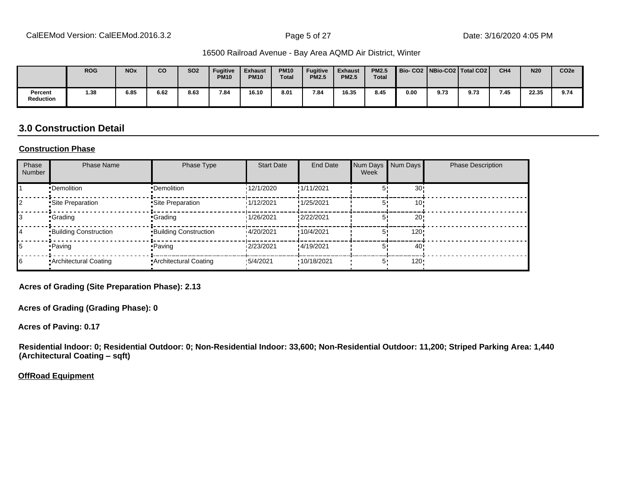|                      | <b>ROG</b> | <b>NO<sub>x</sub></b> | <b>CO</b> | <b>SO2</b> | Fugitive<br><b>PM10</b> | <b>Exhaust</b><br><b>PM10</b> | <b>PM10</b><br><b>Total</b> | <b>Fugitive</b><br><b>PM2.5</b> | <b>Exhaust</b><br><b>PM2.5</b> | <b>PM2.5</b><br><b>Total</b> | Bio-CO2   NBio-CO2   Total CO2 |      |      | CH <sub>4</sub> | <b>N20</b> | CO <sub>2e</sub> |
|----------------------|------------|-----------------------|-----------|------------|-------------------------|-------------------------------|-----------------------------|---------------------------------|--------------------------------|------------------------------|--------------------------------|------|------|-----------------|------------|------------------|
| Percent<br>Reduction | 1.38       | 6.85                  | 6.62      | 8.63       | 7.84                    | 16.10                         | 8.01                        | 7.84                            | 16.35                          | 8.45                         | 0.00                           | 9.73 | 9.73 | 7.45            | 22.35      | 9.74             |

## **3.0 Construction Detail**

#### **Construction Phase**

| Phase<br>Number | <b>Phase Name</b>            | Phase Type                   | <b>Start Date</b> | End Date    | Num Days<br>Week | Num Days | <b>Phase Description</b> |
|-----------------|------------------------------|------------------------------|-------------------|-------------|------------------|----------|--------------------------|
|                 | •Demolition                  | •Demolition                  | 12/1/2020         | !1/11/2021  |                  | 30!      |                          |
|                 | Site Preparation             | Site Preparation             | 1/12/2021         | !1/25/2021  |                  | 10'      |                          |
| I3              | •Grading                     | ∙Grading                     | 1/26/2021         | !2/22/2021  |                  | 20       |                          |
| 14              | <b>Building Construction</b> | <b>Building Construction</b> | 14/20/2021        | !10/4/2021  |                  | 120!     |                          |
| 15              | • Paving                     | • Paving                     | 12/23/2021        | !4/19/2021  | 5                | 40!      |                          |
| 16              | Architectural Coating        | • Architectural Coating      | 15/4/2021         | '10/18/2021 | 5,               | $120 -$  |                          |

**Acres of Grading (Site Preparation Phase): 2.13**

**Acres of Grading (Grading Phase): 0**

**Acres of Paving: 0.17**

**Residential Indoor: 0; Residential Outdoor: 0; Non-Residential Indoor: 33,600; Non-Residential Outdoor: 11,200; Striped Parking Area: 1,440 (Architectural Coating - sqft)** 

**OffRoad Equipment**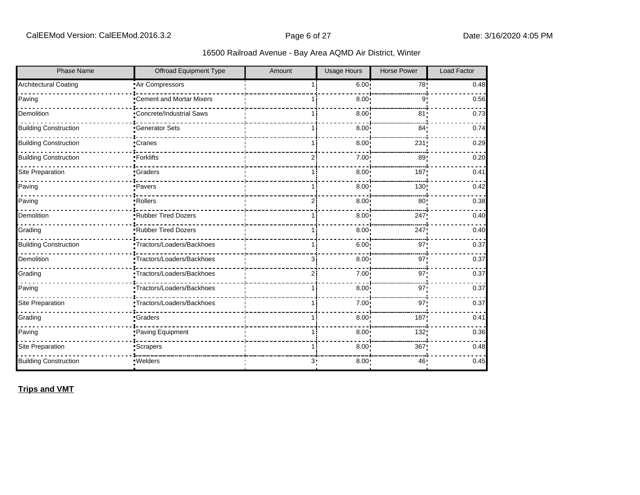| <b>Phase Name</b>            | <b>Offroad Equipment Type</b>   | Amount         | <b>Usage Hours</b> | <b>Horse Power</b> | Load Factor |
|------------------------------|---------------------------------|----------------|--------------------|--------------------|-------------|
| <b>Architectural Coating</b> | Air Compressors                 |                | 6.00               | 78!                | 0.48        |
| Paving                       | Cement and Mortar Mixers        |                | 8.00               | 9                  | 0.56        |
| Demolition                   | <b>Concrete/Industrial Saws</b> |                | 8.00               | 81 <sub>1</sub>    | 0.73        |
| <b>Building Construction</b> | <b>Generator Sets</b>           |                | 8.00               | 84'                | 0.74        |
| <b>Building Construction</b> | Cranes                          |                | 8.00               | 231                | 0.29        |
| <b>Building Construction</b> | •Forklifts                      | $\overline{2}$ | 7.00               | 89                 | 0.20        |
| Site Preparation             | •Graders                        |                | 8.00               | 187                | 0.41        |
| Paving                       | •Pavers                         |                | 8.00 <sub>1</sub>  | 130 <sub>1</sub>   | 0.42        |
| Paving                       | Rollers                         | 2              | 8.00               | 80                 | 0.38        |
| Demolition                   | Rubber Tired Dozers             |                | 8.00               | 247                | 0.40        |
| Grading                      | Rubber Tired Dozers             |                | 8.00               | 247                | 0.40        |
| <b>Building Construction</b> | •Tractors/Loaders/Backhoes      |                | 6.00 <sub>1</sub>  | 97                 | 0.37        |
| Demolition                   | Tractors/Loaders/Backhoes       | 31             | 8.00               | 97                 | 0.37        |
| Grading                      | Tractors/Loaders/Backhoes       | $\overline{2}$ | 7.00               | 97 <sub>1</sub>    | 0.37        |
| Paving                       | Tractors/Loaders/Backhoes       |                | 8.00               | 97                 | 0.37        |
| Site Preparation             | •Tractors/Loaders/Backhoes      |                | 7.00               | 97 <sub>1</sub>    | 0.37        |
| Grading                      | <b>Graders</b>                  |                | 8.00               | 187                | 0.41        |
| Paving                       | Paving Equipment                |                | 8.00               | 132                | 0.36        |
| Site Preparation             | Scrapers <sup>-</sup>           |                | 8.00               | 367                | 0.48        |
| <b>Building Construction</b> | ·Welders                        | 3.             | 8.00               | 46                 | 0.45        |

## **Trips and VMT**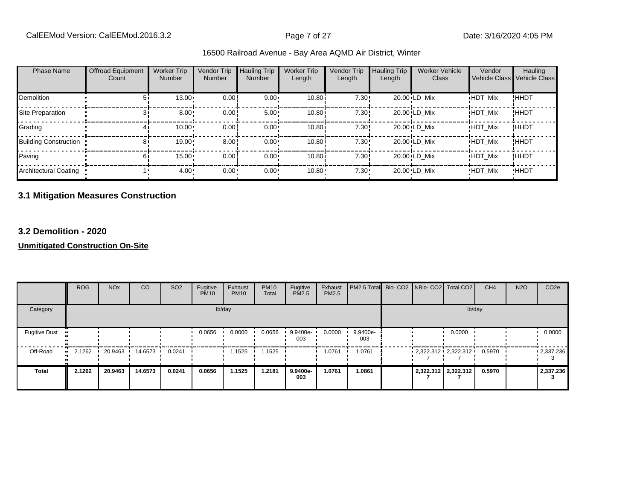| <b>Phase Name</b>            | <b>Offroad Equipment</b><br>Count | <b>Worker Trip</b><br><b>Number</b> | Vendor Trip<br>Number | Hauling Trip<br>Number | <b>Worker Trip</b><br>Length | <b>Vendor Trip</b><br>Length | <b>Hauling Trip</b><br>Length | <b>Worker Vehicle</b><br>Class | Vendor         | Hauling<br>Vehicle Class Vehicle Class |
|------------------------------|-----------------------------------|-------------------------------------|-----------------------|------------------------|------------------------------|------------------------------|-------------------------------|--------------------------------|----------------|----------------------------------------|
| Demolition                   | 51                                | 13.00                               | 0.00                  | $9.00 \cdot$           | 10.80i                       | 7.30!                        |                               | 20.00 LD Mix                   | <b>HDT Mix</b> | !HHDT                                  |
| Site Preparation             |                                   | $8.00 -$                            | 0.00                  | $5.00 \cdot$           | 10.80i                       | 7.30!                        |                               | 20.00 LD Mix                   | <b>HDT Mix</b> | !HHDT                                  |
| Grading                      |                                   | 10.00                               | 0.00                  | $0.00 \cdot$           | 10.80i                       | 7.30!                        |                               | 20.00 LD Mix                   | <b>HDT Mix</b> | <b>!HHDT</b>                           |
| <b>Building Construction</b> | 81                                | 19.00                               | 8.00                  | $0.00 \cdot$           | 10.80i                       | 7.30!                        |                               | 20.00 LD Mix                   | <b>HDT Mix</b> | <b>!HHDT</b>                           |
| Paving                       | 61                                | 15.00                               | 0.00                  | $0.00 \cdot$           | 10.80i                       | 7.30!                        |                               | 20.00 LD Mix                   | <b>HDT Mix</b> | !HHDT                                  |
| Architectural Coating        |                                   | $4.00 \cdot$                        | $0.00 -$              | 0.00                   | 10.80                        | $7.30 -$                     |                               | 20.00 LD Mix                   | <b>HDT Mix</b> | <b>HHDT</b>                            |

# **3.1 Mitigation Measures Construction**

#### **3.2 Demolition - 2020**

|                       | <b>ROG</b> | <b>NO<sub>x</sub></b> | CO        | SO <sub>2</sub> | Fugitive<br><b>PM10</b> | Exhaust<br><b>PM10</b> | <b>PM10</b><br>Total | Fugitive<br>PM2.5 | Exhaust<br>PM2.5 | PM2.5 Total Bio- CO2 NBio- CO2   Total CO2 |  |                          | CH <sub>4</sub> | <b>N2O</b> | CO <sub>2e</sub> |
|-----------------------|------------|-----------------------|-----------|-----------------|-------------------------|------------------------|----------------------|-------------------|------------------|--------------------------------------------|--|--------------------------|-----------------|------------|------------------|
| Category              |            |                       |           |                 |                         | lb/day                 |                      |                   |                  |                                            |  | lb/day                   |                 |            |                  |
| <b>Fugitive Dust</b>  |            |                       |           |                 | 0.0656                  | 0.0000                 | 0.0656               | 9.9400e-<br>003   | 0.0000           | 9.9400e-<br>003                            |  | 0.0000                   |                 |            | 0.0000           |
| Off-Road<br>$\bullet$ | 2.1262     | 20.9463               | 14.6573 • | 0.0241          |                         | 1.1525                 | 1.1525               |                   | 1.0761           | 1.0761                                     |  | $-2,322.312 - 2,322.312$ | 0.5970          |            | $-2,337.236$     |
| <b>Total</b>          | 2.1262     | 20.9463               | 14.6573   | 0.0241          | 0.0656                  | 1.1525                 | 1.2181               | 9.9400e-<br>003   | 1.0761           | 1.0861                                     |  | 2,322.312 2,322.312      | 0.5970          |            | 2,337.236        |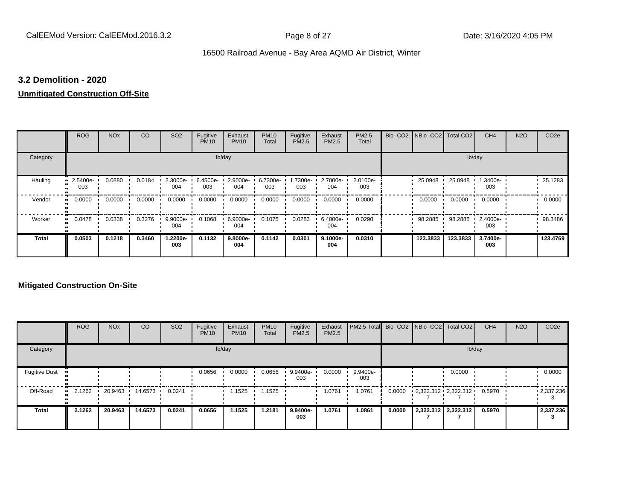#### **3.2 Demolition - 2020**

#### **Unmitigated Construction Off-Site**

|                            | <b>ROG</b>      | <b>NO<sub>x</sub></b> | CO     | SO <sub>2</sub> | Fugitive<br><b>PM10</b> | Exhaust<br><b>PM10</b> | <b>PM10</b><br>Total | Fugitive<br><b>PM2.5</b> | Exhaust<br>PM2.5 | <b>PM2.5</b><br>Total | Bio- CO2   NBio- CO2   Total CO2 |          | CH <sub>4</sub> | <b>N2O</b> | CO <sub>2e</sub> |
|----------------------------|-----------------|-----------------------|--------|-----------------|-------------------------|------------------------|----------------------|--------------------------|------------------|-----------------------|----------------------------------|----------|-----------------|------------|------------------|
| Category                   |                 |                       |        |                 |                         | lb/day                 |                      |                          |                  |                       |                                  | lb/day   |                 |            |                  |
| Hauling                    | 2.5400e-<br>003 | 0.0880                | 0.0184 | 2.3000e-<br>004 | 6.4500e-<br>003         | 2.9000e-<br>004        | 6.7300e-<br>003      | 1.7300e-<br>003          | 2.7000e-<br>004  | 2.0100e-<br>003       | 25.0948                          | 25.0948  | 1.3400e-<br>003 |            | 25.1283          |
| Vendor<br>$\bullet$        | 0.0000          | 0.0000                | 0.0000 | 0.0000          | 0.0000                  | 0.0000                 | 0.0000               | 0.0000                   | 0.0000           | 0.0000                | 0.0000                           | 0.0000   | 0.0000          |            | 0.0000           |
| Worker<br>$\bullet\bullet$ | 0.0478          | 0.0338                | 0.3276 | 9.9000e-<br>004 | 0.1068                  | 6.9000e-<br>004        | 0.1075               | 0.0283                   | 6.4000e-<br>004  | 0.0290                | 98.2885                          | 98.2885  | 2.4000e-<br>003 |            | 98.3486          |
| <b>Total</b>               | 0.0503          | 0.1218                | 0.3460 | 1.2200e-<br>003 | 0.1132                  | 9.8000e-<br>004        | 0.1142               | 0.0301                   | 9.1000e-<br>004  | 0.0310                | 123.3833                         | 123.3833 | 3.7400e-<br>003 |            | 123.4769         |

|                      | <b>ROG</b>   | <b>NO<sub>x</sub></b> | CO      | SO <sub>2</sub> | Fugitive<br><b>PM10</b> | Exhaust<br><b>PM10</b> | <b>PM10</b><br>Total | Fugitive<br><b>PM2.5</b> | Exhaust<br><b>PM2.5</b> | PM2.5 Total Bio- CO2 NBio- CO2   Total CO2 |        |                          | CH <sub>4</sub> | <b>N2O</b> | CO <sub>2e</sub>  |
|----------------------|--------------|-----------------------|---------|-----------------|-------------------------|------------------------|----------------------|--------------------------|-------------------------|--------------------------------------------|--------|--------------------------|-----------------|------------|-------------------|
| Category             |              |                       |         |                 |                         | lb/day                 |                      |                          |                         |                                            |        |                          | lb/day          |            |                   |
| <b>Fugitive Dust</b> |              |                       |         |                 | 0.0656                  | 0.0000                 | 0.0656               | 9.9400e-<br>003          | 0.0000                  | 9.9400e-<br>003                            |        | 0.0000                   |                 |            | 0.0000            |
| Off-Road             | 2.1262<br>ш. | 20.9463               | 14.6573 | 0.0241          |                         | 1.1525                 | .1525                |                          | 1.0761                  | 1.0761                                     | 0.0000 | $-2,322.312 - 2,322.312$ | 0.5970          |            | $\cdot$ 2,337.236 |
| <b>Total</b>         | 2.1262       | 20.9463               | 14.6573 | 0.0241          | 0.0656                  | 1.1525                 | 1.2181               | 9.9400e-<br>003          | 1.0761                  | 1.0861                                     | 0.0000 | 2,322.312 2,322.312      | 0.5970          |            | 2,337.236         |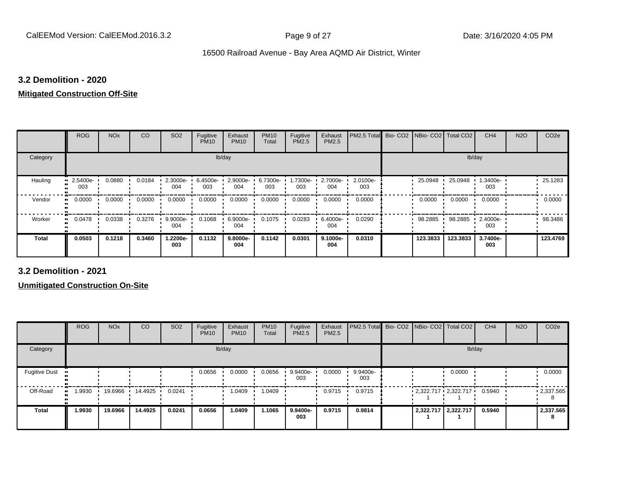#### **3.2 Demolition - 2020**

#### **Mitigated Construction Off-Site**

|                     | <b>ROG</b>                 | <b>NO<sub>x</sub></b> | CO     | SO <sub>2</sub>    | Fugitive<br><b>PM10</b> | Exhaust<br><b>PM10</b> | <b>PM10</b><br>Total | Fugitive<br>PM2.5 | Exhaust<br>PM2.5 | PM2.5 Total     | Bio- CO2   NBio- CO2   Total CO2 |          | CH <sub>4</sub> | <b>N2O</b> | CO <sub>2e</sub> |
|---------------------|----------------------------|-----------------------|--------|--------------------|-------------------------|------------------------|----------------------|-------------------|------------------|-----------------|----------------------------------|----------|-----------------|------------|------------------|
| Category            |                            |                       |        |                    |                         | lb/day                 |                      |                   |                  |                 |                                  | lb/day   |                 |            |                  |
| Hauling             | 2.5400e-<br>003            | 0.0880                | 0.0184 | $2.3000e -$<br>004 | 6.4500e-<br>003         | 2.9000e-<br>004        | 6.7300e-<br>003      | 1.7300e-<br>003   | 2.7000e-<br>004  | 2.0100e-<br>003 | 25.0948                          | 25.0948  | 1.3400e-<br>003 |            | $-25.1283$       |
| Vendor              | 0.0000<br>$\bullet\bullet$ | 0.0000                | 0.0000 | 0.0000             | 0.0000                  | 0.0000                 | 0.0000               | 0.0000            | 0.0000           | 0.0000          | 0.0000                           | 0.0000   | 0.0000          |            | 0.0000           |
| Worker<br>$\bullet$ | 0.0478                     | 0.0338                | 0.3276 | 9.9000e-<br>004    | 0.1068                  | 6.9000e-<br>004        | 0.1075               | 0.0283            | 6.4000e-<br>004  | 0.0290          | 98.2885                          | 98.2885  | 2.4000e-<br>003 |            | 98.3486          |
| <b>Total</b>        | 0.0503                     | 0.1218                | 0.3460 | 1.2200e-<br>003    | 0.1132                  | 9.8000e-<br>004        | 0.1142               | 0.0301            | 9.1000e-<br>004  | 0.0310          | 123.3833                         | 123.3833 | 3.7400e-<br>003 |            | 123.4769         |

**3.2 Demolition - 2021**

|                       | <b>ROG</b> | <b>NO<sub>x</sub></b> | CO      | SO <sub>2</sub> | Fugitive<br><b>PM10</b> | Exhaust<br><b>PM10</b> | <b>PM10</b><br>Total | Fugitive<br><b>PM2.5</b> | Exhaust<br>PM2.5 | PM2.5 Total Bio- CO2 NBio- CO2 Total CO2 |  |                         | CH <sub>4</sub> | <b>N2O</b> | CO <sub>2e</sub>  |
|-----------------------|------------|-----------------------|---------|-----------------|-------------------------|------------------------|----------------------|--------------------------|------------------|------------------------------------------|--|-------------------------|-----------------|------------|-------------------|
| Category              |            |                       |         |                 |                         | lb/day                 |                      |                          |                  |                                          |  | lb/day                  |                 |            |                   |
| <b>Fugitive Dust</b>  |            |                       |         |                 | 0.0656                  | 0.0000                 | 0.0656               | 9.9400e-<br>003          | 0.0000           | 9.9400e-<br>003                          |  | 0.0000                  |                 |            | 0.0000            |
| Off-Road<br>$\bullet$ | 1.9930     | 19.6966               | 14.4925 | 0.0241          |                         | 1.0409                 | 1.0409               |                          | 0.9715           | 0.9715                                   |  | $2,322.717$ $2,322.717$ | 0.5940          |            | $\cdot$ 2,337.565 |
| <b>Total</b>          | 1.9930     | 19.6966               | 14.4925 | 0.0241          | 0.0656                  | 1.0409                 | 1.1065               | 9.9400e-<br>003          | 0.9715           | 0.9814                                   |  | 2,322.717 2,322.717     | 0.5940          |            | 2,337.565<br>8    |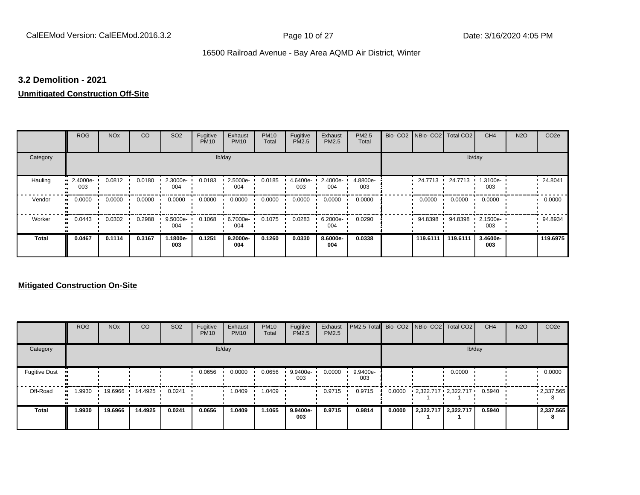#### **3.2 Demolition - 2021**

#### **Unmitigated Construction Off-Site**

|                     | <b>ROG</b>      | <b>NO<sub>x</sub></b> | CO     | SO <sub>2</sub> | Fugitive<br><b>PM10</b> | Exhaust<br><b>PM10</b> | <b>PM10</b><br>Total | Fugitive<br>PM2.5 | Exhaust<br>PM2.5 | PM2.5<br>Total  | Bio- CO2 NBio- CO2 Total CO2 |          | CH <sub>4</sub> | <b>N2O</b> | CO <sub>2e</sub> |
|---------------------|-----------------|-----------------------|--------|-----------------|-------------------------|------------------------|----------------------|-------------------|------------------|-----------------|------------------------------|----------|-----------------|------------|------------------|
| Category            |                 |                       |        |                 |                         | lb/day                 |                      |                   |                  |                 |                              |          | lb/day          |            |                  |
| Hauling             | 2.4000e-<br>003 | 0.0812                | 0.0180 | 2.3000e-<br>004 | 0.0183                  | 2.5000e-<br>004        | 0.0185               | 4.6400e-<br>003   | 2.4000e-<br>004  | 4.8800e-<br>003 | 24.7713                      | 24.7713  | 1.3100e-<br>003 |            | 24.8041          |
| Vendor<br>$\bullet$ | 0.0000          | 0.0000                | 0.0000 | 0.0000          | 0.0000                  | 0.0000                 | 0.0000               | 0.0000            | 0.0000           | 0.0000          | 0.0000                       | 0.0000   | 0.0000          |            | 0.0000           |
| Worker<br>$\bullet$ | 0.0443          | 0.0302                | 0.2988 | 9.5000e-<br>004 | 0.1068                  | 6.7000e-<br>004        | 0.1075               | 0.0283            | 6.2000e-<br>004  | 0.0290          | 94.8398                      | 94.8398  | 2.1500e-<br>003 |            | 94.8934          |
| <b>Total</b>        | 0.0467          | 0.1114                | 0.3167 | 1.1800e-<br>003 | 0.1251                  | 9.2000e-<br>004        | 0.1260               | 0.0330            | 8.6000e-<br>004  | 0.0338          | 119.6111                     | 119.6111 | 3.4600e-<br>003 |            | 119.6975         |

|                      | <b>ROG</b>  | <b>NO<sub>x</sub></b> | <b>CO</b> | SO <sub>2</sub> | Fugitive<br><b>PM10</b> | Exhaust<br><b>PM10</b> | <b>PM10</b><br>Total | Fugitive<br><b>PM2.5</b> | Exhaust<br><b>PM2.5</b> | PM2.5 Total Bio- CO2 NBio- CO2 Total CO2 |        |                         |                     | CH <sub>4</sub> | <b>N2O</b> | CO <sub>2e</sub>  |
|----------------------|-------------|-----------------------|-----------|-----------------|-------------------------|------------------------|----------------------|--------------------------|-------------------------|------------------------------------------|--------|-------------------------|---------------------|-----------------|------------|-------------------|
| Category             |             |                       |           |                 |                         | lb/day                 |                      |                          |                         |                                          |        |                         |                     | lb/day          |            |                   |
| <b>Fugitive Dust</b> |             |                       |           |                 | 0.0656                  | 0.0000                 | 0.0656               | 9.9400e-<br>003          | 0.0000                  | 9.9400e-<br>003                          |        |                         | 0.0000              |                 |            | 0.0000            |
| Off-Road             | .9930<br>ш. | 19.6966               | 14.4925   | 0.0241          |                         | 1.0409                 | 1.0409               |                          | 0.9715                  | 0.9715                                   | 0.0000 | $2,322.717$ $2,322.717$ |                     | 0.5940          |            | $\cdot$ 2,337.565 |
| Total                | 1.9930      | 19.6966               | 14.4925   | 0.0241          | 0.0656                  | 1.0409                 | 1.1065               | 9.9400e-<br>003          | 0.9715                  | 0.9814                                   | 0.0000 |                         | 2,322.717 2,322.717 | 0.5940          |            | 2,337.565<br>8    |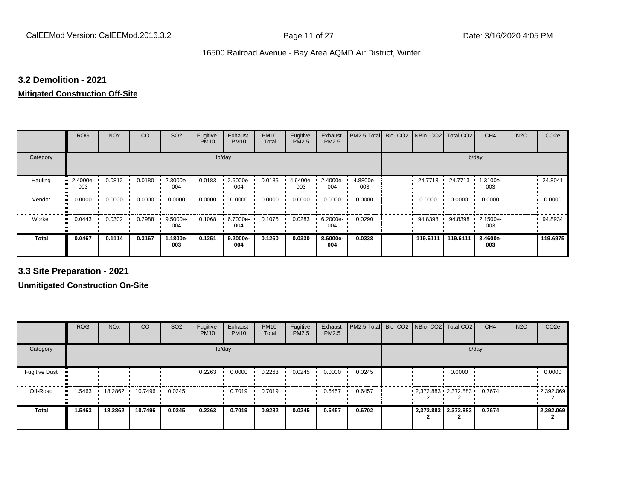#### **3.2 Demolition - 2021**

## **Mitigated Construction Off-Site**

|                     | <b>ROG</b>          | <b>NO<sub>x</sub></b> | CO     | SO <sub>2</sub> | Fugitive<br><b>PM10</b> | Exhaust<br><b>PM10</b> | <b>PM10</b><br>Total | Fugitive<br>PM2.5 | Exhaust<br>PM2.5 | PM2.5 Total     | Bio-CO <sub>2</sub> | NBio- CO2   Total CO2 |          | CH <sub>4</sub> | <b>N2O</b> | CO <sub>2e</sub> |
|---------------------|---------------------|-----------------------|--------|-----------------|-------------------------|------------------------|----------------------|-------------------|------------------|-----------------|---------------------|-----------------------|----------|-----------------|------------|------------------|
| Category            |                     |                       |        |                 | lb/day                  |                        |                      |                   |                  |                 |                     |                       | lb/day   |                 |            |                  |
| Hauling             | 2.4000e-<br>003     | 0.0812                | 0.0180 | 2.3000e-<br>004 | 0.0183                  | 2.5000e-<br>004        | 0.0185               | 4.6400e-<br>003   | 2.4000e-<br>004  | 4.8800e-<br>003 |                     | 24.7713               | 24.7713  | 1.3100e-<br>003 |            | 24.8041          |
| Vendor              | 0.0000<br>$\bullet$ | 0.0000                | 0.0000 | 0.0000          | 0.0000                  | 0.0000                 | 0.0000               | 0.0000            | 0.0000           | 0.0000          |                     | 0.0000                | 0.0000   | 0.0000          |            | 0.0000           |
| Worker<br>$\bullet$ | 0.0443              | 0.0302                | 0.2988 | 9.5000e-<br>004 | 0.1068                  | 6.7000e-<br>004        | 0.1075               | 0.0283            | 6.2000e-<br>004  | 0.0290          |                     | 94.8398 ·             | 94.8398  | 2.1500e-<br>003 |            | 94.8934          |
| <b>Total</b>        | 0.0467              | 0.1114                | 0.3167 | 1.1800e-<br>003 | 0.1251                  | 9.2000e-<br>004        | 0.1260               | 0.0330            | 8.6000e-<br>004  | 0.0338          |                     | 119.6111              | 119.6111 | 3.4600e-<br>003 |            | 119.6975         |

**3.3 Site Preparation - 2021**

|                      | <b>ROG</b> | <b>NO<sub>x</sub></b> | CO                | SO <sub>2</sub> | Fugitive<br><b>PM10</b> | Exhaust<br><b>PM10</b> | <b>PM10</b><br>Total | Fugitive<br><b>PM2.5</b> | Exhaust<br><b>PM2.5</b> | PM2.5 Total Bio- CO2 NBio- CO2   Total CO2 |  |                         | CH <sub>4</sub> | <b>N2O</b> | CO <sub>2e</sub>  |
|----------------------|------------|-----------------------|-------------------|-----------------|-------------------------|------------------------|----------------------|--------------------------|-------------------------|--------------------------------------------|--|-------------------------|-----------------|------------|-------------------|
| Category             |            |                       |                   |                 |                         | lb/day                 |                      |                          |                         |                                            |  | lb/day                  |                 |            |                   |
| <b>Fugitive Dust</b> |            |                       |                   |                 | 0.2263                  | 0.0000                 | 0.2263               | 0.0245                   | 0.0000                  | 0.0245                                     |  | 0.0000                  |                 |            | 0.0000            |
| Off-Road             | 1.5463     | 18.2862               | $10.7496$ $\cdot$ | 0.0245          |                         | 0.7019                 | 0.7019               |                          | 0.6457                  | 0.6457                                     |  | $2,372.883$ $2,372.883$ | 0.7674          |            | $\cdot$ 2,392.069 |
| <b>Total</b>         | 1.5463     | 18.2862               | 10.7496           | 0.0245          | 0.2263                  | 0.7019                 | 0.9282               | 0.0245                   | 0.6457                  | 0.6702                                     |  | 2,372.883 2,372.883     | 0.7674          |            | 2,392.069         |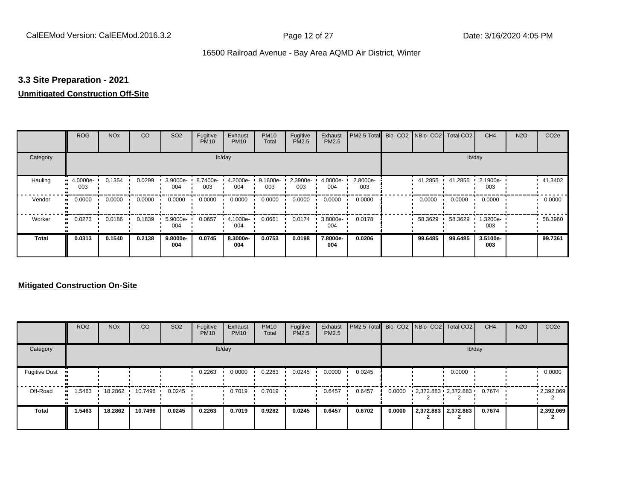## **3.3 Site Preparation - 2021**

## **Unmitigated Construction Off-Site**

|                     | <b>ROG</b>          | <b>NO<sub>x</sub></b> | CO     | SO <sub>2</sub> | Fugitive<br><b>PM10</b> | Exhaust<br><b>PM10</b> | <b>PM10</b><br>Total | Fugitive<br>PM2.5 | Exhaust<br>PM2.5 | PM2.5 Total Bio- CO2 NBio- CO2 Total CO2 |         |         | CH <sub>4</sub> | <b>N2O</b> | CO <sub>2e</sub> |
|---------------------|---------------------|-----------------------|--------|-----------------|-------------------------|------------------------|----------------------|-------------------|------------------|------------------------------------------|---------|---------|-----------------|------------|------------------|
| Category            |                     |                       |        |                 |                         | lb/day                 |                      |                   |                  |                                          |         | lb/day  |                 |            |                  |
| Hauling             | 4.0000e-<br><br>003 | 0.1354                | 0.0299 | 3.9000e-<br>004 | 8.7400e-<br>003         | 4.2000e-<br>004        | 9.1600e-<br>003      | 2.3900e-<br>003   | 4.0000e-<br>004  | 2.8000e-<br>003                          | 41.2855 | 41.2855 | 2.1900e-<br>003 |            | 41.3402          |
| Vendor<br>$\bullet$ | 0.0000              | 0.0000                | 0.0000 | 0.0000          | 0.0000                  | 0.0000                 | 0.0000               | 0.0000            | 0.0000           | 0.0000                                   | 0.0000  | 0.0000  | 0.0000          |            | 0.0000           |
| Worker<br>$\bullet$ | 0.0273              | 0.0186                | 0.1839 | 5.9000e-<br>004 | 0.0657                  | 4.1000e-<br>004        | 0.0661               | 0.0174            | 3.8000e-<br>004  | 0.0178                                   | 58.3629 | 58.3629 | 1.3200e-<br>003 |            | 58.3960          |
| <b>Total</b>        | 0.0313              | 0.1540                | 0.2138 | 9.8000e-<br>004 | 0.0745                  | 8.3000e-<br>004        | 0.0753               | 0.0198            | 7.8000e-<br>004  | 0.0206                                   | 99.6485 | 99.6485 | 3.5100e-<br>003 |            | 99.7361          |

|                      | <b>ROG</b> | <b>NO<sub>x</sub></b> | CO      | SO <sub>2</sub> | Fugitive<br><b>PM10</b> | Exhaust<br><b>PM10</b> | <b>PM10</b><br>Total | Fugitive<br><b>PM2.5</b> | Exhaust<br><b>PM2.5</b> | PM2.5 Total Bio- CO2 NBio- CO2   Total CO2 |        |                         | CH <sub>4</sub> | <b>N2O</b> | CO <sub>2e</sub>  |
|----------------------|------------|-----------------------|---------|-----------------|-------------------------|------------------------|----------------------|--------------------------|-------------------------|--------------------------------------------|--------|-------------------------|-----------------|------------|-------------------|
| Category             |            |                       |         |                 |                         | lb/day                 |                      |                          |                         |                                            |        |                         | lb/day          |            |                   |
| <b>Fugitive Dust</b> |            |                       |         |                 | 0.2263                  | 0.0000                 | 0.2263               | 0.0245                   | 0.0000                  | 0.0245                                     |        | 0.0000                  |                 |            | 0.0000            |
| Off-Road             | .5463      | 18.2862               | 10.7496 | 0.0245          |                         | 0.7019                 | 0.7019               |                          | 0.6457                  | 0.6457                                     | 0.0000 | $2,372.883$ $2,372.883$ | 0.7674          |            | $\cdot$ 2,392.069 |
| <b>Total</b>         | 1.5463     | 18.2862               | 10.7496 | 0.0245          | 0.2263                  | 0.7019                 | 0.9282               | 0.0245                   | 0.6457                  | 0.6702                                     | 0.0000 | 2,372.883 2,372.883     | 0.7674          |            | 2,392.069         |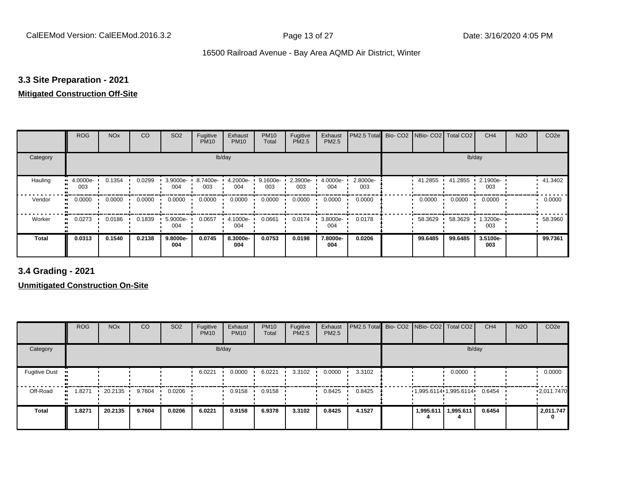## **3.3 Site Preparation - 2021**

## **Mitigated Construction Off-Site**

|                     | <b>ROG</b>                 | <b>NO<sub>x</sub></b> | CO     | SO <sub>2</sub>    | Fugitive<br><b>PM10</b> | Exhaust<br><b>PM10</b> | <b>PM10</b><br>Total | Fugitive<br>PM2.5 | Exhaust<br>PM2.5   | PM2.5 Total     | Bio- CO2   NBio- CO2   Total CO2 |         | CH <sub>4</sub> | <b>N2O</b> | CO <sub>2e</sub> |
|---------------------|----------------------------|-----------------------|--------|--------------------|-------------------------|------------------------|----------------------|-------------------|--------------------|-----------------|----------------------------------|---------|-----------------|------------|------------------|
| Category            |                            |                       |        |                    |                         | lb/day                 |                      |                   |                    |                 |                                  | lb/day  |                 |            |                  |
| Hauling             | 4.0000e-<br><br>003        | 0.1354                | 0.0299 | $3.9000e -$<br>004 | 8.7400e-<br>003         | 4.2000e-<br>004        | 9.1600e-<br>003      | 2.3900e-<br>003   | $4.0000e -$<br>004 | 2.8000e-<br>003 | 41.2855                          | 41.2855 | 2.1900e-<br>003 |            | 41.3402          |
| Vendor              | 0.0000<br>$\bullet\bullet$ | 0.0000                | 0.0000 | 0.0000             | 0.0000                  | 0.0000                 | 0.0000               | 0.0000            | 0.0000             | 0.0000          | 0.0000                           | 0.0000  | 0.0000          |            | 0.0000           |
| Worker<br>$\bullet$ | 0.0273                     | 0.0186                | 0.1839 | 5.9000e-<br>004    | 0.0657                  | 4.1000e-<br>004        | 0.0661               | 0.0174            | 3.8000e-<br>004    | 0.0178          | 58.3629                          | 58.3629 | 1.3200e-<br>003 |            | 58.3960          |
| <b>Total</b>        | 0.0313                     | 0.1540                | 0.2138 | 9.8000e-<br>004    | 0.0745                  | 8.3000e-<br>004        | 0.0753               | 0.0198            | 7.8000e-<br>004    | 0.0206          | 99.6485                          | 99.6485 | 3.5100e-<br>003 |            | 99.7361          |

**3.4 Grading - 2021**

|                      | <b>ROG</b> | <b>NO<sub>x</sub></b> | CO     | SO <sub>2</sub> | Fugitive<br><b>PM10</b> | Exhaust<br><b>PM10</b> | <b>PM10</b><br>Total | Fugitive<br><b>PM2.5</b> | Exhaust<br>PM2.5 | PM2.5 Total Bio- CO2 NBio- CO2 Total CO2 |           |                                | CH <sub>4</sub> | <b>N2O</b> | CO <sub>2e</sub> |
|----------------------|------------|-----------------------|--------|-----------------|-------------------------|------------------------|----------------------|--------------------------|------------------|------------------------------------------|-----------|--------------------------------|-----------------|------------|------------------|
| Category             |            |                       |        |                 |                         | lb/day                 |                      |                          |                  |                                          |           | lb/day                         |                 |            |                  |
| <b>Fugitive Dust</b> |            |                       |        |                 | 6.0221                  | 0.0000                 | 6.0221               | 3.3102                   | 0.0000           | 3.3102                                   |           | 0.0000                         |                 |            | 0.0000           |
| Off-Road             | .8271      | 20.2135               | 9.7604 | 0.0206          |                         | 0.9158                 | 0.9158               |                          | 0.8425           | 0.8425                                   |           | $1,995.6114$ 1,995.6114 0.6454 |                 |            | 12,011.7470      |
| <b>Total</b>         | 1.8271     | 20.2135               | 9.7604 | 0.0206          | 6.0221                  | 0.9158                 | 6.9378               | 3.3102                   | 0.8425           | 4.1527                                   | 1,995.611 | 1,995.611                      | 0.6454          |            | 2,011.747        |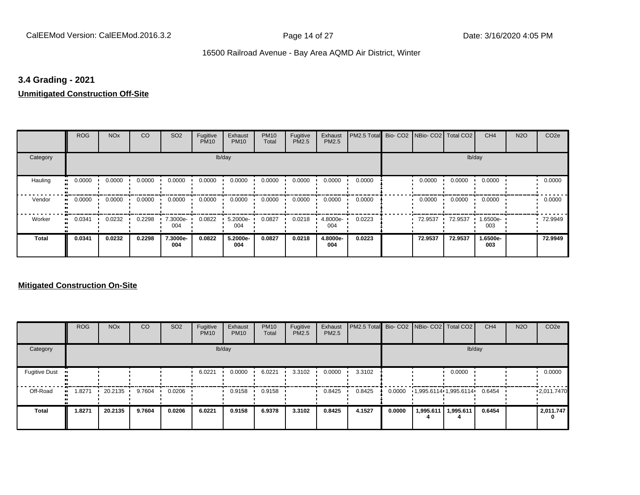#### **3.4 Grading - 2021**

# **Unmitigated Construction Off-Site**

|                            | <b>ROG</b>                 | <b>NO<sub>x</sub></b> | CO     | SO <sub>2</sub> | Fugitive<br><b>PM10</b> | Exhaust<br><b>PM10</b> | <b>PM10</b><br>Total | Fugitive<br>PM2.5 | Exhaust<br>PM2.5 | PM2.5 Total | Bio- CO2   NBio- CO2   Total CO2 |         | CH <sub>4</sub> | <b>N2O</b> | CO <sub>2e</sub> |
|----------------------------|----------------------------|-----------------------|--------|-----------------|-------------------------|------------------------|----------------------|-------------------|------------------|-------------|----------------------------------|---------|-----------------|------------|------------------|
| Category                   |                            |                       |        |                 |                         | lb/day                 |                      |                   |                  |             |                                  |         | lb/day          |            |                  |
| Hauling<br>$\bullet$       | 0.0000                     | 0.0000                | 0.0000 | 0.0000          | 0.0000                  | 0.0000                 | 0.0000               | 0.0000            | 0.0000           | 0.0000      | 0.0000                           | 0.0000  | 0.0000          |            | 0.0000           |
| Vendor                     | 0.0000<br>$\bullet\bullet$ | 0.0000                | 0.0000 | 0.0000          | 0.0000                  | 0.0000                 | 0.0000               | 0.0000            | 0.0000           | 0.0000      | 0.0000                           | 0.0000  | 0.0000          |            | 0.0000           |
| Worker<br>$\bullet\bullet$ | 0.0341                     | 0.0232                | 0.2298 | 7.3000e-<br>004 | 0.0822                  | 5.2000e-<br>004        | 0.0827               | 0.0218            | 4.8000e-<br>004  | 0.0223      | 72.9537                          | 72.9537 | 1.6500e-<br>003 |            | 72.9949          |
| <b>Total</b>               | 0.0341                     | 0.0232                | 0.2298 | 7.3000e-<br>004 | 0.0822                  | 5.2000e-<br>004        | 0.0827               | 0.0218            | 4.8000e-<br>004  | 0.0223      | 72.9537                          | 72.9537 | 1.6500e-<br>003 |            | 72.9949          |

#### **Mitigated Construction On-Site**

|                      | <b>ROG</b>  | <b>NO<sub>x</sub></b> | <b>CO</b> | SO <sub>2</sub> | Fugitive<br><b>PM10</b> | Exhaust<br><b>PM10</b> | <b>PM10</b><br>Total | Fugitive<br><b>PM2.5</b> | Exhaust<br><b>PM2.5</b> | PM2.5 Total Bio- CO2 NBio- CO2 Total CO2 |        |                               |           | CH <sub>4</sub> | <b>N2O</b> | CO <sub>2e</sub> |
|----------------------|-------------|-----------------------|-----------|-----------------|-------------------------|------------------------|----------------------|--------------------------|-------------------------|------------------------------------------|--------|-------------------------------|-----------|-----------------|------------|------------------|
| Category             |             |                       |           |                 |                         | lb/day                 |                      |                          |                         |                                          |        |                               | lb/day    |                 |            |                  |
| <b>Fugitive Dust</b> |             |                       |           |                 | 6.0221                  | 0.0000                 | 6.0221               | 3.3102                   | 0.0000                  | 3.3102                                   |        |                               | 0.0000    |                 |            | 0.0000           |
| Off-Road             | .8271<br>ш. | 20.2135               | 9.7604    | 0.0206          |                         | 0.9158                 | 0.9158               |                          | 0.8425                  | 0.8425                                   | 0.0000 | $1,995.6114 \cdot 1,995.6114$ |           | 0.6454          |            | 12,011.7470      |
| <b>Total</b>         | 1.8271      | 20.2135               | 9.7604    | 0.0206          | 6.0221                  | 0.9158                 | 6.9378               | 3.3102                   | 0.8425                  | 4.1527                                   | 0.0000 | 1,995.611                     | 1,995.611 | 0.6454          |            | 2,011.747<br>0   |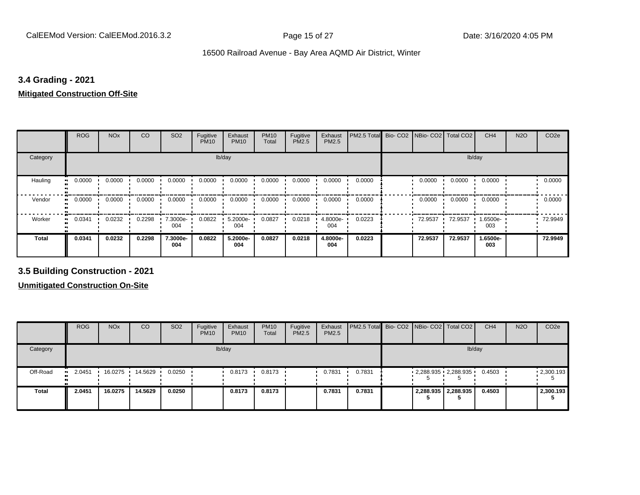#### **3.4 Grading - 2021**

#### **Mitigated Construction Off-Site**

|                           | <b>ROG</b> | <b>NO<sub>x</sub></b> | CO     | SO <sub>2</sub> | Fugitive<br><b>PM10</b> | Exhaust<br><b>PM10</b> | <b>PM10</b><br>Total | Fugitive<br>PM2.5 | Exhaust<br>PM2.5 | PM2.5 Total | Bio- CO2   NBio- CO2   Total CO2 |         | CH <sub>4</sub> | <b>N2O</b> | CO <sub>2e</sub> |
|---------------------------|------------|-----------------------|--------|-----------------|-------------------------|------------------------|----------------------|-------------------|------------------|-------------|----------------------------------|---------|-----------------|------------|------------------|
| Category                  |            |                       |        |                 | lb/day                  |                        |                      |                   |                  |             |                                  | lb/day  |                 |            |                  |
| Hauling<br>$\blacksquare$ | 0.0000     | 0.0000                | 0.0000 | 0.0000          | 0.0000                  | 0.0000                 | 0.0000               | 0.0000            | 0.0000           | 0.0000      | 0.0000                           | 0.0000  | 0.0000          |            | 0.0000           |
| Vendor<br>$\bullet$       | 0.0000     | 0.0000                | 0.0000 | 0.0000          | 0.0000                  | 0.0000                 | 0.0000               | 0.0000            | 0.0000           | 0.0000      | 0.0000                           | 0.0000  | 0.0000          |            | 0.0000           |
| Worker                    | 0.0341     | 0.0232                | 0.2298 | 7.3000e-<br>004 | 0.0822                  | 5.2000e-<br>004        | 0.0827               | 0.0218            | 4.8000e-<br>004  | 0.0223      | 72.9537                          | 72.9537 | 1.6500e-<br>003 |            | 72.9949          |
| <b>Total</b>              | 0.0341     | 0.0232                | 0.2298 | 7.3000e-<br>004 | 0.0822                  | 5.2000e-<br>004        | 0.0827               | 0.0218            | 4.8000e-<br>004  | 0.0223      | 72.9537                          | 72.9537 | 1.6500e-<br>003 |            | 72.9949          |

**3.5 Building Construction - 2021**

**Unmitigated Construction On-Site**

|              | <b>ROG</b>          | <b>NO<sub>x</sub></b> | CO              | SO <sub>2</sub> | Fugitive<br><b>PM10</b> | Exhaust<br><b>PM10</b> | <b>PM10</b><br>Total | Fugitive<br><b>PM2.5</b> | Exhaust<br>PM2.5 | <b>PM2.5 Total</b> Bio- CO2 NBio- CO2   Total CO2 |   |                         | CH <sub>4</sub> | <b>N2O</b> | CO <sub>2e</sub>  |
|--------------|---------------------|-----------------------|-----------------|-----------------|-------------------------|------------------------|----------------------|--------------------------|------------------|---------------------------------------------------|---|-------------------------|-----------------|------------|-------------------|
| Category     |                     |                       |                 |                 |                         | lb/day                 |                      |                          |                  |                                                   |   |                         | lb/day          |            |                   |
| Off-Road     | 2.0451<br><b>BL</b> |                       | 16.0275 14.5629 | 0.0250          |                         | 0.8173                 | 0.8173               |                          | 0.7831           | 0.7831                                            | Ð | $2,288.935$ $2,288.935$ | 0.4503          |            | $\cdot$ 2,300.193 |
| <b>Total</b> | 2.0451              | 16.0275               | 14.5629         | 0.0250          |                         | 0.8173                 | 0.8173               |                          | 0.7831           | 0.7831                                            |   | 2,288.935 2,288.935     | 0.4503          |            | 2,300.193         |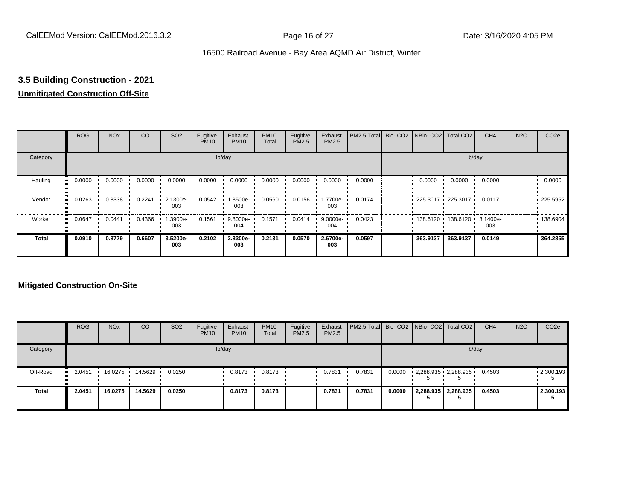# **3.5 Building Construction - 2021**

### **Unmitigated Construction Off-Site**

|                        | <b>ROG</b> | <b>NO<sub>x</sub></b> | CO     | SO <sub>2</sub> | Fugitive<br><b>PM10</b> | Exhaust<br><b>PM10</b> | <b>PM10</b><br>Total | Fugitive<br><b>PM2.5</b> | Exhaust<br>PM2.5   | PM2.5 Total Bio- CO2 NBio- CO2 Total CO2 |                     |                            | CH <sub>4</sub> | <b>N2O</b> | CO <sub>2e</sub> |
|------------------------|------------|-----------------------|--------|-----------------|-------------------------|------------------------|----------------------|--------------------------|--------------------|------------------------------------------|---------------------|----------------------------|-----------------|------------|------------------|
| Category               |            |                       |        |                 |                         | lb/day                 |                      |                          |                    |                                          |                     |                            | lb/day          |            |                  |
| Hauling<br>œ           | 0.0000     | 0.0000                | 0.0000 | 0.0000          | 0.0000                  | 0.0000                 | 0.0000               | 0.0000                   | 0.0000             | 0.0000                                   | 0.0000              | 0.0000                     | 0.0000          |            | 0.0000           |
| Vendor<br>œ            | 0.0263     | 0.8338                | 0.2241 | 2.1300e-<br>003 | 0.0542                  | 1.8500e-<br>003        | 0.0560               | 0.0156                   | -.7700e<br>003     | 0.0174                                   | $225.3017$ 225.3017 |                            | 0.0117          |            | $-225.5952$      |
| Worker<br>$\mathbf{u}$ | 0.0647     | 0.0441                | 0.4366 | -3900e.<br>003  | 0.1561                  | 9.8000e-<br>004        | 0.1571               | 0.0414                   | $9.0000e -$<br>004 | 0.0423                                   |                     | 138.6120 138.6120 3.1400e- | 003             |            | .138.6904        |
| Total                  | 0.0910     | 0.8779                | 0.6607 | 3.5200e-<br>003 | 0.2102                  | 2.8300e-<br>003        | 0.2131               | 0.0570                   | 2.6700e-<br>003    | 0.0597                                   | 363.9137            | 363.9137                   | 0.0149          |            | 364.2855         |

#### **Mitigated Construction On-Site**

|              | <b>ROG</b>          | <b>NO<sub>x</sub></b> | CO      | SO <sub>2</sub> | Fugitive<br><b>PM10</b> | Exhaust<br><b>PM10</b> | <b>PM10</b><br><b>Total</b> | Fugitive<br>PM2.5 | Exhaust<br><b>PM2.5</b> | <b>PM2.5 Total</b> Bio- CO2 NBio- CO2 Total CO2 |        |                         | CH <sub>4</sub> | <b>N2O</b> | CO <sub>2</sub> e |
|--------------|---------------------|-----------------------|---------|-----------------|-------------------------|------------------------|-----------------------------|-------------------|-------------------------|-------------------------------------------------|--------|-------------------------|-----------------|------------|-------------------|
| Category     |                     |                       |         |                 |                         | lb/day                 |                             |                   |                         |                                                 |        | lb/day                  |                 |            |                   |
| Off-Road     | 2.0451<br>$\bullet$ | 16.0275               | 14.5629 | 0.0250          |                         | 0.8173                 | 0.8173                      |                   | 0.7831                  | 0.7831                                          | 0.0000 | $2,288.935$ $2,288.935$ | 0.4503          |            | $\cdot$ 2,300.193 |
| <b>Total</b> | 2.0451              | 16.0275               | 14.5629 | 0.0250          |                         | 0.8173                 | 0.8173                      |                   | 0.7831                  | 0.7831                                          | 0.0000 | 2,288.935 2,288.935     | 0.4503          |            | 2,300.193         |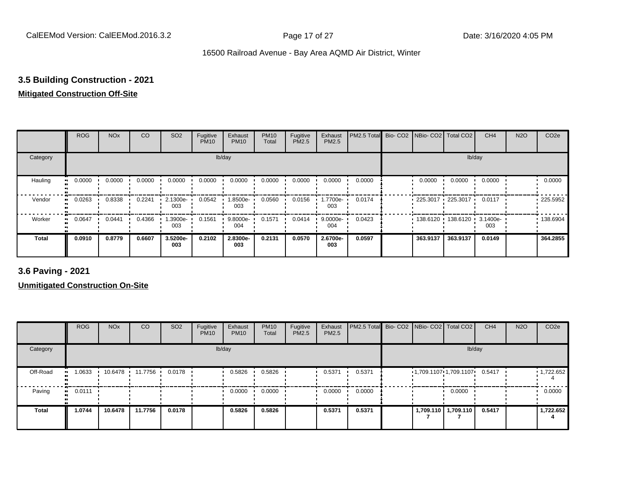## **3.5 Building Construction - 2021**

### **Mitigated Construction Off-Site**

|                           | <b>ROG</b> | <b>NO<sub>x</sub></b> | CO     | SO <sub>2</sub> | Fugitive<br><b>PM10</b> | Exhaust<br><b>PM10</b> | <b>PM10</b><br>Total | Fugitive<br><b>PM2.5</b> | Exhaust<br>PM2.5 | PM2.5 Total Bio- CO2 NBio- CO2 Total CO2 |                     |          | CH <sub>4</sub> | <b>N2O</b> | CO <sub>2e</sub> |
|---------------------------|------------|-----------------------|--------|-----------------|-------------------------|------------------------|----------------------|--------------------------|------------------|------------------------------------------|---------------------|----------|-----------------|------------|------------------|
| Category                  |            |                       |        |                 |                         | lb/day                 |                      |                          |                  |                                          |                     |          | lb/day          |            |                  |
| Hauling<br>$\blacksquare$ | 0.0000     | 0.0000                | 0.0000 | 0.0000          | 0.0000                  | 0.0000                 | 0.0000               | 0.0000                   | 0.0000           | 0.0000                                   | 0.0000              | 0.0000   | 0.0000          |            | 0.0000           |
| Vendor                    | 0.0263     | 0.8338                | 0.2241 | 2.1300e-<br>003 | 0.0542                  | 1.8500e-<br>003        | 0.0560               | 0.0156                   | -1.7700e<br>003  | 0.0174                                   | $225.3017$ 225.3017 |          | 0.0117          |            | $-225.5952$      |
| Worker<br>п.              | 0.0647     | 0.0441                | 0.4366 | -3900e.<br>003  | 0.1561                  | 9.8000e-<br>004        | 0.1571               | 0.0414                   | 9.0000e-<br>004  | 0.0423                                   |                     |          | 003             |            | .138.6904        |
| <b>Total</b>              | 0.0910     | 0.8779                | 0.6607 | 3.5200e-<br>003 | 0.2102                  | 2.8300e-<br>003        | 0.2131               | 0.0570                   | 2.6700e-<br>003  | 0.0597                                   | 363.9137            | 363.9137 | 0.0149          |            | 364.2855         |

**3.6 Paving - 2021**

**Unmitigated Construction On-Site**

|          | <b>ROG</b>          | <b>NO<sub>x</sub></b> | CO      | SO <sub>2</sub> | Fugitive<br><b>PM10</b> | Exhaust<br><b>PM10</b> | <b>PM10</b><br>Total | Fugitive<br><b>PM2.5</b> | Exhaust<br>PM2.5 | PM2.5 Total Bio- CO2 NBio- CO2 Total CO2 |                                            |                       | CH <sub>4</sub> | <b>N2O</b> | CO <sub>2e</sub>  |
|----------|---------------------|-----------------------|---------|-----------------|-------------------------|------------------------|----------------------|--------------------------|------------------|------------------------------------------|--------------------------------------------|-----------------------|-----------------|------------|-------------------|
| Category |                     |                       |         |                 |                         | lb/day                 |                      |                          |                  |                                          |                                            | lb/day                |                 |            |                   |
| Off-Road | 1.0633<br>.         | 10.6478               | 11.7756 | 0.0178          |                         | 0.5826                 | 0.5826               |                          | 0.5371           | 0.5371                                   | $1,709.1107 \cdot 1,709.1107 \cdot 0.5417$ |                       |                 |            | $\cdot$ 1,722.652 |
| Paving   | 0.0111<br>$\bullet$ |                       |         |                 |                         | 0.0000                 | 0.0000               |                          | 0.0000           | 0.0000                                   |                                            | 0.0000                |                 |            | 0.0000            |
| Total    | 1.0744              | 10.6478               | 11.7756 | 0.0178          |                         | 0.5826                 | 0.5826               |                          | 0.5371           | 0.5371                                   |                                            | 1,709.110   1,709.110 | 0.5417          |            | 1,722.652         |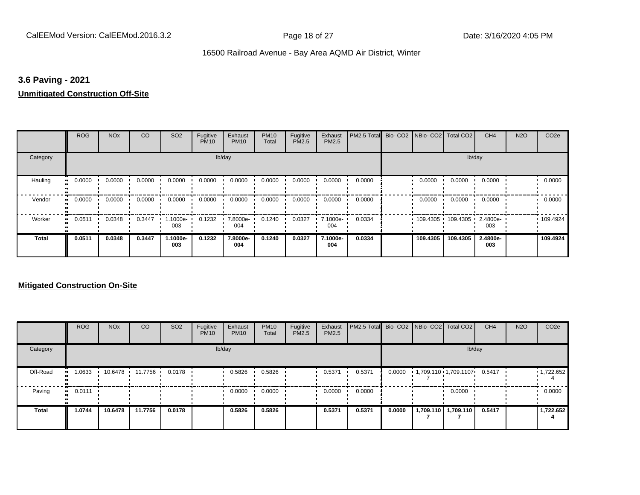#### **3.6 Paving - 2021**

#### **Unmitigated Construction Off-Site**

|                      | <b>ROG</b>                 | <b>NO<sub>x</sub></b> | CO     | SO <sub>2</sub> | Fugitive<br><b>PM10</b> | Exhaust<br><b>PM10</b> | <b>PM10</b><br>Total | Fugitive<br>PM2.5 | Exhaust<br>PM2.5 | PM2.5 Total | Bio- CO2   NBio- CO2   Total CO2 |                   | CH <sub>4</sub> | <b>N2O</b> | CO <sub>2e</sub> |
|----------------------|----------------------------|-----------------------|--------|-----------------|-------------------------|------------------------|----------------------|-------------------|------------------|-------------|----------------------------------|-------------------|-----------------|------------|------------------|
| Category             |                            |                       |        |                 |                         | lb/day                 |                      |                   |                  |             |                                  |                   | lb/day          |            |                  |
| Hauling<br>$\bullet$ | 0.0000                     | 0.0000                | 0.0000 | 0.0000          | 0.0000                  | 0.0000                 | 0.0000               | 0.0000            | 0.0000           | 0.0000      | 0.0000                           | 0.0000            | 0.0000          |            | 0.0000           |
| Vendor               | 0.0000<br>$\bullet\bullet$ | 0.0000                | 0.0000 | 0.0000          | 0.0000                  | 0.0000                 | 0.0000               | 0.0000            | 0.0000           | 0.0000      | 0.0000                           | 0.0000            | 0.0000          |            | 0.0000           |
| Worker<br>$\bullet$  | 0.0511                     | 0.0348                | 0.3447 | 1.1000e-<br>003 | 0.1232                  | 7.8000e-<br>004        | 0.1240               | 0.0327            | 7.1000e-<br>004  | 0.0334      |                                  | 109.4305 109.4305 | 2.4800e-<br>003 |            | .109.4924        |
| <b>Total</b>         | 0.0511                     | 0.0348                | 0.3447 | 1.1000e-<br>003 | 0.1232                  | 7.8000e-<br>004        | 0.1240               | 0.0327            | 7.1000e-<br>004  | 0.0334      | 109.4305                         | 109.4305          | 2.4800e-<br>003 |            | 109.4924         |

#### **Mitigated Construction On-Site**

|              | <b>ROG</b>    | <b>NO<sub>x</sub></b> | <b>CO</b>       | SO <sub>2</sub> | Fugitive<br><b>PM10</b> | Exhaust<br><b>PM10</b> | <b>PM10</b><br>Total | Fugitive<br><b>PM2.5</b> | Exhaust<br><b>PM2.5</b> | PM2.5 Total Bio- CO2 NBio- CO2 Total CO2 |        |                       | CH <sub>4</sub> | <b>N2O</b> | CO <sub>2e</sub>  |
|--------------|---------------|-----------------------|-----------------|-----------------|-------------------------|------------------------|----------------------|--------------------------|-------------------------|------------------------------------------|--------|-----------------------|-----------------|------------|-------------------|
| Category     |               |                       |                 |                 |                         | lb/day                 |                      |                          |                         |                                          |        | lb/day                |                 |            |                   |
| Off-Road     | 1.0633<br>    |                       | 10.6478 11.7756 | 0.0178          |                         | 0.5826                 | 0.5826               |                          | 0.5371                  | 0.5371                                   | 0.0000 | 1,709.110 1,709.1107  | 0.5417          |            | $\cdot$ 1,722.652 |
| Paving       | 0.0111<br>. . |                       |                 |                 |                         | 0.0000                 | 0.0000               |                          | 0.0000                  | 0.0000                                   |        | 0.0000                |                 |            | 0.0000            |
| <b>Total</b> | 1.0744        | 10.6478               | 11.7756         | 0.0178          |                         | 0.5826                 | 0.5826               |                          | 0.5371                  | 0.5371                                   | 0.0000 | 1,709.110   1,709.110 | 0.5417          |            | 1,722.652         |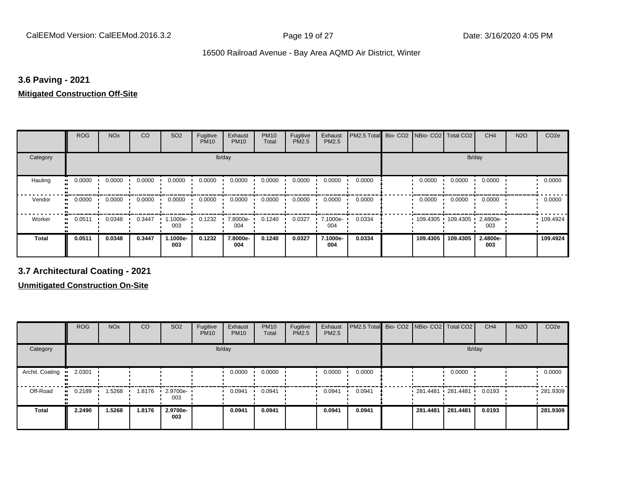### **3.6 Paving - 2021**

#### **Mitigated Construction Off-Site**

|              | <b>ROG</b> | <b>NO<sub>x</sub></b> | CO     | SO <sub>2</sub> | Fugitive<br><b>PM10</b> | Exhaust<br><b>PM10</b> | <b>PM10</b><br>Total | Fugitive<br>PM2.5 | Exhaust<br>PM2.5 | PM2.5 Total | Bio-CO <sub>2</sub> | NBio- CO2   Total CO2 |                     | CH <sub>4</sub> | <b>N2O</b> | CO <sub>2e</sub> |
|--------------|------------|-----------------------|--------|-----------------|-------------------------|------------------------|----------------------|-------------------|------------------|-------------|---------------------|-----------------------|---------------------|-----------------|------------|------------------|
| Category     |            |                       |        |                 | lb/day                  |                        |                      |                   |                  |             |                     |                       | lb/day              |                 |            |                  |
| Hauling      | 0.0000     | 0.0000                | 0.0000 | 0.0000          | 0.0000                  | 0.0000                 | 0.0000               | 0.0000            | 0.0000           | 0.0000      |                     | 0.0000                | 0.0000              | 0.0000          |            | 0.0000           |
| Vendor       | 0.0000     | 0.0000                | 0.0000 | 0.0000          | 0.0000                  | 0.0000                 | 0.0000               | 0.0000            | 0.0000           | 0.0000      |                     | 0.0000                | 0.0000              | 0.0000          |            | 0.0000           |
| Worker<br>., | 0.0511     | 0.0348                | 0.3447 | 1.1000e-<br>003 | 0.1232                  | 7.8000e-<br>004        | 0.1240               | 0.0327            | 7.1000e-<br>004  | 0.0334      |                     |                       | 109.4305 109.4305 ' | 2.4800e-<br>003 |            | $\cdot$ 109.4924 |
| <b>Total</b> | 0.0511     | 0.0348                | 0.3447 | 1.1000e-<br>003 | 0.1232                  | 7.8000e-<br>004        | 0.1240               | 0.0327            | 7.1000e-<br>004  | 0.0334      |                     | 109.4305              | 109.4305            | 2.4800e-<br>003 |            | 109.4924         |

**3.7 Architectural Coating - 2021**

**Unmitigated Construction On-Site**

|                        | <b>ROG</b> | <b>NO<sub>x</sub></b> | CO     | SO <sub>2</sub>                 | Fugitive<br><b>PM10</b> | Exhaust<br><b>PM10</b> | <b>PM10</b><br>Total | Fugitive<br><b>PM2.5</b> | Exhaust<br><b>PM2.5</b> | PM2.5 Total Bio- CO2 NBio- CO2 Total CO2 |          |                       | CH <sub>4</sub> | <b>N2O</b> | CO <sub>2e</sub> |
|------------------------|------------|-----------------------|--------|---------------------------------|-------------------------|------------------------|----------------------|--------------------------|-------------------------|------------------------------------------|----------|-----------------------|-----------------|------------|------------------|
| Category               |            |                       |        |                                 |                         | lb/day                 |                      |                          |                         |                                          |          | lb/day                |                 |            |                  |
| Archit. Coating<br>-99 | 2.0301     |                       |        |                                 |                         | 0.0000                 | 0.0000               |                          | 0.0000                  | 0.0000                                   |          | 0.0000                |                 |            | 0.0000           |
| Off-Road<br>$\bullet$  | 0.2189     | .5268                 | 1.8176 | $\cdot$ 2.9700e- $\cdot$<br>003 |                         | 0.0941                 | 0.0941               |                          | 0.0941                  | 0.0941                                   |          | $281.4481$ 281.4481 · | 0.0193          |            | 281.9309         |
| <b>Total</b>           | 2.2490     | 1.5268                | 1.8176 | 2.9700e-<br>003                 |                         | 0.0941                 | 0.0941               |                          | 0.0941                  | 0.0941                                   | 281.4481 | 281.4481              | 0.0193          |            | 281.9309         |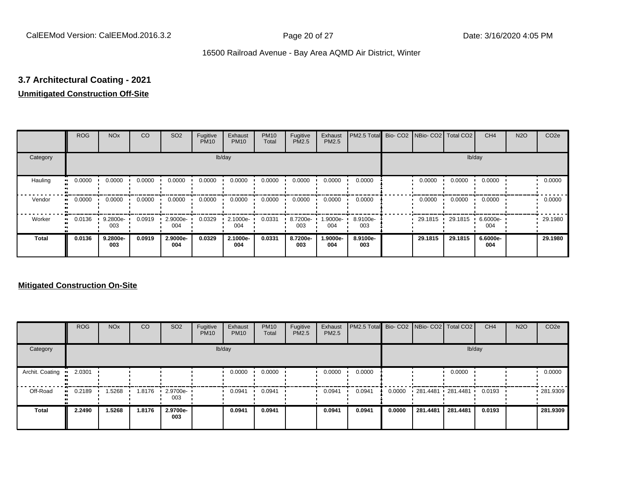# **3.7 Architectural Coating - 2021**

### **Unmitigated Construction Off-Site**

|                     | <b>ROG</b>          | <b>NO<sub>x</sub></b> | CO     | SO <sub>2</sub> | Fugitive<br><b>PM10</b> | Exhaust<br><b>PM10</b> | <b>PM10</b><br>Total | Fugitive<br><b>PM2.5</b> | Exhaust<br>PM2.5 | PM2.5 Total     | Bio- CO2   NBio- CO2   Total CO2 |         | CH <sub>4</sub> | <b>N2O</b> | CO <sub>2e</sub> |
|---------------------|---------------------|-----------------------|--------|-----------------|-------------------------|------------------------|----------------------|--------------------------|------------------|-----------------|----------------------------------|---------|-----------------|------------|------------------|
| Category            |                     |                       |        |                 |                         | lb/day                 |                      |                          |                  |                 |                                  |         | lb/day          |            |                  |
| Hauling<br>œ        | 0.0000              | 0.0000                | 0.0000 | 0.0000          | 0.0000                  | 0.0000                 | 0.0000               | 0.0000                   | 0.0000           | 0.0000          | 0.0000                           | 0.0000  | 0.0000          |            | 0.0000           |
| Vendor              | 0.0000<br>$\bullet$ | 0.0000                | 0.0000 | 0.0000          | 0.0000                  | 0.0000                 | 0.0000               | 0.0000                   | 0.0000           | 0.0000          | 0.0000                           | 0.0000  | 0.0000          |            | 0.0000           |
| Worker<br>$\bullet$ | 0.0136              | 9.2800e-<br>003       | 0.0919 | 2.9000e-<br>004 | 0.0329                  | 2.1000e-<br>004        | 0.0331               | 8.7200e-<br>003          | 1.9000e-<br>004  | 8.9100e-<br>003 | 29.1815                          | 29.1815 | 6.6000e-<br>004 |            | 29.1980          |
| <b>Total</b>        | 0.0136              | 9.2800e-<br>003       | 0.0919 | 2.9000e-<br>004 | 0.0329                  | 2.1000e-<br>004        | 0.0331               | 8.7200e-<br>003          | 1.9000e-<br>004  | 8.9100e-<br>003 | 29.1815                          | 29.1815 | 6.6000e-<br>004 |            | 29.1980          |

#### **Mitigated Construction On-Site**

|                 | <b>ROG</b>   | <b>NO<sub>x</sub></b> | CO     | SO <sub>2</sub> | Fugitive<br><b>PM10</b> | Exhaust<br><b>PM10</b> | <b>PM10</b><br>Total | Fugitive<br><b>PM2.5</b> | Exhaust<br><b>PM2.5</b> | PM2.5 Total Bio- CO2 NBio- CO2   Total CO2 |        |                   |          | CH <sub>4</sub> | <b>N2O</b> | CO <sub>2e</sub> |
|-----------------|--------------|-----------------------|--------|-----------------|-------------------------|------------------------|----------------------|--------------------------|-------------------------|--------------------------------------------|--------|-------------------|----------|-----------------|------------|------------------|
| Category        |              |                       |        |                 |                         | lb/day                 |                      |                          |                         |                                            |        |                   |          | lb/day          |            |                  |
| Archit. Coating | 2.0301       |                       |        |                 |                         | 0.0000                 | 0.0000               |                          | 0.0000                  | 0.0000                                     |        |                   | 0.0000   |                 |            | 0.0000           |
| Off-Road        | 0.2189<br>ш. | 1.5268                | 1.8176 | 2.9700e-<br>003 |                         | 0.0941                 | 0.0941               |                          | 0.0941                  | 0.0941                                     | 0.0000 | 281.4481 281.4481 |          | 0.0193          |            | .281.9309        |
| Total           | 2.2490       | 1.5268                | 1.8176 | 2.9700e-<br>003 |                         | 0.0941                 | 0.0941               |                          | 0.0941                  | 0.0941                                     | 0.0000 | 281.4481          | 281.4481 | 0.0193          |            | 281.9309         |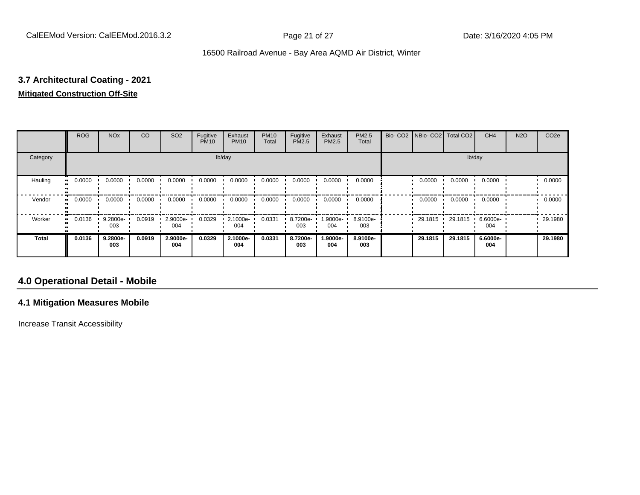# **3.7 Architectural Coating - 2021**

# **Mitigated Construction Off-Site**

|                           | <b>ROG</b> | <b>NO<sub>x</sub></b> | CO     | SO <sub>2</sub> | Fugitive<br><b>PM10</b> | Exhaust<br><b>PM10</b> | <b>PM10</b><br>Total | Fugitive<br>PM2.5 | Exhaust<br>PM2.5 | PM2.5<br>Total  | Bio- CO2   NBio- CO2   Total CO2 |         | CH <sub>4</sub> | <b>N2O</b> | CO <sub>2e</sub> |
|---------------------------|------------|-----------------------|--------|-----------------|-------------------------|------------------------|----------------------|-------------------|------------------|-----------------|----------------------------------|---------|-----------------|------------|------------------|
| Category                  |            |                       |        |                 |                         | lb/day                 |                      |                   |                  |                 |                                  | lb/day  |                 |            |                  |
| Hauling<br>$\blacksquare$ | 0.0000     | 0.0000                | 0.0000 | 0.0000          | 0.0000                  | 0.0000                 | 0.0000               | 0.0000            | 0.0000           | 0.0000          | 0.0000                           | 0.0000  | 0.0000          |            | 0.0000           |
| Vendor                    | 0.0000     | 0.0000                | 0.0000 | 0.0000          | 0.0000                  | 0.0000                 | 0.0000               | 0.0000            | 0.0000           | 0.0000          | 0.0000                           | 0.0000  | 0.0000          |            | 0.0000           |
| Worker<br>$\bullet$       | 0.0136     | $9.2800e -$<br>003    | 0.0919 | 2.9000e-<br>004 | 0.0329                  | 2.1000e-<br>004        | 0.0331               | 8.7200e-<br>003   | .9000e-<br>004   | 8.9100e-<br>003 | 29.1815                          | 29.1815 | 6.6000e-<br>004 |            | 29.1980          |
| <b>Total</b>              | 0.0136     | 9.2800e-<br>003       | 0.0919 | 2.9000e-<br>004 | 0.0329                  | 2.1000e-<br>004        | 0.0331               | 8.7200e-<br>003   | .9000e-<br>004   | 8.9100e-<br>003 | 29.1815                          | 29.1815 | 6.6000e-<br>004 |            | 29.1980          |

# **4.0 Operational Detail - Mobile**

#### **4.1 Mitigation Measures Mobile**

Increase Transit Accessibility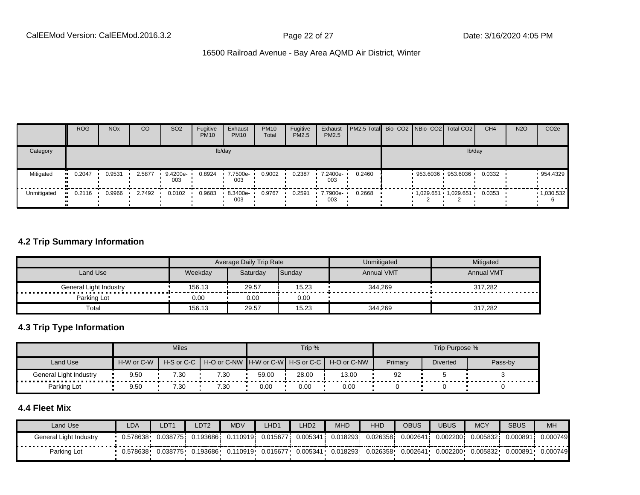|             | <b>ROG</b> | <b>NO<sub>x</sub></b> | CO     | SO <sub>2</sub> | Fugitive<br><b>PM10</b> | Exhaust<br><b>PM10</b> | <b>PM10</b><br>Total | Fugitive<br><b>PM2.5</b> | Exhaust<br>PM2.5 | PM2.5 Total Bio- CO2 NBio- CO2 Total CO2 |  |                              | CH <sub>4</sub> | <b>N2O</b> | CO <sub>2e</sub> |
|-------------|------------|-----------------------|--------|-----------------|-------------------------|------------------------|----------------------|--------------------------|------------------|------------------------------------------|--|------------------------------|-----------------|------------|------------------|
| Category    |            |                       |        |                 |                         | lb/day                 |                      |                          |                  |                                          |  | lb/day                       |                 |            |                  |
| Mitigated   | 0.2047     | 0.9531                | 2.5877 | 9.4200e-<br>003 | 0.8924                  | 7.7500e-<br>003        | 0.9002               | 0.2387                   | 7.2400e-<br>003  | 0.2460                                   |  | 953.6036 953.6036            | 0.0332          |            | 954.4329         |
| Unmitigated | 0.2116     | 0.9966                | 2.7492 | 0.0102          | 0.9683                  | $-8.3400e-$<br>003     | 0.9767               | 0.2591                   | 7.7900e-<br>003  | 0.2668                                   |  | 1,029.651  1,029.651  0.0353 |                 |            | .1,030.532       |

#### **4.2 Trip Summary Information**

|                                 |         | Average Daily Trip Rate |        | Unmitigated       | Mitigated         |
|---------------------------------|---------|-------------------------|--------|-------------------|-------------------|
| Land Use                        | Weekdav | Saturdav                | Sunday | <b>Annual VMT</b> | <b>Annual VMT</b> |
| General Light Industry<br><br>. | 156.13  | 29.57                   | 15.23  | 344,269           | 317,282           |
| Parking Lot                     | 0.00    | 0.00                    | 0.00   |                   |                   |
| Total                           | 156.13  | 29.57                   | 15.23  | 344,269           | 317.282           |

#### **4.3 Trip Type Information**

|                        |            | <b>Miles</b>             |      |       | Trip % |                                               |         | Trip Purpose %  |         |
|------------------------|------------|--------------------------|------|-------|--------|-----------------------------------------------|---------|-----------------|---------|
| Land Use               | H-W or C-W | $H-S$ or C-C $\parallel$ |      |       |        | H-O or C-NW H-W or C-W H-S or C-C H-O or C-NW | Primary | <b>Diverted</b> | Pass-by |
| General Light Industry | 9.50       | 7.30                     | 7.30 | 59.00 | 28.00  | 13.00                                         | 92      |                 |         |
| Parking Lot            | 9.50       | 7.30                     | 7.30 | 0.00  | 0.00   | 0.00                                          |         |                 |         |

# **4.4 Fleet Mix**

| Land Use               | LDA      | DT1       | DT2      | <b>MDV</b> | LHD1      | LHD <sub>2</sub> | <b>MHD</b> | <b>HHD</b> | OBUS     | JBUS       | <b>MCY</b> | <b>SBUS</b> | <b>MH</b> |
|------------------------|----------|-----------|----------|------------|-----------|------------------|------------|------------|----------|------------|------------|-------------|-----------|
| General Light Industry | 0.578638 | 0.0387751 | .193686  | 0.110919i  | 0.0156771 | 0.005341         | 0.018293   | 0.026358   | 0.00264' | 0.002200 i | 0.005832   | 0.000891    | 0.000749  |
| Parking Lot            | 0.578638 | 0.038775  | 0.193686 | 0.110919   | 0.015677  | 0.005341         | 0.018293   | 0.026358   | 0.002641 | 0.002200   | 0.005832   | 0.000891    | 0.000749  |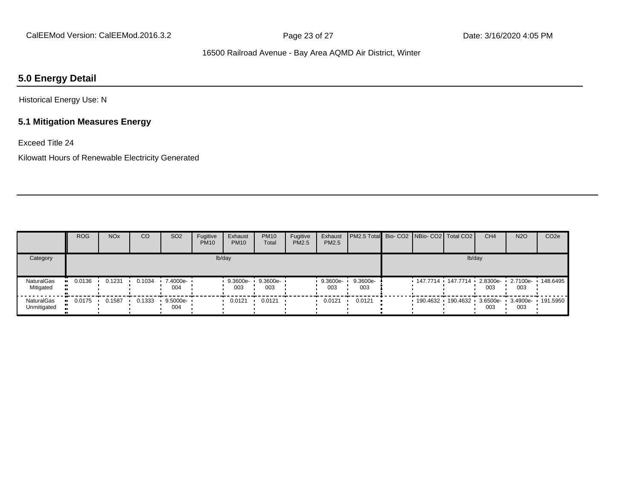## **5.0 Energy Detail**

Historical Energy Use: N

#### **5.1 Mitigation Measures Energy**

Exceed Title 24

Kilowatt Hours of Renewable Electricity Generated

|                           | <b>ROG</b> | <b>NO<sub>x</sub></b> | CO     | SO <sub>2</sub>    | Fugitive<br><b>PM10</b> | Exhaust<br><b>PM10</b> | <b>PM10</b><br>Total | Fugitive<br>PM2.5 | Exhaust<br>PM2.5  | <b>PM2.5 Total</b> Bio- CO2 NBio- CO2   Total CO2 |                     |        | CH <sub>4</sub> | <b>N2O</b>                          | CO <sub>2e</sub> |
|---------------------------|------------|-----------------------|--------|--------------------|-------------------------|------------------------|----------------------|-------------------|-------------------|---------------------------------------------------|---------------------|--------|-----------------|-------------------------------------|------------------|
| Category                  |            |                       |        |                    |                         | lb/day                 |                      |                   |                   |                                                   |                     | lb/day |                 |                                     |                  |
| NaturalGas<br>Mitigated   | 0.0136     | 0.1231                | 0.1034 | 7.4000e- ·<br>004  |                         | 9.3600e-<br>003        | 9.3600e-<br>003      |                   | $9.3600e-$<br>003 | 9.3600e-<br>003                                   | 147.7714 147.7714 1 |        | 003             | 2.8300e- 1 2.7100e- 148.6495<br>003 |                  |
| NaturalGas<br>Unmitigated | 0.0175     | 0.1587                | 0.1333 | $9.5000e -$<br>004 |                         | 0.0121                 | 0.0121               |                   | 0.0121            | 0.0121                                            | $190.4632$ 190.4632 |        | 003             | 3.6500e- 3.4900e- 191.5950<br>003   |                  |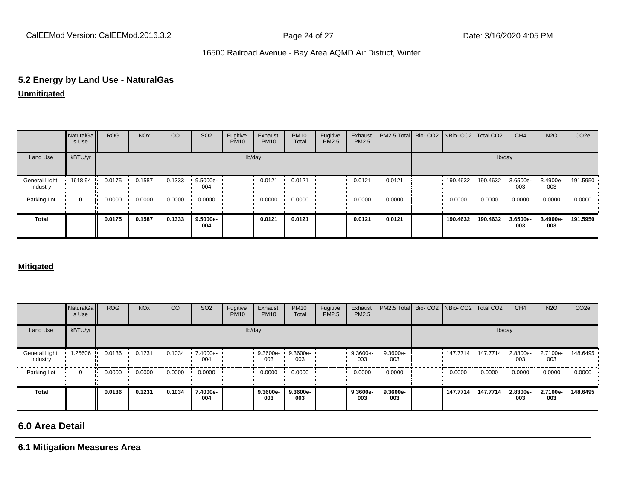# **5.2 Energy by Land Use - NaturalGas**

**Unmitigated**

|                           | NaturalGa<br>s Use | <b>ROG</b> | <b>NO<sub>x</sub></b> | CO     | SO <sub>2</sub> | Fugitive<br><b>PM10</b> | Exhaust<br><b>PM10</b> | <b>PM10</b><br>Total | Fugitive<br>PM2.5 | Exhaust<br>PM2.5 | PM2.5 Total Bio- CO2 NBio- CO2 Total CO2 |                                              |          | CH <sub>4</sub> | <b>N2O</b>      | CO <sub>2e</sub> |
|---------------------------|--------------------|------------|-----------------------|--------|-----------------|-------------------------|------------------------|----------------------|-------------------|------------------|------------------------------------------|----------------------------------------------|----------|-----------------|-----------------|------------------|
| Land Use                  | kBTU/yr            |            |                       |        |                 |                         | lb/day                 |                      |                   |                  |                                          |                                              |          | lb/day          |                 |                  |
| General Light<br>Industry | 1618.94            | 0.0175     | 0.1587                | 0.1333 | 9.5000e-<br>004 |                         | 0.0121                 | 0.0121               |                   | 0.0121           | 0.0121                                   | 190.4632 190.4632 3.6500e- 3.4900e- 191.5950 |          | 003             | 003             |                  |
| Parking Lot               | $\mathbf 0$        | 0.0000     | 0.0000                | 0.0000 | 0.0000          |                         | 0.0000                 | 0.0000               |                   | 0.0000           | 0.0000                                   | 0.0000                                       | 0.0000   | 0.0000          | 0.0000          | 0.0000           |
| <b>Total</b>              |                    | 0.0175     | 0.1587                | 0.1333 | 9.5000e-<br>004 |                         | 0.0121                 | 0.0121               |                   | 0.0121           | 0.0121                                   | 190.4632                                     | 190.4632 | 3.6500e-<br>003 | 3.4900e-<br>003 | 191.5950         |

#### **Mitigated**

|                           | NaturalGa<br>s Use | <b>ROG</b>   | <b>NO<sub>x</sub></b> | CO     | SO <sub>2</sub> | Fugitive<br><b>PM10</b> | Exhaust<br><b>PM10</b> | <b>PM10</b><br>Total | Fugitive<br>PM2.5 | Exhaust<br>PM2.5 | PM2.5 Total Bio- CO2 NBio- CO2 Total CO2 |          |                                                       | CH <sub>4</sub> | <b>N2O</b>      | CO <sub>2e</sub> |
|---------------------------|--------------------|--------------|-----------------------|--------|-----------------|-------------------------|------------------------|----------------------|-------------------|------------------|------------------------------------------|----------|-------------------------------------------------------|-----------------|-----------------|------------------|
| Land Use                  | kBTU/yr            |              |                       |        |                 |                         | lb/day                 |                      |                   |                  |                                          |          | lb/day                                                |                 |                 |                  |
| General Light<br>Industry | 1.25606            | 0.0136       | 0.1231                | 0.1034 | 7.4000e-<br>004 |                         | 9.3600e-<br>003        | 9.3600e-<br>003      |                   | 9.3600e-<br>003  | 9.3600e-<br>003                          |          | $147.7714$ $147.7714$ $2.8300e$ $12.7100e$ $148.6495$ | 003             | 003             |                  |
| Parking Lot               | 0                  | 0.0000<br>ш. | 0.0000                | 0.0000 | 0.0000          |                         | 0.0000                 | 0.0000               |                   | 0.0000           | 0.0000                                   | 0.0000   | 0.0000                                                | 0.0000          | 0.0000          | 0.0000           |
| <b>Total</b>              |                    | 0.0136       | 0.1231                | 0.1034 | 7.4000e-<br>004 |                         | 9.3600e-<br>003        | 9.3600e-<br>003      |                   | 9.3600e-<br>003  | 9.3600e-<br>003                          | 147.7714 | 147.7714                                              | 2.8300e-<br>003 | 2.7100e-<br>003 | 148.6495         |

# **6.0 Area Detail**

**6.1 Mitigation Measures Area**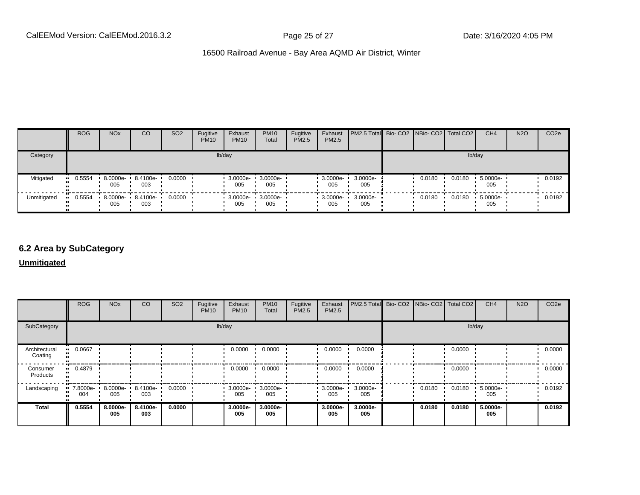|             | <b>ROG</b>   | <b>NO<sub>x</sub></b>    | <b>CO</b>       | SO <sub>2</sub> | Fugitive<br><b>PM10</b> | Exhaust<br><b>PM10</b>          | <b>PM10</b><br>Total | Fugitive<br><b>PM2.5</b> | Exhaust<br>PM2.5 | <b>PM2.5 Total</b> Bio- CO2 NBio- CO2 Total CO2 |        |        | CH <sub>4</sub> | <b>N2O</b> | CO <sub>2e</sub> |
|-------------|--------------|--------------------------|-----------------|-----------------|-------------------------|---------------------------------|----------------------|--------------------------|------------------|-------------------------------------------------|--------|--------|-----------------|------------|------------------|
| Category    |              |                          |                 |                 |                         | lb/day                          |                      |                          |                  |                                                 |        | lb/day |                 |            |                  |
| Mitigated   | 0.5554<br>ш. | 8.0000e-<br>005          | 8.4100e-<br>003 | 0.0000          |                         | $3.0000e -$<br>005              | 3.0000e-<br>005      |                          | 3.0000e-<br>005  | 3.0000e-<br>005                                 | 0.0180 | 0.0180 | 5.0000e-<br>005 |            | 0.0192           |
| Unmitigated | 0.5554       | 8.0000e- 8.4100e-<br>005 | 003             | 0.0000          |                         | $\cdot$ 3.0000e- $\cdot$<br>005 | 3.0000e-<br>005      |                          | 3.0000e-<br>005  | 3.0000e-<br>005                                 | 0.0180 | 0.0180 | 5.0000e-<br>005 |            | 0.0192           |

#### **6.2 Area by SubCategory**

**Unmitigated**

|                          | <b>ROG</b>      | <b>NO<sub>x</sub></b> | <b>CO</b>       | SO <sub>2</sub> | Fugitive<br><b>PM10</b> | Exhaust<br><b>PM10</b>  | <b>PM10</b><br>Total | Fugitive<br>PM2.5 | Exhaust<br>PM2.5 | PM2.5 Total Bio- CO2 NBio- CO2 Total CO2 |        |        | CH <sub>4</sub> | <b>N2O</b> | CO <sub>2</sub> e |
|--------------------------|-----------------|-----------------------|-----------------|-----------------|-------------------------|-------------------------|----------------------|-------------------|------------------|------------------------------------------|--------|--------|-----------------|------------|-------------------|
| SubCategory              |                 |                       |                 |                 | lb/day                  |                         |                      |                   |                  |                                          |        | lb/day |                 |            |                   |
| Architectural<br>Coating | 0.0667          |                       |                 |                 |                         | 0.0000                  | 0.0000               |                   | 0.0000           | 0.0000                                   |        | 0.0000 |                 |            | 0.0000            |
| Consumer<br>Products     | 0.4879<br>ш.    |                       |                 |                 |                         | 0.0000                  | 0.0000               |                   | 0.0000           | 0.0000                                   |        | 0.0000 |                 |            | 0.0000            |
| Landscaping              | 7.8000e-<br>004 | 8.0000e-<br>005       | 8.4100e-<br>003 | 0.0000          |                         | $\cdot$ 3.0000e-<br>005 | 3.0000e-<br>005      |                   | 3.0000e-<br>005  | 3.0000e-<br>005                          | 0.0180 | 0.0180 | 5.0000e-<br>005 |            | 0.0192            |
| <b>Total</b>             | 0.5554          | 8.0000e-<br>005       | 8.4100e-<br>003 | 0.0000          |                         | 3.0000e-<br>005         | 3.0000e-<br>005      |                   | 3.0000e-<br>005  | 3.0000e-<br>005                          | 0.0180 | 0.0180 | 5.0000e-<br>005 |            | 0.0192            |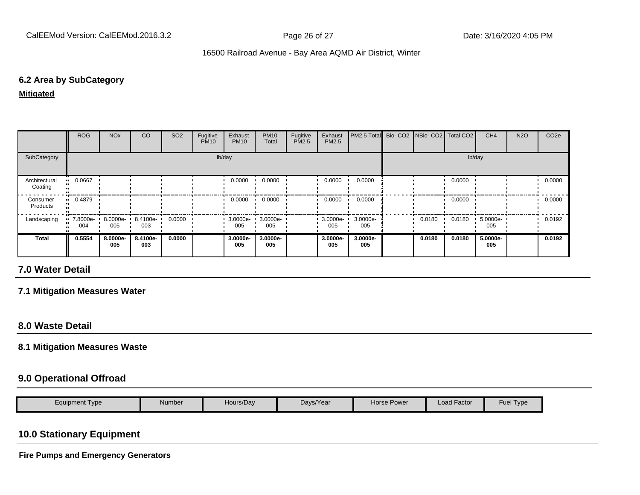#### **6.2 Area by SubCategory**

**Mitigated**

|                          | <b>ROG</b>      | <b>NO<sub>x</sub></b> | CO              | SO <sub>2</sub> | Fugitive<br><b>PM10</b> | Exhaust<br><b>PM10</b> | <b>PM10</b><br>Total | Fugitive<br>PM2.5 | Exhaust<br><b>PM2.5</b> | PM2.5 Total Bio- CO2 NBio- CO2   Total CO2 |        |        | CH <sub>4</sub> | <b>N2O</b> | CO <sub>2e</sub> |
|--------------------------|-----------------|-----------------------|-----------------|-----------------|-------------------------|------------------------|----------------------|-------------------|-------------------------|--------------------------------------------|--------|--------|-----------------|------------|------------------|
| SubCategory              |                 |                       |                 |                 |                         | lb/day                 |                      |                   |                         |                                            |        |        | lb/day          |            |                  |
| Architectural<br>Coating | 0.0667          |                       |                 |                 |                         | 0.0000                 | 0.0000               |                   | 0.0000                  | 0.0000                                     |        | 0.0000 |                 |            | 0.0000           |
| Consumer<br>Products     | $-0.4879$       |                       |                 |                 |                         | 0.0000                 | 0.0000               |                   | 0.0000                  | 0.0000                                     |        | 0.0000 |                 |            | 0.0000           |
| Landscaping              | 7.8000e-<br>004 | 8.0000e-<br>005       | 8.4100e-<br>003 | 0.0000          |                         | $3.0000e -$<br>005     | 3.0000e-<br>005      |                   | 3.0000e-<br>005         | 3.0000e-<br>005                            | 0.0180 | 0.0180 | 5.0000e-<br>005 |            | 0.0192           |
| <b>Total</b>             | 0.5554          | 8.0000e-<br>005       | 8.4100e-<br>003 | 0.0000          |                         | 3.0000e-<br>005        | 3.0000e-<br>005      |                   | 3.0000e-<br>005         | 3.0000e-<br>005                            | 0.0180 | 0.0180 | 5.0000e-<br>005 |            | 0.0192           |

# **7.0 Water Detail**

#### **7.1 Mitigation Measures Water**

#### **8.0 Waste Detail**

#### **8.1 Mitigation Measures Waste**

#### **9.0 Operational Offroad**

| Hours/Day<br>Days/Year<br>Equipment Type<br>Number<br><b>Horse Power</b> | Load Factor<br>Fuel | I vpe |
|--------------------------------------------------------------------------|---------------------|-------|
|--------------------------------------------------------------------------|---------------------|-------|

# **10.0 Stationary Equipment**

**Fire Pumps and Emergency Generators**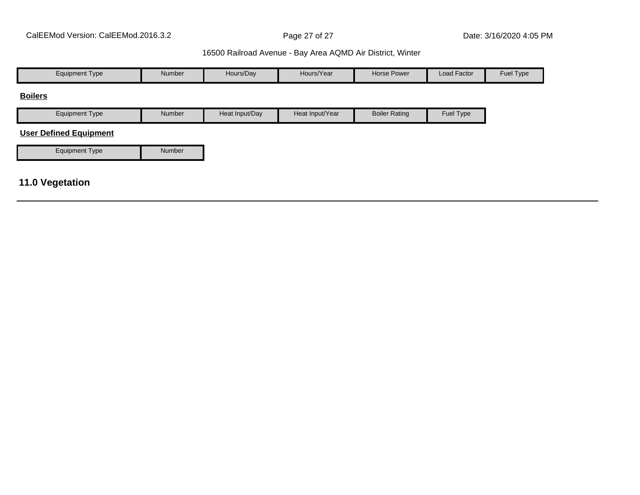| <b>Equipment Type</b>         | Number | Hours/Day      | Hours/Year      | Horse Power          | Load Factor | Fuel Type |
|-------------------------------|--------|----------------|-----------------|----------------------|-------------|-----------|
| <b>Boilers</b>                |        |                |                 |                      |             |           |
| <b>Equipment Type</b>         | Number | Heat Input/Day | Heat Input/Year | <b>Boiler Rating</b> | Fuel Type   |           |
| <b>User Defined Equipment</b> |        |                |                 |                      |             |           |
| <b>Equipment Type</b>         | Number |                |                 |                      |             |           |
|                               |        |                |                 |                      |             |           |
| <b>11.0 Vegetation</b>        |        |                |                 |                      |             |           |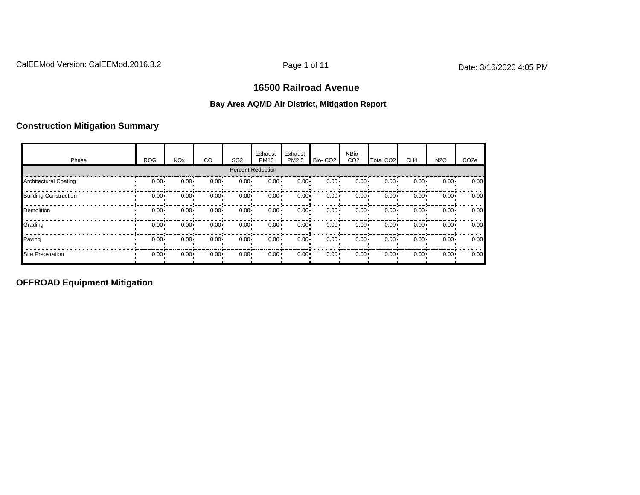# **16500 Railroad Avenue**

#### **Bay Area AQMD Air District, Mitigation Report**

#### **Construction Mitigation Summary**

| Phase                        | <b>ROG</b> | <b>NO<sub>x</sub></b> | CO       | SO <sub>2</sub> | Exhaust<br><b>PM10</b>   | Exhaust<br>PM2.5 | Bio-CO <sub>2</sub> | NBio-<br>CO <sub>2</sub> | Total CO <sub>2</sub> | CH <sub>4</sub> | <b>N2O</b>   | CO <sub>2e</sub> |
|------------------------------|------------|-----------------------|----------|-----------------|--------------------------|------------------|---------------------|--------------------------|-----------------------|-----------------|--------------|------------------|
|                              |            |                       |          |                 | <b>Percent Reduction</b> |                  |                     |                          |                       |                 |              |                  |
| <b>Architectural Coating</b> | $0.00 -$   | $0.00 -$              | $0.00 -$ | $0.00 -$        | $0.00 -$                 | $0.00 -$         | $0.00 \cdot$        | $0.00 -$                 | $0.00 -$              | $0.00 -$        | $0.00 -$     | 0.00             |
| <b>Building Construction</b> | $0.00 -$   | $0.00 -$              | $0.00 -$ | $0.00 -$        | $0.00 -$                 | $0.00 -$         | $0.00 \cdot$        | $0.00 -$                 | $0.00 -$              | $0.00 -$        | $0.00 \cdot$ | 0.00             |
| Demolition                   | $0.00 -$   | $0.00 -$              | $0.00 -$ | $0.00 -$        | $0.00 -$                 | $0.00 -$         | $0.00 \cdot$        | $0.00 -$                 | $0.00 -$              | $0.00 -$        | $0.00 \cdot$ | 0.00             |
| Grading                      | $0.00 -$   | $0.00 -$              | $0.00 -$ | $0.00 -$        | $0.00 -$                 | $0.00 -$         | $0.00 \cdot$        | $0.00 -$                 | $0.00 -$              | $0.00 -$        | $0.00 \cdot$ | 0.00             |
| Paving                       | $0.00 -$   | $0.00 -$              | $0.00 -$ | $0.00 -$        | $0.00 -$                 | $0.00 -$         | $0.00 \cdot$        | $0.00 -$                 | $0.00 -$              | $0.00 -$        | $0.00 \cdot$ | 0.00             |
| <b>Site Preparation</b>      | $0.00 -$   | $0.00 -$              | $0.00 -$ | $0.00 \cdot$    | $0.00 \cdot$             | $0.00 -$         | $0.00 \cdot$        | $0.00 -$                 | $0.00 \cdot$          | $0.00 -$        | $0.00 \cdot$ | 0.00             |

**OFFROAD Equipment Mitigation**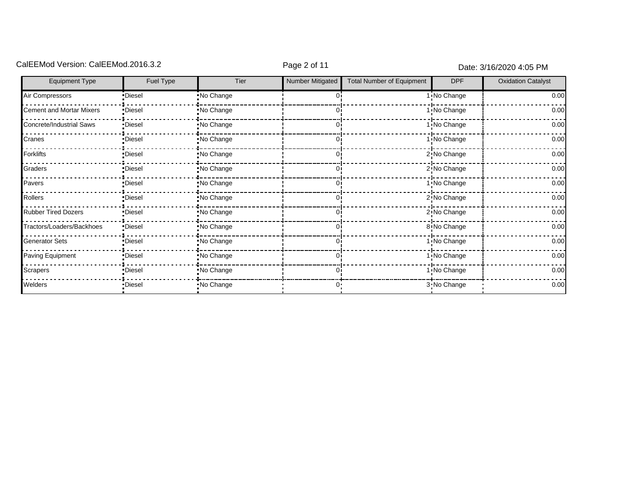# CalEEMod Version: CalEEMod.2016.3.2 CalEEMod Page 2 of 11 Date: 3/16/2020 4:05 PM

| <b>Equipment Type</b>           | Fuel Type | Tier       | Number Mitigated | <b>Total Number of Equipment</b> | <b>DPF</b>   | <b>Oxidation Catalyst</b> |
|---------------------------------|-----------|------------|------------------|----------------------------------|--------------|---------------------------|
| Air Compressors                 | Diesel    | No Change  |                  |                                  | 1: No Change | 0.00                      |
| <b>Cement and Mortar Mixers</b> | •Diesel   | No Change  |                  |                                  | 1: No Change | 0.00                      |
| Concrete/Industrial Saws        | ·Diesel   | No Change  |                  |                                  | 1 No Change  | 0.00                      |
| Cranes                          | •Diesel   | No Change  |                  |                                  | 1 No Change  | 0.00                      |
| Forklifts                       | •Diesel   | No Change  |                  |                                  | 2: No Change | 0.00                      |
| Graders                         | •Diesel   | No Change  |                  |                                  | 2: No Change | 0.00                      |
| Pavers                          | ·Diesel   | No Change  |                  |                                  | 1 No Change  | 0.00                      |
| Rollers                         | •Diesel   | No Change  |                  |                                  | 2: No Change | 0.00                      |
| <b>Rubber Tired Dozers</b>      | •Diesel   | No Change  |                  |                                  | 2: No Change | 0.00                      |
| Tractors/Loaders/Backhoes       | ·Diesel   | No Change  |                  |                                  | 8 No Change  | 0.00                      |
| <b>Generator Sets</b>           | •Diesel   | No Change  |                  |                                  | 1 No Change  | 0.00                      |
| Paving Equipment                | •Diesel   | No Change  |                  |                                  | 1 No Change  | 0.00                      |
| Scrapers                        | •Diesel   | No Change  |                  |                                  | 1: No Change | 0.00                      |
| Welders                         | •Diesel   | .No Change |                  |                                  | 3 No Change  | 0.00                      |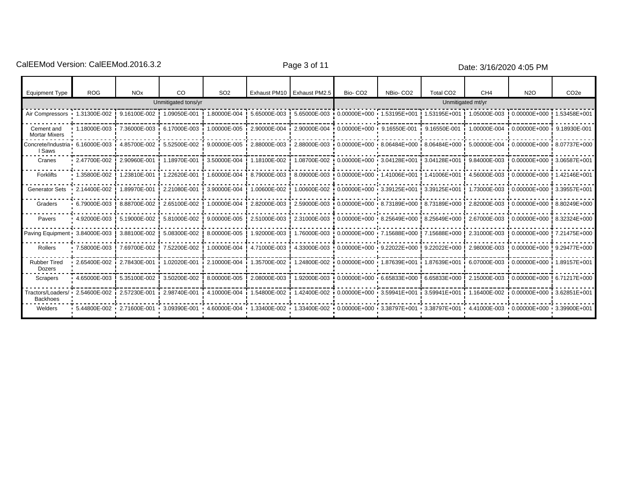CalEEMod Version: CalEEMod.2016.3.2 example 2 and 2016.3.2 Page 3 of 11 Date: 3/16/2020 4:05 PM

| <b>Equipment Type</b>                | <b>ROG</b>           | <b>NO<sub>x</sub></b> | CO.                             | SO <sub>2</sub> |              | Exhaust PM10 Exhaust PM2.5                                                                                                                      | Bio-CO <sub>2</sub>                    | NBio-CO <sub>2</sub>                                  | Total CO <sub>2</sub> | CH <sub>4</sub>   | N <sub>2</sub> O                           | CO <sub>2e</sub> |
|--------------------------------------|----------------------|-----------------------|---------------------------------|-----------------|--------------|-------------------------------------------------------------------------------------------------------------------------------------------------|----------------------------------------|-------------------------------------------------------|-----------------------|-------------------|--------------------------------------------|------------------|
|                                      |                      |                       | Unmitigated tons/yr             |                 |              |                                                                                                                                                 |                                        |                                                       |                       | Unmitigated mt/yr |                                            |                  |
| Air Compressors 1.31300E-002         |                      |                       | 9.16100E-002   1.09050E-001     | 1.80000E-004    | 5.65000E-003 |                                                                                                                                                 | 5.65000E-003 0.00000E+000 1.53195E+001 |                                                       | 1.53195E+001          |                   |                                            |                  |
| Cement and<br><b>Mortar Mixers</b>   | 1.18000E-003         |                       | 7.36000E-003 6.17000E-003       |                 |              | 1.00000E-005 i 2.90000E-004 i 2.90000E-004 i 0.00000E+000 · 9.16550E-001                                                                        |                                        |                                                       | 9.16550E-001          |                   | 1.00000E-004 0.00000E+000 0.18930E-001     |                  |
| Concrete/Industria •<br>I Saws       | 6.16000E-003         | 4.85700E-002          | 5.52500E-002                    |                 |              | 9.00000E-005 2.88000E-003 2.88000E-003 0.00000E+000 8.06484E+000 8.06484E+000 5.00000E-004 0.00000E+000 8.07737E+000                            |                                        |                                                       |                       |                   |                                            |                  |
| Cranes                               | $-2.47700E-002$      | 2.90960E-001          | 1.18970E-001                    | 3.50000E-004    | 1.18100E-002 |                                                                                                                                                 | 1.08700E-002 0.00000E+000 3.04128E+001 |                                                       | ! 3.04128E+001        |                   | 9.84000E-003   0.00000E+000   3.06587E+001 |                  |
| Forklifts                            | 1.35800E-002         | 1.23810E-001          | 1.22620E-001                    | 1.60000E-004    | 8.79000E-003 |                                                                                                                                                 | 8.09000E-003 0.00000E+000 1.41006E+001 |                                                       | ! 1.41006E+001        | 4.56000E-003      | 0.00000E+000 ! 1.42146E+001                |                  |
| <b>Generator Sets</b>                | 2.14400E-002         | 1.89970E-001          | 2.21080E-001                    | 3.90000E-004    | 1.00600E-002 |                                                                                                                                                 | 1.00600E-002 0.00000E+000 3.39125E+001 |                                                       | $13.39125E + 001$     | 1.73000E-003      | 0.00000E+000 3.39557E+001                  |                  |
| Graders                              | $+6.79000E-003$      | 8.88700E-002          | 2.65100E-002                    | 1.00000E-004    | 2.82000E-003 |                                                                                                                                                 |                                        | 2.59000E-003 0.00000E+000 8.73189E+000 8.73189E+000   |                       | 2.82000E-003      | 0.00000E+000 ! 8.80249E+000                |                  |
| Pavers                               | $\cdot$ 4.92000E-003 | 5.19000E-002          | 5.81000E-002                    | 9.00000E-005    | 2.51000E-003 |                                                                                                                                                 |                                        | 2.31000E-003 0.00000E+000 8.25649E+000 8.25649E+000 9 |                       |                   | 2.67000E-003   0.00000E+000   8.32324E+000 |                  |
| Paving Equipment 3.84000E-003        |                      | 3.88100E-002          | 5.08300E-002                    | 8.00000E-005    | 1.92000E-003 |                                                                                                                                                 |                                        | 1.76000E-003 0.00000E+000 7.15688E+000 7.15688E+000 9 |                       | 2.31000E-003      | 0.00000E+000 7.21475E+000                  |                  |
| Rollers                              | $-7.58000E-003$      | 7.69700E-002          | 7.52200E-002                    | 1.00000E-004    | 4.71000E-003 |                                                                                                                                                 |                                        | 4.33000E-003 0.00000E+000 9.22022E+000 9.22022E+000 9 |                       |                   | 2.98000E-003   0.00000E+000   9.29477E+000 |                  |
| <b>Rubber Tired</b><br>Dozers        | 2.65400E-002         | 2.78430E-001          | 1.02020E-001                    | 2.10000E-004    |              | 1.35700E-002 i 1.24800E-002 i 0.00000E+000 i 1.87639E+001 i 1.87639E+001 i                                                                      |                                        |                                                       |                       |                   | 6.07000E-003 i 0.00000E+000 i 1.89157E+001 |                  |
| Scrapers                             | $+4.65000E-003$      | 5.35100E-002          | 3.50200E-002                    | 8.00000E-005    | 2.08000E-003 |                                                                                                                                                 |                                        | 1.92000E-003 0.00000E+000 6.65833E+000 6.65833E+000 9 |                       | 2.15000E-003      | 0.00000E+000 6.71217E+000                  |                  |
| Tractors/Loaders/<br><b>Backhoes</b> | 2.54600E-002 i       | 2.57230E-001          | $12.98740E-001$ $14.10000E-004$ |                 |              | 1.54800E-002 1.42400E-002 0.00000E+000 3.59941E+001                                                                                             |                                        |                                                       | 3.59941E+001          |                   | 1.16400E-002 0.00000E+000 3.62851E+001     |                  |
| Welders                              | 5.44800E-002         |                       |                                 |                 |              | 2.71600E-001 0.411000E-001 0.00000E-004 1.33400E-002 1.33400E-002 0.00000E+000 3.38797E+001 3.38797E+001 4.41000E-003 0.00000E+000 3.39900E+001 |                                        |                                                       |                       |                   |                                            |                  |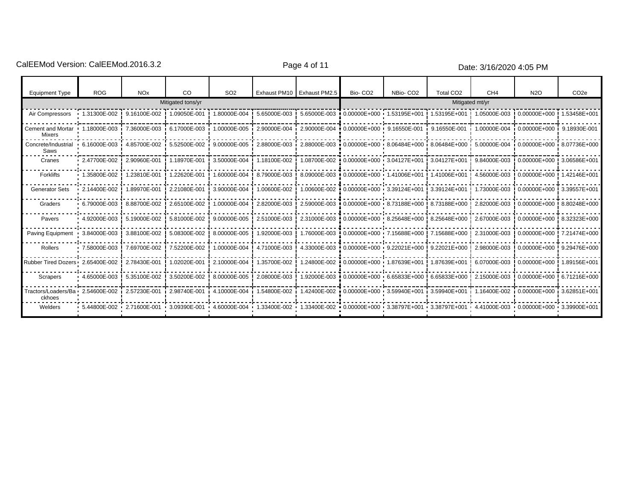CalEEMod Version: CalEEMod.2016.3.2 example 2018 Page 4 of 11 Page 4 of 11 Date: 3/16/2020 4:05 PM

| <b>Equipment Type</b>                        | <b>ROG</b>             | <b>NO<sub>x</sub></b>                    | <b>CO</b>         | SO <sub>2</sub>                                                                                                      |              | Exhaust PM10   Exhaust PM2.5 | Bio-CO <sub>2</sub>                                                                                       | NBio-CO <sub>2</sub> | Total CO <sub>2</sub>                                  | CH <sub>4</sub> | <b>N2O</b>                                                                                                            | CO <sub>2e</sub> |
|----------------------------------------------|------------------------|------------------------------------------|-------------------|----------------------------------------------------------------------------------------------------------------------|--------------|------------------------------|-----------------------------------------------------------------------------------------------------------|----------------------|--------------------------------------------------------|-----------------|-----------------------------------------------------------------------------------------------------------------------|------------------|
|                                              |                        |                                          | Mitigated tons/yr |                                                                                                                      |              |                              |                                                                                                           |                      |                                                        | Mitigated mt/yr |                                                                                                                       |                  |
| Air Compressors                              | $\cdot$ 1.31300E-002 ! | 9.16100E-002 !                           | 1.09050E-001      | 1.80000E-004                                                                                                         | 5.65000E-003 |                              | ! 5.65000E-003 0.00000E+000 1.53195E+001                                                                  |                      | 1.53195E+001                                           |                 | 1.05000E-003   0.00000E+000                                                                                           | 1.53458E+001     |
| Cement and Mortar<br>Mixers                  | 1.18000E-003           | 7.36000E-003 6.17000E-003 i              |                   |                                                                                                                      |              |                              | $1.00000E - 005$ $12.90000E - 004$ $12.90000E - 004$ $10.00000E + 000$ $9.16550E - 001$ $19.16550E - 001$ |                      |                                                        |                 | 1.00000E-004 0.00000E+000 9.18930E-001                                                                                |                  |
| Concrete/Industrial<br>Saws                  | $6.16000E-003$         | 4.85700E-002                             | 5.52500E-002      |                                                                                                                      |              |                              |                                                                                                           |                      |                                                        |                 | 9.00000E-004 i 0.00000E+000 i 8.07736E+000 i 8.06484E+000 i 8.06484E+000 i 5.00000E-004 i 0.00000E+000 i 8.07736E+000 |                  |
| Cranes                                       | 2.47700E-002           | 2.90960E-001                             | 1.18970E-001      | 3.50000E-004                                                                                                         | 1.18100E-002 |                              |                                                                                                           |                      |                                                        |                 | 1.08700E-002 0.00000E+000 0.04127E+001 0.04127E+001 0.04000E-003 0.00000E+000 0.0586E+001                             |                  |
| Forklifts                                    | 1.35800E-002           | 1.23810E-001                             | 1.22620E-001      | 1.60000E-004                                                                                                         | 8.79000E-003 |                              | 8.09000E-003 0.00000E+000 1.41006E+001 1.41006E+001                                                       |                      |                                                        | 4.56000E-003    | $!0.00000E + 000$                                                                                                     | 1.42146E+001     |
| <b>Generator Sets</b>                        | 2.14400E-002           | 1.89970E-001                             | 2.21080E-001      | 3.90000E-004                                                                                                         | 1.00600E-002 |                              | 1.00600E-002 0.00000E+000 3.39124E+001 3.39124E+001                                                       |                      |                                                        | 1.73000E-003    | $!0.00000E + 000!$                                                                                                    | 3.39557E+001     |
| Graders                                      | 6.79000E-003           | 8.88700E-002                             | 2.65100E-002      | 1.00000E-004                                                                                                         | 2.82000E-003 |                              |                                                                                                           |                      | 2.59000E-003 0.00000E+000 8.73188E+000 8.73188E+000 9  | 2.82000E-003    | $\frac{1}{2}$ 0.00000E+000 $\frac{1}{2}$ 8.80248E+000                                                                 |                  |
| Pavers                                       | $4.92000E-003$         | 5.19000E-002                             | 5.81000E-002      | 9.00000E-005                                                                                                         | 2.51000E-003 |                              | 2.31000E-003 0.00000E+000 8.25648E+000 8.25648E+000                                                       |                      |                                                        | 2.67000E-003    | $!0.00000E + 000!$                                                                                                    | 8.32323E+000     |
| <b>Paving Equipment</b>                      | 3.84000E-003           | 3.88100E-002                             | 5.08300E-002      | 8.00000E-005                                                                                                         | 1.92000E-003 |                              |                                                                                                           |                      | 1.76000E-003 0.00000E+000 7.15688E+000 7.15688E+000 9  |                 | 2.31000E-003 ! 0.00000E+000 !                                                                                         | 7.21474E+000     |
| Rollers                                      | 7.58000E-003           | 7.69700E-002                             | 7.52200E-002      | 1.00000E-004                                                                                                         | 4.71000E-003 |                              |                                                                                                           |                      | 4.33000E-003 0.00000E+000 9.22021E+000 9.22021E+000 9. | 2.98000E-003    | 0.00000E+000 ! 9.29476E+000                                                                                           |                  |
| Rubber Tired Dozers . 2.65400E-002           |                        | 2.78430E-001                             | 1.02020E-001      | 2.10000E-004                                                                                                         | 1.35700E-002 |                              |                                                                                                           |                      | 1.24800E-002 0.00000E+000 1.87639E+001 1.87639E+001 0  | 6.07000E-003    | ! 0.00000E+000 !                                                                                                      | 1.89156E+001     |
| Scrapers                                     | 4.65000E-003           | 5.35100E-002                             | 3.50200E-002      | 8.00000E-005                                                                                                         | 2.08000E-003 |                              |                                                                                                           |                      | 1.92000E-003 0.00000E+000 6.65833E+000 6.65833E+000 9  | 2.15000E-003    | 0.00000E+000!6.71216E+000!                                                                                            |                  |
| Tractors/Loaders/Ba · 2.54600E-002<br>ckhoes |                        | 2.57230E-001                             | 2.98740E-001      | 4.10000E-004                                                                                                         | 1.54800E-002 |                              | 1.42400E-002 0.00000E+000 3.59940E+001 3.59940E+001                                                       |                      |                                                        |                 | 1.16400E-002 i 0.00000E+000 i 3.62851E+001                                                                            |                  |
| Welders                                      |                        | 5.44800E-002  2.71600E-001  3.09390E-001 |                   | 4.60000E-004 1.33400E-002 1.33400E-002 0.00000E+000 3.38797E+001 3.38797E+001 4.41000E-003 0.00000E+000 3.39900E+001 |              |                              |                                                                                                           |                      |                                                        |                 |                                                                                                                       |                  |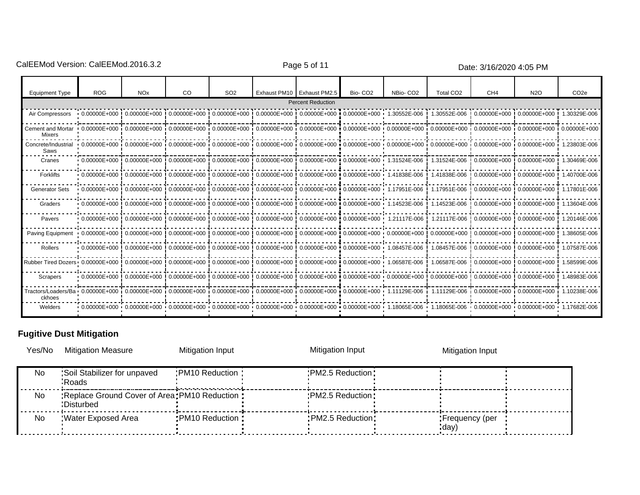CalEEMod Version: CalEEMod.2016.3.2 example 2016 Page 5 of 11 Page 5 of 11 Date: 3/16/2020 4:05 PM

| <b>Equipment Type</b>                                                                                                                                                                                             | <b>ROG</b> | <b>NO<sub>x</sub></b>                                                                                     | CO. | SO <sub>2</sub> | Exhaust PM10 Exhaust PM2.5 | Bio-CO <sub>2</sub> | NBio-CO <sub>2</sub>                                                                                                                                                                                                           | Total CO <sub>2</sub> | CH <sub>4</sub>                                     | <b>N2O</b> | CO <sub>2e</sub> |
|-------------------------------------------------------------------------------------------------------------------------------------------------------------------------------------------------------------------|------------|-----------------------------------------------------------------------------------------------------------|-----|-----------------|----------------------------|---------------------|--------------------------------------------------------------------------------------------------------------------------------------------------------------------------------------------------------------------------------|-----------------------|-----------------------------------------------------|------------|------------------|
|                                                                                                                                                                                                                   |            |                                                                                                           |     |                 | <b>Percent Reduction</b>   |                     |                                                                                                                                                                                                                                |                       |                                                     |            |                  |
| Air Compressors                                                                                                                                                                                                   |            |                                                                                                           |     |                 |                            |                     | $+0.000000E+000$ $+0.000000E+000$ $+0.000000E+000$ $+0.000000E+000$ $+0.00000E+000$ $+0.00000E+000$ $+0.000000E+000$ $+1.30552E-006$ $+0.000000E+000$ $+0.000000E+000$ $+0.000000E+000$                                        |                       |                                                     |            |                  |
| Cement and Mortar<br>Mixers                                                                                                                                                                                       |            |                                                                                                           |     |                 |                            |                     | $+0.000000E+000$ $+0.000000E+000$ $+0.000000E+000$ $+0.000000E+000$ $+0.00000E+000$ $+0.00000E+000$ $+0.00000E+000$ $+0.000000E+000$ $+0.000000E+000$ $+0.000000E+000$ $+0.000000E+000$                                        |                       |                                                     |            |                  |
| Concrete/Industrial<br>Saws                                                                                                                                                                                       |            |                                                                                                           |     |                 |                            |                     |                                                                                                                                                                                                                                |                       |                                                     |            |                  |
| Cranes                                                                                                                                                                                                            |            |                                                                                                           |     |                 |                            |                     | 0.000000E+000 !0.00000E+000 !0.00000E+000 !0.00000E+000 !0.00000E+000 !0.00000E+000 !0.00000E+000 !0.00000E+000 !1.31524E-006 !0.00000E+000 !0.00000E+000 !1.30469E-006 !0.00000E+000 !1.30469E-006 !0.00000E+000 !1.30469E-00 |                       |                                                     |            |                  |
| Forklifts                                                                                                                                                                                                         |            |                                                                                                           |     |                 |                            |                     | + 0.000000E+000 ! 0.00000E+000 ! 0.00000E+000 ! 0.00000E+000 ! 0.00000E+000 ! 0.00000E+000 ! 0.00000E+000 + 1.41838E-006 ! 1.41838E-006 ! 0.00000E+000 ! 0.00000E+000 ! 0.00000E+000 ! 0.00000E+000 ! 0.00000E+000 ! 0.00000E  |                       |                                                     |            | 1.40700E-006     |
| <b>Generator Sets</b>                                                                                                                                                                                             |            |                                                                                                           |     |                 |                            |                     | $0.000000E + 000$ $0.000000E + 000$ $0.000000E + 000$ $0.000000E + 000$ $0.000000E + 000$ $0.00000E + 000$ $0.00000E + 000$ $0.00000E + 000$ $0.00000E + 000$ $0.00000E + 000$                                                 |                       |                                                     |            | 1.17801E-006     |
| Graders                                                                                                                                                                                                           |            |                                                                                                           |     |                 |                            |                     | • 0.00000E+000!0.00000E+000!0.00000E+000!0.00000E+000!0.00000E+000!0.00000E+000!0.00000E+000 • 1.14523E-006!1.14523E-006!0.00000E+000!0.00000E+000!                                                                            |                       |                                                     |            | 1.13604E-006     |
| Pavers                                                                                                                                                                                                            |            |                                                                                                           |     |                 |                            |                     | +0.000000E+000!0.00000E+000!0.00000E+000!0.00000E+000!0.00000E+000!0.00000E+000!0.00000E+000 + 1.21117E-006!1.21117E-006!0.00000E+000!0.0000E+000!0.0000E+000! 0.00000E+000! 0.0000E+000!                                      |                       |                                                     |            | 1.20146E-006     |
| Paving Equipment                                                                                                                                                                                                  |            |                                                                                                           |     |                 |                            |                     | 0.00000E+000!0.00000E+000!0.00000E+000!0.00000E+000!0.00000E+000!0.00000E+000!0.00000E+000!0.00000E+000!0.00000E+000!0.00000E+000!0.00000E+000!0.00000E+000!0.00000E+000                                                       |                       |                                                     |            | 1.38605E-006     |
| Rollers                                                                                                                                                                                                           |            | 0.000000E+000!0.00000E+000!0.00000E+000!0.00000E+000!0.00000E+000!0.00000E+000!0.00000E+000 1.08457E-006! |     |                 |                            |                     |                                                                                                                                                                                                                                |                       | 1.08457E-006 0.00000E+000 0.00000E+000 0.00000E+000 |            | 1.07587E-006     |
| Rubber Tired Dozers · 0.00000E+000 ! 0.00000E+000 ! 0.00000E+000 ! 0.00000E+000 ! 0.00000E+000 ! 0.00000E+000 ! 0.00000E+000 · 1.06587E-006                                                                       |            |                                                                                                           |     |                 |                            |                     |                                                                                                                                                                                                                                |                       | 1.06587E-006   0.00000E+000   0.00000E+000          |            | 1.58599E-006     |
| Scrapers                                                                                                                                                                                                          |            |                                                                                                           |     |                 |                            |                     | +0.000000E+000!0.00000E+000!0.00000E+000!0.00000E+000!0.00000E+000!0.00000E+000!0.00000E+000!0.00000E+000!0.00000E+000!0.00000E+000!0.00000E+000!0.00000E+000!0.00000E+000!                                                    |                       |                                                     |            | 1.48983E-006     |
| Tractors/Loaders/Ba · 0.00000E+000 i 0.00000E+000 i 0.00000E+000 i 0.00000E+000 i 0.00000E+000 i 0.00000E+000 i 0.00000E+000 i 1.11129E-006 i 1.11129E-006 i 0.00000E+000 i 0.00000E+000 i 1.10238E-006<br>ckhoes |            |                                                                                                           |     |                 |                            |                     |                                                                                                                                                                                                                                |                       |                                                     |            |                  |
| Welders                                                                                                                                                                                                           |            |                                                                                                           |     |                 |                            |                     | 0.00000E+000 + 0.00000E+000 + 0.00000E+000 + 0.00000E+000 + 0.00000E+000 + 0.00000E+000 + 0.00000E+000 + 1.18065E-006 + 1.18065E-006 + 0.00000E+000 + 0.00000E+000 + 1.17682E-006 + 0.00000E+000 + 1.17682E-006 + 0.00000E+000 |                       |                                                     |            |                  |

# **Fugitive Dust Mitigation**

| Yes/No    | <b>Mitigation Measure</b>                                     | Mitigation Input  | Mitigation Input   | Mitigation Input          |  |
|-----------|---------------------------------------------------------------|-------------------|--------------------|---------------------------|--|
| No.       | Soil Stabilizer for unpaved<br><b>Roads</b>                   | :PM10 Reduction:  | : PM2.5 Reduction: |                           |  |
| <b>No</b> | : Replace Ground Cover of Area: PM10 Reduction:<br>:Disturbed |                   | : PM2.5 Reduction: |                           |  |
| <b>No</b> | Water Exposed Area                                            | : PM10 Reduction: | : PM2.5 Reduction: | : Frequency (per<br>:day) |  |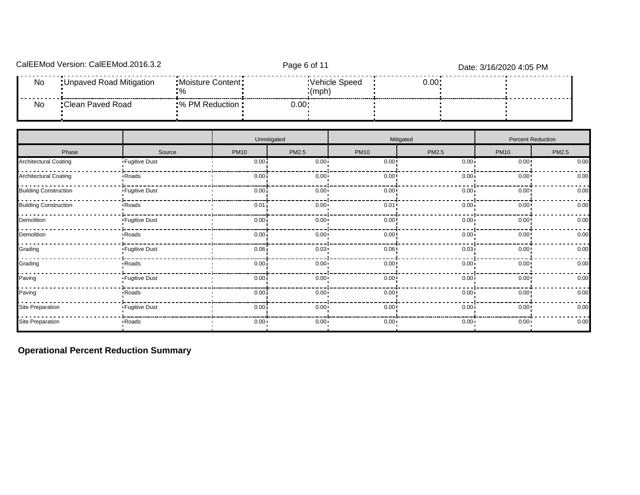|           | CalEEMod Version: CalEEMod.2016.3.2 | Page 6 of 11        |        |                        | Date: 3/16/2020 4:05 PM |  |  |  |
|-----------|-------------------------------------|---------------------|--------|------------------------|-------------------------|--|--|--|
| <b>No</b> | : Unpaved Road Mitigation           | : Moisture Content: |        | Vehicle Speed<br>(mph) | 0.00:                   |  |  |  |
| No        | Clean Paved Road:                   | ■% PM Reduction :   | 0.00 . |                        |                         |  |  |  |

|                              |                 |                   | Unmitigated  |              | Mitigated    | Percent Reduction |       |  |  |
|------------------------------|-----------------|-------------------|--------------|--------------|--------------|-------------------|-------|--|--|
| Phase                        | Source          | <b>PM10</b>       | <b>PM2.5</b> | <b>PM10</b>  | PM2.5        | <b>PM10</b>       | PM2.5 |  |  |
| <b>Architectural Coating</b> | • Fugitive Dust | 0.00 <sub>i</sub> | $0.00 -$     | 0.00         | 0.00         | $0.00$ !          | 0.00  |  |  |
| <b>Architectural Coating</b> | Roads           | 0.00              | $0.00 -$     | 0.00         | $0.00 -$     | $0.00$ !          | 0.00  |  |  |
| <b>Building Construction</b> | • Fugitive Dust | 0.00i             | $0.00 \cdot$ | 0.00         | 0.00 i       | 0.00              | 0.00  |  |  |
| <b>Building Construction</b> | Roads           | 0.01              | $0.00 \cdot$ | 0.01         | 0.00 i       | $0.00$ !          | 0.00  |  |  |
| Demolition                   | • Fugitive Dust | 0.00 <sub>i</sub> | $0.00 -$     | 0.00         | 0.00         | $0.00$ !          | 0.00  |  |  |
| Demolition                   | Roads           | 0.001             | $0.00 -$     | 0.00         | 0.00         | $0.00$ !          | 0.00  |  |  |
| Grading                      | • Fugitive Dust | 0.06              | $0.03 -$     | 0.06         | $0.03 -$     | $0.00$ !          | 0.00  |  |  |
| Grading                      | <b>Roads</b>    | 0.00i             | $0.00 \cdot$ | 0.00         | 0.00i        | $0.00$ !          | 0.00  |  |  |
| Paving                       | • Fugitive Dust | 0.00              | $0.00 -$     | 0.00         | $0.00 -$     | $0.00$ !          | 0.00  |  |  |
| Paving                       | Roads           | 0.00              | $0.00 -$     | 0.00         | 0.00         | $0.00$ !          | 0.00  |  |  |
| Site Preparation             | • Fugitive Dust | 0.00i             | $0.00 \cdot$ | 0.00         | $0.00 -$     | 0.00              | 0.00  |  |  |
| Site Preparation             | Roads           | $0.00 \cdot$      | $0.00 -$     | $0.00 \cdot$ | $0.00 \cdot$ | $0.00 \cdot$      | 0.00  |  |  |

**Operational Percent Reduction Summary**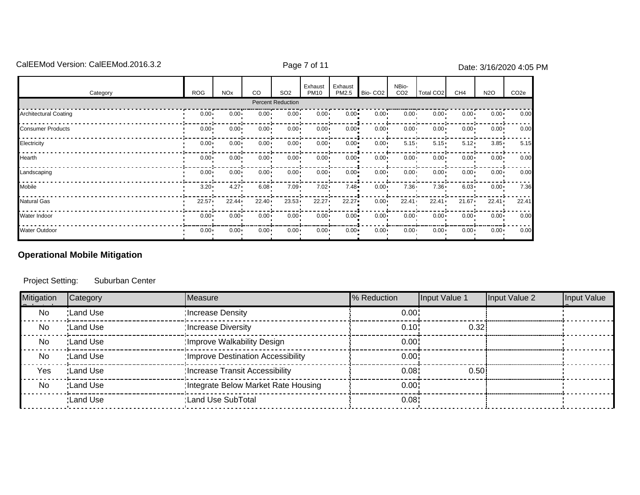# CalEEMod Version: CalEEMod.2016.3.2 CalEEMod Page 7 of 11 Date: 3/16/2020 4:05 PM

| Category                     | <b>ROG</b>   | <b>NO<sub>x</sub></b> | <sub>CO</sub> | SO <sub>2</sub>   | Exhaust<br><b>PM10</b> | Exhaust<br>PM2.5 | Bio-CO <sub>2</sub> | NBio-<br>CO <sub>2</sub> | Total CO <sub>2</sub> | CH <sub>4</sub> | N <sub>2</sub> O | CO <sub>2e</sub> |
|------------------------------|--------------|-----------------------|---------------|-------------------|------------------------|------------------|---------------------|--------------------------|-----------------------|-----------------|------------------|------------------|
|                              |              |                       |               | Percent Reduction |                        |                  |                     |                          |                       |                 |                  |                  |
| <b>Architectural Coating</b> | $0.00 -$     | $0.00 -$              | $0.00 -$      | $0.00 -$          | $0.00 -$               | $0.00 -$         | $0.00 \cdot$        | $0.00 -$                 | $0.00 -$              | $0.00 -$        | $0.00 \cdot$     | 0.00             |
| <b>Consumer Products</b>     | $0.00 -$     | $0.00 -$              | $0.00 -$      | $0.00 -$          | $0.00 -$               | $0.00 -$         | $0.00 \cdot$        | $0.00 \cdot$             | $0.00 -$              | $0.00 -$        | $0.00 \cdot$     | 0.00             |
| Electricity                  | $0.00 -$     | $0.00 -$              | $0.00 \cdot$  | $0.00 -$          | $0.00 -$               | $0.00 -$         | $0.00 \cdot$        | $5.15 -$                 | $5.15 -$              | $5.12 -$        | $3.85 -$         | 5.15             |
| Hearth                       | $0.00 -$     | $0.00 -$              | $0.00 -$      | $0.00 -$          | $0.00 -$               | $0.00 -$         | $0.00 \cdot$        | $0.00 -$                 | $0.00 -$              | $0.00 -$        | $0.00 \cdot$     | 0.00             |
| Landscaping                  | $0.00 -$     | $0.00 -$              | $0.00 -$      | $0.00 -$          | $0.00 -$               | $0.00 -$         | $0.00 \cdot$        | $0.00 -$                 | $0.00 -$              | $0.00 -$        | $0.00 \cdot$     | 0.00             |
| Mobile                       | $3.20 -$     | $4.27 -$              | $6.08 -$      | $7.09 -$          | $7.02 -$               | $7.48 -$         | $0.00 \cdot$        | $7.36 -$                 | $7.36 -$              | $6.03 -$        | $0.00 \cdot$     | 7.36             |
| <b>Natural Gas</b>           | 22.57        | $22.44 \cdot$         | $22.40 \cdot$ | $23.53 -$         | 22.27                  | 22.27            | $0.00 \cdot$        | $22.41 \cdot$            | $22.41 \cdot$         | 21.67           | $22.41 \cdot$    | 22.41            |
| Water Indoor                 | $0.00 \cdot$ | $0.00 -$              | $0.00 \cdot$  | $0.00 -$          | $0.00 -$               | $0.00 -$         | $0.00 \cdot$        | $0.00 -$                 | $0.00 -$              | $0.00 -$        | $0.00 \cdot$     | 0.00             |
| <b>Water Outdoor</b>         | $0.00 -$     | $0.00 \cdot$          | $0.00 \cdot$  | $0.00 \cdot$      | $0.00 \cdot$           | $0.00 -$         | $0.00 \cdot$        | $0.00 \cdot$             | $0.00 \cdot$          | $0.00 \cdot$    | $0.00 \cdot$     | 0.00             |

# **Operational Mobile Mitigation**

Project Setting: Suburban Center

| Mitigation | Category   | Measure                             | % Reduction | Input Value 1 | Input Value 2 | Input Value |
|------------|------------|-------------------------------------|-------------|---------------|---------------|-------------|
| No         | : Land Use | Increase Density                    | 0.00        |               |               |             |
| No         | :Land Use  | Increase Diversity:                 | 0.10        | 0.32          |               |             |
| No         | :Land Use  | Improve Walkability Design:         | 0.00        |               |               |             |
| No         | :Land Use  | Improve Destination Accessibility:  | 0.00        |               |               |             |
| Yes        | :Land Use  | Increase Transit Accessibility:     | 0.08        | 0.50          |               |             |
| No         | :Land Use  | Integrate Below Market Rate Housing | 0.00        |               |               |             |
|            | :Land Use  | :Land Use SubTotal                  | 0.08        |               |               |             |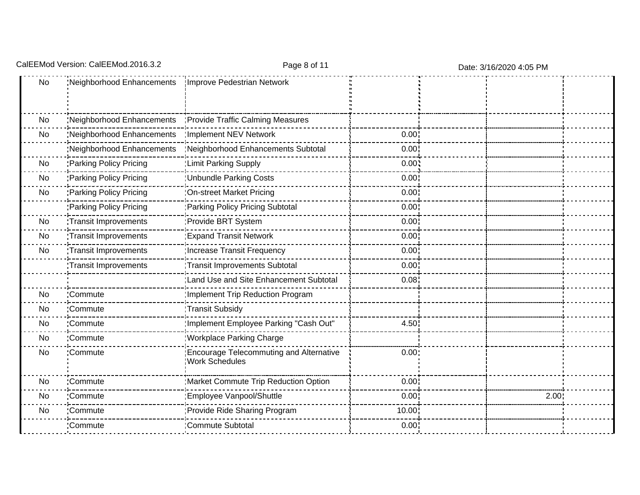|                                  | Page 8 of 11                                                     |       |                   |                         |
|----------------------------------|------------------------------------------------------------------|-------|-------------------|-------------------------|
| 'Neighborhood Enhancements       | Improve Pedestrian Network                                       |       |                   |                         |
| <b>Neighborhood Enhancements</b> | Provide Traffic Calming Measures                                 |       |                   |                         |
| Neighborhood Enhancements        | Implement NEV Network                                            | 0.00  |                   |                         |
| 'Neighborhood Enhancements       | 'Neighborhood Enhancements Subtotal                              | 0.00  |                   |                         |
| Parking Policy Pricing           | : Limit Parking Supply                                           | 0.00  |                   |                         |
| Parking Policy Pricing           | <b>Unbundle Parking Costs</b>                                    | 0.00  |                   |                         |
| Parking Policy Pricing           | On-street Market Pricing                                         | 0.00  |                   |                         |
| Parking Policy Pricing           | 'Parking Policy Pricing Subtotal                                 | 0.00  |                   |                         |
| Transit Improvements             | Provide BRT System                                               | 0.00  |                   |                         |
| Transit Improvements             | <b>Expand Transit Network</b>                                    | 0.00  |                   |                         |
| Transit Improvements             | Increase Transit Frequency                                       | 0.00  |                   |                         |
| Transit Improvements             | Transit Improvements Subtotal                                    | 0.00  |                   |                         |
|                                  | 'Land Use and Site Enhancement Subtotal                          | 0.08  |                   |                         |
| :Commute                         | Implement Trip Reduction Program                                 |       |                   |                         |
| :Commute                         | Transit Subsidy                                                  |       |                   |                         |
| :Commute                         | Implement Employee Parking "Cash Out"                            | 4.50  |                   |                         |
| :Commute                         | <b>Workplace Parking Charge</b>                                  |       |                   |                         |
| :Commute                         | Encourage Telecommuting and Alternative<br><b>Work Schedules</b> | 0.00  |                   |                         |
| :Commute                         | Market Commute Trip Reduction Option                             | 0.00  |                   |                         |
| :Commute                         | Employee Vanpool/Shuttle                                         | 0.00  | 2.00 <sub>1</sub> |                         |
| :Commute                         | Provide Ride Sharing Program                                     | 10.00 |                   |                         |
| Commute                          | Commute Subtotal                                                 | 0.00  |                   |                         |
|                                  | CalEEMod Version: CalEEMod.2016.3.2                              |       |                   | Date: 3/16/2020 4:05 PM |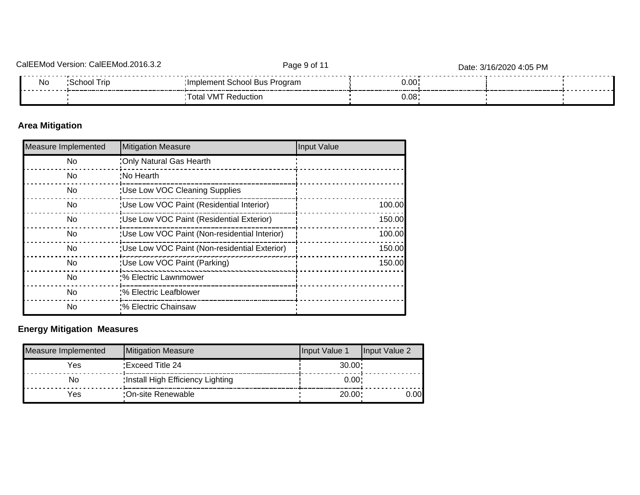| $\cap$ alFru | CalEEMod.2<br><i>Marejon</i><br>◡.◡.← | Page 9 of 11                       |       | Date: 3/16/2020 4:05 PM |  |
|--------------|---------------------------------------|------------------------------------|-------|-------------------------|--|
| N0<br>.      | Trip<br>:School                       | :Implement School Bus I<br>Program | 0.00  |                         |  |
|              |                                       | ' <sup>⊤</sup> otal VM ∟<br>uctior | 0.08' |                         |  |

# **Area Mitigation**

| <b>Measure Implemented</b> | <b>Mitigation Measure</b>                     | Input Value |
|----------------------------|-----------------------------------------------|-------------|
| No.                        | :Only Natural Gas Hearth                      |             |
| No.                        | :No Hearth                                    |             |
| No.                        | :Use Low VOC Cleaning Supplies                |             |
| No.                        | 'Use Low VOC Paint (Residential Interior)     | 100.00      |
| No.                        | 'Use Low VOC Paint (Residential Exterior)     | 150.00      |
| No.                        | 'Use Low VOC Paint (Non-residential Interior) | 100.00      |
| No.                        | 'Use Low VOC Paint (Non-residential Exterior) | 150.00      |
| No.                        | :Use Low VOC Paint (Parking)                  | 150.00      |
| No.                        | :% Electric Lawnmower                         |             |
| <b>No</b>                  | :% Electric Leafblower                        |             |
| No.                        | :% Electric Chainsaw                          |             |

# **Energy Mitigation Measures**

| Measure Implemented | Mitigation Measure               | Input Value 1 | Input Value 2 |
|---------------------|----------------------------------|---------------|---------------|
| Yes                 | Exceed Title 24                  | 30.00         |               |
| No                  | Install High Efficiency Lighting | 0.00          |               |
| Yes                 | :On-site Renewable               | 20.00:        | 0.001         |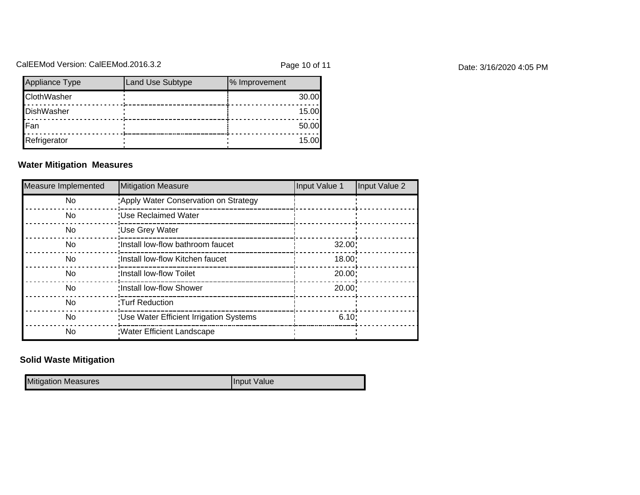# CalEEMod Version: CalEEMod.2016.3.2 example 20 page 10 of 11 cales and page 10 of 11 cales 2/16/2020 4:05 PM

| Appliance Type     | Land Use Subtype | % Improvement |
|--------------------|------------------|---------------|
| <b>ClothWasher</b> |                  | 30.00         |
| DishWasher         |                  | 15.00         |
| Fan                |                  | 50.00         |
| Refrigerator       |                  | 15.00         |

#### **Water Mitigation Measures**

| Measure Implemented | Mitigation Measure                       | Input Value 1 | Input Value 2 |
|---------------------|------------------------------------------|---------------|---------------|
| No.                 | 'Apply Water Conservation on Strategy    |               |               |
| No.                 | :Use Reclaimed Water                     |               |               |
| No.                 | : Use Grey Water                         |               |               |
| N <sub>o</sub>      | :Install low-flow bathroom faucet        | 32.00         |               |
| No.                 | Install low-flow Kitchen faucet          | 18.00:        |               |
| No.                 | :Install low-flow Toilet                 | 20.00:        |               |
| No.                 | :Install low-flow Shower                 | 20.00:        |               |
| No.                 | :Turf Reduction                          |               |               |
| No                  | : Use Water Efficient Irrigation Systems | 6.10:         |               |
| No.                 | <b>Water Efficient Landscape</b>         |               |               |

# **Solid Waste Mitigation**

Mitigation Measures **Input Value**